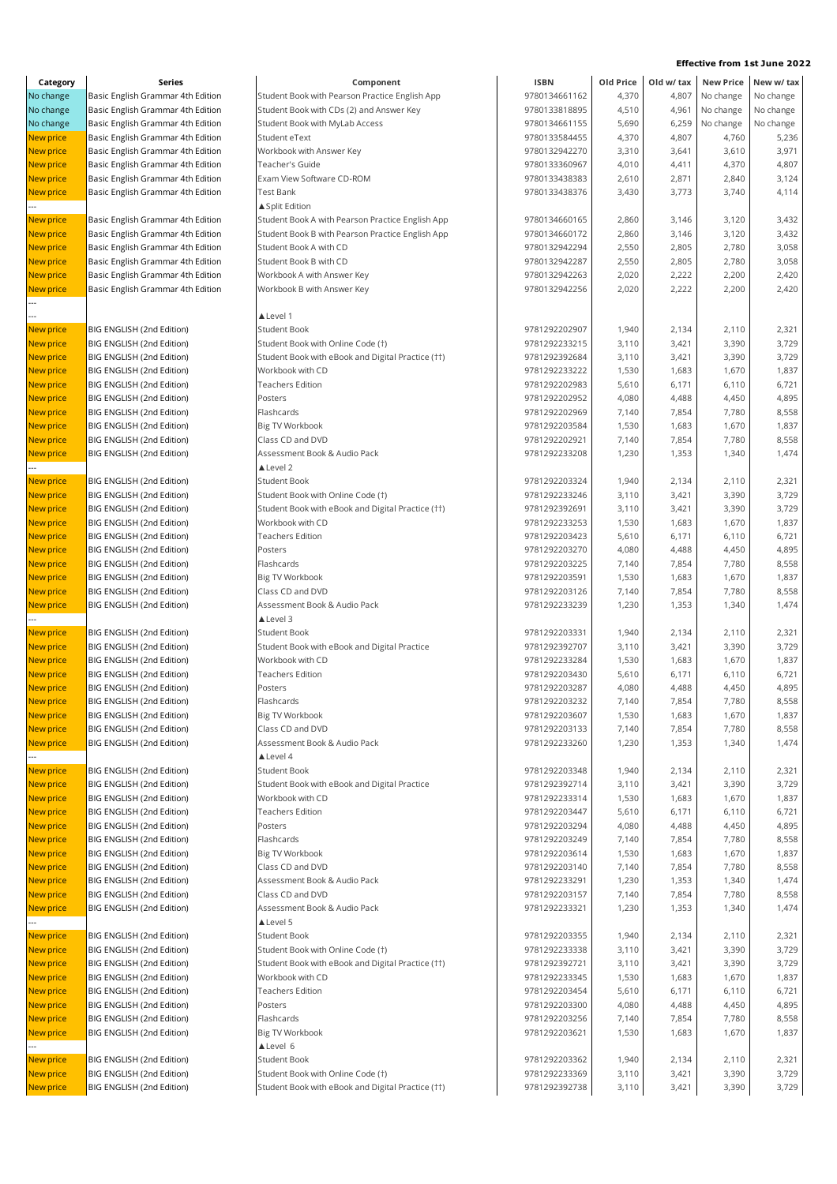| Category               | Series                                                 | Component                                         | <b>ISBN</b>   | Old Price      |                | Old w/ tax New Price | New w/ tax     |
|------------------------|--------------------------------------------------------|---------------------------------------------------|---------------|----------------|----------------|----------------------|----------------|
| No change              | Basic English Grammar 4th Edition                      | Student Book with Pearson Practice English App    | 9780134661162 | 4,370          | 4,807          | No change            | No change      |
| No change              | Basic English Grammar 4th Edition                      | Student Book with CDs (2) and Answer Key          | 9780133818895 | 4,510          | 4,961          | No change            | No change      |
| No change              | Basic English Grammar 4th Edition                      | Student Book with MyLab Access                    | 9780134661155 | 5,690          | 6,259          | No change            | No change      |
| New price              | Basic English Grammar 4th Edition                      | Student eText                                     | 9780133584455 | 4,370          | 4,807          | 4,760                | 5,236          |
| New price              | Basic English Grammar 4th Edition                      | Workbook with Answer Key                          | 9780132942270 | 3,310          | 3,641          | 3,610                | 3,971          |
| New price              | Basic English Grammar 4th Edition                      | Teacher's Guide                                   | 9780133360967 | 4,010          | 4,411          | 4,370                | 4,807          |
| New price              | Basic English Grammar 4th Edition                      | Exam View Software CD-ROM                         | 9780133438383 | 2,610          | 2,871          | 2,840                | 3,124          |
| New price              | Basic English Grammar 4th Edition                      | <b>Test Bank</b>                                  | 9780133438376 | 3,430          | 3,773          | 3,740                | 4,114          |
|                        |                                                        | ▲ Split Edition                                   |               |                |                |                      |                |
| New price              | Basic English Grammar 4th Edition                      | Student Book A with Pearson Practice English App  | 9780134660165 | 2,860          | 3,146          | 3,120                | 3,432          |
| New price              | Basic English Grammar 4th Edition                      | Student Book B with Pearson Practice English App  | 9780134660172 | 2,860          | 3,146          | 3,120                | 3,432          |
| New price              | Basic English Grammar 4th Edition                      | Student Book A with CD                            | 9780132942294 | 2,550          | 2,805          | 2,780                | 3,058          |
| New price              | Basic English Grammar 4th Edition                      | Student Book B with CD                            | 9780132942287 | 2,550          | 2,805          | 2,780                | 3,058          |
| New price              | Basic English Grammar 4th Edition                      | Workbook A with Answer Key                        | 9780132942263 | 2,020          | 2,222          | 2,200                | 2,420          |
| New price              | Basic English Grammar 4th Edition                      | Workbook B with Answer Key                        | 9780132942256 | 2,020          | 2,222          | 2,200                | 2,420          |
|                        |                                                        |                                                   |               |                |                |                      |                |
|                        |                                                        | ▲ Level 1                                         |               |                |                |                      |                |
| <b>New price</b>       | BIG ENGLISH (2nd Edition)                              | Student Book                                      | 9781292202907 | 1,940          | 2,134          | 2,110                | 2,321          |
| New price              | BIG ENGLISH (2nd Edition)                              | Student Book with Online Code (†)                 | 9781292233215 | 3,110          | 3,421          | 3,390                | 3,729          |
| New price              | BIG ENGLISH (2nd Edition)                              | Student Book with eBook and Digital Practice (††) | 9781292392684 | 3,110          | 3,421          | 3,390                | 3,729          |
| New price              | BIG ENGLISH (2nd Edition)                              | Workbook with CD                                  | 9781292233222 | 1,530          | 1,683          | 1,670                | 1,837          |
| New price              | BIG ENGLISH (2nd Edition)                              | <b>Teachers Edition</b>                           | 9781292202983 | 5,610          | 6,171          | 6,110                | 6,721          |
| New price              | BIG ENGLISH (2nd Edition)                              | Posters                                           | 9781292202952 | 4,080          | 4,488          | 4,450                | 4,895          |
| New price              | BIG ENGLISH (2nd Edition)                              | Flashcards                                        | 9781292202969 | 7,140          | 7,854          | 7,780                | 8,558          |
| New price              | BIG ENGLISH (2nd Edition)                              | Big TV Workbook                                   | 9781292203584 | 1,530          | 1,683          | 1,670                | 1,837          |
| New price              | BIG ENGLISH (2nd Edition)                              | Class CD and DVD                                  | 9781292202921 | 7,140          | 7,854          | 7,780                | 8,558          |
| New price              | BIG ENGLISH (2nd Edition)                              | Assessment Book & Audio Pack                      | 9781292233208 | 1,230          | 1,353          | 1,340                | 1,474          |
|                        |                                                        | ▲ Level 2                                         |               |                |                |                      |                |
| New price              | BIG ENGLISH (2nd Edition)                              | Student Book                                      | 9781292203324 | 1,940          | 2,134          | 2,110                | 2,321          |
| New price              | BIG ENGLISH (2nd Edition)                              | Student Book with Online Code (†)                 | 9781292233246 | 3,110          | 3,421          | 3,390                | 3,729          |
| New price              | BIG ENGLISH (2nd Edition)                              | Student Book with eBook and Digital Practice (††) | 9781292392691 | 3,110          | 3,421          | 3,390                | 3,729          |
| New price              | BIG ENGLISH (2nd Edition)                              | Workbook with CD                                  | 9781292233253 | 1,530          | 1,683          | 1,670                | 1,837          |
| New price              | BIG ENGLISH (2nd Edition)                              | Teachers Edition                                  | 9781292203423 | 5,610          | 6,171          | 6,110                | 6,721          |
| New price              | BIG ENGLISH (2nd Edition)                              | Posters                                           | 9781292203270 | 4,080          | 4,488          | 4,450                | 4,895          |
| New price              | BIG ENGLISH (2nd Edition)                              | Flashcards                                        | 9781292203225 | 7,140          | 7,854          | 7,780                | 8,558          |
| New price              | BIG ENGLISH (2nd Edition)                              | Big TV Workbook                                   | 9781292203591 | 1,530          | 1,683          | 1,670                | 1,837          |
| New price              | BIG ENGLISH (2nd Edition)                              | Class CD and DVD                                  | 9781292203126 | 7,140          | 7,854          | 7,780                | 8,558          |
| New price              | BIG ENGLISH (2nd Edition)                              | Assessment Book & Audio Pack                      | 9781292233239 | 1,230          | 1,353          | 1,340                | 1,474          |
|                        |                                                        | ▲ Level 3                                         |               |                |                |                      |                |
| New price              | BIG ENGLISH (2nd Edition)                              | Student Book                                      | 9781292203331 | 1,940          | 2,134          | 2,110                | 2,321          |
| New price              | BIG ENGLISH (2nd Edition)                              | Student Book with eBook and Digital Practice      | 9781292392707 | 3,110          | 3,421          | 3,390                | 3,729          |
| New price              | BIG ENGLISH (2nd Edition)                              | Workbook with CD                                  | 9781292233284 | 1,530          | 1,683          | 1,670                | 1,837          |
| New price              | BIG ENGLISH (2nd Edition)                              | <b>Teachers Edition</b>                           | 9781292203430 | 5,610          | 6,171          | 6,110                | 6,721          |
| <b>New price</b>       | BIG ENGLISH (2nd Edition)                              | Posters                                           | 9781292203287 | 4,080          | 4,488          | 4,450                | 4,895          |
| New price              | BIG ENGLISH (2nd Edition)                              | Flashcards                                        | 9781292203232 | 7,140          | 7,854          | 7,780                | 8,558          |
| New price              | BIG ENGLISH (2nd Edition)                              | Big TV Workbook                                   | 9781292203607 | 1,530          | 1,683          | 1,670                | 1,837          |
| New price              | BIG ENGLISH (2nd Edition)                              | Class CD and DVD                                  | 9781292203133 | 7,140          | 7,854          | 7,780                | 8,558          |
| New price              | BIG ENGLISH (2nd Edition)                              | Assessment Book & Audio Pack                      | 9781292233260 | 1,230          | 1,353          | 1,340                | 1,474          |
|                        |                                                        | ▲ Level 4                                         |               |                |                |                      |                |
| New price              | BIG ENGLISH (2nd Edition)                              | Student Book                                      | 9781292203348 | 1,940          | 2,134          | 2,110                | 2,321          |
| New price              | BIG ENGLISH (2nd Edition)                              | Student Book with eBook and Digital Practice      | 9781292392714 | 3,110          | 3,421          | 3,390                | 3,729          |
| New price              | BIG ENGLISH (2nd Edition)                              | Workbook with CD                                  | 9781292233314 | 1,530          | 1,683          | 1,670                | 1,837          |
| New price              | BIG ENGLISH (2nd Edition)                              | <b>Teachers Edition</b>                           | 9781292203447 | 5,610          | 6,171          | 6,110                | 6,721          |
| New price              | BIG ENGLISH (2nd Edition)                              | Posters                                           | 9781292203294 | 4,080          | 4,488          | 4,450                | 4,895          |
| New price              | BIG ENGLISH (2nd Edition)                              | Flashcards                                        | 9781292203249 | 7,140          | 7,854          | 7,780                | 8,558          |
| New price              | BIG ENGLISH (2nd Edition)                              | <b>Big TV Workbook</b>                            | 9781292203614 | 1,530          | 1,683          | 1,670                | 1,837          |
| New price              | BIG ENGLISH (2nd Edition)                              | Class CD and DVD                                  | 9781292203140 | 7,140          | 7,854          | 7,780                | 8,558          |
| New price              | BIG ENGLISH (2nd Edition)                              | Assessment Book & Audio Pack                      | 9781292233291 | 1,230          | 1,353          | 1,340                | 1,474          |
| New price              | BIG ENGLISH (2nd Edition)                              | Class CD and DVD                                  | 9781292203157 | 7,140          | 7,854          | 7,780                | 8,558          |
| New price              | BIG ENGLISH (2nd Edition)                              | Assessment Book & Audio Pack                      | 9781292233321 | 1,230          | 1,353          | 1,340                | 1,474          |
|                        |                                                        | ▲ Level 5                                         |               |                |                |                      |                |
| New price              | BIG ENGLISH (2nd Edition)                              | Student Book                                      | 9781292203355 | 1,940          | 2,134          | 2,110                | 2,321          |
| New price              | BIG ENGLISH (2nd Edition)                              | Student Book with Online Code (†)                 | 9781292233338 | 3,110          | 3,421          | 3,390                | 3,729          |
| New price              | BIG ENGLISH (2nd Edition)                              | Student Book with eBook and Digital Practice (††) | 9781292392721 | 3,110          | 3,421          | 3,390                | 3,729          |
| New price              | BIG ENGLISH (2nd Edition)                              | Workbook with CD                                  | 9781292233345 | 1,530          | 1,683          | 1,670                | 1,837          |
| New price              | BIG ENGLISH (2nd Edition)                              | <b>Teachers Edition</b>                           | 9781292203454 | 5,610          | 6,171          | 6,110                | 6,721          |
| New price              | BIG ENGLISH (2nd Edition)                              | Posters                                           | 9781292203300 | 4,080          | 4,488          | 4,450                | 4,895          |
| New price              | BIG ENGLISH (2nd Edition)                              | Flashcards                                        | 9781292203256 | 7,140          | 7,854          | 7,780                | 8,558          |
| New price              | BIG ENGLISH (2nd Edition)                              | <b>Big TV Workbook</b>                            | 9781292203621 |                | 1,683          |                      | 1,837          |
|                        |                                                        |                                                   |               | 1,530          |                | 1,670                |                |
|                        |                                                        | ▲ Level 6<br>Student Book                         | 9781292203362 |                |                |                      |                |
| New price<br>New price | BIG ENGLISH (2nd Edition)<br>BIG ENGLISH (2nd Edition) | Student Book with Online Code (†)                 | 9781292233369 | 1,940<br>3,110 | 2,134<br>3,421 | 2,110                | 2,321<br>3,729 |
|                        |                                                        |                                                   |               |                |                | 3,390                | 3,729          |
| New price              | BIG ENGLISH (2nd Edition)                              | Student Book with eBook and Digital Practice (††) | 9781292392738 | 3,110          | 3,421          | 3,390                |                |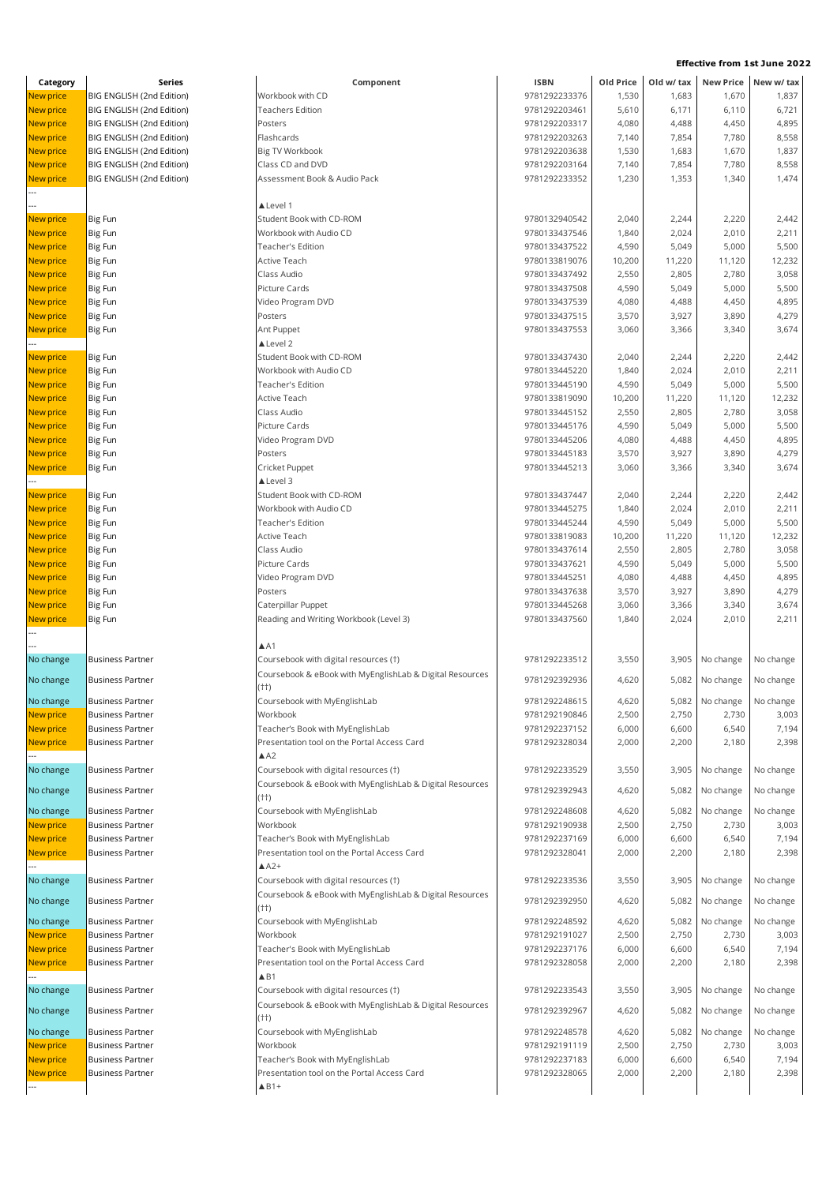| Category         | Series                    | Component                                                          | <b>ISBN</b>   | Old Price | Old w/ tax |                           | New Price New w/ tax |
|------------------|---------------------------|--------------------------------------------------------------------|---------------|-----------|------------|---------------------------|----------------------|
| New price        | BIG ENGLISH (2nd Edition) | Workbook with CD                                                   | 9781292233376 | 1,530     | 1,683      | 1,670                     | 1,837                |
| New price        | BIG ENGLISH (2nd Edition) | Teachers Edition                                                   | 9781292203461 | 5,610     | 6,171      | 6,110                     | 6,721                |
| New price        | BIG ENGLISH (2nd Edition) | Posters                                                            | 9781292203317 | 4,080     | 4,488      | 4,450                     | 4,895                |
| New price        | BIG ENGLISH (2nd Edition) | Flashcards                                                         | 9781292203263 | 7,140     | 7,854      | 7,780                     | 8,558                |
| New price        | BIG ENGLISH (2nd Edition) | Big TV Workbook                                                    | 9781292203638 | 1,530     | 1,683      | 1,670                     | 1,837                |
| New price        | BIG ENGLISH (2nd Edition) | Class CD and DVD                                                   | 9781292203164 | 7,140     | 7,854      | 7,780                     | 8,558                |
| New price        | BIG ENGLISH (2nd Edition) | Assessment Book & Audio Pack                                       | 9781292233352 | 1,230     | 1,353      | 1,340                     | 1,474                |
|                  |                           |                                                                    |               |           |            |                           |                      |
|                  |                           | ▲ Level 1                                                          |               |           |            |                           |                      |
| New price        | Big Fun                   | Student Book with CD-ROM                                           | 9780132940542 | 2,040     | 2,244      | 2,220                     | 2,442                |
| New price        | Big Fun                   | Workbook with Audio CD                                             | 9780133437546 | 1,840     | 2,024      | 2,010                     | 2,211                |
| New price        | Big Fun                   | Teacher's Edition                                                  | 9780133437522 | 4,590     | 5,049      | 5,000                     | 5,500                |
| <b>New price</b> | Big Fun                   | Active Teach                                                       | 9780133819076 | 10,200    | 11,220     | 11,120                    | 12,232               |
| New price        | Big Fun                   | Class Audio                                                        | 9780133437492 | 2,550     | 2,805      | 2,780                     | 3,058                |
| New price        | Big Fun                   | Picture Cards                                                      | 9780133437508 | 4,590     | 5,049      | 5,000                     | 5,500                |
| <b>New price</b> | Big Fun                   | Video Program DVD                                                  | 9780133437539 | 4,080     | 4,488      | 4,450                     | 4,895                |
| <b>New price</b> | Big Fun                   | Posters                                                            | 9780133437515 | 3,570     | 3,927      | 3,890                     | 4,279                |
| <b>New price</b> | Big Fun                   | Ant Puppet                                                         | 9780133437553 | 3,060     | 3,366      | 3,340                     | 3,674                |
|                  |                           | ▲ Level 2                                                          |               |           |            |                           |                      |
| <b>New price</b> | Big Fun                   | Student Book with CD-ROM                                           | 9780133437430 | 2,040     | 2,244      | 2,220                     | 2,442                |
| New price        | Big Fun                   | Workbook with Audio CD                                             | 9780133445220 | 1,840     | 2,024      | 2,010                     | 2,211                |
| New price        | Big Fun                   | Teacher's Edition                                                  | 9780133445190 | 4,590     | 5,049      | 5,000                     | 5,500                |
| New price        | Big Fun                   | Active Teach                                                       | 9780133819090 | 10,200    | 11,220     | 11,120                    | 12,232               |
| <b>New price</b> | Big Fun                   | Class Audio                                                        | 9780133445152 | 2,550     | 2,805      | 2,780                     | 3,058                |
| <b>New price</b> | Big Fun                   | Picture Cards                                                      | 9780133445176 | 4,590     | 5,049      | 5,000                     | 5,500                |
| New price        | Big Fun                   | Video Program DVD                                                  | 9780133445206 | 4,080     | 4,488      | 4,450                     | 4,895                |
| <b>New price</b> | Big Fun                   | Posters                                                            | 9780133445183 | 3,570     | 3,927      | 3,890                     | 4,279                |
| New price        | Big Fun                   | Cricket Puppet                                                     | 9780133445213 | 3,060     | 3,366      | 3,340                     | 3,674                |
|                  |                           | ▲ Level 3                                                          |               |           |            |                           |                      |
| New price        | <b>Big Fun</b>            | Student Book with CD-ROM                                           | 9780133437447 | 2,040     | 2,244      | 2,220                     | 2,442                |
| <b>New price</b> | Big Fun                   | Workbook with Audio CD                                             | 9780133445275 | 1,840     | 2,024      | 2,010                     | 2,211                |
| New price        | Big Fun                   | Teacher's Edition                                                  | 9780133445244 | 4,590     | 5,049      | 5,000                     | 5,500                |
| New price        | Big Fun                   | Active Teach                                                       | 9780133819083 | 10,200    | 11,220     | 11,120                    | 12,232               |
| <b>New price</b> | Big Fun                   | Class Audio                                                        | 9780133437614 | 2,550     | 2,805      | 2,780                     | 3,058                |
| <b>New price</b> | Big Fun                   | Picture Cards                                                      | 9780133437621 | 4,590     | 5,049      | 5,000                     | 5,500                |
| New price        | Big Fun                   | Video Program DVD                                                  | 9780133445251 | 4,080     | 4,488      | 4,450                     | 4,895                |
| New price        | Big Fun                   | Posters                                                            | 9780133437638 | 3,570     | 3,927      | 3,890                     | 4,279                |
| <b>New price</b> | Big Fun                   | Caterpillar Puppet                                                 | 9780133445268 | 3,060     | 3,366      | 3,340                     | 3,674                |
| New price        | Big Fun                   | Reading and Writing Workbook (Level 3)                             | 9780133437560 | 1,840     | 2,024      | 2,010                     | 2,211                |
|                  |                           |                                                                    |               |           |            |                           |                      |
|                  |                           | $A$ A1                                                             |               |           |            |                           |                      |
| No change        | <b>Business Partner</b>   | Coursebook with digital resources (†)                              | 9781292233512 | 3,550     | 3,905      | No change                 | No change            |
| No change        | <b>Business Partner</b>   | Coursebook & eBook with MyEnglishLab & Digital Resources<br>$(++)$ | 9781292392936 | 4,620     |            | 5,082 No change           | No change            |
| No change        | Business Partner          | Coursebook with MyEnglishLab                                       | 9781292248615 | 4,620     |            | 5,082 No change No change |                      |
| <b>New price</b> | <b>Business Partner</b>   | Workbook                                                           | 9781292190846 | 2,500     | 2,750      | 2,730                     | 3,003                |
| <b>New price</b> | <b>Business Partner</b>   | Teacher's Book with MyEnglishLab                                   | 9781292237152 | 6,000     | 6,600      | 6,540                     | 7,194                |
| New price        | <b>Business Partner</b>   | Presentation tool on the Portal Access Card                        | 9781292328034 | 2,000     | 2,200      | 2,180                     | 2,398                |
|                  |                           | AA2                                                                |               |           |            |                           |                      |
| No change        | <b>Business Partner</b>   | Coursebook with digital resources (†)                              | 9781292233529 | 3,550     | 3,905      | No change                 | No change            |
| No change        | <b>Business Partner</b>   | Coursebook & eBook with MyEnglishLab & Digital Resources           | 9781292392943 | 4,620     | 5,082      | No change                 | No change            |
|                  |                           | $(++)$                                                             |               |           |            |                           |                      |
| No change        | <b>Business Partner</b>   | Coursebook with MyEnglishLab                                       | 9781292248608 | 4,620     | 5,082      | No change                 | No change            |
| New price        | <b>Business Partner</b>   | Workbook                                                           | 9781292190938 | 2,500     | 2,750      | 2,730                     | 3,003                |
| New price        | <b>Business Partner</b>   | Teacher's Book with MyEnglishLab                                   | 9781292237169 | 6,000     | 6,600      | 6,540                     | 7,194                |
| <b>New price</b> | <b>Business Partner</b>   | Presentation tool on the Portal Access Card                        | 9781292328041 | 2,000     | 2,200      | 2,180                     | 2,398                |
|                  |                           | $A^2+$                                                             |               |           |            |                           |                      |
| No change        | <b>Business Partner</b>   | Coursebook with digital resources (†)                              | 9781292233536 | 3,550     | 3,905      | No change                 | No change            |
| No change        | <b>Business Partner</b>   | Coursebook & eBook with MyEnglishLab & Digital Resources           | 9781292392950 | 4,620     | 5,082      | No change                 | No change            |
| No change        | <b>Business Partner</b>   | (††)<br>Coursebook with MyEnglishLab                               | 9781292248592 | 4,620     | 5,082      | No change                 | No change            |
| New price        | <b>Business Partner</b>   | Workbook                                                           | 9781292191027 | 2,500     | 2,750      | 2,730                     | 3,003                |
| New price        | <b>Business Partner</b>   | Teacher's Book with MyEnglishLab                                   | 9781292237176 | 6,000     | 6,600      | 6,540                     | 7,194                |
| New price        | <b>Business Partner</b>   | Presentation tool on the Portal Access Card                        | 9781292328058 | 2,000     | 2,200      | 2,180                     | 2,398                |
|                  |                           | $\triangle$ B1                                                     |               |           |            |                           |                      |
| No change        | <b>Business Partner</b>   | Coursebook with digital resources (†)                              | 9781292233543 | 3,550     | 3,905      | No change                 | No change            |
|                  |                           | Coursebook & eBook with MyEnglishLab & Digital Resources           |               |           |            |                           |                      |
| No change        | <b>Business Partner</b>   | (††)                                                               | 9781292392967 | 4,620     | 5,082      | No change                 | No change            |
| No change        | <b>Business Partner</b>   | Coursebook with MyEnglishLab                                       | 9781292248578 | 4,620     | 5,082      | No change                 | No change            |
| New price        | <b>Business Partner</b>   | Workbook                                                           | 9781292191119 | 2,500     | 2,750      | 2,730                     | 3,003                |
| New price        | <b>Business Partner</b>   | Teacher's Book with MyEnglishLab                                   | 9781292237183 | 6,000     | 6,600      | 6,540                     | 7,194                |
| <b>New price</b> | <b>Business Partner</b>   | Presentation tool on the Portal Access Card                        | 9781292328065 | 2,000     | 2,200      | 2,180                     | 2,398                |
| ---              |                           | $\triangle$ B <sub>1+</sub>                                        |               |           |            |                           |                      |
|                  |                           |                                                                    |               |           |            |                           |                      |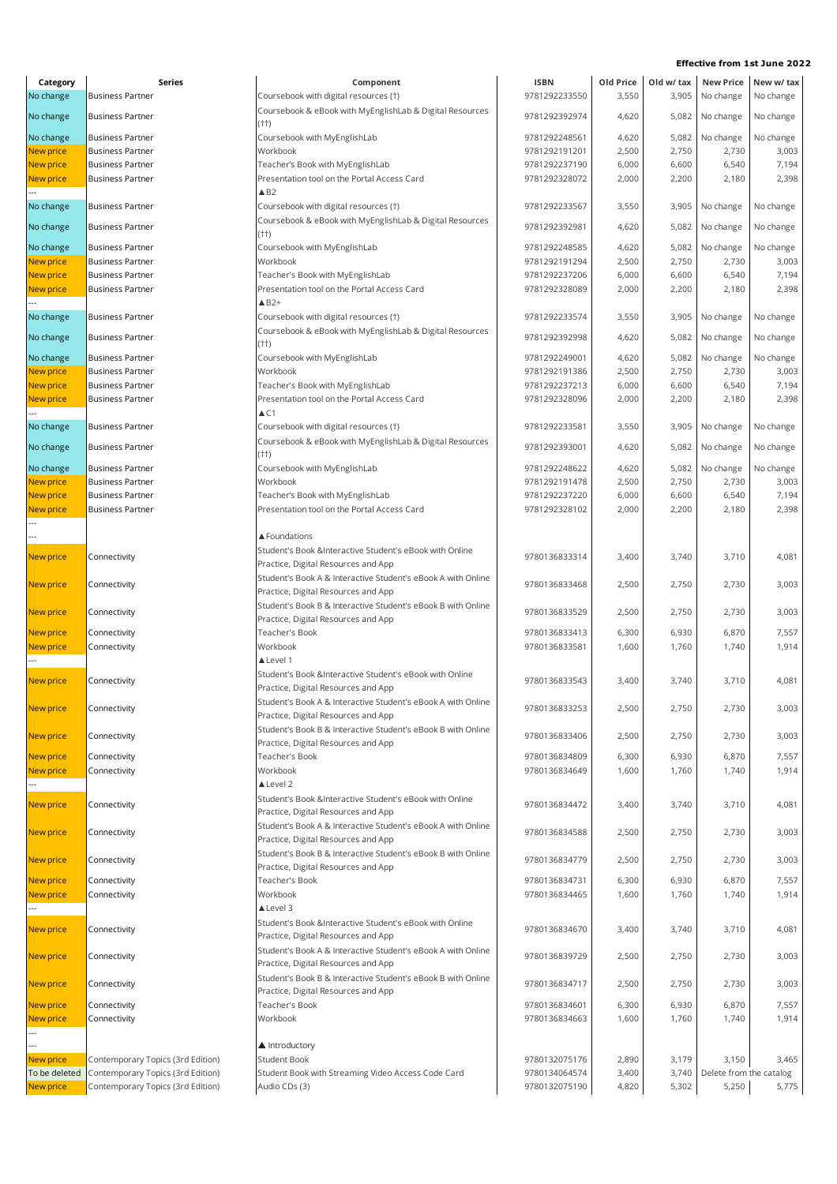| Category         | Series                            | Component                                                    | <b>ISBN</b>   | Old Price | Old w/ tax |                         | New Price New w/ tax |
|------------------|-----------------------------------|--------------------------------------------------------------|---------------|-----------|------------|-------------------------|----------------------|
| No change        | <b>Business Partner</b>           | Coursebook with digital resources (†)                        | 9781292233550 | 3,550     | 3,905      | No change               | No change            |
|                  | <b>Business Partner</b>           | Coursebook & eBook with MyEnglishLab & Digital Resources     |               |           |            |                         |                      |
| No change        |                                   | $(++)$                                                       | 9781292392974 | 4,620     | 5,082      | No change               | No change            |
| No change        | <b>Business Partner</b>           | Coursebook with MyEnglishLab                                 | 9781292248561 | 4,620     | 5,082      | No change               | No change            |
| New price        | <b>Business Partner</b>           | Workbook                                                     | 9781292191201 | 2,500     | 2,750      | 2,730                   | 3,003                |
| New price        | <b>Business Partner</b>           | Teacher's Book with MyEnglishLab                             | 9781292237190 | 6,000     | 6,600      | 6,540                   | 7,194                |
| New price        | <b>Business Partner</b>           | Presentation tool on the Portal Access Card                  | 9781292328072 | 2,000     | 2,200      | 2,180                   | 2,398                |
|                  |                                   | $\triangle$ B <sub>2</sub>                                   |               |           |            |                         |                      |
| No change        | <b>Business Partner</b>           | Coursebook with digital resources (†)                        | 9781292233567 | 3,550     | 3,905      | No change               | No change            |
|                  |                                   | Coursebook & eBook with MyEnglishLab & Digital Resources     |               |           |            |                         |                      |
| No change        | <b>Business Partner</b>           | $(++)$                                                       | 9781292392981 | 4,620     | 5,082      | No change               | No change            |
| No change        | <b>Business Partner</b>           | Coursebook with MyEnglishLab                                 | 9781292248585 | 4,620     | 5,082      | No change               | No change            |
| New price        | <b>Business Partner</b>           | Workbook                                                     | 9781292191294 | 2,500     | 2,750      | 2,730                   | 3,003                |
| New price        | <b>Business Partner</b>           | Teacher's Book with MyEnglishLab                             | 9781292237206 | 6,000     | 6,600      | 6,540                   | 7,194                |
| New price        | <b>Business Partner</b>           | Presentation tool on the Portal Access Card                  | 9781292328089 | 2,000     | 2,200      | 2,180                   | 2,398                |
|                  |                                   | $\triangle$ B2+                                              |               |           |            |                         |                      |
| No change        | <b>Business Partner</b>           | Coursebook with digital resources (†)                        | 9781292233574 | 3,550     | 3,905      | No change               | No change            |
|                  |                                   | Coursebook & eBook with MyEnglishLab & Digital Resources     |               |           |            |                         |                      |
| No change        | <b>Business Partner</b>           | (††)                                                         | 9781292392998 | 4,620     |            | 5,082 No change         | No change            |
| No change        | <b>Business Partner</b>           | Coursebook with MyEnglishLab                                 | 9781292249001 | 4,620     | 5,082      | No change               | No change            |
| New price        | <b>Business Partner</b>           | Workbook                                                     | 9781292191386 | 2,500     | 2,750      | 2,730                   | 3,003                |
| New price        | <b>Business Partner</b>           | Teacher's Book with MyEnglishLab                             | 9781292237213 | 6,000     | 6,600      | 6,540                   | 7,194                |
| <b>New price</b> | <b>Business Partner</b>           | Presentation tool on the Portal Access Card                  | 9781292328096 | 2,000     | 2,200      | 2,180                   | 2,398                |
|                  |                                   | $\triangle$ C1                                               |               |           |            |                         |                      |
| No change        | <b>Business Partner</b>           | Coursebook with digital resources (†)                        | 9781292233581 | 3,550     | 3,905      | No change               | No change            |
|                  |                                   | Coursebook & eBook with MyEnglishLab & Digital Resources     |               |           |            |                         |                      |
| No change        | <b>Business Partner</b>           | (††)                                                         | 9781292393001 | 4,620     | 5,082      | No change               | No change            |
| No change        | <b>Business Partner</b>           | Coursebook with MyEnglishLab                                 | 9781292248622 | 4,620     | 5,082      | No change               | No change            |
| New price        | <b>Business Partner</b>           | Workbook                                                     | 9781292191478 | 2,500     | 2,750      | 2,730                   | 3,003                |
| New price        | <b>Business Partner</b>           | Teacher's Book with MyEnglishLab                             | 9781292237220 | 6,000     | 6,600      | 6,540                   | 7,194                |
| New price        | <b>Business Partner</b>           | Presentation tool on the Portal Access Card                  | 9781292328102 | 2,000     | 2,200      | 2,180                   | 2,398                |
|                  |                                   |                                                              |               |           |            |                         |                      |
|                  |                                   | ▲ Foundations                                                |               |           |            |                         |                      |
| New price        | Connectivity                      | Student's Book &Interactive Student's eBook with Online      | 9780136833314 | 3,400     | 3,740      | 3,710                   | 4,081                |
|                  |                                   | Practice, Digital Resources and App                          |               |           |            |                         |                      |
| New price        | Connectivity                      | Student's Book A & Interactive Student's eBook A with Online | 9780136833468 | 2,500     | 2,750      | 2,730                   | 3,003                |
|                  |                                   | Practice, Digital Resources and App                          |               |           |            |                         |                      |
| New price        | Connectivity                      | Student's Book B & Interactive Student's eBook B with Online | 9780136833529 | 2,500     | 2,750      | 2,730                   | 3,003                |
|                  |                                   | Practice, Digital Resources and App                          |               |           |            |                         |                      |
| New price        | Connectivity                      | Teacher's Book                                               | 9780136833413 | 6,300     | 6,930      | 6,870                   | 7,557                |
| New price        | Connectivity                      | Workbook                                                     | 9780136833581 | 1,600     | 1,760      | 1,740                   | 1,914                |
|                  |                                   | ▲ Level 1                                                    |               |           |            |                         |                      |
| New price        | Connectivity                      | Student's Book &Interactive Student's eBook with Online      | 9780136833543 | 3,400     | 3,740      | 3,710                   | 4,081                |
|                  |                                   | Practice, Digital Resources and App                          |               |           |            |                         |                      |
| New price        | Connectivity                      | Student's Book A & Interactive Student's eBook A with Online | 9780136833253 | 2,500     | 2,750      | 2,730                   | 3,003                |
|                  |                                   | Practice, Digital Resources and App                          |               |           |            |                         |                      |
| New price        | Connectivity                      | Student's Book B & Interactive Student's eBook B with Online | 9780136833406 | 2,500     | 2,750      | 2,730                   | 3,003                |
|                  |                                   | Practice, Digital Resources and App                          |               |           |            |                         |                      |
| New price        | Connectivity                      | Teacher's Book                                               | 9780136834809 | 6,300     | 6,930      | 6,870                   | 7,557                |
| New price        | Connectivity                      | Workbook                                                     | 9780136834649 | 1,600     | 1,760      | 1,740                   | 1,914                |
|                  |                                   | A Level 2                                                    |               |           |            |                         |                      |
| New price        | Connectivity                      | Student's Book &Interactive Student's eBook with Online      | 9780136834472 | 3,400     | 3,740      | 3,710                   | 4,081                |
|                  |                                   | Practice, Digital Resources and App                          |               |           |            |                         |                      |
| New price        | Connectivity                      | Student's Book A & Interactive Student's eBook A with Online | 9780136834588 | 2,500     | 2,750      | 2,730                   | 3,003                |
|                  |                                   | Practice, Digital Resources and App                          |               |           |            |                         |                      |
| New price        | Connectivity                      | Student's Book B & Interactive Student's eBook B with Online | 9780136834779 | 2,500     | 2,750      | 2,730                   | 3,003                |
|                  |                                   | Practice, Digital Resources and App                          |               |           |            |                         |                      |
| New price        | Connectivity                      | Teacher's Book                                               | 9780136834731 | 6,300     | 6,930      | 6,870                   | 7,557                |
| New price        | Connectivity                      | Workbook                                                     | 9780136834465 | 1,600     | 1,760      | 1,740                   | 1,914                |
|                  |                                   | ▲ Level 3                                                    |               |           |            |                         |                      |
| New price        | Connectivity                      | Student's Book &Interactive Student's eBook with Online      | 9780136834670 | 3,400     | 3,740      | 3,710                   | 4,081                |
|                  |                                   | Practice, Digital Resources and App                          |               |           |            |                         |                      |
| New price        | Connectivity                      | Student's Book A & Interactive Student's eBook A with Online | 9780136839729 | 2,500     | 2,750      | 2,730                   | 3,003                |
|                  |                                   | Practice, Digital Resources and App                          |               |           |            |                         |                      |
| New price        | Connectivity                      | Student's Book B & Interactive Student's eBook B with Online | 9780136834717 | 2,500     | 2,750      | 2,730                   | 3,003                |
|                  |                                   | Practice, Digital Resources and App                          |               |           |            |                         |                      |
| New price        | Connectivity                      | Teacher's Book                                               | 9780136834601 | 6,300     | 6,930      | 6,870                   | 7,557                |
| New price        | Connectivity                      | Workbook                                                     | 9780136834663 | 1,600     | 1,760      | 1,740                   | 1,914                |
|                  |                                   |                                                              |               |           |            |                         |                      |
|                  |                                   | ▲ Introductory                                               |               |           |            |                         |                      |
| New price        | Contemporary Topics (3rd Edition) | Student Book                                                 | 9780132075176 | 2,890     | 3,179      | 3,150                   | 3,465                |
| To be deleted    | Contemporary Topics (3rd Edition) | Student Book with Streaming Video Access Code Card           | 9780134064574 | 3,400     | 3,740      | Delete from the catalog |                      |
| New price        | Contemporary Topics (3rd Edition) | Audio CDs (3)                                                | 9780132075190 | 4,820     | 5,302      | 5,250                   | 5,775                |
|                  |                                   |                                                              |               |           |            |                         |                      |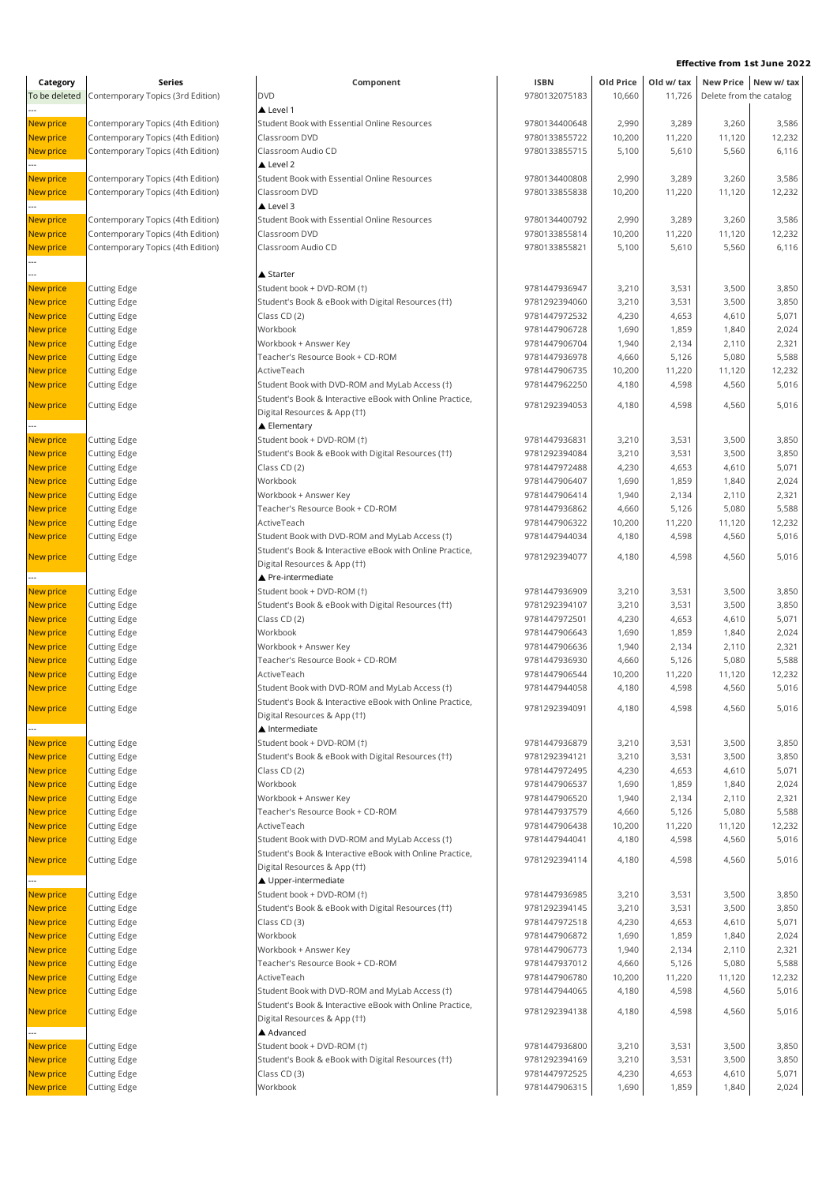| Category               | Series                                     | Component                                                                                | <b>ISBN</b>                    | Old Price       | Old w/ tax      |                         | New Price New w/tax |
|------------------------|--------------------------------------------|------------------------------------------------------------------------------------------|--------------------------------|-----------------|-----------------|-------------------------|---------------------|
| To be deleted          | Contemporary Topics (3rd Edition)          | <b>DVD</b>                                                                               | 9780132075183                  | 10,660          | 11,726          | Delete from the catalog |                     |
|                        |                                            | Level 1                                                                                  |                                |                 |                 |                         |                     |
| New price              | Contemporary Topics (4th Edition)          | Student Book with Essential Online Resources                                             | 9780134400648                  | 2,990           | 3,289           | 3,260                   | 3,586               |
| New price              | Contemporary Topics (4th Edition)          | Classroom DVD                                                                            | 9780133855722                  | 10,200          | 11,220          | 11,120                  | 12,232              |
| New price              | Contemporary Topics (4th Edition)          | Classroom Audio CD<br>Level 2                                                            | 9780133855715                  | 5,100           | 5,610           | 5,560                   | 6,116               |
| New price              | Contemporary Topics (4th Edition)          | Student Book with Essential Online Resources                                             | 9780134400808                  | 2,990           | 3,289           | 3,260                   | 3,586               |
| New price              | Contemporary Topics (4th Edition)          | Classroom DVD                                                                            | 9780133855838                  | 10,200          | 11,220          | 11,120                  | 12,232              |
|                        |                                            | Level 3                                                                                  |                                |                 |                 |                         |                     |
| New price              | Contemporary Topics (4th Edition)          | Student Book with Essential Online Resources                                             | 9780134400792                  | 2,990           | 3,289           | 3,260                   | 3,586               |
| <b>New price</b>       | Contemporary Topics (4th Edition)          | Classroom DVD                                                                            | 9780133855814                  | 10,200          | 11,220          | 11,120                  | 12,232              |
| New price              | Contemporary Topics (4th Edition)          | Classroom Audio CD                                                                       | 9780133855821                  | 5,100           | 5,610           | 5,560                   | 6,116               |
|                        |                                            |                                                                                          |                                |                 |                 |                         |                     |
|                        |                                            | ▲ Starter                                                                                |                                |                 |                 |                         |                     |
| New price              | <b>Cutting Edge</b>                        | Student book + DVD-ROM (†)                                                               | 9781447936947                  | 3,210           | 3,531           | 3,500                   | 3,850               |
| New price              | <b>Cutting Edge</b>                        | Student's Book & eBook with Digital Resources (††)                                       | 9781292394060                  | 3,210           | 3,531           | 3,500                   | 3,850               |
| New price<br>New price | <b>Cutting Edge</b><br><b>Cutting Edge</b> | Class CD (2)<br>Workbook                                                                 | 9781447972532<br>9781447906728 | 4,230<br>1,690  | 4,653<br>1,859  | 4,610<br>1,840          | 5,071<br>2,024      |
| New price              | Cutting Edge                               | Workbook + Answer Key                                                                    | 9781447906704                  | 1,940           | 2,134           | 2,110                   | 2,321               |
| New price              | Cutting Edge                               | Teacher's Resource Book + CD-ROM                                                         | 9781447936978                  | 4,660           | 5,126           | 5,080                   | 5,588               |
| New price              | Cutting Edge                               | ActiveTeach                                                                              | 9781447906735                  | 10,200          | 11,220          | 11,120                  | 12,232              |
| New price              | <b>Cutting Edge</b>                        | Student Book with DVD-ROM and MyLab Access (1)                                           | 9781447962250                  | 4,180           | 4,598           | 4,560                   | 5,016               |
|                        |                                            | Student's Book & Interactive eBook with Online Practice,                                 |                                |                 |                 |                         |                     |
| New price              | <b>Cutting Edge</b>                        | Digital Resources & App (††)                                                             | 9781292394053                  | 4,180           | 4,598           | 4,560                   | 5,016               |
|                        |                                            | ▲ Elementary                                                                             |                                |                 |                 |                         |                     |
| New price              | <b>Cutting Edge</b>                        | Student book + DVD-ROM (†)                                                               | 9781447936831                  | 3,210           | 3,531           | 3,500                   | 3,850               |
| New price              | <b>Cutting Edge</b>                        | Student's Book & eBook with Digital Resources (††)                                       | 9781292394084                  | 3,210           | 3,531           | 3,500                   | 3,850               |
| New price              | <b>Cutting Edge</b>                        | Class CD (2)                                                                             | 9781447972488                  | 4,230           | 4,653           | 4,610                   | 5,071               |
| New price              | <b>Cutting Edge</b>                        | Workbook                                                                                 | 9781447906407                  | 1,690           | 1,859           | 1,840                   | 2,024               |
| New price              | Cutting Edge                               | Workbook + Answer Key                                                                    | 9781447906414                  | 1,940           | 2,134           | 2,110                   | 2,321               |
| New price              | <b>Cutting Edge</b>                        | Teacher's Resource Book + CD-ROM                                                         | 9781447936862                  | 4,660           | 5,126           | 5,080                   | 5,588               |
| New price<br>New price | <b>Cutting Edge</b><br><b>Cutting Edge</b> | ActiveTeach<br>Student Book with DVD-ROM and MyLab Access (†)                            | 9781447906322<br>9781447944034 | 10,200<br>4,180 | 11,220<br>4,598 | 11,120<br>4,560         | 12,232<br>5,016     |
|                        |                                            | Student's Book & Interactive eBook with Online Practice,                                 |                                |                 |                 |                         |                     |
| New price              | <b>Cutting Edge</b>                        | Digital Resources & App (††)<br>▲ Pre-intermediate                                       | 9781292394077                  | 4,180           | 4,598           | 4,560                   | 5,016               |
| New price              | <b>Cutting Edge</b>                        | Student book + DVD-ROM (†)                                                               | 9781447936909                  | 3,210           | 3,531           | 3,500                   | 3,850               |
| <b>New price</b>       | <b>Cutting Edge</b>                        | Student's Book & eBook with Digital Resources (††)                                       | 9781292394107                  | 3,210           | 3,531           | 3,500                   | 3,850               |
| New price              | Cutting Edge                               | Class CD (2)                                                                             | 9781447972501                  | 4,230           | 4,653           | 4,610                   | 5,071               |
| New price              | <b>Cutting Edge</b>                        | Workbook                                                                                 | 9781447906643                  | 1,690           | 1,859           | 1,840                   | 2,024               |
| New price              | <b>Cutting Edge</b>                        | Workbook + Answer Key                                                                    | 9781447906636                  | 1,940           | 2,134           | 2,110                   | 2,321               |
| <b>New price</b>       | <b>Cutting Edge</b>                        | Teacher's Resource Book + CD-ROM                                                         | 9781447936930                  | 4,660           | 5,126           | 5,080                   | 5,588               |
| <b>New price</b>       | <b>Cutting Edge</b>                        | ActiveTeach                                                                              | 9781447906544                  | 10,200          | 11,220          | 11,120                  | 12,232              |
| <b>New price</b>       | <b>Cutting Edge</b>                        | Student Book with DVD-ROM and MyLab Access (1)                                           | 9781447944058                  | 4,180           | 4,598           | 4,560                   | 5,016               |
| New price              | <b>Cutting Edge</b>                        | Student's Book & Interactive eBook with Online Practice,                                 | 9781292394091                  | 4,180           | 4,598           | 4,560                   | 5,016               |
|                        |                                            | Digital Resources & App (††)<br>▲ Intermediate                                           |                                |                 |                 |                         |                     |
| New price              | <b>Cutting Edge</b>                        | Student book + DVD-ROM (†)                                                               | 9781447936879                  | 3,210           | 3,531           | 3,500                   | 3,850               |
| New price              | <b>Cutting Edge</b>                        | Student's Book & eBook with Digital Resources (††)                                       | 9781292394121                  | 3,210           | 3,531           | 3,500                   | 3,850               |
| New price              | Cutting Edge                               | Class CD (2)                                                                             | 9781447972495                  | 4,230           | 4,653           | 4,610                   | 5,071               |
| New price              | <b>Cutting Edge</b>                        | Workbook                                                                                 | 9781447906537                  | 1,690           | 1,859           | 1,840                   | 2,024               |
| New price              | <b>Cutting Edge</b>                        | Workbook + Answer Key                                                                    | 9781447906520                  | 1,940           | 2,134           | 2,110                   | 2,321               |
| <b>New price</b>       | <b>Cutting Edge</b>                        | Teacher's Resource Book + CD-ROM                                                         | 9781447937579                  | 4,660           | 5,126           | 5,080                   | 5,588               |
| New price              | <b>Cutting Edge</b>                        | ActiveTeach                                                                              | 9781447906438                  | 10,200          | 11,220          | 11,120                  | 12,232              |
| New price              | <b>Cutting Edge</b>                        | Student Book with DVD-ROM and MyLab Access (1)                                           | 9781447944041                  | 4,180           | 4,598           | 4,560                   | 5,016               |
| New price              | <b>Cutting Edge</b>                        | Student's Book & Interactive eBook with Online Practice,<br>Digital Resources & App (††) | 9781292394114                  | 4,180           | 4,598           | 4,560                   | 5,016               |
|                        |                                            | ▲ Upper-intermediate                                                                     |                                |                 |                 |                         |                     |
| New price              | <b>Cutting Edge</b>                        | Student book + DVD-ROM (†)                                                               | 9781447936985                  | 3,210           | 3,531           | 3,500                   | 3,850               |
| New price              | <b>Cutting Edge</b>                        | Student's Book & eBook with Digital Resources (††)                                       | 9781292394145                  | 3,210           | 3,531           | 3,500                   | 3,850               |
| New price              | <b>Cutting Edge</b>                        | Class CD (3)                                                                             | 9781447972518                  | 4,230           | 4,653           | 4,610                   | 5,071               |
| New price              | <b>Cutting Edge</b>                        | Workbook                                                                                 | 9781447906872                  | 1,690           | 1,859           | 1,840                   | 2,024               |
| New price              | <b>Cutting Edge</b>                        | Workbook + Answer Key                                                                    | 9781447906773                  | 1,940           | 2,134           | 2,110                   | 2,321               |
| <b>New price</b>       | <b>Cutting Edge</b>                        | Teacher's Resource Book + CD-ROM                                                         | 9781447937012                  | 4,660           | 5,126           | 5,080                   | 5,588               |
| New price              | <b>Cutting Edge</b>                        | ActiveTeach                                                                              | 9781447906780                  | 10,200          | 11,220          | 11,120                  | 12,232              |
| New price              | <b>Cutting Edge</b>                        | Student Book with DVD-ROM and MyLab Access (†)                                           | 9781447944065                  | 4,180           | 4,598           | 4,560                   | 5,016               |
| New price              | <b>Cutting Edge</b>                        | Student's Book & Interactive eBook with Online Practice,<br>Digital Resources & App (††) | 9781292394138                  | 4,180           | 4,598           | 4,560                   | 5,016               |
|                        |                                            | ▲ Advanced                                                                               |                                |                 |                 |                         |                     |
| New price              | <b>Cutting Edge</b>                        | Student book + DVD-ROM (†)                                                               | 9781447936800                  | 3,210           | 3,531           | 3,500                   | 3,850               |
| New price              | <b>Cutting Edge</b>                        | Student's Book & eBook with Digital Resources (††)                                       | 9781292394169                  | 3,210           | 3,531           | 3,500                   | 3,850               |
| New price              | Cutting Edge                               | Class CD (3)<br>Workbook                                                                 | 9781447972525<br>9781447906315 | 4,230           | 4,653           | 4,610                   | 5,071               |
| New price              | <b>Cutting Edge</b>                        |                                                                                          |                                | 1,690           | 1,859           | 1,840                   | 2,024               |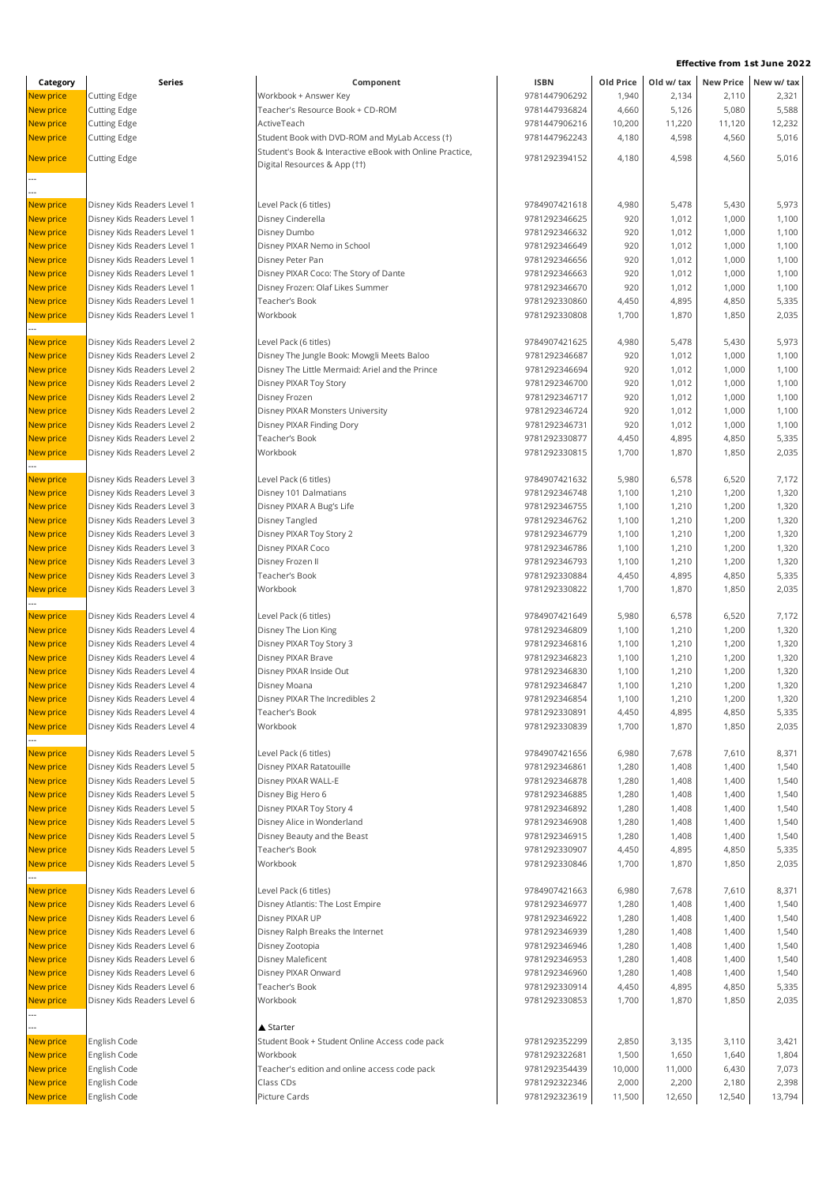| New price<br>1,940<br>2,134<br>2,110<br><b>Cutting Edge</b><br>Workbook + Answer Key<br>9781447906292<br>2,321<br><b>New price</b><br>Teacher's Resource Book + CD-ROM<br>9781447936824<br>4,660<br>5,126<br>5,080<br><b>Cutting Edge</b><br>10,200<br>11,220<br>New price<br><b>Cutting Edge</b><br>ActiveTeach<br>9781447906216<br>11,120<br><b>New price</b><br>9781447962243<br>4,180<br>4,598<br>4,560<br><b>Cutting Edge</b><br>Student Book with DVD-ROM and MyLab Access (1)<br>Student's Book & Interactive eBook with Online Practice,<br><b>New price</b><br>4,598<br>5,016<br><b>Cutting Edge</b><br>9781292394152<br>4,180<br>4,560<br>Digital Resources & App (††)<br>New price<br>4,980<br>Disney Kids Readers Level 1<br>Level Pack (6 titles)<br>9784907421618<br>5,478<br>5,430<br>Disney Kids Readers Level 1<br>Disney Cinderella<br>9781292346625<br>920<br>1,012<br>1,000<br>New price<br>Disney Dumbo<br>New price<br>Disney Kids Readers Level 1<br>9781292346632<br>920<br>1,012<br>1,000<br>Disney Kids Readers Level 1<br>Disney PIXAR Nemo in School<br>9781292346649<br>920<br>New price<br>1,012<br>1,000<br>920<br><b>New price</b><br>Disney Kids Readers Level 1<br>Disney Peter Pan<br>9781292346656<br>1,012<br>1,000<br>Disney PIXAR Coco: The Story of Dante<br>9781292346663<br>920<br>1,000<br>1,100<br>New price<br>Disney Kids Readers Level 1<br>1,012<br>Disney Frozen: Olaf Likes Summer<br>New price<br>Disney Kids Readers Level 1<br>9781292346670<br>920<br>1,012<br>1,000<br>1,100<br><b>New price</b><br>Disney Kids Readers Level 1<br>Teacher's Book<br>9781292330860<br>4,450<br>4,895<br>4,850<br>5,335<br>Disney Kids Readers Level 1<br>Workbook<br>9781292330808<br>1,700<br>2,035<br>New price<br>1,870<br>1,850<br>5,973<br><b>New price</b><br>Disney Kids Readers Level 2<br>Level Pack (6 titles)<br>9784907421625<br>4,980<br>5,478<br>5,430<br>Disney Kids Readers Level 2<br>Disney The Jungle Book: Mowgli Meets Baloo<br>920<br>New price<br>9781292346687<br>1,012<br>1,000<br>1,100<br>Disney The Little Mermaid: Ariel and the Prince<br>920<br>1,000<br>1,100<br>New price<br>Disney Kids Readers Level 2<br>9781292346694<br>1,012<br>Disney Kids Readers Level 2<br>9781292346700<br>920<br>1,000<br>1,100<br><b>New price</b><br>Disney PIXAR Toy Story<br>1,012<br><b>New price</b><br>Disney Kids Readers Level 2<br>Disney Frozen<br>9781292346717<br>920<br>1,012<br>1,000<br>1,100<br><b>New price</b><br>Disney Kids Readers Level 2<br>Disney PIXAR Monsters University<br>9781292346724<br>920<br>1,012<br>1,000<br>1,100<br>Disney Kids Readers Level 2<br>Disney PIXAR Finding Dory<br>9781292346731<br>920<br>New price<br>1,012<br>1,000<br>1,100<br>Disney Kids Readers Level 2<br>Teacher's Book<br>9781292330877<br>4,450<br>5,335<br>New price<br>4,895<br>4,850<br>Workbook<br><b>New price</b><br>Disney Kids Readers Level 2<br>9781292330815<br>1,700<br>1,870<br>1,850<br>2,035<br>7,172<br>New price<br>Disney Kids Readers Level 3<br>Level Pack (6 titles)<br>9784907421632<br>5,980<br>6,578<br>6,520<br><b>New price</b><br>Disney Kids Readers Level 3<br>Disney 101 Dalmatians<br>9781292346748<br>1,100<br>1,200<br>1,320<br>1,210<br>New price<br>Disney Kids Readers Level 3<br>Disney PIXAR A Bug's Life<br>9781292346755<br>1,100<br>1,210<br>1,200<br>1,320<br>1,100<br>1,320<br>New price<br>Disney Kids Readers Level 3<br>Disney Tangled<br>9781292346762<br>1,210<br>1,200<br>Disney Kids Readers Level 3<br>Disney PIXAR Toy Story 2<br>9781292346779<br>1,320<br>New price<br>1,100<br>1,210<br>1,200<br>Disney Kids Readers Level 3<br>Disney PIXAR Coco<br>9781292346786<br>1,100<br>1,200<br>1,320<br>New price<br>1,210<br>Disney Frozen II<br>New price<br>Disney Kids Readers Level 3<br>9781292346793<br>1,100<br>1,210<br>1,200<br><b>New price</b><br>Disney Kids Readers Level 3<br>Teacher's Book<br>9781292330884<br>4,450<br>4,895<br>4,850<br>Workbook<br>1,700<br>1,870<br>New price<br>Disney Kids Readers Level 3<br>9781292330822<br>1,850<br>New price<br>Disney Kids Readers Level 4<br>Level Pack (6 titles)<br>9784907421649<br>5,980<br>6,578<br>6,520<br><b>New price</b><br>Disney Kids Readers Level 4<br>Disney The Lion King<br>9781292346809<br>1,100<br>1,210<br>1,200<br>Disney PIXAR Toy Story 3<br>9781292346816<br>New price<br>Disney Kids Readers Level 4<br>1,100<br>1,210<br>1,200<br>9781292346823<br>1,100<br>New price<br>Disney Kids Readers Level 4<br>Disney PIXAR Brave<br>1,210<br>1,200<br>Disney PIXAR Inside Out<br>9781292346830<br>New price<br>Disney Kids Readers Level 4<br>1,100<br>1,210<br>1,200<br><b>New price</b><br>Disney Kids Readers Level 4<br>9781292346847<br>1,100<br>1,200<br>Disney Moana<br>1,210<br>Disney Kids Readers Level 4<br>Disney PIXAR The Incredibles 2<br>1,100<br>1,210<br>1,200<br>9781292346854<br>New price<br>Disney Kids Readers Level 4<br>Teacher's Book<br>9781292330891<br>4,895<br>New price<br>4,450<br>4,850<br><b>New price</b><br>Disney Kids Readers Level 4<br>Workbook<br>9781292330839<br>1,700<br>1,870<br>1,850<br>New price<br>Disney Kids Readers Level 5<br>Level Pack (6 titles)<br>9784907421656<br>6,980<br>7,678<br>7,610<br>8,371<br>Disney PIXAR Ratatouille<br>1,280<br>1,400<br>New price<br>Disney Kids Readers Level 5<br>9781292346861<br>1,408<br>Disney PIXAR WALL-E<br>New price<br>Disney Kids Readers Level 5<br>9781292346878<br>1,280<br>1,408<br>1,400<br>Disney Kids Readers Level 5<br>Disney Big Hero 6<br>9781292346885<br>New price<br>1,280<br>1,408<br>1,400<br>Disney PIXAR Toy Story 4<br><b>New price</b><br>Disney Kids Readers Level 5<br>9781292346892<br>1,280<br>1,408<br>1,400<br><b>New price</b><br>Disney Alice in Wonderland<br>9781292346908<br>Disney Kids Readers Level 5<br>1,280<br>1,408<br>1,400<br>New price<br>Disney Kids Readers Level 5<br>Disney Beauty and the Beast<br>9781292346915<br>1,280<br>1,408<br>1,400<br><b>New price</b><br>9781292330907<br>4,450<br>5,335<br>Disney Kids Readers Level 5<br>Teacher's Book<br>4,895<br>4,850<br>Workbook<br>New price<br>Disney Kids Readers Level 5<br>9781292330846<br>1,700<br>1,870<br>1,850<br>2,035<br>New price<br>Disney Kids Readers Level 6<br>Level Pack (6 titles)<br>9784907421663<br>6,980<br>7,678<br>7,610<br>8,371<br>Disney Atlantis: The Lost Empire<br>New price<br>Disney Kids Readers Level 6<br>9781292346977<br>1,280<br>1,408<br>1,400<br>1,540<br>Disney PIXAR UP<br>New price<br>Disney Kids Readers Level 6<br>9781292346922<br>1,280<br>1,408<br>1,400<br>1,540<br><b>New price</b><br>Disney Kids Readers Level 6<br>Disney Ralph Breaks the Internet<br>9781292346939<br>1,540<br>1,280<br>1,408<br>1,400<br>Disney Kids Readers Level 6<br>New price<br>Disney Zootopia<br>9781292346946<br>1,280<br>1,408<br>1,400<br>1,540<br><b>New price</b><br>Disney Maleficent<br>9781292346953<br>Disney Kids Readers Level 6<br>1,280<br>1,408<br>1,400<br>1,540<br>New price<br>Disney Kids Readers Level 6<br>Disney PIXAR Onward<br>9781292346960<br>1,280<br>1,408<br>1,400<br>1,540<br>Disney Kids Readers Level 6<br>Teacher's Book<br>9781292330914<br>New price<br>4,450<br>4,895<br>4,850<br>5,335<br>Workbook<br>New price<br>Disney Kids Readers Level 6<br>9781292330853<br>1,700<br>1,870<br>1,850<br>2,035<br>▲ Starter<br>Student Book + Student Online Access code pack<br>New price<br>English Code<br>9781292352299<br>2,850<br>3,135<br>3,110<br>3,421<br>Workbook<br>New price<br>English Code<br>9781292322681<br>1,500<br>1,650<br>1,640<br><b>New price</b><br>English Code<br>Teacher's edition and online access code pack<br>10,000<br>11,000<br>9781292354439<br>6,430<br>English Code<br>9781292322346<br>2,000<br>New price<br>Class CDs<br>2,200<br>2,180<br>New price<br>Picture Cards<br>9781292323619<br>11,500<br>12,650<br>12,540<br>English Code | Category | Series | Component | <b>ISBN</b> | Old Price | Old w/ tax | New Price New w/ tax |
|-----------------------------------------------------------------------------------------------------------------------------------------------------------------------------------------------------------------------------------------------------------------------------------------------------------------------------------------------------------------------------------------------------------------------------------------------------------------------------------------------------------------------------------------------------------------------------------------------------------------------------------------------------------------------------------------------------------------------------------------------------------------------------------------------------------------------------------------------------------------------------------------------------------------------------------------------------------------------------------------------------------------------------------------------------------------------------------------------------------------------------------------------------------------------------------------------------------------------------------------------------------------------------------------------------------------------------------------------------------------------------------------------------------------------------------------------------------------------------------------------------------------------------------------------------------------------------------------------------------------------------------------------------------------------------------------------------------------------------------------------------------------------------------------------------------------------------------------------------------------------------------------------------------------------------------------------------------------------------------------------------------------------------------------------------------------------------------------------------------------------------------------------------------------------------------------------------------------------------------------------------------------------------------------------------------------------------------------------------------------------------------------------------------------------------------------------------------------------------------------------------------------------------------------------------------------------------------------------------------------------------------------------------------------------------------------------------------------------------------------------------------------------------------------------------------------------------------------------------------------------------------------------------------------------------------------------------------------------------------------------------------------------------------------------------------------------------------------------------------------------------------------------------------------------------------------------------------------------------------------------------------------------------------------------------------------------------------------------------------------------------------------------------------------------------------------------------------------------------------------------------------------------------------------------------------------------------------------------------------------------------------------------------------------------------------------------------------------------------------------------------------------------------------------------------------------------------------------------------------------------------------------------------------------------------------------------------------------------------------------------------------------------------------------------------------------------------------------------------------------------------------------------------------------------------------------------------------------------------------------------------------------------------------------------------------------------------------------------------------------------------------------------------------------------------------------------------------------------------------------------------------------------------------------------------------------------------------------------------------------------------------------------------------------------------------------------------------------------------------------------------------------------------------------------------------------------------------------------------------------------------------------------------------------------------------------------------------------------------------------------------------------------------------------------------------------------------------------------------------------------------------------------------------------------------------------------------------------------------------------------------------------------------------------------------------------------------------------------------------------------------------------------------------------------------------------------------------------------------------------------------------------------------------------------------------------------------------------------------------------------------------------------------------------------------------------------------------------------------------------------------------------------------------------------------------------------------------------------------------------------------------------------------------------------------------------------------------------------------------------------------------------------------------------------------------------------------------------------------------------------------------------------------------------------------------------------------------------------------------------------------------------------------------------------------------------------------------------------------------------------------------------------------------------------------------------------------------------------------------------------------------------------------------------------------------------------------------------------------------------------------------------------------------------------------------------------------------------------------------------------------------------------------------------------------------------------------------------------------------------------------------------------------------------------------------------------------------------------------------------------------------------------------------------------------------------------------------------------------------------------------------------------------------------------------------------------------------------------------------------------------------------------------------------------------------------------------------------------------------------------------------------------------------------------------------------------------------------------------------------------------------------------------------------------------------------------------------------------------------------------------------------------------------------------------------------------------------------------------------------------------------------------------------------------------------------------------------------------------------------------------------------------------------------------------------------------|----------|--------|-----------|-------------|-----------|------------|----------------------|
|                                                                                                                                                                                                                                                                                                                                                                                                                                                                                                                                                                                                                                                                                                                                                                                                                                                                                                                                                                                                                                                                                                                                                                                                                                                                                                                                                                                                                                                                                                                                                                                                                                                                                                                                                                                                                                                                                                                                                                                                                                                                                                                                                                                                                                                                                                                                                                                                                                                                                                                                                                                                                                                                                                                                                                                                                                                                                                                                                                                                                                                                                                                                                                                                                                                                                                                                                                                                                                                                                                                                                                                                                                                                                                                                                                                                                                                                                                                                                                                                                                                                                                                                                                                                                                                                                                                                                                                                                                                                                                                                                                                                                                                                                                                                                                                                                                                                                                                                                                                                                                                                                                                                                                                                                                                                                                                                                                                                                                                                                                                                                                                                                                                                                                                                                                                                                                                                                                                                                                                                                                                                                                                                                                                                                                                                                                                                                                                                                                                                                                                                                                                                                                                                                                                                                                                                                                                                                                                                                                                                                                                                                                                                                                                                                                                                                                                                                                                                                                                                                                                                                                                                                                                                                                                                                                                                                                                                                                                                               |          |        |           |             |           |            |                      |
|                                                                                                                                                                                                                                                                                                                                                                                                                                                                                                                                                                                                                                                                                                                                                                                                                                                                                                                                                                                                                                                                                                                                                                                                                                                                                                                                                                                                                                                                                                                                                                                                                                                                                                                                                                                                                                                                                                                                                                                                                                                                                                                                                                                                                                                                                                                                                                                                                                                                                                                                                                                                                                                                                                                                                                                                                                                                                                                                                                                                                                                                                                                                                                                                                                                                                                                                                                                                                                                                                                                                                                                                                                                                                                                                                                                                                                                                                                                                                                                                                                                                                                                                                                                                                                                                                                                                                                                                                                                                                                                                                                                                                                                                                                                                                                                                                                                                                                                                                                                                                                                                                                                                                                                                                                                                                                                                                                                                                                                                                                                                                                                                                                                                                                                                                                                                                                                                                                                                                                                                                                                                                                                                                                                                                                                                                                                                                                                                                                                                                                                                                                                                                                                                                                                                                                                                                                                                                                                                                                                                                                                                                                                                                                                                                                                                                                                                                                                                                                                                                                                                                                                                                                                                                                                                                                                                                                                                                                                                               |          |        |           |             |           |            | 5,588                |
|                                                                                                                                                                                                                                                                                                                                                                                                                                                                                                                                                                                                                                                                                                                                                                                                                                                                                                                                                                                                                                                                                                                                                                                                                                                                                                                                                                                                                                                                                                                                                                                                                                                                                                                                                                                                                                                                                                                                                                                                                                                                                                                                                                                                                                                                                                                                                                                                                                                                                                                                                                                                                                                                                                                                                                                                                                                                                                                                                                                                                                                                                                                                                                                                                                                                                                                                                                                                                                                                                                                                                                                                                                                                                                                                                                                                                                                                                                                                                                                                                                                                                                                                                                                                                                                                                                                                                                                                                                                                                                                                                                                                                                                                                                                                                                                                                                                                                                                                                                                                                                                                                                                                                                                                                                                                                                                                                                                                                                                                                                                                                                                                                                                                                                                                                                                                                                                                                                                                                                                                                                                                                                                                                                                                                                                                                                                                                                                                                                                                                                                                                                                                                                                                                                                                                                                                                                                                                                                                                                                                                                                                                                                                                                                                                                                                                                                                                                                                                                                                                                                                                                                                                                                                                                                                                                                                                                                                                                                                               |          |        |           |             |           |            | 12,232               |
|                                                                                                                                                                                                                                                                                                                                                                                                                                                                                                                                                                                                                                                                                                                                                                                                                                                                                                                                                                                                                                                                                                                                                                                                                                                                                                                                                                                                                                                                                                                                                                                                                                                                                                                                                                                                                                                                                                                                                                                                                                                                                                                                                                                                                                                                                                                                                                                                                                                                                                                                                                                                                                                                                                                                                                                                                                                                                                                                                                                                                                                                                                                                                                                                                                                                                                                                                                                                                                                                                                                                                                                                                                                                                                                                                                                                                                                                                                                                                                                                                                                                                                                                                                                                                                                                                                                                                                                                                                                                                                                                                                                                                                                                                                                                                                                                                                                                                                                                                                                                                                                                                                                                                                                                                                                                                                                                                                                                                                                                                                                                                                                                                                                                                                                                                                                                                                                                                                                                                                                                                                                                                                                                                                                                                                                                                                                                                                                                                                                                                                                                                                                                                                                                                                                                                                                                                                                                                                                                                                                                                                                                                                                                                                                                                                                                                                                                                                                                                                                                                                                                                                                                                                                                                                                                                                                                                                                                                                                                               |          |        |           |             |           |            | 5,016                |
|                                                                                                                                                                                                                                                                                                                                                                                                                                                                                                                                                                                                                                                                                                                                                                                                                                                                                                                                                                                                                                                                                                                                                                                                                                                                                                                                                                                                                                                                                                                                                                                                                                                                                                                                                                                                                                                                                                                                                                                                                                                                                                                                                                                                                                                                                                                                                                                                                                                                                                                                                                                                                                                                                                                                                                                                                                                                                                                                                                                                                                                                                                                                                                                                                                                                                                                                                                                                                                                                                                                                                                                                                                                                                                                                                                                                                                                                                                                                                                                                                                                                                                                                                                                                                                                                                                                                                                                                                                                                                                                                                                                                                                                                                                                                                                                                                                                                                                                                                                                                                                                                                                                                                                                                                                                                                                                                                                                                                                                                                                                                                                                                                                                                                                                                                                                                                                                                                                                                                                                                                                                                                                                                                                                                                                                                                                                                                                                                                                                                                                                                                                                                                                                                                                                                                                                                                                                                                                                                                                                                                                                                                                                                                                                                                                                                                                                                                                                                                                                                                                                                                                                                                                                                                                                                                                                                                                                                                                                                               |          |        |           |             |           |            |                      |
|                                                                                                                                                                                                                                                                                                                                                                                                                                                                                                                                                                                                                                                                                                                                                                                                                                                                                                                                                                                                                                                                                                                                                                                                                                                                                                                                                                                                                                                                                                                                                                                                                                                                                                                                                                                                                                                                                                                                                                                                                                                                                                                                                                                                                                                                                                                                                                                                                                                                                                                                                                                                                                                                                                                                                                                                                                                                                                                                                                                                                                                                                                                                                                                                                                                                                                                                                                                                                                                                                                                                                                                                                                                                                                                                                                                                                                                                                                                                                                                                                                                                                                                                                                                                                                                                                                                                                                                                                                                                                                                                                                                                                                                                                                                                                                                                                                                                                                                                                                                                                                                                                                                                                                                                                                                                                                                                                                                                                                                                                                                                                                                                                                                                                                                                                                                                                                                                                                                                                                                                                                                                                                                                                                                                                                                                                                                                                                                                                                                                                                                                                                                                                                                                                                                                                                                                                                                                                                                                                                                                                                                                                                                                                                                                                                                                                                                                                                                                                                                                                                                                                                                                                                                                                                                                                                                                                                                                                                                                               |          |        |           |             |           |            |                      |
|                                                                                                                                                                                                                                                                                                                                                                                                                                                                                                                                                                                                                                                                                                                                                                                                                                                                                                                                                                                                                                                                                                                                                                                                                                                                                                                                                                                                                                                                                                                                                                                                                                                                                                                                                                                                                                                                                                                                                                                                                                                                                                                                                                                                                                                                                                                                                                                                                                                                                                                                                                                                                                                                                                                                                                                                                                                                                                                                                                                                                                                                                                                                                                                                                                                                                                                                                                                                                                                                                                                                                                                                                                                                                                                                                                                                                                                                                                                                                                                                                                                                                                                                                                                                                                                                                                                                                                                                                                                                                                                                                                                                                                                                                                                                                                                                                                                                                                                                                                                                                                                                                                                                                                                                                                                                                                                                                                                                                                                                                                                                                                                                                                                                                                                                                                                                                                                                                                                                                                                                                                                                                                                                                                                                                                                                                                                                                                                                                                                                                                                                                                                                                                                                                                                                                                                                                                                                                                                                                                                                                                                                                                                                                                                                                                                                                                                                                                                                                                                                                                                                                                                                                                                                                                                                                                                                                                                                                                                                               |          |        |           |             |           |            |                      |
|                                                                                                                                                                                                                                                                                                                                                                                                                                                                                                                                                                                                                                                                                                                                                                                                                                                                                                                                                                                                                                                                                                                                                                                                                                                                                                                                                                                                                                                                                                                                                                                                                                                                                                                                                                                                                                                                                                                                                                                                                                                                                                                                                                                                                                                                                                                                                                                                                                                                                                                                                                                                                                                                                                                                                                                                                                                                                                                                                                                                                                                                                                                                                                                                                                                                                                                                                                                                                                                                                                                                                                                                                                                                                                                                                                                                                                                                                                                                                                                                                                                                                                                                                                                                                                                                                                                                                                                                                                                                                                                                                                                                                                                                                                                                                                                                                                                                                                                                                                                                                                                                                                                                                                                                                                                                                                                                                                                                                                                                                                                                                                                                                                                                                                                                                                                                                                                                                                                                                                                                                                                                                                                                                                                                                                                                                                                                                                                                                                                                                                                                                                                                                                                                                                                                                                                                                                                                                                                                                                                                                                                                                                                                                                                                                                                                                                                                                                                                                                                                                                                                                                                                                                                                                                                                                                                                                                                                                                                                               |          |        |           |             |           |            |                      |
|                                                                                                                                                                                                                                                                                                                                                                                                                                                                                                                                                                                                                                                                                                                                                                                                                                                                                                                                                                                                                                                                                                                                                                                                                                                                                                                                                                                                                                                                                                                                                                                                                                                                                                                                                                                                                                                                                                                                                                                                                                                                                                                                                                                                                                                                                                                                                                                                                                                                                                                                                                                                                                                                                                                                                                                                                                                                                                                                                                                                                                                                                                                                                                                                                                                                                                                                                                                                                                                                                                                                                                                                                                                                                                                                                                                                                                                                                                                                                                                                                                                                                                                                                                                                                                                                                                                                                                                                                                                                                                                                                                                                                                                                                                                                                                                                                                                                                                                                                                                                                                                                                                                                                                                                                                                                                                                                                                                                                                                                                                                                                                                                                                                                                                                                                                                                                                                                                                                                                                                                                                                                                                                                                                                                                                                                                                                                                                                                                                                                                                                                                                                                                                                                                                                                                                                                                                                                                                                                                                                                                                                                                                                                                                                                                                                                                                                                                                                                                                                                                                                                                                                                                                                                                                                                                                                                                                                                                                                                               |          |        |           |             |           |            | 5,973                |
|                                                                                                                                                                                                                                                                                                                                                                                                                                                                                                                                                                                                                                                                                                                                                                                                                                                                                                                                                                                                                                                                                                                                                                                                                                                                                                                                                                                                                                                                                                                                                                                                                                                                                                                                                                                                                                                                                                                                                                                                                                                                                                                                                                                                                                                                                                                                                                                                                                                                                                                                                                                                                                                                                                                                                                                                                                                                                                                                                                                                                                                                                                                                                                                                                                                                                                                                                                                                                                                                                                                                                                                                                                                                                                                                                                                                                                                                                                                                                                                                                                                                                                                                                                                                                                                                                                                                                                                                                                                                                                                                                                                                                                                                                                                                                                                                                                                                                                                                                                                                                                                                                                                                                                                                                                                                                                                                                                                                                                                                                                                                                                                                                                                                                                                                                                                                                                                                                                                                                                                                                                                                                                                                                                                                                                                                                                                                                                                                                                                                                                                                                                                                                                                                                                                                                                                                                                                                                                                                                                                                                                                                                                                                                                                                                                                                                                                                                                                                                                                                                                                                                                                                                                                                                                                                                                                                                                                                                                                                               |          |        |           |             |           |            | 1,100                |
|                                                                                                                                                                                                                                                                                                                                                                                                                                                                                                                                                                                                                                                                                                                                                                                                                                                                                                                                                                                                                                                                                                                                                                                                                                                                                                                                                                                                                                                                                                                                                                                                                                                                                                                                                                                                                                                                                                                                                                                                                                                                                                                                                                                                                                                                                                                                                                                                                                                                                                                                                                                                                                                                                                                                                                                                                                                                                                                                                                                                                                                                                                                                                                                                                                                                                                                                                                                                                                                                                                                                                                                                                                                                                                                                                                                                                                                                                                                                                                                                                                                                                                                                                                                                                                                                                                                                                                                                                                                                                                                                                                                                                                                                                                                                                                                                                                                                                                                                                                                                                                                                                                                                                                                                                                                                                                                                                                                                                                                                                                                                                                                                                                                                                                                                                                                                                                                                                                                                                                                                                                                                                                                                                                                                                                                                                                                                                                                                                                                                                                                                                                                                                                                                                                                                                                                                                                                                                                                                                                                                                                                                                                                                                                                                                                                                                                                                                                                                                                                                                                                                                                                                                                                                                                                                                                                                                                                                                                                                               |          |        |           |             |           |            | 1,100                |
|                                                                                                                                                                                                                                                                                                                                                                                                                                                                                                                                                                                                                                                                                                                                                                                                                                                                                                                                                                                                                                                                                                                                                                                                                                                                                                                                                                                                                                                                                                                                                                                                                                                                                                                                                                                                                                                                                                                                                                                                                                                                                                                                                                                                                                                                                                                                                                                                                                                                                                                                                                                                                                                                                                                                                                                                                                                                                                                                                                                                                                                                                                                                                                                                                                                                                                                                                                                                                                                                                                                                                                                                                                                                                                                                                                                                                                                                                                                                                                                                                                                                                                                                                                                                                                                                                                                                                                                                                                                                                                                                                                                                                                                                                                                                                                                                                                                                                                                                                                                                                                                                                                                                                                                                                                                                                                                                                                                                                                                                                                                                                                                                                                                                                                                                                                                                                                                                                                                                                                                                                                                                                                                                                                                                                                                                                                                                                                                                                                                                                                                                                                                                                                                                                                                                                                                                                                                                                                                                                                                                                                                                                                                                                                                                                                                                                                                                                                                                                                                                                                                                                                                                                                                                                                                                                                                                                                                                                                                                               |          |        |           |             |           |            | 1,100                |
|                                                                                                                                                                                                                                                                                                                                                                                                                                                                                                                                                                                                                                                                                                                                                                                                                                                                                                                                                                                                                                                                                                                                                                                                                                                                                                                                                                                                                                                                                                                                                                                                                                                                                                                                                                                                                                                                                                                                                                                                                                                                                                                                                                                                                                                                                                                                                                                                                                                                                                                                                                                                                                                                                                                                                                                                                                                                                                                                                                                                                                                                                                                                                                                                                                                                                                                                                                                                                                                                                                                                                                                                                                                                                                                                                                                                                                                                                                                                                                                                                                                                                                                                                                                                                                                                                                                                                                                                                                                                                                                                                                                                                                                                                                                                                                                                                                                                                                                                                                                                                                                                                                                                                                                                                                                                                                                                                                                                                                                                                                                                                                                                                                                                                                                                                                                                                                                                                                                                                                                                                                                                                                                                                                                                                                                                                                                                                                                                                                                                                                                                                                                                                                                                                                                                                                                                                                                                                                                                                                                                                                                                                                                                                                                                                                                                                                                                                                                                                                                                                                                                                                                                                                                                                                                                                                                                                                                                                                                                               |          |        |           |             |           |            | 1,100                |
|                                                                                                                                                                                                                                                                                                                                                                                                                                                                                                                                                                                                                                                                                                                                                                                                                                                                                                                                                                                                                                                                                                                                                                                                                                                                                                                                                                                                                                                                                                                                                                                                                                                                                                                                                                                                                                                                                                                                                                                                                                                                                                                                                                                                                                                                                                                                                                                                                                                                                                                                                                                                                                                                                                                                                                                                                                                                                                                                                                                                                                                                                                                                                                                                                                                                                                                                                                                                                                                                                                                                                                                                                                                                                                                                                                                                                                                                                                                                                                                                                                                                                                                                                                                                                                                                                                                                                                                                                                                                                                                                                                                                                                                                                                                                                                                                                                                                                                                                                                                                                                                                                                                                                                                                                                                                                                                                                                                                                                                                                                                                                                                                                                                                                                                                                                                                                                                                                                                                                                                                                                                                                                                                                                                                                                                                                                                                                                                                                                                                                                                                                                                                                                                                                                                                                                                                                                                                                                                                                                                                                                                                                                                                                                                                                                                                                                                                                                                                                                                                                                                                                                                                                                                                                                                                                                                                                                                                                                                                               |          |        |           |             |           |            |                      |
|                                                                                                                                                                                                                                                                                                                                                                                                                                                                                                                                                                                                                                                                                                                                                                                                                                                                                                                                                                                                                                                                                                                                                                                                                                                                                                                                                                                                                                                                                                                                                                                                                                                                                                                                                                                                                                                                                                                                                                                                                                                                                                                                                                                                                                                                                                                                                                                                                                                                                                                                                                                                                                                                                                                                                                                                                                                                                                                                                                                                                                                                                                                                                                                                                                                                                                                                                                                                                                                                                                                                                                                                                                                                                                                                                                                                                                                                                                                                                                                                                                                                                                                                                                                                                                                                                                                                                                                                                                                                                                                                                                                                                                                                                                                                                                                                                                                                                                                                                                                                                                                                                                                                                                                                                                                                                                                                                                                                                                                                                                                                                                                                                                                                                                                                                                                                                                                                                                                                                                                                                                                                                                                                                                                                                                                                                                                                                                                                                                                                                                                                                                                                                                                                                                                                                                                                                                                                                                                                                                                                                                                                                                                                                                                                                                                                                                                                                                                                                                                                                                                                                                                                                                                                                                                                                                                                                                                                                                                                               |          |        |           |             |           |            |                      |
|                                                                                                                                                                                                                                                                                                                                                                                                                                                                                                                                                                                                                                                                                                                                                                                                                                                                                                                                                                                                                                                                                                                                                                                                                                                                                                                                                                                                                                                                                                                                                                                                                                                                                                                                                                                                                                                                                                                                                                                                                                                                                                                                                                                                                                                                                                                                                                                                                                                                                                                                                                                                                                                                                                                                                                                                                                                                                                                                                                                                                                                                                                                                                                                                                                                                                                                                                                                                                                                                                                                                                                                                                                                                                                                                                                                                                                                                                                                                                                                                                                                                                                                                                                                                                                                                                                                                                                                                                                                                                                                                                                                                                                                                                                                                                                                                                                                                                                                                                                                                                                                                                                                                                                                                                                                                                                                                                                                                                                                                                                                                                                                                                                                                                                                                                                                                                                                                                                                                                                                                                                                                                                                                                                                                                                                                                                                                                                                                                                                                                                                                                                                                                                                                                                                                                                                                                                                                                                                                                                                                                                                                                                                                                                                                                                                                                                                                                                                                                                                                                                                                                                                                                                                                                                                                                                                                                                                                                                                                               |          |        |           |             |           |            |                      |
|                                                                                                                                                                                                                                                                                                                                                                                                                                                                                                                                                                                                                                                                                                                                                                                                                                                                                                                                                                                                                                                                                                                                                                                                                                                                                                                                                                                                                                                                                                                                                                                                                                                                                                                                                                                                                                                                                                                                                                                                                                                                                                                                                                                                                                                                                                                                                                                                                                                                                                                                                                                                                                                                                                                                                                                                                                                                                                                                                                                                                                                                                                                                                                                                                                                                                                                                                                                                                                                                                                                                                                                                                                                                                                                                                                                                                                                                                                                                                                                                                                                                                                                                                                                                                                                                                                                                                                                                                                                                                                                                                                                                                                                                                                                                                                                                                                                                                                                                                                                                                                                                                                                                                                                                                                                                                                                                                                                                                                                                                                                                                                                                                                                                                                                                                                                                                                                                                                                                                                                                                                                                                                                                                                                                                                                                                                                                                                                                                                                                                                                                                                                                                                                                                                                                                                                                                                                                                                                                                                                                                                                                                                                                                                                                                                                                                                                                                                                                                                                                                                                                                                                                                                                                                                                                                                                                                                                                                                                                               |          |        |           |             |           |            |                      |
|                                                                                                                                                                                                                                                                                                                                                                                                                                                                                                                                                                                                                                                                                                                                                                                                                                                                                                                                                                                                                                                                                                                                                                                                                                                                                                                                                                                                                                                                                                                                                                                                                                                                                                                                                                                                                                                                                                                                                                                                                                                                                                                                                                                                                                                                                                                                                                                                                                                                                                                                                                                                                                                                                                                                                                                                                                                                                                                                                                                                                                                                                                                                                                                                                                                                                                                                                                                                                                                                                                                                                                                                                                                                                                                                                                                                                                                                                                                                                                                                                                                                                                                                                                                                                                                                                                                                                                                                                                                                                                                                                                                                                                                                                                                                                                                                                                                                                                                                                                                                                                                                                                                                                                                                                                                                                                                                                                                                                                                                                                                                                                                                                                                                                                                                                                                                                                                                                                                                                                                                                                                                                                                                                                                                                                                                                                                                                                                                                                                                                                                                                                                                                                                                                                                                                                                                                                                                                                                                                                                                                                                                                                                                                                                                                                                                                                                                                                                                                                                                                                                                                                                                                                                                                                                                                                                                                                                                                                                                               |          |        |           |             |           |            |                      |
|                                                                                                                                                                                                                                                                                                                                                                                                                                                                                                                                                                                                                                                                                                                                                                                                                                                                                                                                                                                                                                                                                                                                                                                                                                                                                                                                                                                                                                                                                                                                                                                                                                                                                                                                                                                                                                                                                                                                                                                                                                                                                                                                                                                                                                                                                                                                                                                                                                                                                                                                                                                                                                                                                                                                                                                                                                                                                                                                                                                                                                                                                                                                                                                                                                                                                                                                                                                                                                                                                                                                                                                                                                                                                                                                                                                                                                                                                                                                                                                                                                                                                                                                                                                                                                                                                                                                                                                                                                                                                                                                                                                                                                                                                                                                                                                                                                                                                                                                                                                                                                                                                                                                                                                                                                                                                                                                                                                                                                                                                                                                                                                                                                                                                                                                                                                                                                                                                                                                                                                                                                                                                                                                                                                                                                                                                                                                                                                                                                                                                                                                                                                                                                                                                                                                                                                                                                                                                                                                                                                                                                                                                                                                                                                                                                                                                                                                                                                                                                                                                                                                                                                                                                                                                                                                                                                                                                                                                                                                               |          |        |           |             |           |            |                      |
|                                                                                                                                                                                                                                                                                                                                                                                                                                                                                                                                                                                                                                                                                                                                                                                                                                                                                                                                                                                                                                                                                                                                                                                                                                                                                                                                                                                                                                                                                                                                                                                                                                                                                                                                                                                                                                                                                                                                                                                                                                                                                                                                                                                                                                                                                                                                                                                                                                                                                                                                                                                                                                                                                                                                                                                                                                                                                                                                                                                                                                                                                                                                                                                                                                                                                                                                                                                                                                                                                                                                                                                                                                                                                                                                                                                                                                                                                                                                                                                                                                                                                                                                                                                                                                                                                                                                                                                                                                                                                                                                                                                                                                                                                                                                                                                                                                                                                                                                                                                                                                                                                                                                                                                                                                                                                                                                                                                                                                                                                                                                                                                                                                                                                                                                                                                                                                                                                                                                                                                                                                                                                                                                                                                                                                                                                                                                                                                                                                                                                                                                                                                                                                                                                                                                                                                                                                                                                                                                                                                                                                                                                                                                                                                                                                                                                                                                                                                                                                                                                                                                                                                                                                                                                                                                                                                                                                                                                                                                               |          |        |           |             |           |            |                      |
|                                                                                                                                                                                                                                                                                                                                                                                                                                                                                                                                                                                                                                                                                                                                                                                                                                                                                                                                                                                                                                                                                                                                                                                                                                                                                                                                                                                                                                                                                                                                                                                                                                                                                                                                                                                                                                                                                                                                                                                                                                                                                                                                                                                                                                                                                                                                                                                                                                                                                                                                                                                                                                                                                                                                                                                                                                                                                                                                                                                                                                                                                                                                                                                                                                                                                                                                                                                                                                                                                                                                                                                                                                                                                                                                                                                                                                                                                                                                                                                                                                                                                                                                                                                                                                                                                                                                                                                                                                                                                                                                                                                                                                                                                                                                                                                                                                                                                                                                                                                                                                                                                                                                                                                                                                                                                                                                                                                                                                                                                                                                                                                                                                                                                                                                                                                                                                                                                                                                                                                                                                                                                                                                                                                                                                                                                                                                                                                                                                                                                                                                                                                                                                                                                                                                                                                                                                                                                                                                                                                                                                                                                                                                                                                                                                                                                                                                                                                                                                                                                                                                                                                                                                                                                                                                                                                                                                                                                                                                               |          |        |           |             |           |            |                      |
|                                                                                                                                                                                                                                                                                                                                                                                                                                                                                                                                                                                                                                                                                                                                                                                                                                                                                                                                                                                                                                                                                                                                                                                                                                                                                                                                                                                                                                                                                                                                                                                                                                                                                                                                                                                                                                                                                                                                                                                                                                                                                                                                                                                                                                                                                                                                                                                                                                                                                                                                                                                                                                                                                                                                                                                                                                                                                                                                                                                                                                                                                                                                                                                                                                                                                                                                                                                                                                                                                                                                                                                                                                                                                                                                                                                                                                                                                                                                                                                                                                                                                                                                                                                                                                                                                                                                                                                                                                                                                                                                                                                                                                                                                                                                                                                                                                                                                                                                                                                                                                                                                                                                                                                                                                                                                                                                                                                                                                                                                                                                                                                                                                                                                                                                                                                                                                                                                                                                                                                                                                                                                                                                                                                                                                                                                                                                                                                                                                                                                                                                                                                                                                                                                                                                                                                                                                                                                                                                                                                                                                                                                                                                                                                                                                                                                                                                                                                                                                                                                                                                                                                                                                                                                                                                                                                                                                                                                                                                               |          |        |           |             |           |            |                      |
|                                                                                                                                                                                                                                                                                                                                                                                                                                                                                                                                                                                                                                                                                                                                                                                                                                                                                                                                                                                                                                                                                                                                                                                                                                                                                                                                                                                                                                                                                                                                                                                                                                                                                                                                                                                                                                                                                                                                                                                                                                                                                                                                                                                                                                                                                                                                                                                                                                                                                                                                                                                                                                                                                                                                                                                                                                                                                                                                                                                                                                                                                                                                                                                                                                                                                                                                                                                                                                                                                                                                                                                                                                                                                                                                                                                                                                                                                                                                                                                                                                                                                                                                                                                                                                                                                                                                                                                                                                                                                                                                                                                                                                                                                                                                                                                                                                                                                                                                                                                                                                                                                                                                                                                                                                                                                                                                                                                                                                                                                                                                                                                                                                                                                                                                                                                                                                                                                                                                                                                                                                                                                                                                                                                                                                                                                                                                                                                                                                                                                                                                                                                                                                                                                                                                                                                                                                                                                                                                                                                                                                                                                                                                                                                                                                                                                                                                                                                                                                                                                                                                                                                                                                                                                                                                                                                                                                                                                                                                               |          |        |           |             |           |            |                      |
|                                                                                                                                                                                                                                                                                                                                                                                                                                                                                                                                                                                                                                                                                                                                                                                                                                                                                                                                                                                                                                                                                                                                                                                                                                                                                                                                                                                                                                                                                                                                                                                                                                                                                                                                                                                                                                                                                                                                                                                                                                                                                                                                                                                                                                                                                                                                                                                                                                                                                                                                                                                                                                                                                                                                                                                                                                                                                                                                                                                                                                                                                                                                                                                                                                                                                                                                                                                                                                                                                                                                                                                                                                                                                                                                                                                                                                                                                                                                                                                                                                                                                                                                                                                                                                                                                                                                                                                                                                                                                                                                                                                                                                                                                                                                                                                                                                                                                                                                                                                                                                                                                                                                                                                                                                                                                                                                                                                                                                                                                                                                                                                                                                                                                                                                                                                                                                                                                                                                                                                                                                                                                                                                                                                                                                                                                                                                                                                                                                                                                                                                                                                                                                                                                                                                                                                                                                                                                                                                                                                                                                                                                                                                                                                                                                                                                                                                                                                                                                                                                                                                                                                                                                                                                                                                                                                                                                                                                                                                               |          |        |           |             |           |            |                      |
|                                                                                                                                                                                                                                                                                                                                                                                                                                                                                                                                                                                                                                                                                                                                                                                                                                                                                                                                                                                                                                                                                                                                                                                                                                                                                                                                                                                                                                                                                                                                                                                                                                                                                                                                                                                                                                                                                                                                                                                                                                                                                                                                                                                                                                                                                                                                                                                                                                                                                                                                                                                                                                                                                                                                                                                                                                                                                                                                                                                                                                                                                                                                                                                                                                                                                                                                                                                                                                                                                                                                                                                                                                                                                                                                                                                                                                                                                                                                                                                                                                                                                                                                                                                                                                                                                                                                                                                                                                                                                                                                                                                                                                                                                                                                                                                                                                                                                                                                                                                                                                                                                                                                                                                                                                                                                                                                                                                                                                                                                                                                                                                                                                                                                                                                                                                                                                                                                                                                                                                                                                                                                                                                                                                                                                                                                                                                                                                                                                                                                                                                                                                                                                                                                                                                                                                                                                                                                                                                                                                                                                                                                                                                                                                                                                                                                                                                                                                                                                                                                                                                                                                                                                                                                                                                                                                                                                                                                                                                               |          |        |           |             |           |            |                      |
|                                                                                                                                                                                                                                                                                                                                                                                                                                                                                                                                                                                                                                                                                                                                                                                                                                                                                                                                                                                                                                                                                                                                                                                                                                                                                                                                                                                                                                                                                                                                                                                                                                                                                                                                                                                                                                                                                                                                                                                                                                                                                                                                                                                                                                                                                                                                                                                                                                                                                                                                                                                                                                                                                                                                                                                                                                                                                                                                                                                                                                                                                                                                                                                                                                                                                                                                                                                                                                                                                                                                                                                                                                                                                                                                                                                                                                                                                                                                                                                                                                                                                                                                                                                                                                                                                                                                                                                                                                                                                                                                                                                                                                                                                                                                                                                                                                                                                                                                                                                                                                                                                                                                                                                                                                                                                                                                                                                                                                                                                                                                                                                                                                                                                                                                                                                                                                                                                                                                                                                                                                                                                                                                                                                                                                                                                                                                                                                                                                                                                                                                                                                                                                                                                                                                                                                                                                                                                                                                                                                                                                                                                                                                                                                                                                                                                                                                                                                                                                                                                                                                                                                                                                                                                                                                                                                                                                                                                                                                               |          |        |           |             |           |            |                      |
|                                                                                                                                                                                                                                                                                                                                                                                                                                                                                                                                                                                                                                                                                                                                                                                                                                                                                                                                                                                                                                                                                                                                                                                                                                                                                                                                                                                                                                                                                                                                                                                                                                                                                                                                                                                                                                                                                                                                                                                                                                                                                                                                                                                                                                                                                                                                                                                                                                                                                                                                                                                                                                                                                                                                                                                                                                                                                                                                                                                                                                                                                                                                                                                                                                                                                                                                                                                                                                                                                                                                                                                                                                                                                                                                                                                                                                                                                                                                                                                                                                                                                                                                                                                                                                                                                                                                                                                                                                                                                                                                                                                                                                                                                                                                                                                                                                                                                                                                                                                                                                                                                                                                                                                                                                                                                                                                                                                                                                                                                                                                                                                                                                                                                                                                                                                                                                                                                                                                                                                                                                                                                                                                                                                                                                                                                                                                                                                                                                                                                                                                                                                                                                                                                                                                                                                                                                                                                                                                                                                                                                                                                                                                                                                                                                                                                                                                                                                                                                                                                                                                                                                                                                                                                                                                                                                                                                                                                                                                               |          |        |           |             |           |            |                      |
|                                                                                                                                                                                                                                                                                                                                                                                                                                                                                                                                                                                                                                                                                                                                                                                                                                                                                                                                                                                                                                                                                                                                                                                                                                                                                                                                                                                                                                                                                                                                                                                                                                                                                                                                                                                                                                                                                                                                                                                                                                                                                                                                                                                                                                                                                                                                                                                                                                                                                                                                                                                                                                                                                                                                                                                                                                                                                                                                                                                                                                                                                                                                                                                                                                                                                                                                                                                                                                                                                                                                                                                                                                                                                                                                                                                                                                                                                                                                                                                                                                                                                                                                                                                                                                                                                                                                                                                                                                                                                                                                                                                                                                                                                                                                                                                                                                                                                                                                                                                                                                                                                                                                                                                                                                                                                                                                                                                                                                                                                                                                                                                                                                                                                                                                                                                                                                                                                                                                                                                                                                                                                                                                                                                                                                                                                                                                                                                                                                                                                                                                                                                                                                                                                                                                                                                                                                                                                                                                                                                                                                                                                                                                                                                                                                                                                                                                                                                                                                                                                                                                                                                                                                                                                                                                                                                                                                                                                                                                               |          |        |           |             |           |            |                      |
|                                                                                                                                                                                                                                                                                                                                                                                                                                                                                                                                                                                                                                                                                                                                                                                                                                                                                                                                                                                                                                                                                                                                                                                                                                                                                                                                                                                                                                                                                                                                                                                                                                                                                                                                                                                                                                                                                                                                                                                                                                                                                                                                                                                                                                                                                                                                                                                                                                                                                                                                                                                                                                                                                                                                                                                                                                                                                                                                                                                                                                                                                                                                                                                                                                                                                                                                                                                                                                                                                                                                                                                                                                                                                                                                                                                                                                                                                                                                                                                                                                                                                                                                                                                                                                                                                                                                                                                                                                                                                                                                                                                                                                                                                                                                                                                                                                                                                                                                                                                                                                                                                                                                                                                                                                                                                                                                                                                                                                                                                                                                                                                                                                                                                                                                                                                                                                                                                                                                                                                                                                                                                                                                                                                                                                                                                                                                                                                                                                                                                                                                                                                                                                                                                                                                                                                                                                                                                                                                                                                                                                                                                                                                                                                                                                                                                                                                                                                                                                                                                                                                                                                                                                                                                                                                                                                                                                                                                                                                               |          |        |           |             |           |            |                      |
|                                                                                                                                                                                                                                                                                                                                                                                                                                                                                                                                                                                                                                                                                                                                                                                                                                                                                                                                                                                                                                                                                                                                                                                                                                                                                                                                                                                                                                                                                                                                                                                                                                                                                                                                                                                                                                                                                                                                                                                                                                                                                                                                                                                                                                                                                                                                                                                                                                                                                                                                                                                                                                                                                                                                                                                                                                                                                                                                                                                                                                                                                                                                                                                                                                                                                                                                                                                                                                                                                                                                                                                                                                                                                                                                                                                                                                                                                                                                                                                                                                                                                                                                                                                                                                                                                                                                                                                                                                                                                                                                                                                                                                                                                                                                                                                                                                                                                                                                                                                                                                                                                                                                                                                                                                                                                                                                                                                                                                                                                                                                                                                                                                                                                                                                                                                                                                                                                                                                                                                                                                                                                                                                                                                                                                                                                                                                                                                                                                                                                                                                                                                                                                                                                                                                                                                                                                                                                                                                                                                                                                                                                                                                                                                                                                                                                                                                                                                                                                                                                                                                                                                                                                                                                                                                                                                                                                                                                                                                               |          |        |           |             |           |            |                      |
|                                                                                                                                                                                                                                                                                                                                                                                                                                                                                                                                                                                                                                                                                                                                                                                                                                                                                                                                                                                                                                                                                                                                                                                                                                                                                                                                                                                                                                                                                                                                                                                                                                                                                                                                                                                                                                                                                                                                                                                                                                                                                                                                                                                                                                                                                                                                                                                                                                                                                                                                                                                                                                                                                                                                                                                                                                                                                                                                                                                                                                                                                                                                                                                                                                                                                                                                                                                                                                                                                                                                                                                                                                                                                                                                                                                                                                                                                                                                                                                                                                                                                                                                                                                                                                                                                                                                                                                                                                                                                                                                                                                                                                                                                                                                                                                                                                                                                                                                                                                                                                                                                                                                                                                                                                                                                                                                                                                                                                                                                                                                                                                                                                                                                                                                                                                                                                                                                                                                                                                                                                                                                                                                                                                                                                                                                                                                                                                                                                                                                                                                                                                                                                                                                                                                                                                                                                                                                                                                                                                                                                                                                                                                                                                                                                                                                                                                                                                                                                                                                                                                                                                                                                                                                                                                                                                                                                                                                                                                               |          |        |           |             |           |            |                      |
|                                                                                                                                                                                                                                                                                                                                                                                                                                                                                                                                                                                                                                                                                                                                                                                                                                                                                                                                                                                                                                                                                                                                                                                                                                                                                                                                                                                                                                                                                                                                                                                                                                                                                                                                                                                                                                                                                                                                                                                                                                                                                                                                                                                                                                                                                                                                                                                                                                                                                                                                                                                                                                                                                                                                                                                                                                                                                                                                                                                                                                                                                                                                                                                                                                                                                                                                                                                                                                                                                                                                                                                                                                                                                                                                                                                                                                                                                                                                                                                                                                                                                                                                                                                                                                                                                                                                                                                                                                                                                                                                                                                                                                                                                                                                                                                                                                                                                                                                                                                                                                                                                                                                                                                                                                                                                                                                                                                                                                                                                                                                                                                                                                                                                                                                                                                                                                                                                                                                                                                                                                                                                                                                                                                                                                                                                                                                                                                                                                                                                                                                                                                                                                                                                                                                                                                                                                                                                                                                                                                                                                                                                                                                                                                                                                                                                                                                                                                                                                                                                                                                                                                                                                                                                                                                                                                                                                                                                                                                               |          |        |           |             |           |            |                      |
|                                                                                                                                                                                                                                                                                                                                                                                                                                                                                                                                                                                                                                                                                                                                                                                                                                                                                                                                                                                                                                                                                                                                                                                                                                                                                                                                                                                                                                                                                                                                                                                                                                                                                                                                                                                                                                                                                                                                                                                                                                                                                                                                                                                                                                                                                                                                                                                                                                                                                                                                                                                                                                                                                                                                                                                                                                                                                                                                                                                                                                                                                                                                                                                                                                                                                                                                                                                                                                                                                                                                                                                                                                                                                                                                                                                                                                                                                                                                                                                                                                                                                                                                                                                                                                                                                                                                                                                                                                                                                                                                                                                                                                                                                                                                                                                                                                                                                                                                                                                                                                                                                                                                                                                                                                                                                                                                                                                                                                                                                                                                                                                                                                                                                                                                                                                                                                                                                                                                                                                                                                                                                                                                                                                                                                                                                                                                                                                                                                                                                                                                                                                                                                                                                                                                                                                                                                                                                                                                                                                                                                                                                                                                                                                                                                                                                                                                                                                                                                                                                                                                                                                                                                                                                                                                                                                                                                                                                                                                               |          |        |           |             |           |            |                      |
|                                                                                                                                                                                                                                                                                                                                                                                                                                                                                                                                                                                                                                                                                                                                                                                                                                                                                                                                                                                                                                                                                                                                                                                                                                                                                                                                                                                                                                                                                                                                                                                                                                                                                                                                                                                                                                                                                                                                                                                                                                                                                                                                                                                                                                                                                                                                                                                                                                                                                                                                                                                                                                                                                                                                                                                                                                                                                                                                                                                                                                                                                                                                                                                                                                                                                                                                                                                                                                                                                                                                                                                                                                                                                                                                                                                                                                                                                                                                                                                                                                                                                                                                                                                                                                                                                                                                                                                                                                                                                                                                                                                                                                                                                                                                                                                                                                                                                                                                                                                                                                                                                                                                                                                                                                                                                                                                                                                                                                                                                                                                                                                                                                                                                                                                                                                                                                                                                                                                                                                                                                                                                                                                                                                                                                                                                                                                                                                                                                                                                                                                                                                                                                                                                                                                                                                                                                                                                                                                                                                                                                                                                                                                                                                                                                                                                                                                                                                                                                                                                                                                                                                                                                                                                                                                                                                                                                                                                                                                               |          |        |           |             |           |            |                      |
|                                                                                                                                                                                                                                                                                                                                                                                                                                                                                                                                                                                                                                                                                                                                                                                                                                                                                                                                                                                                                                                                                                                                                                                                                                                                                                                                                                                                                                                                                                                                                                                                                                                                                                                                                                                                                                                                                                                                                                                                                                                                                                                                                                                                                                                                                                                                                                                                                                                                                                                                                                                                                                                                                                                                                                                                                                                                                                                                                                                                                                                                                                                                                                                                                                                                                                                                                                                                                                                                                                                                                                                                                                                                                                                                                                                                                                                                                                                                                                                                                                                                                                                                                                                                                                                                                                                                                                                                                                                                                                                                                                                                                                                                                                                                                                                                                                                                                                                                                                                                                                                                                                                                                                                                                                                                                                                                                                                                                                                                                                                                                                                                                                                                                                                                                                                                                                                                                                                                                                                                                                                                                                                                                                                                                                                                                                                                                                                                                                                                                                                                                                                                                                                                                                                                                                                                                                                                                                                                                                                                                                                                                                                                                                                                                                                                                                                                                                                                                                                                                                                                                                                                                                                                                                                                                                                                                                                                                                                                               |          |        |           |             |           |            |                      |
|                                                                                                                                                                                                                                                                                                                                                                                                                                                                                                                                                                                                                                                                                                                                                                                                                                                                                                                                                                                                                                                                                                                                                                                                                                                                                                                                                                                                                                                                                                                                                                                                                                                                                                                                                                                                                                                                                                                                                                                                                                                                                                                                                                                                                                                                                                                                                                                                                                                                                                                                                                                                                                                                                                                                                                                                                                                                                                                                                                                                                                                                                                                                                                                                                                                                                                                                                                                                                                                                                                                                                                                                                                                                                                                                                                                                                                                                                                                                                                                                                                                                                                                                                                                                                                                                                                                                                                                                                                                                                                                                                                                                                                                                                                                                                                                                                                                                                                                                                                                                                                                                                                                                                                                                                                                                                                                                                                                                                                                                                                                                                                                                                                                                                                                                                                                                                                                                                                                                                                                                                                                                                                                                                                                                                                                                                                                                                                                                                                                                                                                                                                                                                                                                                                                                                                                                                                                                                                                                                                                                                                                                                                                                                                                                                                                                                                                                                                                                                                                                                                                                                                                                                                                                                                                                                                                                                                                                                                                                               |          |        |           |             |           |            | 1,320                |
|                                                                                                                                                                                                                                                                                                                                                                                                                                                                                                                                                                                                                                                                                                                                                                                                                                                                                                                                                                                                                                                                                                                                                                                                                                                                                                                                                                                                                                                                                                                                                                                                                                                                                                                                                                                                                                                                                                                                                                                                                                                                                                                                                                                                                                                                                                                                                                                                                                                                                                                                                                                                                                                                                                                                                                                                                                                                                                                                                                                                                                                                                                                                                                                                                                                                                                                                                                                                                                                                                                                                                                                                                                                                                                                                                                                                                                                                                                                                                                                                                                                                                                                                                                                                                                                                                                                                                                                                                                                                                                                                                                                                                                                                                                                                                                                                                                                                                                                                                                                                                                                                                                                                                                                                                                                                                                                                                                                                                                                                                                                                                                                                                                                                                                                                                                                                                                                                                                                                                                                                                                                                                                                                                                                                                                                                                                                                                                                                                                                                                                                                                                                                                                                                                                                                                                                                                                                                                                                                                                                                                                                                                                                                                                                                                                                                                                                                                                                                                                                                                                                                                                                                                                                                                                                                                                                                                                                                                                                                               |          |        |           |             |           |            | 5,335                |
|                                                                                                                                                                                                                                                                                                                                                                                                                                                                                                                                                                                                                                                                                                                                                                                                                                                                                                                                                                                                                                                                                                                                                                                                                                                                                                                                                                                                                                                                                                                                                                                                                                                                                                                                                                                                                                                                                                                                                                                                                                                                                                                                                                                                                                                                                                                                                                                                                                                                                                                                                                                                                                                                                                                                                                                                                                                                                                                                                                                                                                                                                                                                                                                                                                                                                                                                                                                                                                                                                                                                                                                                                                                                                                                                                                                                                                                                                                                                                                                                                                                                                                                                                                                                                                                                                                                                                                                                                                                                                                                                                                                                                                                                                                                                                                                                                                                                                                                                                                                                                                                                                                                                                                                                                                                                                                                                                                                                                                                                                                                                                                                                                                                                                                                                                                                                                                                                                                                                                                                                                                                                                                                                                                                                                                                                                                                                                                                                                                                                                                                                                                                                                                                                                                                                                                                                                                                                                                                                                                                                                                                                                                                                                                                                                                                                                                                                                                                                                                                                                                                                                                                                                                                                                                                                                                                                                                                                                                                                               |          |        |           |             |           |            | 2,035                |
|                                                                                                                                                                                                                                                                                                                                                                                                                                                                                                                                                                                                                                                                                                                                                                                                                                                                                                                                                                                                                                                                                                                                                                                                                                                                                                                                                                                                                                                                                                                                                                                                                                                                                                                                                                                                                                                                                                                                                                                                                                                                                                                                                                                                                                                                                                                                                                                                                                                                                                                                                                                                                                                                                                                                                                                                                                                                                                                                                                                                                                                                                                                                                                                                                                                                                                                                                                                                                                                                                                                                                                                                                                                                                                                                                                                                                                                                                                                                                                                                                                                                                                                                                                                                                                                                                                                                                                                                                                                                                                                                                                                                                                                                                                                                                                                                                                                                                                                                                                                                                                                                                                                                                                                                                                                                                                                                                                                                                                                                                                                                                                                                                                                                                                                                                                                                                                                                                                                                                                                                                                                                                                                                                                                                                                                                                                                                                                                                                                                                                                                                                                                                                                                                                                                                                                                                                                                                                                                                                                                                                                                                                                                                                                                                                                                                                                                                                                                                                                                                                                                                                                                                                                                                                                                                                                                                                                                                                                                                               |          |        |           |             |           |            |                      |
|                                                                                                                                                                                                                                                                                                                                                                                                                                                                                                                                                                                                                                                                                                                                                                                                                                                                                                                                                                                                                                                                                                                                                                                                                                                                                                                                                                                                                                                                                                                                                                                                                                                                                                                                                                                                                                                                                                                                                                                                                                                                                                                                                                                                                                                                                                                                                                                                                                                                                                                                                                                                                                                                                                                                                                                                                                                                                                                                                                                                                                                                                                                                                                                                                                                                                                                                                                                                                                                                                                                                                                                                                                                                                                                                                                                                                                                                                                                                                                                                                                                                                                                                                                                                                                                                                                                                                                                                                                                                                                                                                                                                                                                                                                                                                                                                                                                                                                                                                                                                                                                                                                                                                                                                                                                                                                                                                                                                                                                                                                                                                                                                                                                                                                                                                                                                                                                                                                                                                                                                                                                                                                                                                                                                                                                                                                                                                                                                                                                                                                                                                                                                                                                                                                                                                                                                                                                                                                                                                                                                                                                                                                                                                                                                                                                                                                                                                                                                                                                                                                                                                                                                                                                                                                                                                                                                                                                                                                                                               |          |        |           |             |           |            | 7,172                |
|                                                                                                                                                                                                                                                                                                                                                                                                                                                                                                                                                                                                                                                                                                                                                                                                                                                                                                                                                                                                                                                                                                                                                                                                                                                                                                                                                                                                                                                                                                                                                                                                                                                                                                                                                                                                                                                                                                                                                                                                                                                                                                                                                                                                                                                                                                                                                                                                                                                                                                                                                                                                                                                                                                                                                                                                                                                                                                                                                                                                                                                                                                                                                                                                                                                                                                                                                                                                                                                                                                                                                                                                                                                                                                                                                                                                                                                                                                                                                                                                                                                                                                                                                                                                                                                                                                                                                                                                                                                                                                                                                                                                                                                                                                                                                                                                                                                                                                                                                                                                                                                                                                                                                                                                                                                                                                                                                                                                                                                                                                                                                                                                                                                                                                                                                                                                                                                                                                                                                                                                                                                                                                                                                                                                                                                                                                                                                                                                                                                                                                                                                                                                                                                                                                                                                                                                                                                                                                                                                                                                                                                                                                                                                                                                                                                                                                                                                                                                                                                                                                                                                                                                                                                                                                                                                                                                                                                                                                                                               |          |        |           |             |           |            | 1,320                |
|                                                                                                                                                                                                                                                                                                                                                                                                                                                                                                                                                                                                                                                                                                                                                                                                                                                                                                                                                                                                                                                                                                                                                                                                                                                                                                                                                                                                                                                                                                                                                                                                                                                                                                                                                                                                                                                                                                                                                                                                                                                                                                                                                                                                                                                                                                                                                                                                                                                                                                                                                                                                                                                                                                                                                                                                                                                                                                                                                                                                                                                                                                                                                                                                                                                                                                                                                                                                                                                                                                                                                                                                                                                                                                                                                                                                                                                                                                                                                                                                                                                                                                                                                                                                                                                                                                                                                                                                                                                                                                                                                                                                                                                                                                                                                                                                                                                                                                                                                                                                                                                                                                                                                                                                                                                                                                                                                                                                                                                                                                                                                                                                                                                                                                                                                                                                                                                                                                                                                                                                                                                                                                                                                                                                                                                                                                                                                                                                                                                                                                                                                                                                                                                                                                                                                                                                                                                                                                                                                                                                                                                                                                                                                                                                                                                                                                                                                                                                                                                                                                                                                                                                                                                                                                                                                                                                                                                                                                                                               |          |        |           |             |           |            | 1,320                |
|                                                                                                                                                                                                                                                                                                                                                                                                                                                                                                                                                                                                                                                                                                                                                                                                                                                                                                                                                                                                                                                                                                                                                                                                                                                                                                                                                                                                                                                                                                                                                                                                                                                                                                                                                                                                                                                                                                                                                                                                                                                                                                                                                                                                                                                                                                                                                                                                                                                                                                                                                                                                                                                                                                                                                                                                                                                                                                                                                                                                                                                                                                                                                                                                                                                                                                                                                                                                                                                                                                                                                                                                                                                                                                                                                                                                                                                                                                                                                                                                                                                                                                                                                                                                                                                                                                                                                                                                                                                                                                                                                                                                                                                                                                                                                                                                                                                                                                                                                                                                                                                                                                                                                                                                                                                                                                                                                                                                                                                                                                                                                                                                                                                                                                                                                                                                                                                                                                                                                                                                                                                                                                                                                                                                                                                                                                                                                                                                                                                                                                                                                                                                                                                                                                                                                                                                                                                                                                                                                                                                                                                                                                                                                                                                                                                                                                                                                                                                                                                                                                                                                                                                                                                                                                                                                                                                                                                                                                                                               |          |        |           |             |           |            | 1,320                |
|                                                                                                                                                                                                                                                                                                                                                                                                                                                                                                                                                                                                                                                                                                                                                                                                                                                                                                                                                                                                                                                                                                                                                                                                                                                                                                                                                                                                                                                                                                                                                                                                                                                                                                                                                                                                                                                                                                                                                                                                                                                                                                                                                                                                                                                                                                                                                                                                                                                                                                                                                                                                                                                                                                                                                                                                                                                                                                                                                                                                                                                                                                                                                                                                                                                                                                                                                                                                                                                                                                                                                                                                                                                                                                                                                                                                                                                                                                                                                                                                                                                                                                                                                                                                                                                                                                                                                                                                                                                                                                                                                                                                                                                                                                                                                                                                                                                                                                                                                                                                                                                                                                                                                                                                                                                                                                                                                                                                                                                                                                                                                                                                                                                                                                                                                                                                                                                                                                                                                                                                                                                                                                                                                                                                                                                                                                                                                                                                                                                                                                                                                                                                                                                                                                                                                                                                                                                                                                                                                                                                                                                                                                                                                                                                                                                                                                                                                                                                                                                                                                                                                                                                                                                                                                                                                                                                                                                                                                                                               |          |        |           |             |           |            | 1,320                |
|                                                                                                                                                                                                                                                                                                                                                                                                                                                                                                                                                                                                                                                                                                                                                                                                                                                                                                                                                                                                                                                                                                                                                                                                                                                                                                                                                                                                                                                                                                                                                                                                                                                                                                                                                                                                                                                                                                                                                                                                                                                                                                                                                                                                                                                                                                                                                                                                                                                                                                                                                                                                                                                                                                                                                                                                                                                                                                                                                                                                                                                                                                                                                                                                                                                                                                                                                                                                                                                                                                                                                                                                                                                                                                                                                                                                                                                                                                                                                                                                                                                                                                                                                                                                                                                                                                                                                                                                                                                                                                                                                                                                                                                                                                                                                                                                                                                                                                                                                                                                                                                                                                                                                                                                                                                                                                                                                                                                                                                                                                                                                                                                                                                                                                                                                                                                                                                                                                                                                                                                                                                                                                                                                                                                                                                                                                                                                                                                                                                                                                                                                                                                                                                                                                                                                                                                                                                                                                                                                                                                                                                                                                                                                                                                                                                                                                                                                                                                                                                                                                                                                                                                                                                                                                                                                                                                                                                                                                                                               |          |        |           |             |           |            | 1,320                |
|                                                                                                                                                                                                                                                                                                                                                                                                                                                                                                                                                                                                                                                                                                                                                                                                                                                                                                                                                                                                                                                                                                                                                                                                                                                                                                                                                                                                                                                                                                                                                                                                                                                                                                                                                                                                                                                                                                                                                                                                                                                                                                                                                                                                                                                                                                                                                                                                                                                                                                                                                                                                                                                                                                                                                                                                                                                                                                                                                                                                                                                                                                                                                                                                                                                                                                                                                                                                                                                                                                                                                                                                                                                                                                                                                                                                                                                                                                                                                                                                                                                                                                                                                                                                                                                                                                                                                                                                                                                                                                                                                                                                                                                                                                                                                                                                                                                                                                                                                                                                                                                                                                                                                                                                                                                                                                                                                                                                                                                                                                                                                                                                                                                                                                                                                                                                                                                                                                                                                                                                                                                                                                                                                                                                                                                                                                                                                                                                                                                                                                                                                                                                                                                                                                                                                                                                                                                                                                                                                                                                                                                                                                                                                                                                                                                                                                                                                                                                                                                                                                                                                                                                                                                                                                                                                                                                                                                                                                                                               |          |        |           |             |           |            | 1,320                |
|                                                                                                                                                                                                                                                                                                                                                                                                                                                                                                                                                                                                                                                                                                                                                                                                                                                                                                                                                                                                                                                                                                                                                                                                                                                                                                                                                                                                                                                                                                                                                                                                                                                                                                                                                                                                                                                                                                                                                                                                                                                                                                                                                                                                                                                                                                                                                                                                                                                                                                                                                                                                                                                                                                                                                                                                                                                                                                                                                                                                                                                                                                                                                                                                                                                                                                                                                                                                                                                                                                                                                                                                                                                                                                                                                                                                                                                                                                                                                                                                                                                                                                                                                                                                                                                                                                                                                                                                                                                                                                                                                                                                                                                                                                                                                                                                                                                                                                                                                                                                                                                                                                                                                                                                                                                                                                                                                                                                                                                                                                                                                                                                                                                                                                                                                                                                                                                                                                                                                                                                                                                                                                                                                                                                                                                                                                                                                                                                                                                                                                                                                                                                                                                                                                                                                                                                                                                                                                                                                                                                                                                                                                                                                                                                                                                                                                                                                                                                                                                                                                                                                                                                                                                                                                                                                                                                                                                                                                                                               |          |        |           |             |           |            | 5,335                |
|                                                                                                                                                                                                                                                                                                                                                                                                                                                                                                                                                                                                                                                                                                                                                                                                                                                                                                                                                                                                                                                                                                                                                                                                                                                                                                                                                                                                                                                                                                                                                                                                                                                                                                                                                                                                                                                                                                                                                                                                                                                                                                                                                                                                                                                                                                                                                                                                                                                                                                                                                                                                                                                                                                                                                                                                                                                                                                                                                                                                                                                                                                                                                                                                                                                                                                                                                                                                                                                                                                                                                                                                                                                                                                                                                                                                                                                                                                                                                                                                                                                                                                                                                                                                                                                                                                                                                                                                                                                                                                                                                                                                                                                                                                                                                                                                                                                                                                                                                                                                                                                                                                                                                                                                                                                                                                                                                                                                                                                                                                                                                                                                                                                                                                                                                                                                                                                                                                                                                                                                                                                                                                                                                                                                                                                                                                                                                                                                                                                                                                                                                                                                                                                                                                                                                                                                                                                                                                                                                                                                                                                                                                                                                                                                                                                                                                                                                                                                                                                                                                                                                                                                                                                                                                                                                                                                                                                                                                                                               |          |        |           |             |           |            | 2,035                |
|                                                                                                                                                                                                                                                                                                                                                                                                                                                                                                                                                                                                                                                                                                                                                                                                                                                                                                                                                                                                                                                                                                                                                                                                                                                                                                                                                                                                                                                                                                                                                                                                                                                                                                                                                                                                                                                                                                                                                                                                                                                                                                                                                                                                                                                                                                                                                                                                                                                                                                                                                                                                                                                                                                                                                                                                                                                                                                                                                                                                                                                                                                                                                                                                                                                                                                                                                                                                                                                                                                                                                                                                                                                                                                                                                                                                                                                                                                                                                                                                                                                                                                                                                                                                                                                                                                                                                                                                                                                                                                                                                                                                                                                                                                                                                                                                                                                                                                                                                                                                                                                                                                                                                                                                                                                                                                                                                                                                                                                                                                                                                                                                                                                                                                                                                                                                                                                                                                                                                                                                                                                                                                                                                                                                                                                                                                                                                                                                                                                                                                                                                                                                                                                                                                                                                                                                                                                                                                                                                                                                                                                                                                                                                                                                                                                                                                                                                                                                                                                                                                                                                                                                                                                                                                                                                                                                                                                                                                                                               |          |        |           |             |           |            |                      |
|                                                                                                                                                                                                                                                                                                                                                                                                                                                                                                                                                                                                                                                                                                                                                                                                                                                                                                                                                                                                                                                                                                                                                                                                                                                                                                                                                                                                                                                                                                                                                                                                                                                                                                                                                                                                                                                                                                                                                                                                                                                                                                                                                                                                                                                                                                                                                                                                                                                                                                                                                                                                                                                                                                                                                                                                                                                                                                                                                                                                                                                                                                                                                                                                                                                                                                                                                                                                                                                                                                                                                                                                                                                                                                                                                                                                                                                                                                                                                                                                                                                                                                                                                                                                                                                                                                                                                                                                                                                                                                                                                                                                                                                                                                                                                                                                                                                                                                                                                                                                                                                                                                                                                                                                                                                                                                                                                                                                                                                                                                                                                                                                                                                                                                                                                                                                                                                                                                                                                                                                                                                                                                                                                                                                                                                                                                                                                                                                                                                                                                                                                                                                                                                                                                                                                                                                                                                                                                                                                                                                                                                                                                                                                                                                                                                                                                                                                                                                                                                                                                                                                                                                                                                                                                                                                                                                                                                                                                                                               |          |        |           |             |           |            |                      |
|                                                                                                                                                                                                                                                                                                                                                                                                                                                                                                                                                                                                                                                                                                                                                                                                                                                                                                                                                                                                                                                                                                                                                                                                                                                                                                                                                                                                                                                                                                                                                                                                                                                                                                                                                                                                                                                                                                                                                                                                                                                                                                                                                                                                                                                                                                                                                                                                                                                                                                                                                                                                                                                                                                                                                                                                                                                                                                                                                                                                                                                                                                                                                                                                                                                                                                                                                                                                                                                                                                                                                                                                                                                                                                                                                                                                                                                                                                                                                                                                                                                                                                                                                                                                                                                                                                                                                                                                                                                                                                                                                                                                                                                                                                                                                                                                                                                                                                                                                                                                                                                                                                                                                                                                                                                                                                                                                                                                                                                                                                                                                                                                                                                                                                                                                                                                                                                                                                                                                                                                                                                                                                                                                                                                                                                                                                                                                                                                                                                                                                                                                                                                                                                                                                                                                                                                                                                                                                                                                                                                                                                                                                                                                                                                                                                                                                                                                                                                                                                                                                                                                                                                                                                                                                                                                                                                                                                                                                                                               |          |        |           |             |           |            | 1,540                |
|                                                                                                                                                                                                                                                                                                                                                                                                                                                                                                                                                                                                                                                                                                                                                                                                                                                                                                                                                                                                                                                                                                                                                                                                                                                                                                                                                                                                                                                                                                                                                                                                                                                                                                                                                                                                                                                                                                                                                                                                                                                                                                                                                                                                                                                                                                                                                                                                                                                                                                                                                                                                                                                                                                                                                                                                                                                                                                                                                                                                                                                                                                                                                                                                                                                                                                                                                                                                                                                                                                                                                                                                                                                                                                                                                                                                                                                                                                                                                                                                                                                                                                                                                                                                                                                                                                                                                                                                                                                                                                                                                                                                                                                                                                                                                                                                                                                                                                                                                                                                                                                                                                                                                                                                                                                                                                                                                                                                                                                                                                                                                                                                                                                                                                                                                                                                                                                                                                                                                                                                                                                                                                                                                                                                                                                                                                                                                                                                                                                                                                                                                                                                                                                                                                                                                                                                                                                                                                                                                                                                                                                                                                                                                                                                                                                                                                                                                                                                                                                                                                                                                                                                                                                                                                                                                                                                                                                                                                                                               |          |        |           |             |           |            | 1,540                |
|                                                                                                                                                                                                                                                                                                                                                                                                                                                                                                                                                                                                                                                                                                                                                                                                                                                                                                                                                                                                                                                                                                                                                                                                                                                                                                                                                                                                                                                                                                                                                                                                                                                                                                                                                                                                                                                                                                                                                                                                                                                                                                                                                                                                                                                                                                                                                                                                                                                                                                                                                                                                                                                                                                                                                                                                                                                                                                                                                                                                                                                                                                                                                                                                                                                                                                                                                                                                                                                                                                                                                                                                                                                                                                                                                                                                                                                                                                                                                                                                                                                                                                                                                                                                                                                                                                                                                                                                                                                                                                                                                                                                                                                                                                                                                                                                                                                                                                                                                                                                                                                                                                                                                                                                                                                                                                                                                                                                                                                                                                                                                                                                                                                                                                                                                                                                                                                                                                                                                                                                                                                                                                                                                                                                                                                                                                                                                                                                                                                                                                                                                                                                                                                                                                                                                                                                                                                                                                                                                                                                                                                                                                                                                                                                                                                                                                                                                                                                                                                                                                                                                                                                                                                                                                                                                                                                                                                                                                                                               |          |        |           |             |           |            | 1,540                |
|                                                                                                                                                                                                                                                                                                                                                                                                                                                                                                                                                                                                                                                                                                                                                                                                                                                                                                                                                                                                                                                                                                                                                                                                                                                                                                                                                                                                                                                                                                                                                                                                                                                                                                                                                                                                                                                                                                                                                                                                                                                                                                                                                                                                                                                                                                                                                                                                                                                                                                                                                                                                                                                                                                                                                                                                                                                                                                                                                                                                                                                                                                                                                                                                                                                                                                                                                                                                                                                                                                                                                                                                                                                                                                                                                                                                                                                                                                                                                                                                                                                                                                                                                                                                                                                                                                                                                                                                                                                                                                                                                                                                                                                                                                                                                                                                                                                                                                                                                                                                                                                                                                                                                                                                                                                                                                                                                                                                                                                                                                                                                                                                                                                                                                                                                                                                                                                                                                                                                                                                                                                                                                                                                                                                                                                                                                                                                                                                                                                                                                                                                                                                                                                                                                                                                                                                                                                                                                                                                                                                                                                                                                                                                                                                                                                                                                                                                                                                                                                                                                                                                                                                                                                                                                                                                                                                                                                                                                                                               |          |        |           |             |           |            | 1,540                |
|                                                                                                                                                                                                                                                                                                                                                                                                                                                                                                                                                                                                                                                                                                                                                                                                                                                                                                                                                                                                                                                                                                                                                                                                                                                                                                                                                                                                                                                                                                                                                                                                                                                                                                                                                                                                                                                                                                                                                                                                                                                                                                                                                                                                                                                                                                                                                                                                                                                                                                                                                                                                                                                                                                                                                                                                                                                                                                                                                                                                                                                                                                                                                                                                                                                                                                                                                                                                                                                                                                                                                                                                                                                                                                                                                                                                                                                                                                                                                                                                                                                                                                                                                                                                                                                                                                                                                                                                                                                                                                                                                                                                                                                                                                                                                                                                                                                                                                                                                                                                                                                                                                                                                                                                                                                                                                                                                                                                                                                                                                                                                                                                                                                                                                                                                                                                                                                                                                                                                                                                                                                                                                                                                                                                                                                                                                                                                                                                                                                                                                                                                                                                                                                                                                                                                                                                                                                                                                                                                                                                                                                                                                                                                                                                                                                                                                                                                                                                                                                                                                                                                                                                                                                                                                                                                                                                                                                                                                                                               |          |        |           |             |           |            | 1,540                |
|                                                                                                                                                                                                                                                                                                                                                                                                                                                                                                                                                                                                                                                                                                                                                                                                                                                                                                                                                                                                                                                                                                                                                                                                                                                                                                                                                                                                                                                                                                                                                                                                                                                                                                                                                                                                                                                                                                                                                                                                                                                                                                                                                                                                                                                                                                                                                                                                                                                                                                                                                                                                                                                                                                                                                                                                                                                                                                                                                                                                                                                                                                                                                                                                                                                                                                                                                                                                                                                                                                                                                                                                                                                                                                                                                                                                                                                                                                                                                                                                                                                                                                                                                                                                                                                                                                                                                                                                                                                                                                                                                                                                                                                                                                                                                                                                                                                                                                                                                                                                                                                                                                                                                                                                                                                                                                                                                                                                                                                                                                                                                                                                                                                                                                                                                                                                                                                                                                                                                                                                                                                                                                                                                                                                                                                                                                                                                                                                                                                                                                                                                                                                                                                                                                                                                                                                                                                                                                                                                                                                                                                                                                                                                                                                                                                                                                                                                                                                                                                                                                                                                                                                                                                                                                                                                                                                                                                                                                                                               |          |        |           |             |           |            | 1,540                |
|                                                                                                                                                                                                                                                                                                                                                                                                                                                                                                                                                                                                                                                                                                                                                                                                                                                                                                                                                                                                                                                                                                                                                                                                                                                                                                                                                                                                                                                                                                                                                                                                                                                                                                                                                                                                                                                                                                                                                                                                                                                                                                                                                                                                                                                                                                                                                                                                                                                                                                                                                                                                                                                                                                                                                                                                                                                                                                                                                                                                                                                                                                                                                                                                                                                                                                                                                                                                                                                                                                                                                                                                                                                                                                                                                                                                                                                                                                                                                                                                                                                                                                                                                                                                                                                                                                                                                                                                                                                                                                                                                                                                                                                                                                                                                                                                                                                                                                                                                                                                                                                                                                                                                                                                                                                                                                                                                                                                                                                                                                                                                                                                                                                                                                                                                                                                                                                                                                                                                                                                                                                                                                                                                                                                                                                                                                                                                                                                                                                                                                                                                                                                                                                                                                                                                                                                                                                                                                                                                                                                                                                                                                                                                                                                                                                                                                                                                                                                                                                                                                                                                                                                                                                                                                                                                                                                                                                                                                                                               |          |        |           |             |           |            |                      |
|                                                                                                                                                                                                                                                                                                                                                                                                                                                                                                                                                                                                                                                                                                                                                                                                                                                                                                                                                                                                                                                                                                                                                                                                                                                                                                                                                                                                                                                                                                                                                                                                                                                                                                                                                                                                                                                                                                                                                                                                                                                                                                                                                                                                                                                                                                                                                                                                                                                                                                                                                                                                                                                                                                                                                                                                                                                                                                                                                                                                                                                                                                                                                                                                                                                                                                                                                                                                                                                                                                                                                                                                                                                                                                                                                                                                                                                                                                                                                                                                                                                                                                                                                                                                                                                                                                                                                                                                                                                                                                                                                                                                                                                                                                                                                                                                                                                                                                                                                                                                                                                                                                                                                                                                                                                                                                                                                                                                                                                                                                                                                                                                                                                                                                                                                                                                                                                                                                                                                                                                                                                                                                                                                                                                                                                                                                                                                                                                                                                                                                                                                                                                                                                                                                                                                                                                                                                                                                                                                                                                                                                                                                                                                                                                                                                                                                                                                                                                                                                                                                                                                                                                                                                                                                                                                                                                                                                                                                                                               |          |        |           |             |           |            |                      |
|                                                                                                                                                                                                                                                                                                                                                                                                                                                                                                                                                                                                                                                                                                                                                                                                                                                                                                                                                                                                                                                                                                                                                                                                                                                                                                                                                                                                                                                                                                                                                                                                                                                                                                                                                                                                                                                                                                                                                                                                                                                                                                                                                                                                                                                                                                                                                                                                                                                                                                                                                                                                                                                                                                                                                                                                                                                                                                                                                                                                                                                                                                                                                                                                                                                                                                                                                                                                                                                                                                                                                                                                                                                                                                                                                                                                                                                                                                                                                                                                                                                                                                                                                                                                                                                                                                                                                                                                                                                                                                                                                                                                                                                                                                                                                                                                                                                                                                                                                                                                                                                                                                                                                                                                                                                                                                                                                                                                                                                                                                                                                                                                                                                                                                                                                                                                                                                                                                                                                                                                                                                                                                                                                                                                                                                                                                                                                                                                                                                                                                                                                                                                                                                                                                                                                                                                                                                                                                                                                                                                                                                                                                                                                                                                                                                                                                                                                                                                                                                                                                                                                                                                                                                                                                                                                                                                                                                                                                                                               |          |        |           |             |           |            |                      |
|                                                                                                                                                                                                                                                                                                                                                                                                                                                                                                                                                                                                                                                                                                                                                                                                                                                                                                                                                                                                                                                                                                                                                                                                                                                                                                                                                                                                                                                                                                                                                                                                                                                                                                                                                                                                                                                                                                                                                                                                                                                                                                                                                                                                                                                                                                                                                                                                                                                                                                                                                                                                                                                                                                                                                                                                                                                                                                                                                                                                                                                                                                                                                                                                                                                                                                                                                                                                                                                                                                                                                                                                                                                                                                                                                                                                                                                                                                                                                                                                                                                                                                                                                                                                                                                                                                                                                                                                                                                                                                                                                                                                                                                                                                                                                                                                                                                                                                                                                                                                                                                                                                                                                                                                                                                                                                                                                                                                                                                                                                                                                                                                                                                                                                                                                                                                                                                                                                                                                                                                                                                                                                                                                                                                                                                                                                                                                                                                                                                                                                                                                                                                                                                                                                                                                                                                                                                                                                                                                                                                                                                                                                                                                                                                                                                                                                                                                                                                                                                                                                                                                                                                                                                                                                                                                                                                                                                                                                                                               |          |        |           |             |           |            |                      |
|                                                                                                                                                                                                                                                                                                                                                                                                                                                                                                                                                                                                                                                                                                                                                                                                                                                                                                                                                                                                                                                                                                                                                                                                                                                                                                                                                                                                                                                                                                                                                                                                                                                                                                                                                                                                                                                                                                                                                                                                                                                                                                                                                                                                                                                                                                                                                                                                                                                                                                                                                                                                                                                                                                                                                                                                                                                                                                                                                                                                                                                                                                                                                                                                                                                                                                                                                                                                                                                                                                                                                                                                                                                                                                                                                                                                                                                                                                                                                                                                                                                                                                                                                                                                                                                                                                                                                                                                                                                                                                                                                                                                                                                                                                                                                                                                                                                                                                                                                                                                                                                                                                                                                                                                                                                                                                                                                                                                                                                                                                                                                                                                                                                                                                                                                                                                                                                                                                                                                                                                                                                                                                                                                                                                                                                                                                                                                                                                                                                                                                                                                                                                                                                                                                                                                                                                                                                                                                                                                                                                                                                                                                                                                                                                                                                                                                                                                                                                                                                                                                                                                                                                                                                                                                                                                                                                                                                                                                                                               |          |        |           |             |           |            |                      |
|                                                                                                                                                                                                                                                                                                                                                                                                                                                                                                                                                                                                                                                                                                                                                                                                                                                                                                                                                                                                                                                                                                                                                                                                                                                                                                                                                                                                                                                                                                                                                                                                                                                                                                                                                                                                                                                                                                                                                                                                                                                                                                                                                                                                                                                                                                                                                                                                                                                                                                                                                                                                                                                                                                                                                                                                                                                                                                                                                                                                                                                                                                                                                                                                                                                                                                                                                                                                                                                                                                                                                                                                                                                                                                                                                                                                                                                                                                                                                                                                                                                                                                                                                                                                                                                                                                                                                                                                                                                                                                                                                                                                                                                                                                                                                                                                                                                                                                                                                                                                                                                                                                                                                                                                                                                                                                                                                                                                                                                                                                                                                                                                                                                                                                                                                                                                                                                                                                                                                                                                                                                                                                                                                                                                                                                                                                                                                                                                                                                                                                                                                                                                                                                                                                                                                                                                                                                                                                                                                                                                                                                                                                                                                                                                                                                                                                                                                                                                                                                                                                                                                                                                                                                                                                                                                                                                                                                                                                                                               |          |        |           |             |           |            |                      |
|                                                                                                                                                                                                                                                                                                                                                                                                                                                                                                                                                                                                                                                                                                                                                                                                                                                                                                                                                                                                                                                                                                                                                                                                                                                                                                                                                                                                                                                                                                                                                                                                                                                                                                                                                                                                                                                                                                                                                                                                                                                                                                                                                                                                                                                                                                                                                                                                                                                                                                                                                                                                                                                                                                                                                                                                                                                                                                                                                                                                                                                                                                                                                                                                                                                                                                                                                                                                                                                                                                                                                                                                                                                                                                                                                                                                                                                                                                                                                                                                                                                                                                                                                                                                                                                                                                                                                                                                                                                                                                                                                                                                                                                                                                                                                                                                                                                                                                                                                                                                                                                                                                                                                                                                                                                                                                                                                                                                                                                                                                                                                                                                                                                                                                                                                                                                                                                                                                                                                                                                                                                                                                                                                                                                                                                                                                                                                                                                                                                                                                                                                                                                                                                                                                                                                                                                                                                                                                                                                                                                                                                                                                                                                                                                                                                                                                                                                                                                                                                                                                                                                                                                                                                                                                                                                                                                                                                                                                                                               |          |        |           |             |           |            |                      |
|                                                                                                                                                                                                                                                                                                                                                                                                                                                                                                                                                                                                                                                                                                                                                                                                                                                                                                                                                                                                                                                                                                                                                                                                                                                                                                                                                                                                                                                                                                                                                                                                                                                                                                                                                                                                                                                                                                                                                                                                                                                                                                                                                                                                                                                                                                                                                                                                                                                                                                                                                                                                                                                                                                                                                                                                                                                                                                                                                                                                                                                                                                                                                                                                                                                                                                                                                                                                                                                                                                                                                                                                                                                                                                                                                                                                                                                                                                                                                                                                                                                                                                                                                                                                                                                                                                                                                                                                                                                                                                                                                                                                                                                                                                                                                                                                                                                                                                                                                                                                                                                                                                                                                                                                                                                                                                                                                                                                                                                                                                                                                                                                                                                                                                                                                                                                                                                                                                                                                                                                                                                                                                                                                                                                                                                                                                                                                                                                                                                                                                                                                                                                                                                                                                                                                                                                                                                                                                                                                                                                                                                                                                                                                                                                                                                                                                                                                                                                                                                                                                                                                                                                                                                                                                                                                                                                                                                                                                                                               |          |        |           |             |           |            |                      |
|                                                                                                                                                                                                                                                                                                                                                                                                                                                                                                                                                                                                                                                                                                                                                                                                                                                                                                                                                                                                                                                                                                                                                                                                                                                                                                                                                                                                                                                                                                                                                                                                                                                                                                                                                                                                                                                                                                                                                                                                                                                                                                                                                                                                                                                                                                                                                                                                                                                                                                                                                                                                                                                                                                                                                                                                                                                                                                                                                                                                                                                                                                                                                                                                                                                                                                                                                                                                                                                                                                                                                                                                                                                                                                                                                                                                                                                                                                                                                                                                                                                                                                                                                                                                                                                                                                                                                                                                                                                                                                                                                                                                                                                                                                                                                                                                                                                                                                                                                                                                                                                                                                                                                                                                                                                                                                                                                                                                                                                                                                                                                                                                                                                                                                                                                                                                                                                                                                                                                                                                                                                                                                                                                                                                                                                                                                                                                                                                                                                                                                                                                                                                                                                                                                                                                                                                                                                                                                                                                                                                                                                                                                                                                                                                                                                                                                                                                                                                                                                                                                                                                                                                                                                                                                                                                                                                                                                                                                                                               |          |        |           |             |           |            |                      |
|                                                                                                                                                                                                                                                                                                                                                                                                                                                                                                                                                                                                                                                                                                                                                                                                                                                                                                                                                                                                                                                                                                                                                                                                                                                                                                                                                                                                                                                                                                                                                                                                                                                                                                                                                                                                                                                                                                                                                                                                                                                                                                                                                                                                                                                                                                                                                                                                                                                                                                                                                                                                                                                                                                                                                                                                                                                                                                                                                                                                                                                                                                                                                                                                                                                                                                                                                                                                                                                                                                                                                                                                                                                                                                                                                                                                                                                                                                                                                                                                                                                                                                                                                                                                                                                                                                                                                                                                                                                                                                                                                                                                                                                                                                                                                                                                                                                                                                                                                                                                                                                                                                                                                                                                                                                                                                                                                                                                                                                                                                                                                                                                                                                                                                                                                                                                                                                                                                                                                                                                                                                                                                                                                                                                                                                                                                                                                                                                                                                                                                                                                                                                                                                                                                                                                                                                                                                                                                                                                                                                                                                                                                                                                                                                                                                                                                                                                                                                                                                                                                                                                                                                                                                                                                                                                                                                                                                                                                                                               |          |        |           |             |           |            |                      |
|                                                                                                                                                                                                                                                                                                                                                                                                                                                                                                                                                                                                                                                                                                                                                                                                                                                                                                                                                                                                                                                                                                                                                                                                                                                                                                                                                                                                                                                                                                                                                                                                                                                                                                                                                                                                                                                                                                                                                                                                                                                                                                                                                                                                                                                                                                                                                                                                                                                                                                                                                                                                                                                                                                                                                                                                                                                                                                                                                                                                                                                                                                                                                                                                                                                                                                                                                                                                                                                                                                                                                                                                                                                                                                                                                                                                                                                                                                                                                                                                                                                                                                                                                                                                                                                                                                                                                                                                                                                                                                                                                                                                                                                                                                                                                                                                                                                                                                                                                                                                                                                                                                                                                                                                                                                                                                                                                                                                                                                                                                                                                                                                                                                                                                                                                                                                                                                                                                                                                                                                                                                                                                                                                                                                                                                                                                                                                                                                                                                                                                                                                                                                                                                                                                                                                                                                                                                                                                                                                                                                                                                                                                                                                                                                                                                                                                                                                                                                                                                                                                                                                                                                                                                                                                                                                                                                                                                                                                                                               |          |        |           |             |           |            |                      |
|                                                                                                                                                                                                                                                                                                                                                                                                                                                                                                                                                                                                                                                                                                                                                                                                                                                                                                                                                                                                                                                                                                                                                                                                                                                                                                                                                                                                                                                                                                                                                                                                                                                                                                                                                                                                                                                                                                                                                                                                                                                                                                                                                                                                                                                                                                                                                                                                                                                                                                                                                                                                                                                                                                                                                                                                                                                                                                                                                                                                                                                                                                                                                                                                                                                                                                                                                                                                                                                                                                                                                                                                                                                                                                                                                                                                                                                                                                                                                                                                                                                                                                                                                                                                                                                                                                                                                                                                                                                                                                                                                                                                                                                                                                                                                                                                                                                                                                                                                                                                                                                                                                                                                                                                                                                                                                                                                                                                                                                                                                                                                                                                                                                                                                                                                                                                                                                                                                                                                                                                                                                                                                                                                                                                                                                                                                                                                                                                                                                                                                                                                                                                                                                                                                                                                                                                                                                                                                                                                                                                                                                                                                                                                                                                                                                                                                                                                                                                                                                                                                                                                                                                                                                                                                                                                                                                                                                                                                                                               |          |        |           |             |           |            |                      |
|                                                                                                                                                                                                                                                                                                                                                                                                                                                                                                                                                                                                                                                                                                                                                                                                                                                                                                                                                                                                                                                                                                                                                                                                                                                                                                                                                                                                                                                                                                                                                                                                                                                                                                                                                                                                                                                                                                                                                                                                                                                                                                                                                                                                                                                                                                                                                                                                                                                                                                                                                                                                                                                                                                                                                                                                                                                                                                                                                                                                                                                                                                                                                                                                                                                                                                                                                                                                                                                                                                                                                                                                                                                                                                                                                                                                                                                                                                                                                                                                                                                                                                                                                                                                                                                                                                                                                                                                                                                                                                                                                                                                                                                                                                                                                                                                                                                                                                                                                                                                                                                                                                                                                                                                                                                                                                                                                                                                                                                                                                                                                                                                                                                                                                                                                                                                                                                                                                                                                                                                                                                                                                                                                                                                                                                                                                                                                                                                                                                                                                                                                                                                                                                                                                                                                                                                                                                                                                                                                                                                                                                                                                                                                                                                                                                                                                                                                                                                                                                                                                                                                                                                                                                                                                                                                                                                                                                                                                                                               |          |        |           |             |           |            |                      |
|                                                                                                                                                                                                                                                                                                                                                                                                                                                                                                                                                                                                                                                                                                                                                                                                                                                                                                                                                                                                                                                                                                                                                                                                                                                                                                                                                                                                                                                                                                                                                                                                                                                                                                                                                                                                                                                                                                                                                                                                                                                                                                                                                                                                                                                                                                                                                                                                                                                                                                                                                                                                                                                                                                                                                                                                                                                                                                                                                                                                                                                                                                                                                                                                                                                                                                                                                                                                                                                                                                                                                                                                                                                                                                                                                                                                                                                                                                                                                                                                                                                                                                                                                                                                                                                                                                                                                                                                                                                                                                                                                                                                                                                                                                                                                                                                                                                                                                                                                                                                                                                                                                                                                                                                                                                                                                                                                                                                                                                                                                                                                                                                                                                                                                                                                                                                                                                                                                                                                                                                                                                                                                                                                                                                                                                                                                                                                                                                                                                                                                                                                                                                                                                                                                                                                                                                                                                                                                                                                                                                                                                                                                                                                                                                                                                                                                                                                                                                                                                                                                                                                                                                                                                                                                                                                                                                                                                                                                                                               |          |        |           |             |           |            |                      |
|                                                                                                                                                                                                                                                                                                                                                                                                                                                                                                                                                                                                                                                                                                                                                                                                                                                                                                                                                                                                                                                                                                                                                                                                                                                                                                                                                                                                                                                                                                                                                                                                                                                                                                                                                                                                                                                                                                                                                                                                                                                                                                                                                                                                                                                                                                                                                                                                                                                                                                                                                                                                                                                                                                                                                                                                                                                                                                                                                                                                                                                                                                                                                                                                                                                                                                                                                                                                                                                                                                                                                                                                                                                                                                                                                                                                                                                                                                                                                                                                                                                                                                                                                                                                                                                                                                                                                                                                                                                                                                                                                                                                                                                                                                                                                                                                                                                                                                                                                                                                                                                                                                                                                                                                                                                                                                                                                                                                                                                                                                                                                                                                                                                                                                                                                                                                                                                                                                                                                                                                                                                                                                                                                                                                                                                                                                                                                                                                                                                                                                                                                                                                                                                                                                                                                                                                                                                                                                                                                                                                                                                                                                                                                                                                                                                                                                                                                                                                                                                                                                                                                                                                                                                                                                                                                                                                                                                                                                                                               |          |        |           |             |           |            |                      |
|                                                                                                                                                                                                                                                                                                                                                                                                                                                                                                                                                                                                                                                                                                                                                                                                                                                                                                                                                                                                                                                                                                                                                                                                                                                                                                                                                                                                                                                                                                                                                                                                                                                                                                                                                                                                                                                                                                                                                                                                                                                                                                                                                                                                                                                                                                                                                                                                                                                                                                                                                                                                                                                                                                                                                                                                                                                                                                                                                                                                                                                                                                                                                                                                                                                                                                                                                                                                                                                                                                                                                                                                                                                                                                                                                                                                                                                                                                                                                                                                                                                                                                                                                                                                                                                                                                                                                                                                                                                                                                                                                                                                                                                                                                                                                                                                                                                                                                                                                                                                                                                                                                                                                                                                                                                                                                                                                                                                                                                                                                                                                                                                                                                                                                                                                                                                                                                                                                                                                                                                                                                                                                                                                                                                                                                                                                                                                                                                                                                                                                                                                                                                                                                                                                                                                                                                                                                                                                                                                                                                                                                                                                                                                                                                                                                                                                                                                                                                                                                                                                                                                                                                                                                                                                                                                                                                                                                                                                                                               |          |        |           |             |           |            |                      |
|                                                                                                                                                                                                                                                                                                                                                                                                                                                                                                                                                                                                                                                                                                                                                                                                                                                                                                                                                                                                                                                                                                                                                                                                                                                                                                                                                                                                                                                                                                                                                                                                                                                                                                                                                                                                                                                                                                                                                                                                                                                                                                                                                                                                                                                                                                                                                                                                                                                                                                                                                                                                                                                                                                                                                                                                                                                                                                                                                                                                                                                                                                                                                                                                                                                                                                                                                                                                                                                                                                                                                                                                                                                                                                                                                                                                                                                                                                                                                                                                                                                                                                                                                                                                                                                                                                                                                                                                                                                                                                                                                                                                                                                                                                                                                                                                                                                                                                                                                                                                                                                                                                                                                                                                                                                                                                                                                                                                                                                                                                                                                                                                                                                                                                                                                                                                                                                                                                                                                                                                                                                                                                                                                                                                                                                                                                                                                                                                                                                                                                                                                                                                                                                                                                                                                                                                                                                                                                                                                                                                                                                                                                                                                                                                                                                                                                                                                                                                                                                                                                                                                                                                                                                                                                                                                                                                                                                                                                                                               |          |        |           |             |           |            | 1,804                |
|                                                                                                                                                                                                                                                                                                                                                                                                                                                                                                                                                                                                                                                                                                                                                                                                                                                                                                                                                                                                                                                                                                                                                                                                                                                                                                                                                                                                                                                                                                                                                                                                                                                                                                                                                                                                                                                                                                                                                                                                                                                                                                                                                                                                                                                                                                                                                                                                                                                                                                                                                                                                                                                                                                                                                                                                                                                                                                                                                                                                                                                                                                                                                                                                                                                                                                                                                                                                                                                                                                                                                                                                                                                                                                                                                                                                                                                                                                                                                                                                                                                                                                                                                                                                                                                                                                                                                                                                                                                                                                                                                                                                                                                                                                                                                                                                                                                                                                                                                                                                                                                                                                                                                                                                                                                                                                                                                                                                                                                                                                                                                                                                                                                                                                                                                                                                                                                                                                                                                                                                                                                                                                                                                                                                                                                                                                                                                                                                                                                                                                                                                                                                                                                                                                                                                                                                                                                                                                                                                                                                                                                                                                                                                                                                                                                                                                                                                                                                                                                                                                                                                                                                                                                                                                                                                                                                                                                                                                                                               |          |        |           |             |           |            | 7,073                |
|                                                                                                                                                                                                                                                                                                                                                                                                                                                                                                                                                                                                                                                                                                                                                                                                                                                                                                                                                                                                                                                                                                                                                                                                                                                                                                                                                                                                                                                                                                                                                                                                                                                                                                                                                                                                                                                                                                                                                                                                                                                                                                                                                                                                                                                                                                                                                                                                                                                                                                                                                                                                                                                                                                                                                                                                                                                                                                                                                                                                                                                                                                                                                                                                                                                                                                                                                                                                                                                                                                                                                                                                                                                                                                                                                                                                                                                                                                                                                                                                                                                                                                                                                                                                                                                                                                                                                                                                                                                                                                                                                                                                                                                                                                                                                                                                                                                                                                                                                                                                                                                                                                                                                                                                                                                                                                                                                                                                                                                                                                                                                                                                                                                                                                                                                                                                                                                                                                                                                                                                                                                                                                                                                                                                                                                                                                                                                                                                                                                                                                                                                                                                                                                                                                                                                                                                                                                                                                                                                                                                                                                                                                                                                                                                                                                                                                                                                                                                                                                                                                                                                                                                                                                                                                                                                                                                                                                                                                                                               |          |        |           |             |           |            | 2,398                |
|                                                                                                                                                                                                                                                                                                                                                                                                                                                                                                                                                                                                                                                                                                                                                                                                                                                                                                                                                                                                                                                                                                                                                                                                                                                                                                                                                                                                                                                                                                                                                                                                                                                                                                                                                                                                                                                                                                                                                                                                                                                                                                                                                                                                                                                                                                                                                                                                                                                                                                                                                                                                                                                                                                                                                                                                                                                                                                                                                                                                                                                                                                                                                                                                                                                                                                                                                                                                                                                                                                                                                                                                                                                                                                                                                                                                                                                                                                                                                                                                                                                                                                                                                                                                                                                                                                                                                                                                                                                                                                                                                                                                                                                                                                                                                                                                                                                                                                                                                                                                                                                                                                                                                                                                                                                                                                                                                                                                                                                                                                                                                                                                                                                                                                                                                                                                                                                                                                                                                                                                                                                                                                                                                                                                                                                                                                                                                                                                                                                                                                                                                                                                                                                                                                                                                                                                                                                                                                                                                                                                                                                                                                                                                                                                                                                                                                                                                                                                                                                                                                                                                                                                                                                                                                                                                                                                                                                                                                                                               |          |        |           |             |           |            | 13,794               |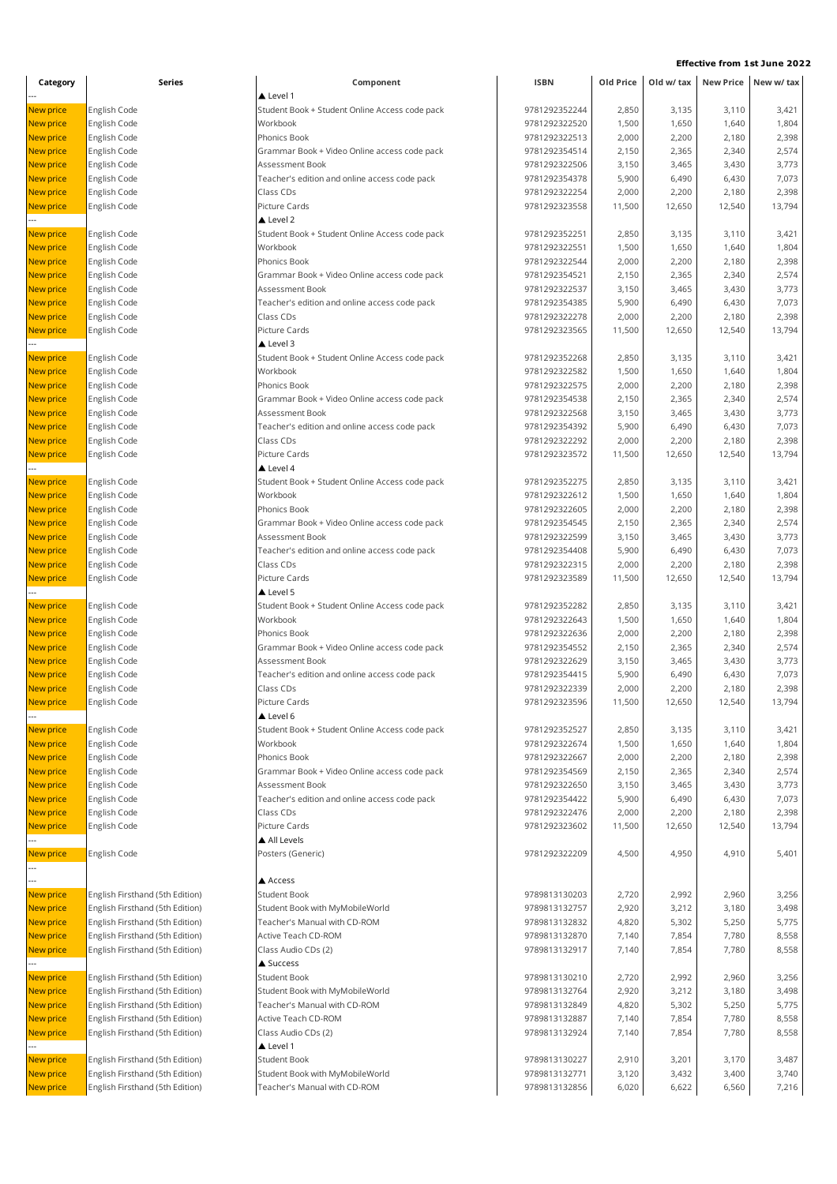| Category         | Series                          | Component                                      | <b>ISBN</b>   | Old Price | Old w/ tax |        | New Price New w/ tax |
|------------------|---------------------------------|------------------------------------------------|---------------|-----------|------------|--------|----------------------|
|                  |                                 | ▲ Level 1                                      |               |           |            |        |                      |
| New price        | English Code                    | Student Book + Student Online Access code pack | 9781292352244 | 2,850     | 3,135      | 3,110  | 3,421                |
| New price        | English Code                    | Workbook                                       | 9781292322520 | 1,500     | 1,650      | 1,640  | 1,804                |
| New price        | English Code                    | Phonics Book                                   | 9781292322513 | 2,000     | 2,200      | 2,180  | 2,398                |
| <b>New price</b> | English Code                    | Grammar Book + Video Online access code pack   | 9781292354514 | 2,150     | 2,365      | 2,340  | 2,574                |
| <b>New price</b> | English Code                    | Assessment Book                                | 9781292322506 | 3,150     | 3,465      | 3,430  | 3,773                |
| <b>New price</b> | English Code                    | Teacher's edition and online access code pack  | 9781292354378 | 5,900     | 6,490      | 6,430  | 7,073                |
| New price        | English Code                    | Class CDs                                      | 9781292322254 | 2,000     | 2,200      | 2,180  | 2,398                |
| New price        | English Code                    | Picture Cards                                  | 9781292323558 | 11,500    | 12,650     | 12,540 | 13,794               |
|                  |                                 | $\triangle$ Level 2                            |               |           |            |        |                      |
| New price        | English Code                    | Student Book + Student Online Access code pack | 9781292352251 | 2,850     | 3,135      | 3,110  | 3,421                |
| New price        | English Code                    | Workbook                                       | 9781292322551 | 1,500     | 1,650      | 1,640  | 1,804                |
| New price        | English Code                    | Phonics Book                                   | 9781292322544 | 2,000     | 2,200      | 2,180  | 2,398                |
| <b>New price</b> | English Code                    | Grammar Book + Video Online access code pack   | 9781292354521 | 2,150     | 2,365      | 2,340  | 2,574                |
| <b>New price</b> | English Code                    | Assessment Book                                | 9781292322537 | 3,150     | 3,465      | 3,430  | 3,773                |
| New price        | English Code                    | Teacher's edition and online access code pack  | 9781292354385 | 5,900     | 6,490      | 6,430  | 7,073                |
| New price        | English Code                    | Class CDs                                      | 9781292322278 | 2,000     | 2,200      | 2,180  | 2,398                |
| <b>New price</b> | English Code                    | Picture Cards                                  | 9781292323565 | 11,500    | 12,650     | 12,540 | 13,794               |
|                  |                                 | $\triangle$ Level 3                            |               |           |            |        |                      |
| <b>New price</b> | English Code                    | Student Book + Student Online Access code pack | 9781292352268 | 2,850     | 3,135      | 3,110  | 3,421                |
| New price        | English Code                    | Workbook                                       | 9781292322582 | 1,500     | 1,650      | 1,640  | 1,804                |
| <b>New price</b> | English Code                    | Phonics Book                                   | 9781292322575 | 2,000     | 2,200      | 2,180  | 2,398                |
| <b>New price</b> | English Code                    | Grammar Book + Video Online access code pack   | 9781292354538 | 2,150     | 2,365      | 2,340  | 2,574                |
| New price        | English Code                    | Assessment Book                                | 9781292322568 | 3,150     | 3,465      | 3,430  | 3,773                |
| New price        | English Code                    | Teacher's edition and online access code pack  | 9781292354392 | 5,900     | 6,490      | 6,430  | 7,073                |
| <b>New price</b> | English Code                    | Class CDs                                      | 9781292322292 | 2,000     | 2,200      | 2,180  | 2,398                |
| New price        | English Code                    | Picture Cards                                  | 9781292323572 | 11,500    | 12,650     | 12,540 | 13,794               |
|                  |                                 | Level 4                                        |               |           |            |        |                      |
| New price        | English Code                    | Student Book + Student Online Access code pack | 9781292352275 | 2,850     | 3,135      | 3,110  | 3,421                |
| New price        | English Code                    | Workbook                                       | 9781292322612 | 1,500     | 1,650      | 1,640  | 1,804                |
| New price        | English Code                    | Phonics Book                                   | 9781292322605 | 2,000     | 2,200      | 2,180  | 2,398                |
| <b>New price</b> | English Code                    | Grammar Book + Video Online access code pack   | 9781292354545 | 2,150     | 2,365      | 2,340  | 2,574                |
| <b>New price</b> | English Code                    | Assessment Book                                | 9781292322599 | 3,150     | 3,465      | 3,430  | 3,773                |
| New price        | English Code                    | Teacher's edition and online access code pack  | 9781292354408 | 5,900     | 6,490      | 6,430  | 7,073                |
| New price        | English Code                    | Class CDs                                      | 9781292322315 | 2,000     | 2,200      | 2,180  | 2,398                |
| New price        | English Code                    | Picture Cards                                  | 9781292323589 | 11,500    | 12,650     | 12,540 | 13,794               |
|                  |                                 | Level 5                                        |               |           |            |        |                      |
| New price        | English Code                    | Student Book + Student Online Access code pack | 9781292352282 | 2,850     | 3,135      | 3,110  | 3,421                |
| New price        | English Code                    | Workbook                                       | 9781292322643 | 1,500     | 1,650      | 1,640  | 1,804                |
| New price        | English Code                    | Phonics Book                                   | 9781292322636 | 2,000     | 2,200      | 2,180  | 2,398                |
| <b>New price</b> | English Code                    | Grammar Book + Video Online access code pack   | 9781292354552 | 2,150     | 2,365      | 2,340  | 2,574                |
| New price        | English Code                    | Assessment Book                                | 9781292322629 | 3,150     | 3,465      | 3,430  | 3,773                |
| New price        | English Code                    | Teacher's edition and online access code pack  | 9781292354415 | 5,900     | 6,490      | 6,430  | 7,073                |
| New price        | English Code                    | Class CDs                                      | 9781292322339 | 2,000     | 2,200      | 2,180  | 2,398                |
| <b>New price</b> | English Code                    | Picture Cards                                  | 9781292323596 | 11,500    | 12,650     | 12,540 | 13,794               |
|                  |                                 | $\triangle$ Level 6                            |               |           |            |        |                      |
| New price        | English Code                    | Student Book + Student Online Access code pack | 9781292352527 | 2,850     | 3,135      | 3,110  | 3,421                |
| <b>New price</b> | English Code                    | Workbook                                       | 9781292322674 | 1,500     | 1,650      | 1,640  | 1,804                |
| <b>New price</b> | English Code                    | Phonics Book                                   | 9781292322667 | 2,000     | 2,200      | 2,180  | 2,398                |
| New price        | English Code                    | Grammar Book + Video Online access code pack   | 9781292354569 | 2,150     | 2,365      | 2,340  | 2,574                |
| New price        | English Code                    | Assessment Book                                | 9781292322650 | 3,150     | 3,465      | 3,430  | 3,773                |
| New price        | English Code                    | Teacher's edition and online access code pack  | 9781292354422 | 5,900     | 6,490      | 6,430  | 7,073                |
| New price        | English Code                    | Class CDs                                      | 9781292322476 | 2,000     | 2,200      | 2,180  | 2,398                |
| New price        | English Code                    | Picture Cards                                  | 9781292323602 | 11,500    | 12,650     | 12,540 | 13,794               |
|                  |                                 | All Levels                                     |               |           |            |        |                      |
| <b>New price</b> | English Code                    | Posters (Generic)                              | 9781292322209 | 4,500     | 4,950      | 4,910  | 5,401                |
|                  |                                 |                                                |               |           |            |        |                      |
| New price        | English Firsthand (5th Edition) | Access<br>Student Book                         | 9789813130203 | 2,720     | 2,992      | 2,960  | 3,256                |
| New price        | English Firsthand (5th Edition) | Student Book with MyMobileWorld                | 9789813132757 | 2,920     | 3,212      | 3,180  | 3,498                |
| <b>New price</b> | English Firsthand (5th Edition) | Teacher's Manual with CD-ROM                   | 9789813132832 | 4,820     | 5,302      | 5,250  | 5,775                |
| New price        | English Firsthand (5th Edition) | Active Teach CD-ROM                            | 9789813132870 | 7,140     | 7,854      | 7,780  | 8,558                |
|                  | English Firsthand (5th Edition) | Class Audio CDs (2)                            | 9789813132917 | 7,140     | 7,854      | 7,780  | 8,558                |
| New price        |                                 | ▲ Success                                      |               |           |            |        |                      |
| New price        | English Firsthand (5th Edition) | <b>Student Book</b>                            | 9789813130210 | 2,720     | 2,992      | 2,960  | 3,256                |
| New price        | English Firsthand (5th Edition) | Student Book with MyMobileWorld                | 9789813132764 | 2,920     | 3,212      | 3,180  | 3,498                |
| <b>New price</b> | English Firsthand (5th Edition) | Teacher's Manual with CD-ROM                   | 9789813132849 | 4,820     | 5,302      | 5,250  | 5,775                |
| New price        | English Firsthand (5th Edition) | Active Teach CD-ROM                            | 9789813132887 | 7,140     | 7,854      | 7,780  | 8,558                |
| New price        | English Firsthand (5th Edition) | Class Audio CDs (2)                            | 9789813132924 | 7,140     | 7,854      | 7,780  | 8,558                |
|                  |                                 | Level 1                                        |               |           |            |        |                      |
| New price        | English Firsthand (5th Edition) | <b>Student Book</b>                            | 9789813130227 | 2,910     | 3,201      | 3,170  | 3,487                |
| New price        | English Firsthand (5th Edition) | Student Book with MyMobileWorld                | 9789813132771 | 3,120     | 3,432      | 3,400  | 3,740                |
| New price        | English Firsthand (5th Edition) | Teacher's Manual with CD-ROM                   | 9789813132856 | 6,020     | 6,622      | 6,560  | 7,216                |
|                  |                                 |                                                |               |           |            |        |                      |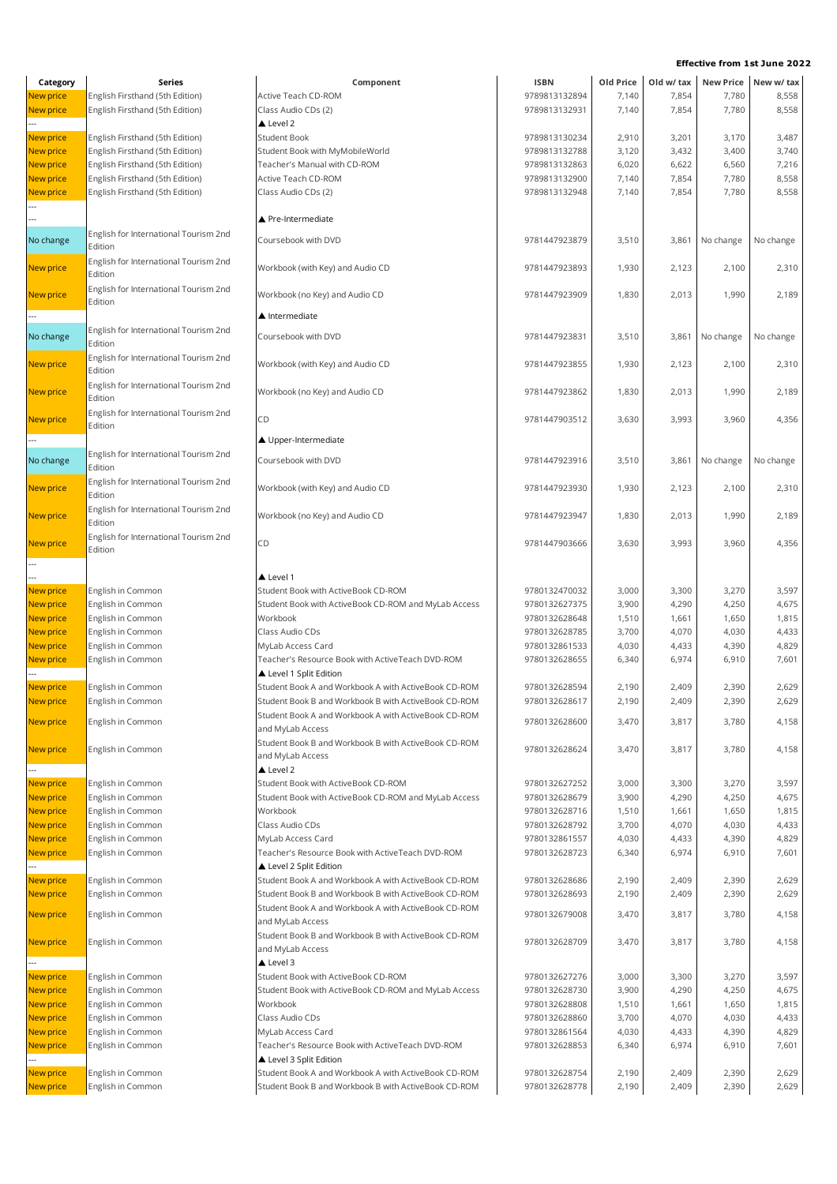| Category               | Series                                                             | Component                                                                 | <b>ISBN</b>                    | Old Price      | Old w/ tax     |                | New Price New w/ tax |
|------------------------|--------------------------------------------------------------------|---------------------------------------------------------------------------|--------------------------------|----------------|----------------|----------------|----------------------|
| New price              | English Firsthand (5th Edition)                                    | Active Teach CD-ROM                                                       | 9789813132894                  | 7,140          | 7,854          | 7,780          | 8,558                |
| New price              | English Firsthand (5th Edition)                                    | Class Audio CDs (2)                                                       | 9789813132931                  | 7,140          | 7,854          | 7,780          | 8,558                |
|                        |                                                                    | ▲ Level 2                                                                 |                                |                |                |                |                      |
| New price              | English Firsthand (5th Edition)                                    | <b>Student Book</b>                                                       | 9789813130234                  | 2,910          | 3,201          | 3,170          | 3,487                |
| New price              | English Firsthand (5th Edition)                                    | Student Book with MyMobileWorld                                           | 9789813132788                  | 3,120          | 3,432          | 3,400          | 3,740                |
| New price<br>New price | English Firsthand (5th Edition)<br>English Firsthand (5th Edition) | Teacher's Manual with CD-ROM<br>Active Teach CD-ROM                       | 9789813132863<br>9789813132900 | 6,020<br>7,140 | 6,622<br>7,854 | 6,560<br>7,780 | 7,216<br>8,558       |
| New price              | English Firsthand (5th Edition)                                    | Class Audio CDs (2)                                                       | 9789813132948                  | 7,140          | 7,854          | 7,780          | 8,558                |
|                        |                                                                    |                                                                           |                                |                |                |                |                      |
|                        |                                                                    | ▲ Pre-Intermediate                                                        |                                |                |                |                |                      |
| No change              | English for International Tourism 2nd                              | Coursebook with DVD                                                       | 9781447923879                  | 3,510          | 3,861          | No change      | No change            |
|                        | Edition                                                            |                                                                           |                                |                |                |                |                      |
| New price              | English for International Tourism 2nd                              | Workbook (with Key) and Audio CD                                          | 9781447923893                  | 1,930          | 2,123          | 2,100          | 2,310                |
|                        | Edition                                                            |                                                                           |                                |                |                |                |                      |
| <b>New price</b>       | English for International Tourism 2nd<br>Edition                   | Workbook (no Key) and Audio CD                                            | 9781447923909                  | 1,830          | 2,013          | 1,990          | 2,189                |
|                        |                                                                    | ▲ Intermediate                                                            |                                |                |                |                |                      |
|                        | English for International Tourism 2nd                              |                                                                           |                                |                |                |                |                      |
| No change              | Edition                                                            | Coursebook with DVD                                                       | 9781447923831                  | 3,510          | 3,861          | No change      | No change            |
| New price              | English for International Tourism 2nd                              | Workbook (with Key) and Audio CD                                          | 9781447923855                  | 1,930          | 2,123          | 2,100          | 2,310                |
|                        | Edition                                                            |                                                                           |                                |                |                |                |                      |
| New price              | English for International Tourism 2nd                              | Workbook (no Key) and Audio CD                                            | 9781447923862                  | 1,830          | 2,013          | 1,990          | 2,189                |
|                        | Edition<br>English for International Tourism 2nd                   |                                                                           |                                |                |                |                |                      |
| New price              | Edition                                                            | CD                                                                        | 9781447903512                  | 3,630          | 3,993          | 3,960          | 4,356                |
|                        |                                                                    | ▲ Upper-Intermediate                                                      |                                |                |                |                |                      |
|                        | English for International Tourism 2nd                              |                                                                           |                                |                |                |                |                      |
| No change              | Edition                                                            | Coursebook with DVD                                                       | 9781447923916                  | 3,510          | 3,861          | No change      | No change            |
| New price              | English for International Tourism 2nd                              | Workbook (with Key) and Audio CD                                          | 9781447923930                  | 1,930          | 2,123          | 2,100          | 2,310                |
|                        | Edition                                                            |                                                                           |                                |                |                |                |                      |
| New price              | English for International Tourism 2nd                              | Workbook (no Key) and Audio CD                                            | 9781447923947                  | 1,830          | 2,013          | 1,990          | 2,189                |
|                        | Edition                                                            |                                                                           |                                |                |                |                |                      |
| <b>New price</b>       | English for International Tourism 2nd<br>Edition                   | CD                                                                        | 9781447903666                  | 3,630          | 3,993          | 3,960          | 4,356                |
|                        |                                                                    |                                                                           |                                |                |                |                |                      |
|                        |                                                                    | $\triangle$ Level 1                                                       |                                |                |                |                |                      |
| New price              | English in Common                                                  | Student Book with ActiveBook CD-ROM                                       | 9780132470032                  | 3,000          | 3,300          | 3,270          | 3,597                |
| New price              | English in Common                                                  | Student Book with ActiveBook CD-ROM and MyLab Access                      | 9780132627375                  | 3,900          | 4,290          | 4,250          | 4,675                |
| New price              | English in Common                                                  | Workbook                                                                  | 9780132628648                  | 1,510          | 1,661          | 1,650          | 1,815                |
| New price              | English in Common                                                  | Class Audio CDs                                                           | 9780132628785                  | 3,700          | 4,070          | 4,030          | 4,433                |
| New price              | English in Common                                                  | MyLab Access Card<br>Teacher's Resource Book with ActiveTeach DVD-ROM     | 9780132861533                  | 4,030          | 4,433          | 4,390          | 4,829                |
| New price              | English in Common                                                  | Level 1 Split Edition                                                     | 9780132628655                  | 6,340          | 6,974          | 6,910          | 7,601                |
| <b>New price</b>       | English in Common                                                  | Student Book A and Workbook A with ActiveBook CD-ROM                      | 9780132628594                  | 2,190          | 2,409          | 2,390          | 2,629                |
| New price              | English in Common                                                  | Student Book B and Workbook B with ActiveBook CD-ROM                      | 9780132628617                  | 2,190          | 2,409          | 2,390          | 2,629                |
|                        |                                                                    | Student Book A and Workbook A with ActiveBook CD-ROM                      |                                |                |                |                |                      |
| <b>New price</b>       | English in Common                                                  | and MyLab Access                                                          | 9780132628600                  | 3,470          | 3,817          | 3,780          | 4,158                |
| New price              | English in Common                                                  | Student Book B and Workbook B with ActiveBook CD-ROM                      | 9780132628624                  | 3,470          | 3,817          | 3,780          | 4,158                |
|                        |                                                                    | and MyLab Access                                                          |                                |                |                |                |                      |
|                        |                                                                    | $\triangle$ Level 2                                                       |                                |                |                |                |                      |
| <b>New price</b>       | English in Common                                                  | Student Book with ActiveBook CD-ROM                                       | 9780132627252                  | 3,000          | 3,300          | 3,270          | 3,597                |
| New price<br>New price | English in Common<br>English in Common                             | Student Book with ActiveBook CD-ROM and MyLab Access<br>Workbook          | 9780132628679<br>9780132628716 | 3,900<br>1,510 | 4,290<br>1,661 | 4,250<br>1,650 | 4,675<br>1,815       |
| New price              | English in Common                                                  | Class Audio CDs                                                           | 9780132628792                  | 3,700          | 4,070          | 4,030          | 4,433                |
| New price              | English in Common                                                  | MyLab Access Card                                                         | 9780132861557                  | 4,030          | 4,433          | 4,390          | 4,829                |
| New price              | English in Common                                                  | Teacher's Resource Book with ActiveTeach DVD-ROM                          | 9780132628723                  | 6,340          | 6,974          | 6,910          | 7,601                |
|                        |                                                                    | Level 2 Split Edition                                                     |                                |                |                |                |                      |
| New price              | English in Common                                                  | Student Book A and Workbook A with ActiveBook CD-ROM                      | 9780132628686                  | 2,190          | 2,409          | 2,390          | 2,629                |
| New price              | English in Common                                                  | Student Book B and Workbook B with ActiveBook CD-ROM                      | 9780132628693                  | 2,190          | 2,409          | 2,390          | 2,629                |
| <b>New price</b>       | English in Common                                                  | Student Book A and Workbook A with ActiveBook CD-ROM                      | 9780132679008                  | 3,470          | 3,817          | 3,780          | 4,158                |
|                        |                                                                    | and MyLab Access<br>Student Book B and Workbook B with ActiveBook CD-ROM  |                                |                |                |                |                      |
| <b>New price</b>       | English in Common                                                  | and MyLab Access                                                          | 9780132628709                  | 3,470          | 3,817          | 3,780          | 4,158                |
|                        |                                                                    | ▲ Level 3                                                                 |                                |                |                |                |                      |
| New price              | English in Common                                                  | Student Book with ActiveBook CD-ROM                                       | 9780132627276                  | 3,000          | 3,300          | 3,270          | 3,597                |
| New price              | English in Common                                                  | Student Book with ActiveBook CD-ROM and MyLab Access                      | 9780132628730                  | 3,900          | 4,290          | 4,250          | 4,675                |
| New price              | English in Common                                                  | Workbook                                                                  | 9780132628808                  | 1,510          | 1,661          | 1,650          | 1,815                |
| New price              | English in Common                                                  | Class Audio CDs                                                           | 9780132628860                  | 3,700          | 4,070          | 4,030          | 4,433                |
| New price              | English in Common                                                  | MyLab Access Card                                                         | 9780132861564                  | 4,030          | 4,433          | 4,390          | 4,829                |
| New price              | English in Common                                                  | Teacher's Resource Book with ActiveTeach DVD-ROM<br>Level 3 Split Edition | 9780132628853                  | 6,340          | 6,974          | 6,910          | 7,601                |
| New price              | English in Common                                                  | Student Book A and Workbook A with ActiveBook CD-ROM                      | 9780132628754                  | 2,190          | 2,409          | 2,390          | 2,629                |
| New price              | English in Common                                                  | Student Book B and Workbook B with ActiveBook CD-ROM                      | 9780132628778                  | 2,190          | 2,409          | 2,390          | 2,629                |
|                        |                                                                    |                                                                           |                                |                |                |                |                      |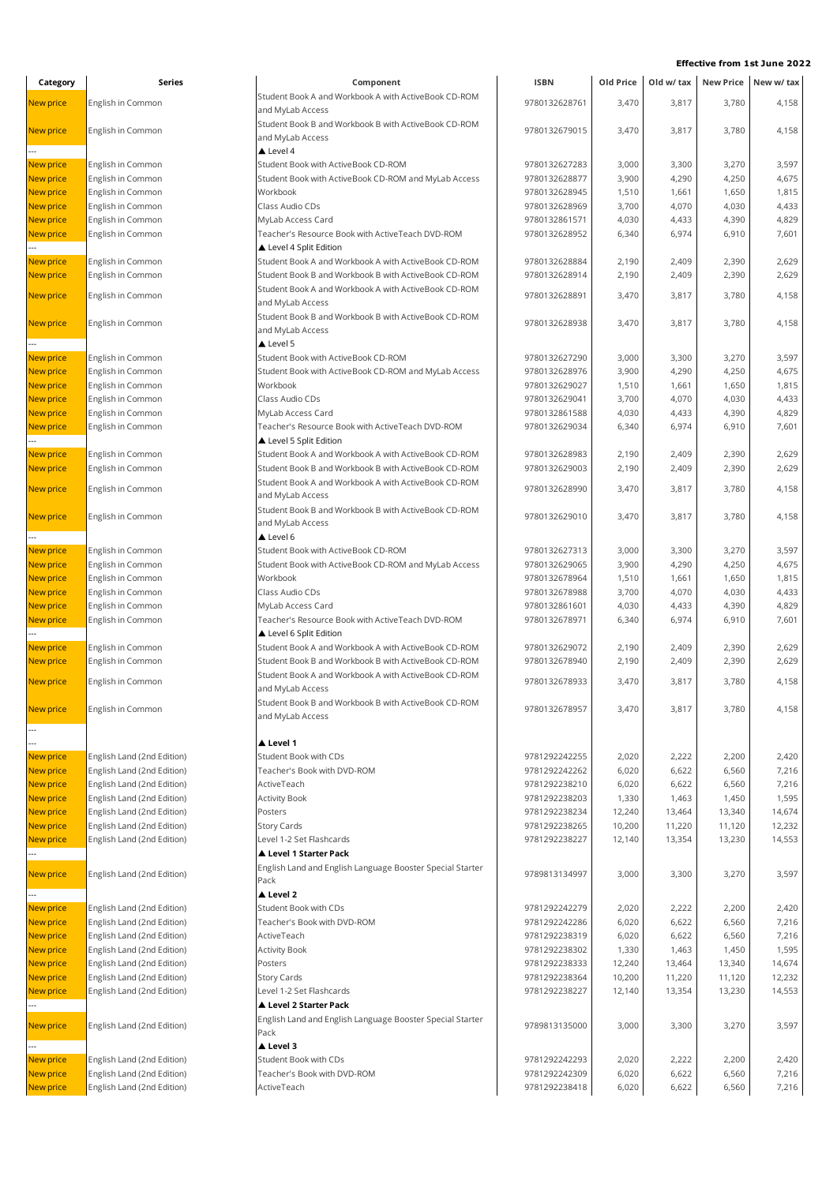| Category         | Series                     | Component                                                 | <b>ISBN</b>   | Old Price | Old w/ tax |        | New Price New w/ tax |
|------------------|----------------------------|-----------------------------------------------------------|---------------|-----------|------------|--------|----------------------|
| <b>New price</b> | English in Common          | Student Book A and Workbook A with ActiveBook CD-ROM      | 9780132628761 | 3,470     | 3,817      | 3,780  | 4,158                |
|                  |                            | and MyLab Access                                          |               |           |            |        |                      |
|                  |                            | Student Book B and Workbook B with ActiveBook CD-ROM      | 9780132679015 | 3,470     | 3,817      | 3,780  | 4,158                |
| <b>New price</b> | English in Common          | and MyLab Access                                          |               |           |            |        |                      |
|                  |                            | $\triangle$ Level 4                                       |               |           |            |        |                      |
| <b>New price</b> | English in Common          | Student Book with ActiveBook CD-ROM                       | 9780132627283 | 3,000     | 3,300      | 3,270  | 3,597                |
| <b>New price</b> | English in Common          | Student Book with ActiveBook CD-ROM and MyLab Access      | 9780132628877 | 3,900     | 4,290      | 4,250  | 4,675                |
| <b>New price</b> | English in Common          | Workbook                                                  | 9780132628945 | 1,510     | 1,661      | 1,650  | 1,815                |
| <b>New price</b> | English in Common          | Class Audio CDs                                           | 9780132628969 | 3,700     | 4,070      | 4,030  | 4,433                |
| <b>New price</b> | English in Common          | MyLab Access Card                                         | 9780132861571 | 4,030     | 4,433      | 4,390  | 4,829                |
| <b>New price</b> | English in Common          | Teacher's Resource Book with ActiveTeach DVD-ROM          | 9780132628952 | 6,340     | 6,974      | 6,910  | 7,601                |
|                  |                            | Level 4 Split Edition                                     |               |           |            |        |                      |
| <b>New price</b> | English in Common          | Student Book A and Workbook A with ActiveBook CD-ROM      | 9780132628884 | 2,190     | 2,409      | 2,390  | 2,629                |
| New price        | English in Common          | Student Book B and Workbook B with ActiveBook CD-ROM      | 9780132628914 | 2,190     | 2,409      | 2,390  | 2,629                |
|                  |                            | Student Book A and Workbook A with ActiveBook CD-ROM      |               |           |            |        |                      |
| <b>New price</b> | English in Common          | and MyLab Access                                          | 9780132628891 | 3,470     | 3,817      | 3,780  | 4,158                |
|                  |                            | Student Book B and Workbook B with ActiveBook CD-ROM      |               |           |            |        |                      |
| <b>New price</b> | English in Common          | and MyLab Access                                          | 9780132628938 | 3,470     | 3,817      | 3,780  | 4,158                |
|                  |                            | Level 5                                                   |               |           |            |        |                      |
| <b>New price</b> | English in Common          | Student Book with ActiveBook CD-ROM                       | 9780132627290 | 3,000     | 3,300      | 3,270  | 3,597                |
| <b>New price</b> | English in Common          | Student Book with ActiveBook CD-ROM and MyLab Access      | 9780132628976 | 3,900     | 4,290      | 4,250  | 4,675                |
| <b>New price</b> | English in Common          | Workbook                                                  | 9780132629027 | 1,510     | 1,661      | 1,650  | 1,815                |
| <b>New price</b> | English in Common          | Class Audio CDs                                           | 9780132629041 | 3,700     | 4,070      | 4,030  | 4,433                |
| New price        | English in Common          | MyLab Access Card                                         | 9780132861588 | 4,030     | 4,433      | 4,390  | 4,829                |
| New price        | English in Common          | Teacher's Resource Book with ActiveTeach DVD-ROM          | 9780132629034 | 6,340     | 6,974      | 6,910  | 7,601                |
|                  |                            | Level 5 Split Edition                                     |               |           |            |        |                      |
| New price        | English in Common          | Student Book A and Workbook A with ActiveBook CD-ROM      | 9780132628983 | 2,190     | 2,409      | 2,390  | 2,629                |
| <b>New price</b> | English in Common          | Student Book B and Workbook B with ActiveBook CD-ROM      | 9780132629003 | 2,190     | 2,409      | 2,390  | 2,629                |
|                  |                            | Student Book A and Workbook A with ActiveBook CD-ROM      |               |           |            |        |                      |
| <b>New price</b> | English in Common          | and MyLab Access                                          | 9780132628990 | 3,470     | 3,817      | 3,780  | 4,158                |
|                  |                            | Student Book B and Workbook B with ActiveBook CD-ROM      |               |           |            |        |                      |
| <b>New price</b> | English in Common          | and MyLab Access                                          | 9780132629010 | 3,470     | 3,817      | 3,780  | 4,158                |
|                  |                            | $\triangle$ Level 6                                       |               |           |            |        |                      |
| <b>New price</b> | English in Common          | Student Book with ActiveBook CD-ROM                       | 9780132627313 | 3,000     | 3,300      | 3,270  | 3,597                |
| <b>New price</b> | English in Common          | Student Book with ActiveBook CD-ROM and MyLab Access      | 9780132629065 | 3,900     | 4,290      | 4,250  | 4,675                |
| <b>New price</b> | English in Common          | Workbook                                                  | 9780132678964 | 1,510     | 1,661      | 1,650  | 1,815                |
| <b>New price</b> | English in Common          | Class Audio CDs                                           | 9780132678988 | 3,700     | 4,070      | 4,030  | 4,433                |
| <b>New price</b> | English in Common          | MyLab Access Card                                         | 9780132861601 | 4,030     | 4,433      | 4,390  | 4,829                |
| New price        | English in Common          | Teacher's Resource Book with ActiveTeach DVD-ROM          | 9780132678971 | 6,340     | 6,974      | 6,910  | 7,601                |
|                  |                            | Level 6 Split Edition                                     |               |           |            |        |                      |
| New price        | English in Common          | Student Book A and Workbook A with ActiveBook CD-ROM      | 9780132629072 | 2,190     | 2,409      | 2,390  | 2,629                |
| New price        | English in Common          | Student Book B and Workbook B with ActiveBook CD-ROM      | 9780132678940 | 2,190     | 2,409      | 2,390  | 2,629                |
|                  |                            | Student Book A and Workbook A with ActiveBook CD-ROM      |               |           |            |        |                      |
| <b>New price</b> | English in Common          | and MyLab Access                                          | 9780132678933 | 3,470     | 3,817      | 3,780  | 4,158                |
|                  |                            | Student Book B and Workbook B with ActiveBook CD-ROM      |               |           |            |        |                      |
| New price        | English in Common          | and MyLab Access                                          | 9780132678957 | 3,470     | 3,817      | 3,780  | 4,158                |
|                  |                            |                                                           |               |           |            |        |                      |
|                  |                            | ▲ Level 1                                                 |               |           |            |        |                      |
| New price        | English Land (2nd Edition) | <b>Student Book with CDs</b>                              | 9781292242255 | 2,020     | 2,222      | 2,200  | 2,420                |
| New price        | English Land (2nd Edition) | Teacher's Book with DVD-ROM                               | 9781292242262 | 6,020     | 6,622      | 6,560  | 7,216                |
| New price        | English Land (2nd Edition) | ActiveTeach                                               | 9781292238210 | 6,020     | 6,622      | 6,560  | 7,216                |
| <b>New price</b> | English Land (2nd Edition) | <b>Activity Book</b>                                      | 9781292238203 | 1,330     | 1,463      | 1,450  | 1,595                |
| <b>New price</b> | English Land (2nd Edition) | Posters                                                   | 9781292238234 | 12,240    | 13,464     | 13,340 | 14,674               |
| New price        | English Land (2nd Edition) | Story Cards                                               | 9781292238265 | 10,200    | 11,220     | 11,120 | 12,232               |
| New price        | English Land (2nd Edition) | Level 1-2 Set Flashcards                                  | 9781292238227 | 12,140    | 13,354     | 13,230 | 14,553               |
|                  |                            | Level 1 Starter Pack                                      |               |           |            |        |                      |
|                  |                            | English Land and English Language Booster Special Starter |               |           |            |        |                      |
| New price        | English Land (2nd Edition) | Pack                                                      | 9789813134997 | 3,000     | 3,300      | 3,270  | 3,597                |
|                  |                            | ▲ Level 2                                                 |               |           |            |        |                      |
| New price        | English Land (2nd Edition) | Student Book with CDs                                     | 9781292242279 | 2,020     | 2,222      | 2,200  | 2,420                |
| New price        | English Land (2nd Edition) | Teacher's Book with DVD-ROM                               | 9781292242286 | 6,020     | 6,622      | 6,560  | 7,216                |
| New price        | English Land (2nd Edition) | ActiveTeach                                               | 9781292238319 | 6,020     | 6,622      | 6,560  | 7,216                |
| <b>New price</b> | English Land (2nd Edition) | <b>Activity Book</b>                                      | 9781292238302 | 1,330     | 1,463      | 1,450  | 1,595                |
| <b>New price</b> | English Land (2nd Edition) | Posters                                                   | 9781292238333 | 12,240    | 13,464     | 13,340 | 14,674               |
| New price        | English Land (2nd Edition) | Story Cards                                               | 9781292238364 | 10,200    | 11,220     | 11,120 | 12,232               |
| New price        | English Land (2nd Edition) | Level 1-2 Set Flashcards                                  | 9781292238227 | 12,140    | 13,354     | 13,230 | 14,553               |
|                  |                            | Level 2 Starter Pack                                      |               |           |            |        |                      |
|                  |                            | English Land and English Language Booster Special Starter |               |           |            |        |                      |
| New price        | English Land (2nd Edition) | Pack                                                      | 9789813135000 | 3,000     | 3,300      | 3,270  | 3,597                |
|                  |                            | ▲ Level 3                                                 |               |           |            |        |                      |
| New price        | English Land (2nd Edition) | Student Book with CDs                                     | 9781292242293 | 2,020     | 2,222      | 2,200  | 2,420                |
| <b>New price</b> | English Land (2nd Edition) | Teacher's Book with DVD-ROM                               | 9781292242309 | 6,020     | 6,622      | 6,560  | 7,216                |
| New price        | English Land (2nd Edition) | ActiveTeach                                               | 9781292238418 | 6,020     | 6,622      | 6,560  | 7,216                |
|                  |                            |                                                           |               |           |            |        |                      |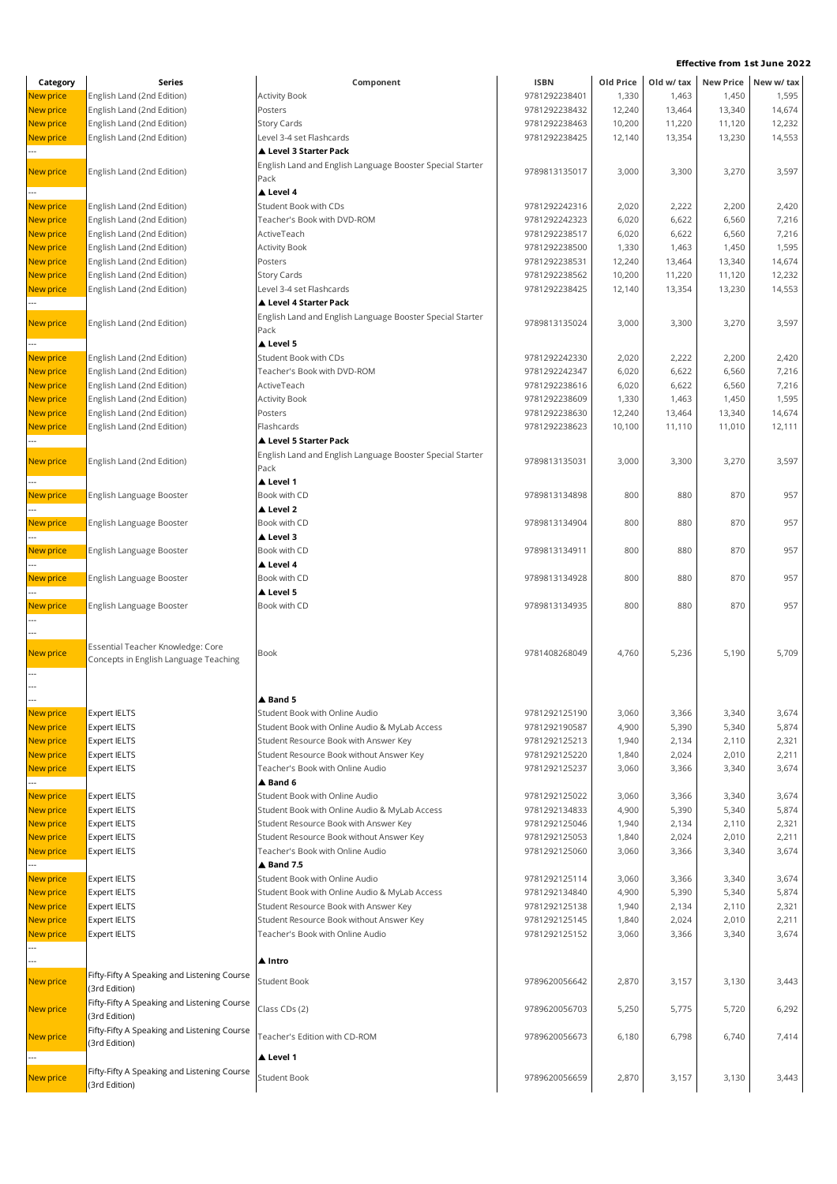| Category         | Series                                      | Component                                                 | <b>ISBN</b>                    | Old Price        | Old w/ tax |        | New Price New w/ tax |
|------------------|---------------------------------------------|-----------------------------------------------------------|--------------------------------|------------------|------------|--------|----------------------|
| New price        | English Land (2nd Edition)                  | <b>Activity Book</b>                                      | 9781292238401                  | 1,330            | 1,463      | 1,450  | 1,595                |
| New price        | English Land (2nd Edition)                  | Posters                                                   | 9781292238432                  | 12,240           | 13,464     | 13,340 | 14,674               |
| New price        | English Land (2nd Edition)                  | Story Cards                                               | 9781292238463                  | 10,200           | 11,220     | 11,120 | 12,232               |
| New price        | English Land (2nd Edition)                  | Level 3-4 set Flashcards                                  | 9781292238425                  | 12,140           | 13,354     | 13,230 | 14,553               |
|                  |                                             | Level 3 Starter Pack                                      |                                |                  |            |        |                      |
| New price        | English Land (2nd Edition)                  | English Land and English Language Booster Special Starter | 9789813135017                  | 3,000            | 3,300      | 3,270  | 3,597                |
|                  |                                             | Pack                                                      |                                |                  |            |        |                      |
|                  |                                             | ▲ Level 4                                                 |                                |                  |            |        |                      |
| New price        | English Land (2nd Edition)                  | Student Book with CDs                                     | 9781292242316                  | 2,020            | 2,222      | 2,200  | 2,420                |
| <b>New price</b> | English Land (2nd Edition)                  | Teacher's Book with DVD-ROM                               | 9781292242323                  | 6,020            | 6,622      | 6,560  | 7,216                |
| New price        | English Land (2nd Edition)                  | ActiveTeach                                               | 9781292238517                  | 6,020            | 6,622      | 6,560  | 7,216                |
| New price        | English Land (2nd Edition)                  | <b>Activity Book</b>                                      | 9781292238500                  | 1,330            | 1,463      | 1,450  | 1,595                |
| New price        | English Land (2nd Edition)                  | Posters                                                   | 9781292238531                  | 12,240           | 13,464     | 13,340 | 14,674               |
| <b>New price</b> | English Land (2nd Edition)                  | Story Cards<br>Level 3-4 set Flashcards                   | 9781292238562<br>9781292238425 | 10,200<br>12,140 | 11,220     | 11,120 | 12,232<br>14,553     |
| <b>New price</b> | English Land (2nd Edition)                  | ▲ Level 4 Starter Pack                                    |                                |                  | 13,354     | 13,230 |                      |
|                  |                                             | English Land and English Language Booster Special Starter |                                |                  |            |        |                      |
| New price        | English Land (2nd Edition)                  | Pack                                                      | 9789813135024                  | 3,000            | 3,300      | 3,270  | 3,597                |
|                  |                                             | Level 5                                                   |                                |                  |            |        |                      |
| New price        | English Land (2nd Edition)                  | Student Book with CDs                                     | 9781292242330                  | 2,020            | 2,222      | 2,200  | 2,420                |
| New price        | English Land (2nd Edition)                  | Teacher's Book with DVD-ROM                               | 9781292242347                  | 6,020            | 6,622      | 6,560  | 7,216                |
| New price        | English Land (2nd Edition)                  | ActiveTeach                                               | 9781292238616                  | 6,020            | 6,622      | 6,560  | 7,216                |
| <b>New price</b> | English Land (2nd Edition)                  | <b>Activity Book</b>                                      | 9781292238609                  | 1,330            | 1,463      | 1,450  | 1,595                |
| New price        | English Land (2nd Edition)                  | Posters                                                   | 9781292238630                  | 12,240           | 13,464     | 13,340 | 14,674               |
| New price        | English Land (2nd Edition)                  | Flashcards                                                | 9781292238623                  | 10,100           | 11,110     | 11,010 | 12,111               |
|                  |                                             | Level 5 Starter Pack                                      |                                |                  |            |        |                      |
| New price        | English Land (2nd Edition)                  | English Land and English Language Booster Special Starter | 9789813135031                  | 3,000            | 3,300      | 3,270  | 3,597                |
|                  |                                             | Pack                                                      |                                |                  |            |        |                      |
|                  |                                             | ▲ Level 1                                                 |                                |                  |            |        |                      |
| New price        | English Language Booster                    | Book with CD                                              | 9789813134898                  | 800              | 880        | 870    | 957                  |
|                  |                                             | ▲ Level 2                                                 |                                |                  |            |        |                      |
| New price        | English Language Booster                    | Book with CD                                              | 9789813134904                  | 800              | 880        | 870    | 957                  |
|                  |                                             | ▲ Level 3                                                 |                                |                  |            |        |                      |
| New price        | English Language Booster                    | Book with CD                                              | 9789813134911                  | 800              | 880        | 870    | 957                  |
|                  |                                             | ▲ Level 4<br>Book with CD                                 |                                | 800              | 880        | 870    | 957                  |
| New price        | English Language Booster                    | ▲ Level 5                                                 | 9789813134928                  |                  |            |        |                      |
| New price        | English Language Booster                    | Book with CD                                              | 9789813134935                  | 800              | 880        | 870    | 957                  |
|                  |                                             |                                                           |                                |                  |            |        |                      |
|                  |                                             |                                                           |                                |                  |            |        |                      |
|                  | Essential Teacher Knowledge: Core           |                                                           |                                |                  |            |        |                      |
| New price        | Concepts in English Language Teaching       | Book                                                      | 9781408268049                  | 4,760            | 5,236      | 5,190  | 5,709                |
|                  |                                             |                                                           |                                |                  |            |        |                      |
|                  |                                             |                                                           |                                |                  |            |        |                      |
|                  |                                             | $\triangle$ Band 5                                        |                                |                  |            |        |                      |
| <b>New price</b> | <b>Expert IELTS</b>                         | Student Book with Online Audio                            | 9781292125190                  | 3,060            | 3,366      | 3,340  | 3,674                |
| <b>New price</b> | <b>Expert IELTS</b>                         | Student Book with Online Audio & MyLab Access             | 9781292190587                  | 4,900            | 5,390      | 5,340  | 5,874                |
| New price        | Expert IELTS                                | Student Resource Book with Answer Key                     | 9781292125213                  | 1,940            | 2,134      | 2,110  | 2,321                |
| <b>New price</b> | <b>Expert IELTS</b>                         | Student Resource Book without Answer Key                  | 9781292125220                  | 1,840            | 2,024      | 2,010  | 2,211                |
| New price        | <b>Expert IELTS</b>                         | Teacher's Book with Online Audio                          | 9781292125237                  | 3,060            | 3,366      | 3,340  | 3,674                |
| New price        |                                             | ▲ Band 6<br>Student Book with Online Audio                | 9781292125022                  | 3,060            | 3,366      | 3,340  | 3,674                |
| New price        | <b>Expert IELTS</b><br><b>Expert IELTS</b>  | Student Book with Online Audio & MyLab Access             | 9781292134833                  | 4,900            | 5,390      | 5,340  | 5,874                |
| <b>New price</b> | <b>Expert IELTS</b>                         | Student Resource Book with Answer Key                     | 9781292125046                  | 1,940            | 2,134      | 2,110  | 2,321                |
| <b>New price</b> | <b>Expert IELTS</b>                         | Student Resource Book without Answer Key                  | 9781292125053                  | 1,840            | 2,024      | 2,010  | 2,211                |
| <b>New price</b> | <b>Expert IELTS</b>                         | Teacher's Book with Online Audio                          | 9781292125060                  | 3,060            | 3,366      | 3,340  | 3,674                |
|                  |                                             | $\triangle$ Band 7.5                                      |                                |                  |            |        |                      |
| New price        | <b>Expert IELTS</b>                         | Student Book with Online Audio                            | 9781292125114                  | 3,060            | 3,366      | 3,340  | 3,674                |
| New price        | Expert IELTS                                | Student Book with Online Audio & MyLab Access             | 9781292134840                  | 4,900            | 5,390      | 5,340  | 5,874                |
| New price        | <b>Expert IELTS</b>                         | Student Resource Book with Answer Key                     | 9781292125138                  | 1,940            | 2,134      | 2,110  | 2,321                |
| <b>New price</b> | <b>Expert IELTS</b>                         | Student Resource Book without Answer Key                  | 9781292125145                  | 1,840            | 2,024      | 2,010  | 2,211                |
| <b>New price</b> | <b>Expert IELTS</b>                         | Teacher's Book with Online Audio                          | 9781292125152                  | 3,060            | 3,366      | 3,340  | 3,674                |
|                  |                                             |                                                           |                                |                  |            |        |                      |
|                  |                                             | ▲ Intro                                                   |                                |                  |            |        |                      |
| New price        | Fifty-Fifty A Speaking and Listening Course | Student Book                                              | 9789620056642                  | 2,870            | 3,157      | 3,130  | 3,443                |
|                  | (3rd Edition)                               |                                                           |                                |                  |            |        |                      |
| New price        | Fifty-Fifty A Speaking and Listening Course | Class CDs (2)                                             | 9789620056703                  | 5,250            | 5,775      | 5,720  | 6,292                |
|                  | (3rd Edition)                               |                                                           |                                |                  |            |        |                      |
| New price        | Fifty-Fifty A Speaking and Listening Course | Feacher's Edition with CD-ROM                             | 9789620056673                  | 6,180            | 6,798      | 6,740  | 7,414                |
|                  | (3rd Edition)                               | ▲ Level 1                                                 |                                |                  |            |        |                      |
|                  | Fifty-Fifty A Speaking and Listening Course |                                                           |                                |                  |            |        |                      |
| New price        | (3rd Edition)                               | Student Book                                              | 9789620056659                  | 2,870            | 3,157      | 3,130  | 3,443                |
|                  |                                             |                                                           |                                |                  |            |        |                      |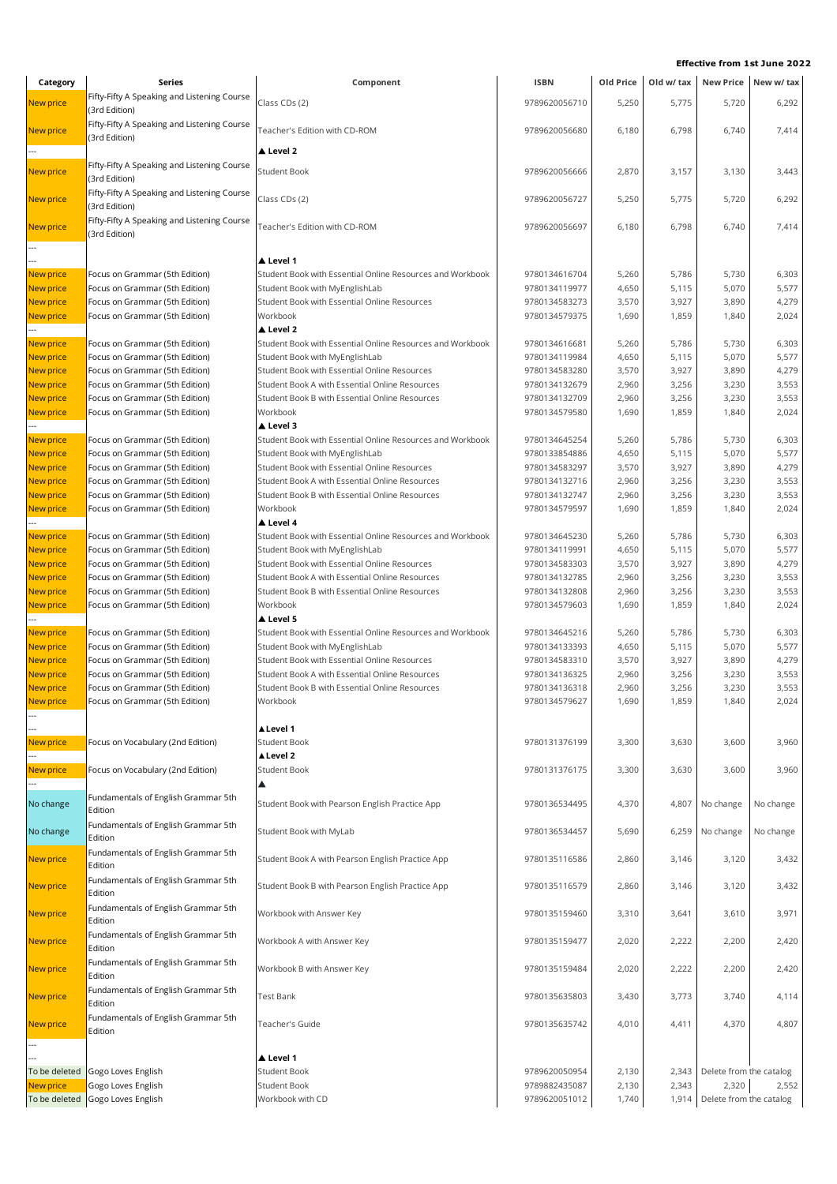| Category                      | Series                                                           | Component                                                                                      | <b>ISBN</b>                    | Old Price      | Old w/ tax     |                                  | New Price New w/ tax |
|-------------------------------|------------------------------------------------------------------|------------------------------------------------------------------------------------------------|--------------------------------|----------------|----------------|----------------------------------|----------------------|
| New price                     | Fifty-Fifty A Speaking and Listening Course                      | Class CDs (2)                                                                                  | 9789620056710                  | 5,250          | 5,775          | 5,720                            | 6,292                |
|                               | (3rd Edition)                                                    |                                                                                                |                                |                |                |                                  |                      |
| New price                     | Fifty-Fifty A Speaking and Listening Course<br>(3rd Edition)     | Teacher's Edition with CD-ROM                                                                  | 9789620056680                  | 6,180          | 6,798          | 6,740                            | 7,414                |
|                               |                                                                  | ▲ Level 2                                                                                      |                                |                |                |                                  |                      |
| <b>New price</b>              | Fifty-Fifty A Speaking and Listening Course                      | <b>Student Book</b>                                                                            | 9789620056666                  | 2,870          |                |                                  | 3,443                |
|                               | (3rd Edition)                                                    |                                                                                                |                                |                | 3,157          | 3,130                            |                      |
| <b>New price</b>              | Fifty-Fifty A Speaking and Listening Course                      | Class CDs (2)                                                                                  | 9789620056727                  | 5,250          | 5,775          | 5,720                            | 6,292                |
|                               | (3rd Edition)                                                    |                                                                                                |                                |                |                |                                  |                      |
| <b>New price</b>              | Fifty-Fifty A Speaking and Listening Course<br>(3rd Edition)     | Feacher's Edition with CD-ROM                                                                  | 9789620056697                  | 6,180          | 6,798          | 6,740                            | 7,414                |
|                               |                                                                  |                                                                                                |                                |                |                |                                  |                      |
|                               |                                                                  | ▲ Level 1                                                                                      |                                |                |                |                                  |                      |
| <b>New price</b>              | Focus on Grammar (5th Edition)                                   | Student Book with Essential Online Resources and Workbook                                      | 9780134616704                  | 5,260          | 5,786          | 5,730                            | 6,303                |
| <b>New price</b>              | Focus on Grammar (5th Edition)                                   | Student Book with MyEnglishLab                                                                 | 9780134119977                  | 4,650          | 5,115          | 5,070                            | 5,577                |
| <b>New price</b>              | Focus on Grammar (5th Edition)<br>Focus on Grammar (5th Edition) | Student Book with Essential Online Resources<br>Workbook                                       | 9780134583273<br>9780134579375 | 3,570<br>1,690 | 3,927<br>1,859 | 3,890<br>1,840                   | 4,279<br>2,024       |
| <b>New price</b>              |                                                                  | ▲ Level 2                                                                                      |                                |                |                |                                  |                      |
| New price                     | Focus on Grammar (5th Edition)                                   | Student Book with Essential Online Resources and Workbook                                      | 9780134616681                  | 5,260          | 5,786          | 5,730                            | 6,303                |
| <b>New price</b>              | Focus on Grammar (5th Edition)                                   | Student Book with MyEnglishLab                                                                 | 9780134119984                  | 4,650          | 5,115          | 5,070                            | 5,577                |
| New price                     | Focus on Grammar (5th Edition)                                   | Student Book with Essential Online Resources                                                   | 9780134583280                  | 3,570          | 3,927          | 3,890                            | 4,279                |
| <b>New price</b>              | Focus on Grammar (5th Edition)                                   | Student Book A with Essential Online Resources                                                 | 9780134132679                  | 2,960          | 3,256          | 3,230                            | 3,553                |
| <b>New price</b>              | Focus on Grammar (5th Edition)                                   | Student Book B with Essential Online Resources                                                 | 9780134132709                  | 2,960          | 3,256          | 3,230                            | 3,553                |
| New price                     | Focus on Grammar (5th Edition)                                   | Workbook                                                                                       | 9780134579580                  | 1,690          | 1,859          | 1,840                            | 2,024                |
|                               |                                                                  | ▲ Level 3                                                                                      |                                |                |                |                                  |                      |
| New price                     | Focus on Grammar (5th Edition)                                   | Student Book with Essential Online Resources and Workbook                                      | 9780134645254                  | 5,260          | 5,786          | 5,730                            | 6,303                |
| New price<br><b>New price</b> | Focus on Grammar (5th Edition)<br>Focus on Grammar (5th Edition) | Student Book with MyEnglishLab<br>Student Book with Essential Online Resources                 | 9780133854886<br>9780134583297 | 4,650<br>3,570 | 5,115<br>3,927 | 5,070<br>3,890                   | 5,577<br>4,279       |
| <b>New price</b>              | Focus on Grammar (5th Edition)                                   | Student Book A with Essential Online Resources                                                 | 9780134132716                  | 2,960          | 3,256          | 3,230                            | 3,553                |
| <b>New price</b>              | Focus on Grammar (5th Edition)                                   | Student Book B with Essential Online Resources                                                 | 9780134132747                  | 2,960          | 3,256          | 3,230                            | 3,553                |
| <b>New price</b>              | Focus on Grammar (5th Edition)                                   | Workbook                                                                                       | 9780134579597                  | 1,690          | 1,859          | 1,840                            | 2,024                |
|                               |                                                                  | ▲ Level 4                                                                                      |                                |                |                |                                  |                      |
| New price                     | Focus on Grammar (5th Edition)                                   | Student Book with Essential Online Resources and Workbook                                      | 9780134645230                  | 5,260          | 5,786          | 5,730                            | 6,303                |
| <b>New price</b>              | Focus on Grammar (5th Edition)                                   | Student Book with MyEnglishLab                                                                 | 9780134119991                  | 4,650          | 5,115          | 5,070                            | 5,577                |
| New price                     | Focus on Grammar (5th Edition)                                   | Student Book with Essential Online Resources                                                   | 9780134583303                  | 3,570          | 3,927          | 3,890                            | 4,279                |
| New price                     | Focus on Grammar (5th Edition)                                   | Student Book A with Essential Online Resources                                                 | 9780134132785                  | 2,960          | 3,256          | 3,230                            | 3,553                |
| <b>New price</b>              | Focus on Grammar (5th Edition)                                   | Student Book B with Essential Online Resources                                                 | 9780134132808                  | 2,960          | 3,256          | 3,230                            | 3,553                |
| New price                     | Focus on Grammar (5th Edition)                                   | Workbook                                                                                       | 9780134579603                  | 1,690          | 1,859          | 1,840                            | 2,024                |
|                               |                                                                  | ▲ Level 5                                                                                      |                                |                |                |                                  |                      |
| New price                     | Focus on Grammar (5th Edition)                                   | Student Book with Essential Online Resources and Workbook                                      | 9780134645216                  | 5,260          | 5,786          | 5,730                            | 6,303                |
| <b>New price</b>              | Focus on Grammar (5th Edition)                                   | Student Book with MyEnglishLab                                                                 | 9780134133393<br>9780134583310 | 4,650          | 5,115          | 5,070                            | 5,577                |
| <b>New price</b>              | Focus on Grammar (5th Edition)<br>Focus on Grammar (5th Edition) | Student Book with Essential Online Resources<br>Student Book A with Essential Online Resources | 9780134136325                  | 3,570          | 3,927          | 3,890                            | 4,279                |
| New price<br>New price        | Focus on Grammar (5th Edition)                                   | Student Book B with Essential Online Resources                                                 | 9780134136318                  | 2,960<br>2,960 | 3,256<br>3,256 | 3,230<br>3,230                   | 3,553<br>3,553       |
| New price                     | Focus on Grammar (5th Edition)                                   | Workbook                                                                                       | 9780134579627                  | 1,690          | 1,859          | 1,840                            | 2,024                |
|                               |                                                                  |                                                                                                |                                |                |                |                                  |                      |
|                               |                                                                  | ▲ Level 1                                                                                      |                                |                |                |                                  |                      |
| New price                     | Focus on Vocabulary (2nd Edition)                                | <b>Student Book</b>                                                                            | 9780131376199                  | 3,300          | 3,630          | 3,600                            | 3,960                |
|                               |                                                                  | ▲ Level 2                                                                                      |                                |                |                |                                  |                      |
| New price                     | Focus on Vocabulary (2nd Edition)                                | <b>Student Book</b>                                                                            | 9780131376175                  | 3,300          | 3,630          | 3,600                            | 3,960                |
|                               |                                                                  | ▲                                                                                              |                                |                |                |                                  |                      |
| No change                     | Fundamentals of English Grammar 5th<br>Edition                   | Student Book with Pearson English Practice App                                                 | 9780136534495                  | 4,370          | 4,807          | No change                        | No change            |
|                               | Fundamentals of English Grammar 5th                              |                                                                                                |                                |                |                |                                  |                      |
| No change                     | Edition                                                          | Student Book with MyLab                                                                        | 9780136534457                  | 5,690          | 6,259          | No change                        | No change            |
| New price                     | Fundamentals of English Grammar 5th                              | Student Book A with Pearson English Practice App                                               | 9780135116586                  | 2,860          | 3,146          | 3,120                            | 3,432                |
|                               | Edition                                                          |                                                                                                |                                |                |                |                                  |                      |
| New price                     | Fundamentals of English Grammar 5th                              | Student Book B with Pearson English Practice App                                               | 9780135116579                  | 2,860          | 3,146          | 3,120                            | 3,432                |
|                               | Edition                                                          |                                                                                                |                                |                |                |                                  |                      |
| <b>New price</b>              | Fundamentals of English Grammar 5th<br>Edition                   | Workbook with Answer Key                                                                       | 9780135159460                  | 3,310          | 3,641          | 3,610                            | 3,971                |
|                               | Fundamentals of English Grammar 5th                              |                                                                                                |                                |                |                |                                  |                      |
| New price                     | Edition                                                          | Workbook A with Answer Key                                                                     | 9780135159477                  | 2,020          | 2,222          | 2,200                            | 2,420                |
|                               | Fundamentals of English Grammar 5th                              |                                                                                                |                                |                |                |                                  |                      |
| New price                     | Edition                                                          | Workbook B with Answer Key                                                                     | 9780135159484                  | 2,020          | 2,222          | 2,200                            | 2,420                |
| New price                     | Fundamentals of English Grammar 5th                              | <b>Test Bank</b>                                                                               | 9780135635803                  | 3,430          | 3,773          | 3,740                            | 4,114                |
|                               | Edition                                                          |                                                                                                |                                |                |                |                                  |                      |
| New price                     | Fundamentals of English Grammar 5th                              | Teacher's Guide                                                                                | 9780135635742                  | 4,010          | 4,411          | 4,370                            | 4,807                |
|                               | Edition                                                          |                                                                                                |                                |                |                |                                  |                      |
|                               |                                                                  |                                                                                                |                                |                |                |                                  |                      |
|                               |                                                                  | ▲ Level 1                                                                                      |                                |                |                |                                  |                      |
| To be deleted<br>New price    | Gogo Loves English<br>Gogo Loves English                         | <b>Student Book</b><br><b>Student Book</b>                                                     | 9789620050954<br>9789882435087 | 2,130<br>2,130 | 2,343<br>2,343 | Delete from the catalog<br>2,320 | 2,552                |
|                               | To be deleted Gogo Loves English                                 | Workbook with CD                                                                               | 9789620051012                  | 1,740          | 1,914          | Delete from the catalog          |                      |
|                               |                                                                  |                                                                                                |                                |                |                |                                  |                      |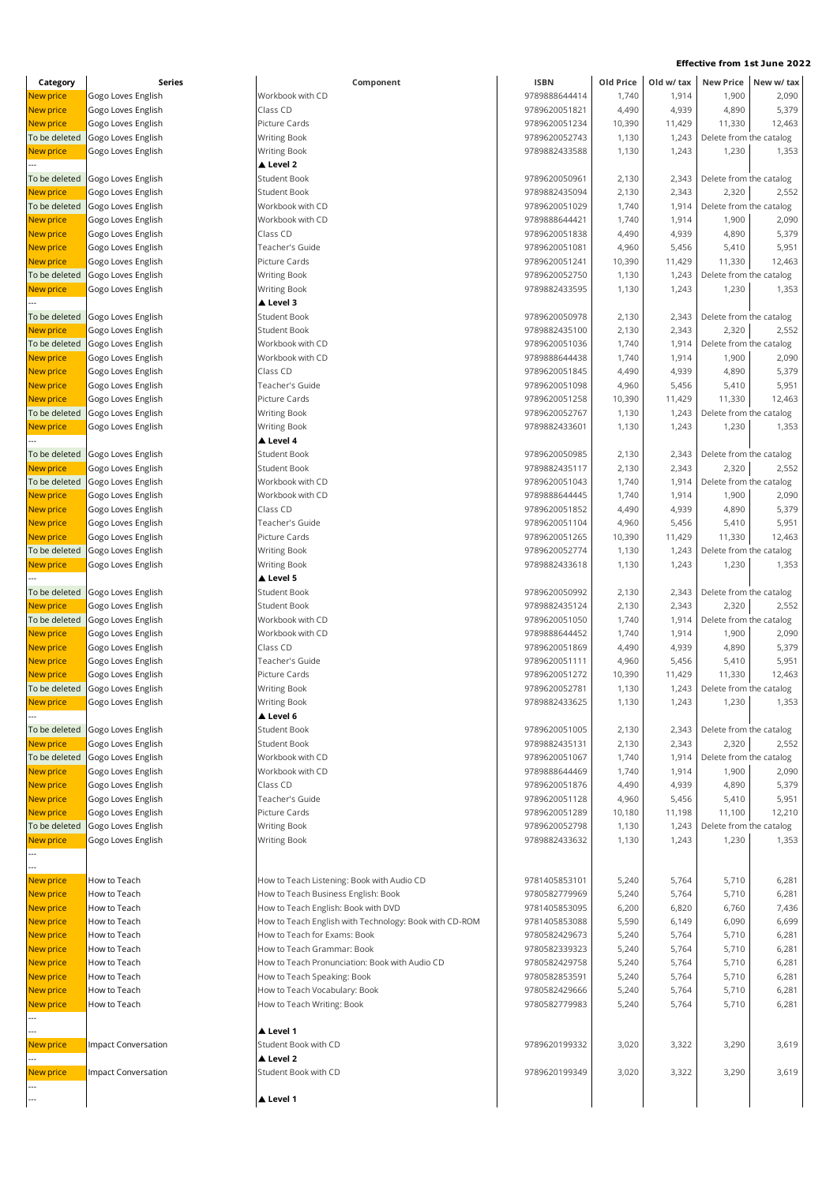| Category         | Series              | Component                                            |
|------------------|---------------------|------------------------------------------------------|
| New price        | Gogo Loves English  | Workbook with CD                                     |
| <b>New price</b> | Gogo Loves English  | Class CD                                             |
| <b>New price</b> | Gogo Loves English  | Picture Cards                                        |
| To be deleted    | Gogo Loves English  | <b>Writing Book</b>                                  |
| <b>New price</b> | Gogo Loves English  | <b>Writing Book</b>                                  |
|                  |                     | ▲ Level 2                                            |
| To be deleted    | Gogo Loves English  | <b>Student Book</b>                                  |
| New price        | Gogo Loves English  | <b>Student Book</b>                                  |
| To be deleted    | Gogo Loves English  | Workbook with CD                                     |
| <b>New price</b> | Gogo Loves English  | Workbook with CD                                     |
| <b>New price</b> | Gogo Loves English  | Class CD                                             |
| <b>New price</b> | Gogo Loves English  | Teacher's Guide                                      |
| <b>New price</b> | Gogo Loves English  | Picture Cards                                        |
| To be deleted    | Gogo Loves English  | <b>Writing Book</b>                                  |
| <b>New price</b> | Gogo Loves English  | <b>Writing Book</b>                                  |
|                  |                     | A Level 3                                            |
| To be deleted    | Gogo Loves English  | Student Book                                         |
| <b>New price</b> | Gogo Loves English  | <b>Student Book</b>                                  |
| To be deleted    | Gogo Loves English  | Workbook with CD                                     |
| <b>New price</b> | Gogo Loves English  | Workbook with CD                                     |
| <b>New price</b> | Gogo Loves English  | Class CD                                             |
| <b>New price</b> | Gogo Loves English  | Teacher's Guide                                      |
| <b>New price</b> | Gogo Loves English  | Picture Cards                                        |
| To be deleted    | Gogo Loves English  | <b>Writing Book</b>                                  |
| <b>New price</b> |                     |                                                      |
|                  | Gogo Loves English  | <b>Writing Book</b><br>▲ Level 4                     |
|                  |                     | <b>Student Book</b>                                  |
| To be deleted    | Gogo Loves English  |                                                      |
| <b>New price</b> | Gogo Loves English  | <b>Student Book</b>                                  |
| To be deleted    | Gogo Loves English  | Workbook with CD                                     |
| <b>New price</b> | Gogo Loves English  | Workbook with CD                                     |
| <b>New price</b> | Gogo Loves English  | Class CD                                             |
| <b>New price</b> | Gogo Loves English  | Teacher's Guide                                      |
| <b>New price</b> | Gogo Loves English  | Picture Cards                                        |
| To be deleted    | Gogo Loves English  | <b>Writing Book</b>                                  |
| <b>New price</b> | Gogo Loves English  | <b>Writing Book</b>                                  |
|                  |                     | Level 5                                              |
| To be deleted    | Gogo Loves English  | <b>Student Book</b>                                  |
| New price        | Gogo Loves English  | Student Book                                         |
| To be deleted    | Gogo Loves English  | Workbook with CD                                     |
| <b>New price</b> | Gogo Loves English  | Workbook with CD                                     |
| <b>New price</b> | Gogo Loves English  | Class CD                                             |
| <b>New price</b> | Gogo Loves English  | Teacher's Guide                                      |
| <b>New price</b> | Gogo Loves English  | Picture Cards                                        |
| To be deleted    | Gogo Loves English  | Writing Book                                         |
| <b>New price</b> | Gogo Loves English  | <b>Writing Book</b>                                  |
|                  |                     | ▲ Level 6                                            |
| To be deleted    | Gogo Loves English  | <b>Student Book</b>                                  |
| <b>New price</b> | Gogo Loves English  | <b>Student Book</b>                                  |
| To be deleted    | Gogo Loves English  | Workbook with CD                                     |
| <b>New price</b> | Gogo Loves English  | Workbook with CD                                     |
| <b>New price</b> | Gogo Loves English  | Class CD                                             |
| <b>New price</b> | Gogo Loves English  | Teacher's Guide                                      |
| <b>New price</b> | Gogo Loves English  | Picture Cards                                        |
| To be deleted    | Gogo Loves English  | <b>Writing Book</b>                                  |
| <b>New price</b> | Gogo Loves English  | <b>Writing Book</b>                                  |
|                  |                     |                                                      |
|                  |                     |                                                      |
| <b>New price</b> | How to Teach        | How to Teach Listening: Book with Audio CD           |
| <b>New price</b> | How to Teach        | How to Teach Business English: Book                  |
| <b>New price</b> | How to Teach        | How to Teach English: Book with DVD                  |
| <b>New price</b> | How to Teach        | How to Teach English with Technology: Book with CD-I |
| New price        | How to Teach        | How to Teach for Exams: Book                         |
| <b>New price</b> | How to Teach        | How to Teach Grammar: Book                           |
| <b>New price</b> | How to Teach        | How to Teach Pronunciation: Book with Audio CD       |
| <b>New price</b> | How to Teach        | How to Teach Speaking: Book                          |
| <b>New price</b> | How to Teach        | How to Teach Vocabulary: Book                        |
| <b>New price</b> | How to Teach        |                                                      |
|                  |                     | How to Teach Writing: Book                           |
|                  |                     | ▲ Level 1                                            |
|                  |                     | Student Book with CD                                 |
| <b>New price</b> | Impact Conversation |                                                      |
|                  |                     | A Level 2<br>Student Book with CD                    |
| New price        | Impact Conversation |                                                      |
|                  |                     |                                                      |
|                  |                     | ▲ Level 1                                            |

| Category         | Series              | Component                                              | <b>ISBN</b>   | Old Price | Old w/ tax | <b>New Price</b>        | New w/ tax |
|------------------|---------------------|--------------------------------------------------------|---------------|-----------|------------|-------------------------|------------|
| New price        | Gogo Loves English  | Workbook with CD                                       | 9789888644414 | 1,740     | 1,914      | 1,900                   | 2,090      |
| New price        | Gogo Loves English  | Class CD                                               | 9789620051821 | 4,490     | 4,939      | 4,890                   | 5,379      |
| New price        | Gogo Loves English  | Picture Cards                                          | 9789620051234 | 10,390    | 11,429     | 11,330                  | 12,463     |
| To be deleted    | Gogo Loves English  | <b>Writing Book</b>                                    | 9789620052743 | 1,130     | 1,243      | Delete from the catalog |            |
| <b>New price</b> | Gogo Loves English  | <b>Writing Book</b>                                    | 9789882433588 | 1,130     | 1,243      | 1,230                   | 1,353      |
|                  |                     | ▲ Level 2                                              |               |           |            |                         |            |
| To be deleted    | Gogo Loves English  | <b>Student Book</b>                                    | 9789620050961 | 2,130     | 2,343      | Delete from the catalog |            |
| New price        | Gogo Loves English  | <b>Student Book</b>                                    | 9789882435094 | 2,130     | 2,343      | 2,320                   | 2,552      |
| To be deleted    | Gogo Loves English  | Workbook with CD                                       | 9789620051029 | 1,740     | 1,914      | Delete from the catalog |            |
| New price        | Gogo Loves English  | Workbook with CD                                       | 9789888644421 | 1,740     | 1,914      | 1,900                   | 2,090      |
| New price        | Gogo Loves English  | Class CD                                               | 9789620051838 | 4,490     | 4,939      | 4,890                   | 5,379      |
| New price        | Gogo Loves English  | Teacher's Guide                                        | 9789620051081 | 4,960     | 5,456      | 5,410                   | 5,951      |
| New price        | Gogo Loves English  | Picture Cards                                          | 9789620051241 | 10,390    | 11,429     | 11,330                  | 12,463     |
| To be deleted    | Gogo Loves English  | <b>Writing Book</b>                                    | 9789620052750 | 1,130     | 1,243      | Delete from the catalog |            |
| New price        | Gogo Loves English  | <b>Writing Book</b>                                    | 9789882433595 | 1,130     | 1,243      | 1,230                   | 1,353      |
|                  |                     | ▲ Level 3                                              |               |           |            |                         |            |
| To be deleted    | Gogo Loves English  | <b>Student Book</b>                                    | 9789620050978 | 2,130     | 2,343      | Delete from the catalog |            |
| New price        | Gogo Loves English  | <b>Student Book</b>                                    | 9789882435100 | 2,130     | 2,343      | 2,320                   | 2,552      |
| To be deleted    | Gogo Loves English  | Workbook with CD                                       | 9789620051036 | 1,740     | 1,914      | Delete from the catalog |            |
| <b>New price</b> | Gogo Loves English  | Workbook with CD                                       | 9789888644438 | 1,740     | 1,914      | 1,900                   | 2,090      |
| New price        | Gogo Loves English  | Class CD                                               | 9789620051845 | 4,490     | 4,939      | 4,890                   | 5,379      |
| New price        | Gogo Loves English  | Teacher's Guide                                        | 9789620051098 | 4,960     | 5,456      | 5,410                   | 5,951      |
| <b>New price</b> | Gogo Loves English  | Picture Cards                                          | 9789620051258 | 10,390    | 11,429     | 11,330                  | 12,463     |
| To be deleted    | Gogo Loves English  | <b>Writing Book</b>                                    | 9789620052767 | 1,130     | 1,243      | Delete from the catalog |            |
| New price        | Gogo Loves English  | <b>Writing Book</b>                                    | 9789882433601 | 1,130     | 1,243      | 1,230                   | 1,353      |
|                  |                     | ▲ Level 4                                              |               |           |            |                         |            |
| To be deleted    | Gogo Loves English  | <b>Student Book</b>                                    | 9789620050985 | 2,130     | 2,343      | Delete from the catalog |            |
| <b>New price</b> | Gogo Loves English  | <b>Student Book</b>                                    | 9789882435117 | 2,130     | 2,343      | 2,320                   | 2,552      |
| To be deleted    | Gogo Loves English  | Workbook with CD                                       | 9789620051043 | 1,740     | 1,914      | Delete from the catalog |            |
| New price        | Gogo Loves English  | Workbook with CD                                       | 9789888644445 | 1,740     | 1,914      | 1,900                   | 2,090      |
| New price        | Gogo Loves English  | Class CD                                               | 9789620051852 | 4,490     | 4,939      | 4,890                   | 5,379      |
| New price        | Gogo Loves English  | Teacher's Guide                                        | 9789620051104 | 4,960     | 5,456      | 5,410                   | 5,951      |
| New price        | Gogo Loves English  | Picture Cards                                          | 9789620051265 | 10,390    | 11,429     | 11,330                  | 12,463     |
| To be deleted    | Gogo Loves English  | <b>Writing Book</b>                                    | 9789620052774 | 1,130     | 1,243      | Delete from the catalog |            |
| <b>New price</b> | Gogo Loves English  | <b>Writing Book</b>                                    | 9789882433618 | 1,130     | 1,243      | 1,230                   | 1,353      |
|                  |                     | ▲ Level 5                                              |               |           |            |                         |            |
| To be deleted    | Gogo Loves English  | <b>Student Book</b>                                    | 9789620050992 | 2,130     | 2,343      | Delete from the catalog |            |
| New price        | Gogo Loves English  | <b>Student Book</b>                                    | 9789882435124 | 2,130     | 2,343      | 2,320                   | 2,552      |
| To be deleted    | Gogo Loves English  | Workbook with CD                                       | 9789620051050 | 1,740     | 1,914      | Delete from the catalog |            |
| New price        | Gogo Loves English  | Workbook with CD                                       | 9789888644452 | 1,740     | 1,914      | 1,900                   | 2,090      |
| New price        | Gogo Loves English  | Class CD                                               | 9789620051869 | 4,490     | 4,939      | 4,890                   | 5,379      |
| New price        | Gogo Loves English  | Teacher's Guide                                        | 9789620051111 | 4,960     | 5,456      | 5,410                   | 5,951      |
| New price        | Gogo Loves English  | Picture Cards                                          | 9789620051272 | 10,390    | 11,429     | 11,330                  | 12,463     |
| To be deleted    | Gogo Loves English  | <b>Writing Book</b>                                    | 9789620052781 | 1,130     | 1,243      | Delete from the catalog |            |
| New price        | Gogo Loves English  | <b>Writing Book</b>                                    | 9789882433625 | 1,130     | 1,243      | 1,230                   | 1,353      |
|                  |                     | ▲ Level 6                                              |               |           |            |                         |            |
| To be deleted    | Gogo Loves English  | <b>Student Book</b>                                    | 9789620051005 | 2,130     | 2,343      | Delete from the catalog |            |
| New price        | Gogo Loves English  | <b>Student Book</b>                                    | 9789882435131 | 2,130     | 2,343      | 2,320                   | 2,552      |
| To be deleted    | Gogo Loves English  | Workbook with CD                                       | 9789620051067 | 1,740     | 1,914      | Delete from the catalog |            |
| New price        | Gogo Loves English  | Workbook with CD                                       | 9789888644469 | 1,740     | 1,914      | 1,900                   | 2,090      |
| New price        | Gogo Loves English  | Class CD                                               | 9789620051876 | 4,490     | 4,939      | 4,890                   | 5,379      |
| New price        | Gogo Loves English  | Teacher's Guide                                        | 9789620051128 | 4,960     | 5,456      | 5,410                   | 5,951      |
| New price        | Gogo Loves English  | Picture Cards                                          | 9789620051289 | 10,180    | 11,198     | 11,100                  | 12,210     |
| To be deleted    | Gogo Loves English  | <b>Writing Book</b>                                    | 9789620052798 | 1,130     | 1,243      | Delete from the catalog |            |
| New price        | Gogo Loves English  | <b>Writing Book</b>                                    | 9789882433632 | 1,130     | 1,243      | 1,230                   | 1,353      |
|                  |                     |                                                        |               |           |            |                         |            |
|                  |                     |                                                        |               |           |            |                         |            |
| New price        | How to Teach        | How to Teach Listening: Book with Audio CD             | 9781405853101 | 5,240     | 5,764      | 5,710                   | 6,281      |
| New price        | How to Teach        | How to Teach Business English: Book                    | 9780582779969 | 5,240     | 5,764      | 5,710                   | 6,281      |
| New price        | How to Teach        | How to Teach English: Book with DVD                    | 9781405853095 | 6,200     | 6,820      | 6,760                   | 7,436      |
| New price        | How to Teach        | How to Teach English with Technology: Book with CD-ROM | 9781405853088 | 5,590     | 6,149      | 6,090                   | 6,699      |
| New price        | How to Teach        | How to Teach for Exams: Book                           | 9780582429673 | 5,240     | 5,764      | 5,710                   | 6,281      |
| New price        | How to Teach        | How to Teach Grammar: Book                             | 9780582339323 | 5,240     | 5,764      | 5,710                   | 6,281      |
| New price        | How to Teach        | How to Teach Pronunciation: Book with Audio CD         | 9780582429758 | 5,240     | 5,764      | 5,710                   | 6,281      |
| New price        | How to Teach        | How to Teach Speaking: Book                            | 9780582853591 | 5,240     | 5,764      | 5,710                   | 6,281      |
| New price        | How to Teach        | How to Teach Vocabulary: Book                          | 9780582429666 | 5,240     | 5,764      | 5,710                   | 6,281      |
| New price        | How to Teach        | How to Teach Writing: Book                             | 9780582779983 | 5,240     | 5,764      | 5,710                   | 6,281      |
|                  |                     |                                                        |               |           |            |                         |            |
|                  |                     | ▲ Level 1                                              |               |           |            |                         |            |
| New price        | Impact Conversation | Student Book with CD                                   | 9789620199332 | 3,020     | 3,322      | 3,290                   | 3,619      |
|                  |                     | Level 2                                                |               |           |            |                         |            |
| New price        | Impact Conversation | Student Book with CD                                   | 9789620199349 | 3,020     | 3,322      | 3,290                   | 3,619      |
|                  |                     |                                                        |               |           |            |                         |            |
|                  |                     | ▲ Level 1                                              |               |           |            |                         |            |
|                  |                     |                                                        |               |           |            |                         |            |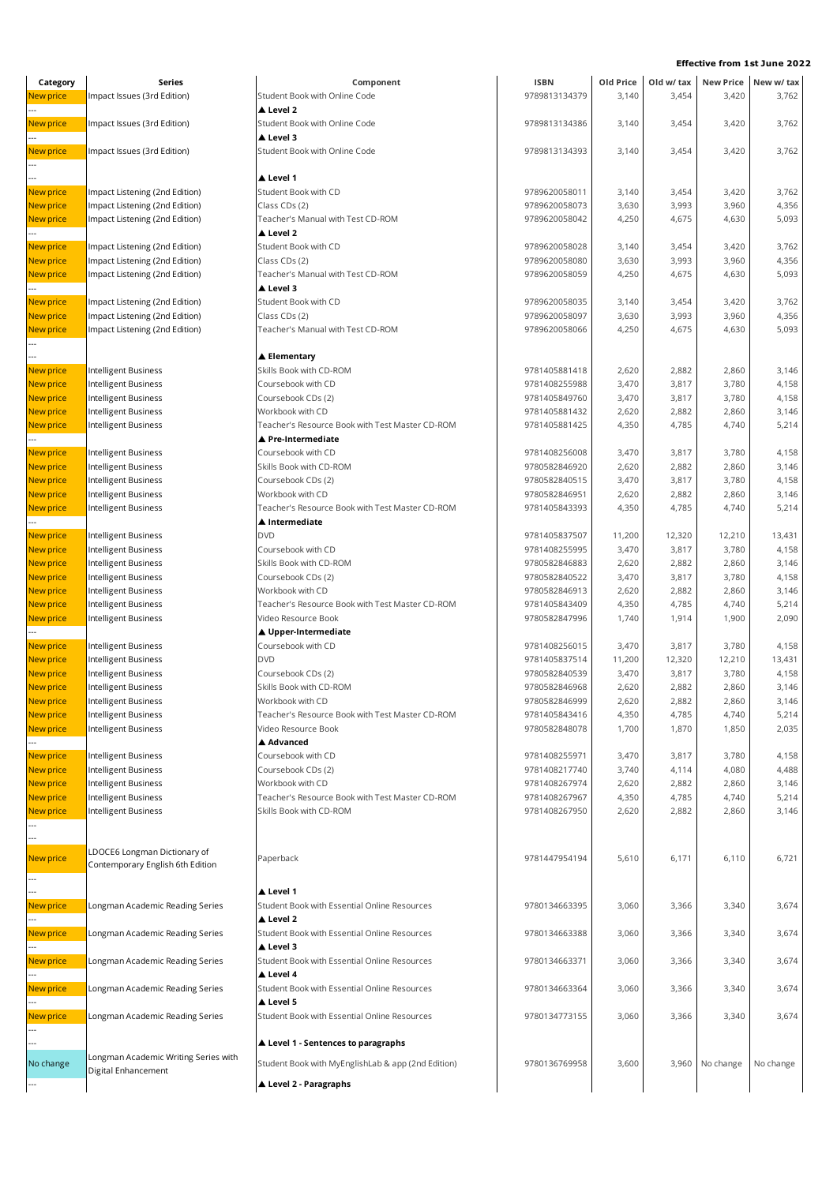| Category         | Series                               | Component                                          | <b>ISBN</b>   | Old Price | Old w/ tax | <b>New Price</b> | New w/ tax |
|------------------|--------------------------------------|----------------------------------------------------|---------------|-----------|------------|------------------|------------|
| New price        | Impact Issues (3rd Edition)          | Student Book with Online Code                      | 9789813134379 | 3,140     | 3,454      | 3,420            | 3,762      |
|                  |                                      | ▲ Level 2                                          |               |           |            |                  |            |
| New price        | Impact Issues (3rd Edition)          | Student Book with Online Code                      | 9789813134386 | 3,140     | 3,454      | 3,420            | 3,762      |
|                  |                                      | ▲ Level 3                                          |               |           |            |                  |            |
|                  |                                      |                                                    |               |           |            |                  |            |
| New price        | Impact Issues (3rd Edition)          | Student Book with Online Code                      | 9789813134393 | 3,140     | 3,454      | 3,420            | 3,762      |
|                  |                                      |                                                    |               |           |            |                  |            |
|                  |                                      | ▲ Level 1                                          |               |           |            |                  |            |
| New price        | Impact Listening (2nd Edition)       | Student Book with CD                               | 9789620058011 | 3,140     | 3,454      | 3,420            | 3,762      |
| New price        | Impact Listening (2nd Edition)       | Class CDs (2)                                      | 9789620058073 | 3,630     | 3,993      | 3,960            | 4,356      |
| <b>New price</b> | Impact Listening (2nd Edition)       | Teacher's Manual with Test CD-ROM                  | 9789620058042 | 4,250     | 4,675      | 4,630            | 5,093      |
|                  |                                      | ▲ Level 2                                          |               |           |            |                  |            |
| New price        | Impact Listening (2nd Edition)       | Student Book with CD                               | 9789620058028 | 3,140     | 3,454      | 3,420            | 3,762      |
| New price        | Impact Listening (2nd Edition)       | Class CDs (2)                                      | 9789620058080 | 3,630     | 3,993      | 3,960            | 4,356      |
| <b>New price</b> | Impact Listening (2nd Edition)       | Teacher's Manual with Test CD-ROM                  | 9789620058059 | 4,250     | 4,675      | 4,630            | 5,093      |
|                  |                                      | ▲ Level 3                                          |               |           |            |                  |            |
| <b>New price</b> | Impact Listening (2nd Edition)       | Student Book with CD                               | 9789620058035 | 3,140     | 3,454      | 3,420            | 3,762      |
|                  |                                      | Class CDs (2)                                      | 9789620058097 | 3,630     |            | 3,960            |            |
| New price        | Impact Listening (2nd Edition)       |                                                    |               |           | 3,993      |                  | 4,356      |
| New price        | Impact Listening (2nd Edition)       | Teacher's Manual with Test CD-ROM                  | 9789620058066 | 4,250     | 4,675      | 4,630            | 5,093      |
|                  |                                      |                                                    |               |           |            |                  |            |
|                  |                                      | ▲ Elementary                                       |               |           |            |                  |            |
| New price        | Intelligent Business                 | Skills Book with CD-ROM                            | 9781405881418 | 2,620     | 2,882      | 2,860            | 3,146      |
| New price        | Intelligent Business                 | Coursebook with CD                                 | 9781408255988 | 3,470     | 3,817      | 3,780            | 4,158      |
| New price        | Intelligent Business                 | Coursebook CDs (2)                                 | 9781405849760 | 3,470     | 3,817      | 3,780            | 4,158      |
| New price        | Intelligent Business                 | Workbook with CD                                   | 9781405881432 | 2,620     | 2,882      | 2,860            | 3,146      |
| <b>New price</b> | Intelligent Business                 | Teacher's Resource Book with Test Master CD-ROM    | 9781405881425 | 4,350     | 4,785      | 4,740            | 5,214      |
|                  |                                      | ▲ Pre-Intermediate                                 |               |           |            |                  |            |
| New price        | Intelligent Business                 | Coursebook with CD                                 | 9781408256008 | 3,470     | 3,817      | 3,780            | 4,158      |
| New price        | Intelligent Business                 | Skills Book with CD-ROM                            | 9780582846920 | 2,620     | 2,882      | 2,860            | 3,146      |
|                  |                                      |                                                    |               |           |            |                  |            |
| New price        | Intelligent Business                 | Coursebook CDs (2)                                 | 9780582840515 | 3,470     | 3,817      | 3,780            | 4,158      |
| New price        | Intelligent Business                 | Workbook with CD                                   | 9780582846951 | 2,620     | 2,882      | 2,860            | 3,146      |
| New price        | Intelligent Business                 | Teacher's Resource Book with Test Master CD-ROM    | 9781405843393 | 4,350     | 4,785      | 4,740            | 5,214      |
|                  |                                      | ▲ Intermediate                                     |               |           |            |                  |            |
| New price        | Intelligent Business                 | <b>DVD</b>                                         | 9781405837507 | 11,200    | 12,320     | 12,210           | 13,431     |
| New price        | Intelligent Business                 | Coursebook with CD                                 | 9781408255995 | 3,470     | 3,817      | 3,780            | 4,158      |
| New price        | Intelligent Business                 | Skills Book with CD-ROM                            | 9780582846883 | 2,620     | 2,882      | 2,860            | 3,146      |
| New price        | Intelligent Business                 | Coursebook CDs (2)                                 | 9780582840522 | 3,470     | 3,817      | 3,780            | 4,158      |
| New price        | Intelligent Business                 | Workbook with CD                                   | 9780582846913 | 2,620     | 2,882      | 2,860            | 3,146      |
| New price        | Intelligent Business                 | Teacher's Resource Book with Test Master CD-ROM    | 9781405843409 | 4,350     | 4,785      | 4,740            | 5,214      |
| New price        | Intelligent Business                 | Video Resource Book                                | 9780582847996 | 1,740     | 1,914      | 1,900            | 2,090      |
|                  |                                      |                                                    |               |           |            |                  |            |
|                  |                                      | ▲ Upper-Intermediate                               |               |           |            |                  |            |
| New price        | Intelligent Business                 | Coursebook with CD                                 | 9781408256015 | 3,470     | 3,817      | 3,780            | 4,158      |
| <b>New price</b> | Intelligent Business                 | <b>DVD</b>                                         | 9781405837514 | 11,200    | 12,320     | 12,210           | 13,431     |
| New price        | Intelligent Business                 | Coursebook CDs (2)                                 | 9780582840539 | 3,470     | 3,817      | 3,780            | 4,158      |
| New price        | Intelligent Business                 | Skills Book with CD-ROM                            | 9780582846968 | 2,620     | 2,882      | 2,860            | 3,146      |
| New price        | Intelligent Business                 | Workbook with CD                                   | 9780582846999 | 2,620     | 2,882      | 2,860            | 3,146      |
| <b>New price</b> | Intelligent Business                 | Teacher's Resource Book with Test Master CD-ROM    | 9781405843416 | 4,350     | 4,785      | 4,740            | 5,214      |
| <b>New price</b> | Intelligent Business                 | Video Resource Book                                | 9780582848078 | 1,700     | 1,870      | 1,850            | 2,035      |
|                  |                                      | ▲ Advanced                                         |               |           |            |                  |            |
| New price        | Intelligent Business                 | Coursebook with CD                                 | 9781408255971 | 3,470     | 3,817      | 3,780            | 4,158      |
| New price        | Intelligent Business                 | Coursebook CDs (2)                                 | 9781408217740 | 3,740     | 4,114      | 4,080            | 4,488      |
| New price        | Intelligent Business                 | Workbook with CD                                   | 9781408267974 | 2,620     | 2,882      | 2,860            | 3,146      |
|                  |                                      |                                                    |               |           |            |                  |            |
| New price        | Intelligent Business                 | Teacher's Resource Book with Test Master CD-ROM    | 9781408267967 | 4,350     | 4,785      | 4,740            | 5,214      |
| New price        | Intelligent Business                 | Skills Book with CD-ROM                            | 9781408267950 | 2,620     | 2,882      | 2,860            | 3,146      |
|                  |                                      |                                                    |               |           |            |                  |            |
|                  |                                      |                                                    |               |           |            |                  |            |
| New price        | LDOCE6 Longman Dictionary of         | Paperback                                          | 9781447954194 | 5,610     | 6,171      | 6,110            | 6,721      |
|                  | Contemporary English 6th Edition     |                                                    |               |           |            |                  |            |
|                  |                                      |                                                    |               |           |            |                  |            |
|                  |                                      | ▲ Level 1                                          |               |           |            |                  |            |
| New price        | Longman Academic Reading Series      | Student Book with Essential Online Resources       | 9780134663395 | 3,060     | 3,366      | 3,340            | 3,674      |
|                  |                                      | ▲ Level 2                                          |               |           |            |                  |            |
| New price        | Longman Academic Reading Series      | Student Book with Essential Online Resources       | 9780134663388 | 3,060     | 3,366      | 3,340            | 3,674      |
|                  |                                      | ▲ Level 3                                          |               |           |            |                  |            |
| New price        |                                      | Student Book with Essential Online Resources       | 9780134663371 |           |            | 3,340            | 3,674      |
|                  | Longman Academic Reading Series      | ▲ Level 4                                          |               | 3,060     | 3,366      |                  |            |
|                  |                                      |                                                    |               |           |            |                  |            |
| New price        | Longman Academic Reading Series      | Student Book with Essential Online Resources       | 9780134663364 | 3,060     | 3,366      | 3,340            | 3,674      |
|                  |                                      | Level 5                                            |               |           |            |                  |            |
| New price        | Longman Academic Reading Series      | Student Book with Essential Online Resources       | 9780134773155 | 3,060     | 3,366      | 3,340            | 3,674      |
|                  |                                      |                                                    |               |           |            |                  |            |
|                  |                                      | ▲ Level 1 - Sentences to paragraphs                |               |           |            |                  |            |
|                  | Longman Academic Writing Series with |                                                    |               |           |            |                  |            |
| No change        | Digital Enhancement                  | Student Book with MyEnglishLab & app (2nd Edition) | 9780136769958 | 3,600     | 3,960      | No change        | No change  |
|                  |                                      | ▲ Level 2 - Paragraphs                             |               |           |            |                  |            |
|                  |                                      |                                                    |               |           |            |                  |            |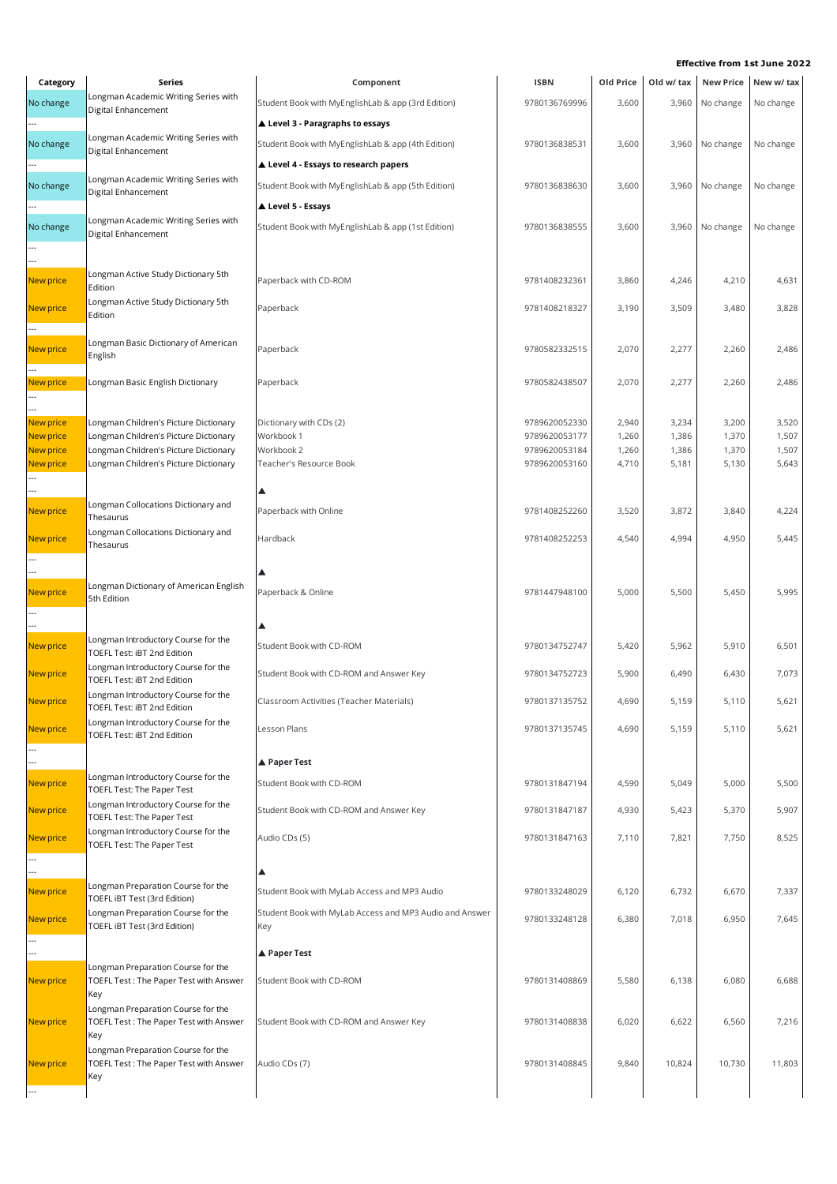| Category               | Series                                                                              | Component                                               | <b>ISBN</b>                    | Old Price      | Old w/ tax     | <b>New Price</b> | New w/ tax     |
|------------------------|-------------------------------------------------------------------------------------|---------------------------------------------------------|--------------------------------|----------------|----------------|------------------|----------------|
| No change              | Longman Academic Writing Series with<br>Digital Enhancement                         | Student Book with MyEnglishLab & app (3rd Edition)      | 9780136769996                  | 3,600          | 3,960          | No change        | No change      |
|                        |                                                                                     | ▲ Level 3 - Paragraphs to essays                        |                                |                |                |                  |                |
| No change              | Longman Academic Writing Series with                                                | Student Book with MyEnglishLab & app (4th Edition)      | 9780136838531                  | 3,600          | 3,960          | No change        | No change      |
|                        | Digital Enhancement                                                                 | Level 4 - Essays to research papers                     |                                |                |                |                  |                |
| No change              | Longman Academic Writing Series with                                                | Student Book with MyEnglishLab & app (5th Edition)      | 9780136838630                  | 3,600          | 3,960          | No change        | No change      |
|                        | Digital Enhancement                                                                 | ▲ Level 5 - Essays                                      |                                |                |                |                  |                |
| No change              | Longman Academic Writing Series with                                                | Student Book with MyEnglishLab & app (1st Edition)      | 9780136838555                  | 3,600          | 3,960          | No change        | No change      |
|                        | Digital Enhancement                                                                 |                                                         |                                |                |                |                  |                |
|                        |                                                                                     |                                                         |                                |                |                |                  |                |
| New price              | Longman Active Study Dictionary 5th<br>Edition                                      | Paperback with CD-ROM                                   | 9781408232361                  | 3,860          | 4,246          | 4,210            | 4,631          |
| New price              | Longman Active Study Dictionary 5th                                                 | Paperback                                               | 9781408218327                  | 3,190          | 3,509          | 3,480            | 3,828          |
|                        | Edition                                                                             |                                                         |                                |                |                |                  |                |
| New price              | Longman Basic Dictionary of American                                                | Paperback                                               | 9780582332515                  | 2,070          | 2,277          | 2,260            | 2,486          |
|                        | English                                                                             |                                                         |                                |                |                |                  |                |
| New price              | Longman Basic English Dictionary                                                    | Paperback                                               | 9780582438507                  | 2,070          | 2,277          | 2,260            | 2,486          |
|                        |                                                                                     |                                                         |                                |                |                |                  |                |
| New price              | Longman Children's Picture Dictionary                                               | Dictionary with CDs (2)                                 | 9789620052330                  | 2,940          | 3,234          | 3,200            | 3,520          |
| New price<br>New price | Longman Children's Picture Dictionary<br>Longman Children's Picture Dictionary      | Workbook 1<br>Workbook 2                                | 9789620053177<br>9789620053184 | 1,260<br>1,260 | 1,386<br>1,386 | 1,370<br>1,370   | 1,507<br>1,507 |
| New price              | Longman Children's Picture Dictionary                                               | Teacher's Resource Book                                 | 9789620053160                  | 4,710          | 5,181          | 5,130            | 5,643          |
|                        |                                                                                     |                                                         |                                |                |                |                  |                |
|                        | Longman Collocations Dictionary and                                                 |                                                         |                                |                |                |                  |                |
| New price              | Thesaurus                                                                           | Paperback with Online                                   | 9781408252260                  | 3,520          | 3,872          | 3,840            | 4,224          |
| New price              | Longman Collocations Dictionary and<br>Thesaurus                                    | Hardback                                                | 9781408252253                  | 4,540          | 4,994          | 4,950            | 5,445          |
|                        |                                                                                     |                                                         |                                |                |                |                  |                |
|                        | Longman Dictionary of American English                                              |                                                         |                                |                |                |                  |                |
| New price              | 5th Edition                                                                         | Paperback & Online                                      | 9781447948100                  | 5,000          | 5,500          | 5,450            | 5,995          |
|                        |                                                                                     |                                                         |                                |                |                |                  |                |
| New price              | Longman Introductory Course for the<br>TOEFL Test: iBT 2nd Edition                  | Student Book with CD-ROM                                | 9780134752747                  | 5,420          | 5,962          | 5,910            | 6,501          |
| New price              | Longman Introductory Course for the<br>TOEFL Test: iBT 2nd Edition                  | Student Book with CD-ROM and Answer Key                 | 9780134752723                  | 5,900          | 6,490          | 6,430            | 7,073          |
| New price              | Longman Introductory Course for the<br>TOEFL Test: iBT 2nd Edition                  | Classroom Activities (Teacher Materials)                | 9780137135752                  | 4,690          | 5,159          | 5,110            | 5,621          |
| New price              | Longman Introductory Course for the<br>TOEFL Test: iBT 2nd Edition                  | Lesson Plans                                            | 9780137135745                  | 4,690          | 5,159          | 5,110            | 5,621          |
|                        |                                                                                     | ▲ Paper Test                                            |                                |                |                |                  |                |
| New price              | Longman Introductory Course for the                                                 | Student Book with CD-ROM                                | 9780131847194                  | 4,590          | 5,049          | 5,000            | 5,500          |
|                        | TOEFL Test: The Paper Test<br>Longman Introductory Course for the                   |                                                         |                                |                |                |                  |                |
| New price              | TOEFL Test: The Paper Test                                                          | Student Book with CD-ROM and Answer Key                 | 9780131847187                  | 4,930          | 5,423          | 5,370            | 5,907          |
| New price              | Longman Introductory Course for the<br>TOEFL Test: The Paper Test                   | Audio CDs (5)                                           | 9780131847163                  | 7,110          | 7,821          | 7,750            | 8,525          |
|                        |                                                                                     |                                                         |                                |                |                |                  |                |
| New price              | Longman Preparation Course for the<br>TOEFL IBT Test (3rd Edition)                  | Student Book with MyLab Access and MP3 Audio            | 9780133248029                  | 6,120          | 6,732          | 6,670            | 7,337          |
| New price              | Longman Preparation Course for the                                                  | Student Book with MyLab Access and MP3 Audio and Answer | 9780133248128                  | 6,380          | 7,018          | 6,950            | 7,645          |
|                        | TOEFL IBT Test (3rd Edition)                                                        | Key                                                     |                                |                |                |                  |                |
|                        |                                                                                     | ▲ Paper Test                                            |                                |                |                |                  |                |
| New price              | Longman Preparation Course for the<br>TOEFL Test: The Paper Test with Answer<br>Key | Student Book with CD-ROM                                | 9780131408869                  | 5,580          | 6,138          | 6,080            | 6,688          |
|                        | Longman Preparation Course for the                                                  |                                                         |                                |                |                |                  |                |
| New price              | TOEFL Test: The Paper Test with Answer<br>Key                                       | Student Book with CD-ROM and Answer Key                 | 9780131408838                  | 6,020          | 6,622          | 6,560            | 7,216          |
|                        | Longman Preparation Course for the                                                  |                                                         |                                |                |                |                  |                |
| <b>New price</b>       | TOEFL Test: The Paper Test with Answer<br>Key                                       | Audio CDs (7)                                           | 9780131408845                  | 9,840          | 10,824         | 10,730           | 11,803         |
|                        |                                                                                     |                                                         |                                |                |                |                  |                |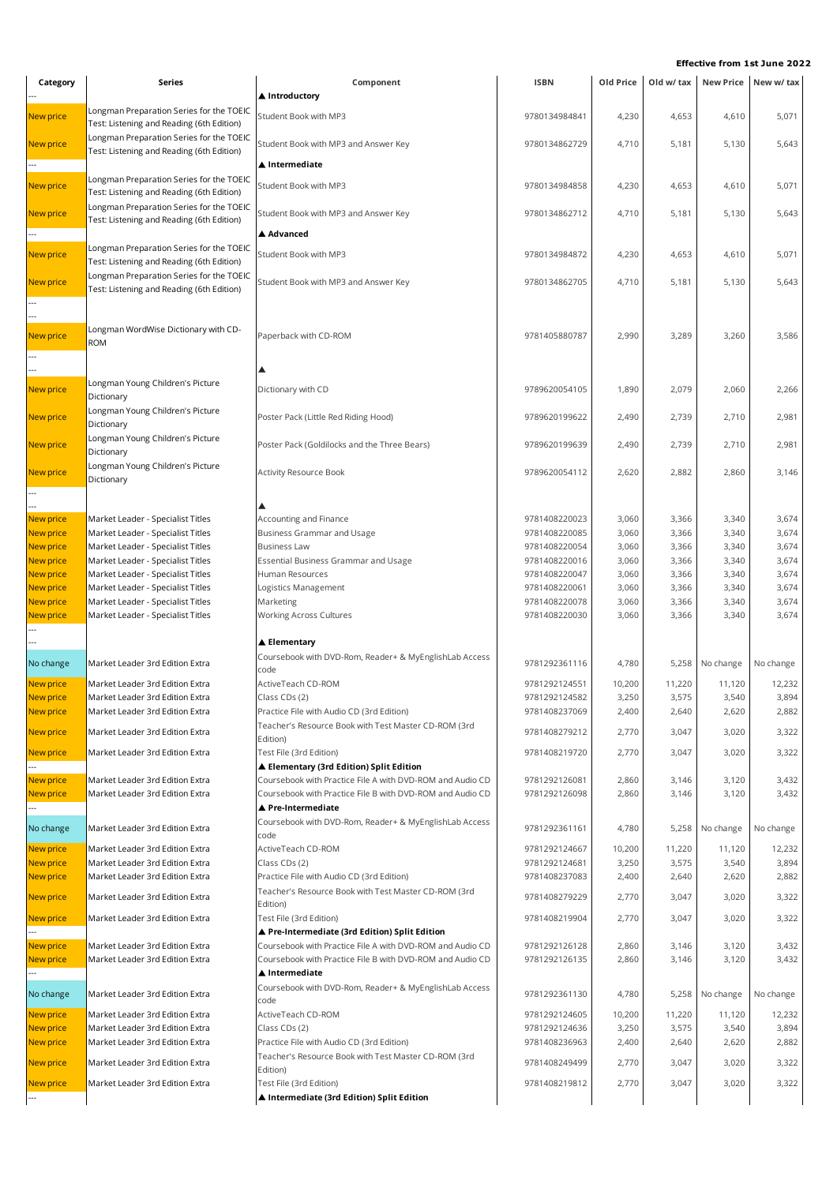| Category                      | Series                                                                                | Component                                                                                         | <b>ISBN</b>                    | Old Price      | Old w/ tax     |                | New Price New w/ tax |
|-------------------------------|---------------------------------------------------------------------------------------|---------------------------------------------------------------------------------------------------|--------------------------------|----------------|----------------|----------------|----------------------|
|                               |                                                                                       | ▲ Introductory                                                                                    |                                |                |                |                |                      |
| <b>New price</b>              | Longman Preparation Series for the TOEIC<br>Test: Listening and Reading (6th Edition) | Student Book with MP3                                                                             | 9780134984841                  | 4,230          | 4,653          | 4,610          | 5,071                |
| <b>New price</b>              | Longman Preparation Series for the TOEIC<br>Test: Listening and Reading (6th Edition) | Student Book with MP3 and Answer Key                                                              | 9780134862729                  | 4,710          | 5,181          | 5,130          | 5,643                |
|                               |                                                                                       | ▲ Intermediate                                                                                    |                                |                |                |                |                      |
| New price                     | Longman Preparation Series for the TOEIC<br>Test: Listening and Reading (6th Edition) | Student Book with MP3                                                                             | 9780134984858                  | 4,230          | 4,653          | 4,610          | 5,071                |
| <b>New price</b>              | Longman Preparation Series for the TOEIC<br>Test: Listening and Reading (6th Edition) | Student Book with MP3 and Answer Key                                                              | 9780134862712                  | 4,710          | 5,181          | 5,130          | 5,643                |
|                               |                                                                                       | ▲ Advanced                                                                                        |                                |                |                |                |                      |
| New price                     | Longman Preparation Series for the TOEIC<br>Test: Listening and Reading (6th Edition) | Student Book with MP3                                                                             | 9780134984872                  | 4,230          | 4,653          | 4,610          | 5,071                |
| New price                     | Longman Preparation Series for the TOEIC<br>Test: Listening and Reading (6th Edition) | Student Book with MP3 and Answer Key                                                              | 9780134862705                  | 4,710          | 5,181          | 5,130          | 5,643                |
|                               |                                                                                       |                                                                                                   |                                |                |                |                |                      |
|                               | Longman WordWise Dictionary with CD-                                                  |                                                                                                   |                                |                |                |                |                      |
| <b>New price</b>              | <b>ROM</b>                                                                            | Paperback with CD-ROM                                                                             | 9781405880787                  | 2,990          | 3,289          | 3,260          | 3,586                |
|                               |                                                                                       | ▴                                                                                                 |                                |                |                |                |                      |
|                               | Longman Young Children's Picture                                                      |                                                                                                   |                                |                |                |                |                      |
| New price                     | Dictionary<br>Longman Young Children's Picture                                        | Dictionary with CD                                                                                | 9789620054105                  | 1,890          | 2,079          | 2,060          | 2,266                |
| <b>New price</b>              | Dictionary                                                                            | Poster Pack (Little Red Riding Hood)                                                              | 9789620199622                  | 2,490          | 2,739          | 2,710          | 2,981                |
| <b>New price</b>              | Longman Young Children's Picture<br>Dictionary                                        | Poster Pack (Goldilocks and the Three Bears)                                                      | 9789620199639                  | 2,490          | 2,739          | 2,710          | 2,981                |
| New price                     | Longman Young Children's Picture<br>Dictionary                                        | <b>Activity Resource Book</b>                                                                     | 9789620054112                  | 2,620          | 2,882          | 2,860          | 3,146                |
|                               |                                                                                       |                                                                                                   |                                |                |                |                |                      |
| New price                     | Market Leader - Specialist Titles                                                     | Accounting and Finance                                                                            | 9781408220023                  | 3,060          | 3,366          | 3,340          | 3,674                |
| New price                     | Market Leader - Specialist Titles                                                     | Business Grammar and Usage                                                                        | 9781408220085                  | 3,060          | 3,366          | 3,340          | 3,674                |
| New price                     | Market Leader - Specialist Titles                                                     | <b>Business Law</b>                                                                               | 9781408220054                  | 3,060          | 3,366          | 3,340          | 3,674                |
| New price                     | Market Leader - Specialist Titles                                                     | Essential Business Grammar and Usage                                                              | 9781408220016                  | 3,060          | 3,366          | 3,340          | 3,674                |
| New price                     | Market Leader - Specialist Titles                                                     | Human Resources                                                                                   | 9781408220047                  | 3,060          | 3,366          | 3,340          | 3,674                |
| New price                     | Market Leader - Specialist Titles                                                     | Logistics Management                                                                              | 9781408220061                  | 3,060          | 3,366          | 3,340          | 3,674                |
| New price                     | Market Leader - Specialist Titles                                                     | Marketing                                                                                         | 9781408220078                  | 3,060          | 3,366          | 3,340          | 3,674                |
| New price                     | Market Leader - Specialist Titles                                                     | <b>Working Across Cultures</b>                                                                    | 9781408220030                  | 3,060          | 3,366          | 3,340          | 3,674                |
|                               |                                                                                       |                                                                                                   |                                |                |                |                |                      |
| No change                     | Market Leader 3rd Edition Extra                                                       | $\blacktriangle$ Elementary<br>Coursebook with DVD-Rom, Reader+ & MyEnglishLab Access             | 9781292361116                  | 4,780          | 5,258          | No change      | No change            |
|                               |                                                                                       | code                                                                                              |                                |                |                |                |                      |
| New price                     | Market Leader 3rd Edition Extra                                                       | ActiveTeach CD-ROM                                                                                | 9781292124551                  | 10,200         | 11,220         | 11,120         | 12,232               |
| New price                     | Market Leader 3rd Edition Extra                                                       | Class CDs (2)                                                                                     | 9781292124582                  | 3,250          | 3,575          | 3,540          | 3,894                |
| <b>New price</b>              | Market Leader 3rd Edition Extra                                                       | Practice File with Audio CD (3rd Edition)                                                         | 9781408237069                  | 2,400          | 2,640          | 2,620          | 2,882                |
| New price                     | Market Leader 3rd Edition Extra                                                       | Teacher's Resource Book with Test Master CD-ROM (3rd<br>Edition)                                  | 9781408279212                  | 2,770          | 3,047          | 3,020          | 3,322                |
| New price                     | Market Leader 3rd Edition Extra                                                       | Test File (3rd Edition)<br>▲ Elementary (3rd Edition) Split Edition                               | 9781408219720                  | 2,770          | 3,047          | 3,020          | 3,322                |
| New price                     | Market Leader 3rd Edition Extra                                                       | Coursebook with Practice File A with DVD-ROM and Audio CD                                         | 9781292126081                  | 2,860          | 3,146          | 3,120          | 3,432                |
| New price                     | Market Leader 3rd Edition Extra                                                       | Coursebook with Practice File B with DVD-ROM and Audio CD<br>▲ Pre-Intermediate                   | 9781292126098                  | 2,860          | 3,146          | 3,120          | 3,432                |
| No change                     | Market Leader 3rd Edition Extra                                                       | Coursebook with DVD-Rom, Reader+ & MyEnglishLab Access                                            | 9781292361161                  | 4,780          | 5,258          | No change      | No change            |
|                               |                                                                                       | code                                                                                              |                                |                |                |                |                      |
| <b>New price</b>              | Market Leader 3rd Edition Extra                                                       | ActiveTeach CD-ROM                                                                                | 9781292124667                  | 10,200         | 11,220         | 11,120         | 12,232               |
| New price                     | Market Leader 3rd Edition Extra                                                       | Class CDs (2)                                                                                     | 9781292124681                  | 3,250          | 3,575          | 3,540          | 3,894                |
| New price<br><b>New price</b> | Market Leader 3rd Edition Extra<br>Market Leader 3rd Edition Extra                    | Practice File with Audio CD (3rd Edition)<br>Teacher's Resource Book with Test Master CD-ROM (3rd | 9781408237083<br>9781408279229 | 2,400<br>2,770 | 2,640<br>3,047 | 2,620<br>3,020 | 2,882<br>3,322       |
| <b>New price</b>              | Market Leader 3rd Edition Extra                                                       | Edition)<br>Test File (3rd Edition)                                                               | 9781408219904                  | 2,770          | 3,047          | 3,020          | 3,322                |
|                               |                                                                                       | ▲ Pre-Intermediate (3rd Edition) Split Edition                                                    |                                |                |                |                |                      |
| New price                     | Market Leader 3rd Edition Extra                                                       | Coursebook with Practice File A with DVD-ROM and Audio CD                                         | 9781292126128                  | 2,860          | 3,146          | 3,120          | 3,432                |
| New price                     | Market Leader 3rd Edition Extra                                                       | Coursebook with Practice File B with DVD-ROM and Audio CD<br>▲ Intermediate                       | 9781292126135                  | 2,860          | 3,146          | 3,120          | 3,432                |
| No change                     | Market Leader 3rd Edition Extra                                                       | Coursebook with DVD-Rom, Reader+ & MyEnglishLab Access<br>code                                    | 9781292361130                  | 4,780          | 5,258          | No change      | No change            |
| New price                     | Market Leader 3rd Edition Extra                                                       | ActiveTeach CD-ROM                                                                                | 9781292124605                  | 10,200         | 11,220         | 11,120         | 12,232               |
| New price                     | Market Leader 3rd Edition Extra                                                       | Class CDs (2)                                                                                     | 9781292124636                  | 3,250          | 3,575          | 3,540          | 3,894                |
| New price                     | Market Leader 3rd Edition Extra                                                       | Practice File with Audio CD (3rd Edition)                                                         | 9781408236963                  | 2,400          | 2,640          | 2,620          | 2,882                |
| <b>New price</b>              | Market Leader 3rd Edition Extra                                                       | Teacher's Resource Book with Test Master CD-ROM (3rd<br>Edition)                                  | 9781408249499                  | 2,770          | 3,047          | 3,020          | 3,322                |
| New price                     | Market Leader 3rd Edition Extra                                                       | Test File (3rd Edition)                                                                           | 9781408219812                  | 2,770          | 3,047          | 3,020          | 3,322                |
|                               |                                                                                       | ▲ Intermediate (3rd Edition) Split Edition                                                        |                                |                |                |                |                      |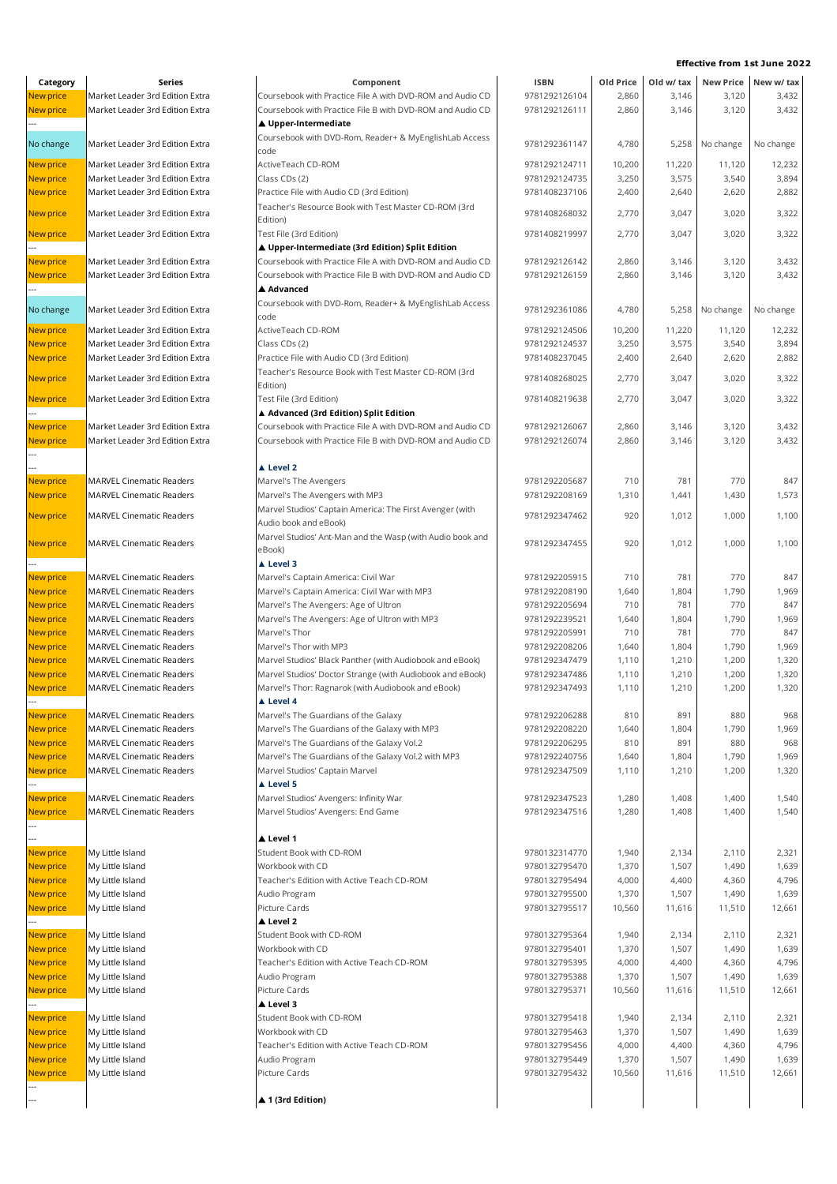| Category                             | Series                                                             | Component                                                                         |
|--------------------------------------|--------------------------------------------------------------------|-----------------------------------------------------------------------------------|
| <b>New price</b>                     | Market Leader 3rd Edition Extra                                    | Coursebook with Practice File A with DVD                                          |
| <b>New price</b><br>                 | Market Leader 3rd Edition Extra                                    | Coursebook with Practice File B with DVD<br>▲ Upper-Intermediate                  |
| No change                            | Market Leader 3rd Edition Extra                                    | Coursebook with DVD-Rom, Reader+ & M<br>code                                      |
| <b>New price</b>                     | Market Leader 3rd Edition Extra                                    | ActiveTeach CD-ROM                                                                |
| <b>New price</b>                     | Market Leader 3rd Edition Extra                                    | Class CDs (2)                                                                     |
| <b>New price</b>                     | Market Leader 3rd Edition Extra                                    | Practice File with Audio CD (3rd Edition)                                         |
| <b>New price</b>                     | Market Leader 3rd Edition Extra                                    | Teacher's Resource Book with Test Maste<br>Edition)                               |
| <b>New price</b>                     | Market Leader 3rd Edition Extra                                    | Test File (3rd Edition)                                                           |
| New price                            | Market Leader 3rd Edition Extra                                    | ▲ Upper-Intermediate (3rd Edition) Sp<br>Coursebook with Practice File A with DVD |
| New price                            | Market Leader 3rd Edition Extra                                    | Coursebook with Practice File B with DVD                                          |
|                                      |                                                                    | ▲ Advanced                                                                        |
| No change                            | Market Leader 3rd Edition Extra                                    | Coursebook with DVD-Rom, Reader+ & M<br>code                                      |
| <b>New price</b>                     | Market Leader 3rd Edition Extra                                    | ActiveTeach CD-ROM                                                                |
| <b>New price</b>                     | Market Leader 3rd Edition Extra                                    | Class CDs (2)                                                                     |
| <b>New price</b>                     | Market Leader 3rd Edition Extra                                    | Practice File with Audio CD (3rd Edition)                                         |
| <b>New price</b>                     | Market Leader 3rd Edition Extra                                    | Teacher's Resource Book with Test Maste                                           |
|                                      | Market Leader 3rd Edition Extra                                    | Edition)<br>Test File (3rd Edition)                                               |
| New price                            |                                                                    | ▲ Advanced (3rd Edition) Split Edition                                            |
| <b>New price</b>                     | Market Leader 3rd Edition Extra                                    | Coursebook with Practice File A with DVD                                          |
| New price                            | Market Leader 3rd Edition Extra                                    | Coursebook with Practice File B with DVD                                          |
|                                      |                                                                    |                                                                                   |
|                                      |                                                                    | ▲ Level 2                                                                         |
| <b>New price</b>                     | <b>MARVEL Cinematic Readers</b>                                    | Marvel's The Avengers                                                             |
| <b>New price</b>                     | <b>MARVEL Cinematic Readers</b>                                    | Marvel's The Avengers with MP3                                                    |
| <b>New price</b>                     | <b>MARVEL Cinematic Readers</b>                                    | Marvel Studios' Captain America: The Firs<br>Audio book and eBook)                |
| <b>New price</b>                     | <b>MARVEL Cinematic Readers</b>                                    | Marvel Studios' Ant-Man and the Wasp (v<br>eBook)                                 |
|                                      |                                                                    | ▲ Level 3                                                                         |
| New price                            | <b>MARVEL Cinematic Readers</b>                                    | Marvel's Captain America: Civil War                                               |
| <b>New price</b>                     | <b>MARVEL Cinematic Readers</b>                                    | Marvel's Captain America: Civil War with                                          |
| <b>New price</b>                     | <b>MARVEL Cinematic Readers</b>                                    | Marvel's The Avengers: Age of Ultron                                              |
| <b>New price</b>                     | <b>MARVEL Cinematic Readers</b>                                    | Marvel's The Avengers: Age of Ultron wit                                          |
| New price                            | <b>MARVEL Cinematic Readers</b>                                    | Marvel's Thor                                                                     |
| <b>New price</b>                     | <b>MARVEL Cinematic Readers</b>                                    | Marvel's Thor with MP3                                                            |
| <b>New price</b>                     | <b>MARVEL Cinematic Readers</b>                                    | Marvel Studios' Black Panther (with Audic                                         |
| <b>New price</b>                     | <b>MARVEL Cinematic Readers</b>                                    | Marvel Studios' Doctor Strange (with Aud                                          |
| <b>New price</b>                     | <b>MARVEL Cinematic Readers</b>                                    | Marvel's Thor: Ragnarok (with Audiobook                                           |
|                                      |                                                                    | ▲ Level 4                                                                         |
| <b>New price</b>                     | <b>MARVEL Cinematic Readers</b>                                    | Marvel's The Guardians of the Galaxy                                              |
| New price                            | <b>MARVEL Cinematic Readers</b>                                    | Marvel's The Guardians of the Galaxy wit                                          |
| <b>New price</b><br><b>New price</b> | <b>MARVEL Cinematic Readers</b>                                    | Marvel's The Guardians of the Galaxy Vol                                          |
| New price                            | <b>MARVEL Cinematic Readers</b><br><b>MARVEL Cinematic Readers</b> | Marvel's The Guardians of the Galaxy Vol<br>Marvel Studios' Captain Marvel        |
|                                      |                                                                    | ▲ Level 5                                                                         |
| New price                            | <b>MARVEL Cinematic Readers</b>                                    | Marvel Studios' Avengers: Infinity War                                            |
| <b>New price</b>                     | <b>MARVEL Cinematic Readers</b>                                    | Marvel Studios' Avengers: End Game                                                |
|                                      |                                                                    |                                                                                   |
| New price                            | My Little Island                                                   | ▲ Level 1<br>Student Book with CD-ROM                                             |
| <b>New price</b>                     | My Little Island                                                   | Workbook with CD                                                                  |
| New price                            | My Little Island                                                   | Teacher's Edition with Active Teach CD-R                                          |
| <b>New price</b>                     | My Little Island                                                   | Audio Program                                                                     |
| <b>New price</b>                     | My Little Island                                                   | Picture Cards                                                                     |
|                                      |                                                                    | ▲ Level 2                                                                         |
| New price                            | My Little Island                                                   | Student Book with CD-ROM                                                          |
| <b>New price</b>                     | My Little Island                                                   | Workbook with CD                                                                  |
| <b>New price</b>                     | My Little Island                                                   | Teacher's Edition with Active Teach CD-R                                          |
| New price                            | My Little Island                                                   | Audio Program                                                                     |
| New price                            | My Little Island                                                   | Picture Cards                                                                     |
|                                      |                                                                    | ▲ Level 3                                                                         |
| New price                            | My Little Island                                                   | Student Book with CD-ROM                                                          |
| New price                            | My Little Island                                                   | Workbook with CD                                                                  |

---

| Category                             | Series                                                             | Component                                                                                  | <b>ISBN</b>                    | Old Price       | Old w/ tax      |                 | New Price New w/ tax |
|--------------------------------------|--------------------------------------------------------------------|--------------------------------------------------------------------------------------------|--------------------------------|-----------------|-----------------|-----------------|----------------------|
| New price                            | Market Leader 3rd Edition Extra                                    | Coursebook with Practice File A with DVD-ROM and Audio CD                                  | 9781292126104                  | 2,860           | 3,146           | 3,120           | 3,432                |
| <b>New price</b>                     | Market Leader 3rd Edition Extra                                    | Coursebook with Practice File B with DVD-ROM and Audio CD                                  | 9781292126111                  | 2,860           | 3,146           | 3,120           | 3,432                |
|                                      |                                                                    | ▲ Upper-Intermediate                                                                       |                                |                 |                 |                 |                      |
| No change                            | Market Leader 3rd Edition Extra                                    | Coursebook with DVD-Rom, Reader+ & MyEnglishLab Access                                     | 9781292361147                  | 4,780           |                 | 5,258 No change | No change            |
|                                      |                                                                    | code                                                                                       |                                |                 |                 |                 |                      |
| New price                            | Market Leader 3rd Edition Extra                                    | ActiveTeach CD-ROM                                                                         | 9781292124711<br>9781292124735 | 10,200          | 11,220          | 11,120          | 12,232               |
| <b>New price</b><br>New price        | Market Leader 3rd Edition Extra<br>Market Leader 3rd Edition Extra | Class CDs (2)<br>Practice File with Audio CD (3rd Edition)                                 | 9781408237106                  | 3,250<br>2,400  | 3,575<br>2,640  | 3,540<br>2,620  | 3,894<br>2,882       |
|                                      |                                                                    | Teacher's Resource Book with Test Master CD-ROM (3rd                                       |                                |                 |                 |                 |                      |
| <b>New price</b>                     | Market Leader 3rd Edition Extra                                    | Edition)                                                                                   | 9781408268032                  | 2,770           | 3,047           | 3,020           | 3,322                |
| <b>New price</b>                     | Market Leader 3rd Edition Extra                                    | Test File (3rd Edition)                                                                    | 9781408219997                  | 2,770           | 3,047           | 3,020           | 3,322                |
|                                      |                                                                    | ▲ Upper-Intermediate (3rd Edition) Split Edition                                           |                                |                 |                 |                 |                      |
| <b>New price</b>                     | Market Leader 3rd Edition Extra                                    | Coursebook with Practice File A with DVD-ROM and Audio CD                                  | 9781292126142                  | 2,860           | 3,146           | 3,120           | 3,432                |
| New price                            | Market Leader 3rd Edition Extra                                    | Coursebook with Practice File B with DVD-ROM and Audio CD                                  | 9781292126159                  | 2,860           | 3,146           | 3,120           | 3,432                |
|                                      |                                                                    | ▲ Advanced                                                                                 |                                |                 |                 |                 |                      |
| No change                            | Market Leader 3rd Edition Extra                                    | Coursebook with DVD-Rom, Reader+ & MyEnglishLab Access                                     | 9781292361086                  | 4,780           |                 | 5,258 No change | No change            |
|                                      |                                                                    | code                                                                                       |                                |                 |                 |                 |                      |
| New price                            | Market Leader 3rd Edition Extra<br>Market Leader 3rd Edition Extra | ActiveTeach CD-ROM                                                                         | 9781292124506<br>9781292124537 | 10,200          | 11,220<br>3,575 | 11,120<br>3,540 | 12,232<br>3,894      |
| <b>New price</b><br><b>New price</b> | Market Leader 3rd Edition Extra                                    | Class CDs (2)<br>Practice File with Audio CD (3rd Edition)                                 | 9781408237045                  | 3,250<br>2,400  | 2,640           | 2,620           | 2,882                |
|                                      |                                                                    | Teacher's Resource Book with Test Master CD-ROM (3rd                                       |                                |                 |                 |                 |                      |
| <b>New price</b>                     | Market Leader 3rd Edition Extra                                    | Edition)                                                                                   | 9781408268025                  | 2,770           | 3,047           | 3,020           | 3,322                |
| New price                            | Market Leader 3rd Edition Extra                                    | Test File (3rd Edition)                                                                    | 9781408219638                  | 2,770           | 3,047           | 3,020           | 3,322                |
|                                      |                                                                    | ▲ Advanced (3rd Edition) Split Edition                                                     |                                |                 |                 |                 |                      |
| <b>New price</b>                     | Market Leader 3rd Edition Extra                                    | Coursebook with Practice File A with DVD-ROM and Audio CD                                  | 9781292126067                  | 2,860           | 3,146           | 3,120           | 3,432                |
| <b>New price</b>                     | Market Leader 3rd Edition Extra                                    | Coursebook with Practice File B with DVD-ROM and Audio CD                                  | 9781292126074                  | 2,860           | 3,146           | 3,120           | 3,432                |
|                                      |                                                                    |                                                                                            |                                |                 |                 |                 |                      |
|                                      |                                                                    | A Level 2                                                                                  |                                |                 |                 |                 |                      |
| <b>New price</b>                     | <b>MARVEL Cinematic Readers</b>                                    | Marvel's The Avengers                                                                      | 9781292205687                  | 710             | 781             | 770             | 847                  |
| <b>New price</b>                     | <b>MARVEL Cinematic Readers</b>                                    | Marvel's The Avengers with MP3<br>Marvel Studios' Captain America: The First Avenger (with | 9781292208169                  | 1,310           | 1,441           | 1,430           | 1,573                |
| <b>New price</b>                     | <b>MARVEL Cinematic Readers</b>                                    | Audio book and eBook)                                                                      | 9781292347462                  | 920             | 1,012           | 1,000           | 1,100                |
|                                      |                                                                    | Marvel Studios' Ant-Man and the Wasp (with Audio book and                                  |                                |                 |                 |                 |                      |
| New price                            | <b>MARVEL Cinematic Readers</b>                                    | eBook)                                                                                     | 9781292347455                  | 920             | 1,012           | 1,000           | 1,100                |
|                                      |                                                                    | ▲ Level 3                                                                                  |                                |                 |                 |                 |                      |
| <b>New price</b>                     | <b>MARVEL Cinematic Readers</b>                                    | Marvel's Captain America: Civil War                                                        | 9781292205915                  | 710             | 781             | 770             | 847                  |
| <b>New price</b>                     | <b>MARVEL Cinematic Readers</b>                                    | Marvel's Captain America: Civil War with MP3                                               | 9781292208190                  | 1,640           | 1,804           | 1,790           | 1,969                |
| <b>New price</b>                     | <b>MARVEL Cinematic Readers</b>                                    | Marvel's The Avengers: Age of Ultron                                                       | 9781292205694                  | 710             | 781             | 770             | 847                  |
| <b>New price</b>                     | <b>MARVEL Cinematic Readers</b>                                    | Marvel's The Avengers: Age of Ultron with MP3                                              | 9781292239521                  | 1,640           | 1,804           | 1,790           | 1,969                |
| <b>New price</b>                     | <b>MARVEL Cinematic Readers</b>                                    | Marvel's Thor                                                                              | 9781292205991                  | 710             | 781             | 770             | 847                  |
| <b>New price</b>                     | <b>MARVEL Cinematic Readers</b><br><b>MARVEL Cinematic Readers</b> | Marvel's Thor with MP3<br>Marvel Studios' Black Panther (with Audiobook and eBook)         | 9781292208206<br>9781292347479 | 1,640           | 1,804           | 1,790           | 1,969                |
| <b>New price</b><br><b>New price</b> | <b>MARVEL Cinematic Readers</b>                                    | Marvel Studios' Doctor Strange (with Audiobook and eBook)                                  | 9781292347486                  | 1,110<br>1,110  | 1,210<br>1,210  | 1,200<br>1,200  | 1,320<br>1,320       |
| <b>New price</b>                     | <b>MARVEL Cinematic Readers</b>                                    | Marvel's Thor: Ragnarok (with Audiobook and eBook)                                         | 9781292347493                  | 1,110           | 1,210           | 1,200           | 1,320                |
|                                      |                                                                    | ▲ Level 4                                                                                  |                                |                 |                 |                 |                      |
| <b>New price</b>                     | <b>MARVEL Cinematic Readers</b>                                    | Marvel's The Guardians of the Galaxy                                                       | 9781292206288                  | 810             | 891             | 880             | 968                  |
| New price                            | <b>MARVEL Cinematic Readers</b>                                    | Marvel's The Guardians of the Galaxy with MP3                                              | 9781292208220                  | 1,640           | 1,804           | 1,790           | 1,969                |
| New price                            | <b>MARVEL Cinematic Readers</b>                                    | Marvel's The Guardians of the Galaxy Vol.2                                                 | 9781292206295                  | 810             | 891             | 880             | 968                  |
| <b>New price</b>                     | <b>MARVEL Cinematic Readers</b>                                    | Marvel's The Guardians of the Galaxy Vol.2 with MP3                                        | 9781292240756                  | 1,640           | 1,804           | 1,790           | 1,969                |
| New price                            | <b>MARVEL Cinematic Readers</b>                                    | Marvel Studios' Captain Marvel                                                             | 9781292347509                  | 1,110           | 1,210           | 1,200           | 1,320                |
|                                      |                                                                    | ▲ Level 5                                                                                  |                                |                 |                 |                 |                      |
| <b>New price</b>                     | <b>MARVEL Cinematic Readers</b>                                    | Marvel Studios' Avengers: Infinity War                                                     | 9781292347523                  | 1,280           | 1,408           | 1,400           | 1,540                |
| <b>New price</b>                     | <b>MARVEL Cinematic Readers</b>                                    | Marvel Studios' Avengers: End Game                                                         | 9781292347516                  | 1,280           | 1,408           | 1,400           | 1,540                |
|                                      |                                                                    | ▲ Level 1                                                                                  |                                |                 |                 |                 |                      |
| <b>New price</b>                     | My Little Island                                                   | Student Book with CD-ROM                                                                   | 9780132314770                  | 1,940           | 2,134           | 2,110           | 2,321                |
| <b>New price</b>                     | My Little Island                                                   | Workbook with CD                                                                           | 9780132795470                  | 1,370           | 1,507           | 1,490           | 1,639                |
| New price                            | My Little Island                                                   | Teacher's Edition with Active Teach CD-ROM                                                 | 9780132795494                  | 4,000           | 4,400           | 4,360           | 4,796                |
| <b>New price</b>                     | My Little Island                                                   | Audio Program                                                                              | 9780132795500                  | 1,370           | 1,507           | 1,490           | 1,639                |
| New price                            | My Little Island                                                   | Picture Cards                                                                              | 9780132795517                  | 10,560          | 11,616          | 11,510          | 12,661               |
|                                      |                                                                    | ▲ Level 2                                                                                  |                                |                 |                 |                 |                      |
| New price                            | My Little Island                                                   | Student Book with CD-ROM                                                                   | 9780132795364                  | 1,940           | 2,134           | 2,110           | 2,321                |
| New price                            | My Little Island                                                   | Workbook with CD                                                                           | 9780132795401                  | 1,370           | 1,507           | 1,490           | 1,639                |
| New price                            | My Little Island                                                   | Teacher's Edition with Active Teach CD-ROM                                                 | 9780132795395                  | 4,000           | 4,400           | 4,360           | 4,796                |
| New price<br>New price               | My Little Island<br>My Little Island                               | Audio Program<br>Picture Cards                                                             | 9780132795388<br>9780132795371 | 1,370<br>10,560 | 1,507<br>11,616 | 1,490<br>11,510 | 1,639<br>12,661      |
|                                      |                                                                    | ▲ Level 3                                                                                  |                                |                 |                 |                 |                      |
| New price                            | My Little Island                                                   | Student Book with CD-ROM                                                                   | 9780132795418                  | 1,940           | 2,134           | 2,110           | 2,321                |
| New price                            | My Little Island                                                   | Workbook with CD                                                                           | 9780132795463                  | 1,370           | 1,507           | 1,490           | 1,639                |
| New price                            | My Little Island                                                   | Teacher's Edition with Active Teach CD-ROM                                                 | 9780132795456                  | 4,000           | 4,400           | 4,360           | 4,796                |
| New price                            | My Little Island                                                   | Audio Program                                                                              | 9780132795449                  | 1,370           | 1,507           | 1,490           | 1,639                |
| New price                            | My Little Island                                                   | Picture Cards                                                                              | 9780132795432                  | 10.560          | 11.616          | 11.510          | 12.661               |

| Category  | Series                                                             | Component                                                                                                              | <b>ISBN</b>                    | Old Price      | Old w/ tax     |           | New Price New w/ tax |
|-----------|--------------------------------------------------------------------|------------------------------------------------------------------------------------------------------------------------|--------------------------------|----------------|----------------|-----------|----------------------|
| New price | Market Leader 3rd Edition Extra                                    | Coursebook with Practice File A with DVD-ROM and Audio CD                                                              | 9781292126104                  | 2,860          | 3,146          | 3,120     | 3,432                |
| New price | Market Leader 3rd Edition Extra                                    | Coursebook with Practice File B with DVD-ROM and Audio CD                                                              | 9781292126111                  | 2,860          | 3,146          | 3,120     | 3,432                |
|           |                                                                    | ▲ Upper-Intermediate                                                                                                   |                                |                |                |           |                      |
| No change | Market Leader 3rd Edition Extra                                    | Coursebook with DVD-Rom, Reader+ & MyEnglishLab Access                                                                 | 9781292361147                  | 4,780          | 5,258          | No change | No change            |
| New price | Market Leader 3rd Edition Extra                                    | code<br>ActiveTeach CD-ROM                                                                                             | 9781292124711                  | 10,200         | 11,220         | 11,120    | 12,232               |
| New price | Market Leader 3rd Edition Extra                                    | Class CDs (2)                                                                                                          | 9781292124735                  | 3,250          | 3,575          | 3,540     | 3,894                |
| New price | Market Leader 3rd Edition Extra                                    | Practice File with Audio CD (3rd Edition)                                                                              | 9781408237106                  | 2,400          | 2,640          | 2,620     | 2,882                |
|           | Market Leader 3rd Edition Extra                                    | Teacher's Resource Book with Test Master CD-ROM (3rd                                                                   |                                |                |                |           |                      |
| New price |                                                                    | Edition)                                                                                                               | 9781408268032                  | 2,770          | 3,047          | 3,020     | 3,322                |
| New price | Market Leader 3rd Edition Extra                                    | Test File (3rd Edition)                                                                                                | 9781408219997                  | 2,770          | 3,047          | 3,020     | 3,322                |
|           |                                                                    | ▲ Upper-Intermediate (3rd Edition) Split Edition                                                                       |                                |                |                |           |                      |
| New price | Market Leader 3rd Edition Extra<br>Market Leader 3rd Edition Extra | Coursebook with Practice File A with DVD-ROM and Audio CD<br>Coursebook with Practice File B with DVD-ROM and Audio CD | 9781292126142<br>9781292126159 | 2,860<br>2,860 | 3,146<br>3,146 | 3,120     | 3,432<br>3,432       |
| New price |                                                                    | ▲ Advanced                                                                                                             |                                |                |                | 3,120     |                      |
|           |                                                                    | Coursebook with DVD-Rom, Reader+ & MyEnglishLab Access                                                                 |                                |                |                |           |                      |
| No change | Market Leader 3rd Edition Extra                                    | code                                                                                                                   | 9781292361086                  | 4,780          | 5,258          | No change | No change            |
| New price | Market Leader 3rd Edition Extra                                    | ActiveTeach CD-ROM                                                                                                     | 9781292124506                  | 10,200         | 11,220         | 11,120    | 12,232               |
| New price | Market Leader 3rd Edition Extra                                    | Class CDs (2)                                                                                                          | 9781292124537                  | 3,250          | 3,575          | 3,540     | 3,894                |
| New price | Market Leader 3rd Edition Extra                                    | Practice File with Audio CD (3rd Edition)                                                                              | 9781408237045                  | 2,400          | 2,640          | 2,620     | 2,882                |
| New price | Market Leader 3rd Edition Extra                                    | Teacher's Resource Book with Test Master CD-ROM (3rd                                                                   | 9781408268025                  | 2,770          | 3,047          | 3,020     | 3,322                |
| New price | Market Leader 3rd Edition Extra                                    | Edition)<br>Test File (3rd Edition)                                                                                    | 9781408219638                  | 2,770          | 3,047          | 3,020     | 3,322                |
|           |                                                                    | ▲ Advanced (3rd Edition) Split Edition                                                                                 |                                |                |                |           |                      |
| New price | Market Leader 3rd Edition Extra                                    | Coursebook with Practice File A with DVD-ROM and Audio CD                                                              | 9781292126067                  | 2,860          | 3,146          | 3,120     | 3,432                |
| New price | Market Leader 3rd Edition Extra                                    | Coursebook with Practice File B with DVD-ROM and Audio CD                                                              | 9781292126074                  | 2,860          | 3,146          | 3,120     | 3,432                |
|           |                                                                    |                                                                                                                        |                                |                |                |           |                      |
|           |                                                                    | ▲ Level 2                                                                                                              |                                |                |                |           |                      |
| New price | <b>MARVEL Cinematic Readers</b>                                    | Marvel's The Avengers                                                                                                  | 9781292205687                  | 710            | 781            | 770       | 847                  |
| New price | <b>MARVEL Cinematic Readers</b>                                    | Marvel's The Avengers with MP3                                                                                         | 9781292208169                  | 1,310          | 1,441          | 1,430     | 1,573                |
| New price | <b>MARVEL Cinematic Readers</b>                                    | Marvel Studios' Captain America: The First Avenger (with<br>Audio book and eBook)                                      | 9781292347462                  | 920            | 1,012          | 1,000     | 1,100                |
|           |                                                                    | Marvel Studios' Ant-Man and the Wasp (with Audio book and                                                              |                                |                |                |           |                      |
| New price | <b>MARVEL Cinematic Readers</b>                                    | eBook)                                                                                                                 | 9781292347455                  | 920            | 1,012          | 1,000     | 1,100                |
|           |                                                                    | ▲ Level 3                                                                                                              |                                |                |                |           |                      |
| New price | <b>MARVEL Cinematic Readers</b>                                    | Marvel's Captain America: Civil War                                                                                    | 9781292205915                  | 710            | 781            | 770       | 847                  |
| New price | <b>MARVEL Cinematic Readers</b>                                    | Marvel's Captain America: Civil War with MP3                                                                           | 9781292208190                  | 1,640          | 1,804          | 1,790     | 1,969                |
| New price | <b>MARVEL Cinematic Readers</b>                                    | Marvel's The Avengers: Age of Ultron                                                                                   | 9781292205694                  | 710            | 781            | 770       | 847                  |
| New price | <b>MARVEL Cinematic Readers</b>                                    | Marvel's The Avengers: Age of Ultron with MP3                                                                          | 9781292239521                  | 1,640          | 1,804          | 1,790     | 1,969                |
| New price | <b>MARVEL Cinematic Readers</b>                                    | Marvel's Thor                                                                                                          | 9781292205991                  | 710            | 781            | 770       | 847                  |
| New price | <b>MARVEL Cinematic Readers</b>                                    | Marvel's Thor with MP3                                                                                                 | 9781292208206                  | 1,640          | 1,804          | 1,790     | 1,969                |
| New price | <b>MARVEL Cinematic Readers</b>                                    | Marvel Studios' Black Panther (with Audiobook and eBook)                                                               | 9781292347479                  | 1,110          | 1,210          | 1,200     | 1,320                |
| New price | <b>MARVEL Cinematic Readers</b>                                    | Marvel Studios' Doctor Strange (with Audiobook and eBook)                                                              | 9781292347486                  | 1,110          | 1,210          | 1,200     | 1,320                |
| New price | <b>MARVEL Cinematic Readers</b>                                    | Marvel's Thor: Ragnarok (with Audiobook and eBook)                                                                     | 9781292347493                  | 1,110          | 1,210          | 1,200     | 1,320                |
|           |                                                                    |                                                                                                                        |                                |                |                |           |                      |
| New price | <b>MARVEL Cinematic Readers</b>                                    | Marvel's The Guardians of the Galaxy                                                                                   | 9781292206288                  | 810            | 891            | 880       | 968                  |
| New price | <b>MARVEL Cinematic Readers</b>                                    | Marvel's The Guardians of the Galaxy with MP3                                                                          | 9781292208220                  | 1,640          | 1,804          | 1,790     | 1,969                |
| New price | <b>MARVEL Cinematic Readers</b>                                    | Marvel's The Guardians of the Galaxy Vol.2                                                                             | 9781292206295                  | 810            | 891            | 880       | 968                  |
| New price | <b>MARVEL Cinematic Readers</b>                                    | Marvel's The Guardians of the Galaxy Vol.2 with MP3                                                                    | 9781292240756                  | 1,640          | 1,804          | 1,790     | 1,969                |
| New price | <b>MARVEL Cinematic Readers</b>                                    | Marvel Studios' Captain Marvel<br>▲ Level 5                                                                            | 9781292347509                  | 1,110          | 1,210          | 1,200     | 1,320                |
| New price | <b>MARVEL Cinematic Readers</b>                                    | Marvel Studios' Avengers: Infinity War                                                                                 | 9781292347523                  | 1,280          | 1,408          | 1,400     | 1,540                |
| New price | <b>MARVEL Cinematic Readers</b>                                    | Marvel Studios' Avengers: End Game                                                                                     | 9781292347516                  | 1,280          | 1,408          | 1,400     | 1,540                |
|           |                                                                    |                                                                                                                        |                                |                |                |           |                      |
|           |                                                                    | ▲ Level 1                                                                                                              |                                |                |                |           |                      |
| New price | My Little Island                                                   | Student Book with CD-ROM                                                                                               | 9780132314770                  | 1,940          | 2,134          | 2,110     | 2,321                |
| New price | My Little Island                                                   | Workbook with CD                                                                                                       | 9780132795470                  | 1,370          | 1,507          | 1,490     | 1,639                |
| New price | My Little Island                                                   | Teacher's Edition with Active Teach CD-ROM                                                                             | 9780132795494                  | 4,000          | 4,400          | 4,360     | 4,796                |
| New price | My Little Island                                                   | Audio Program                                                                                                          | 9780132795500                  | 1,370          | 1,507          | 1,490     | 1,639                |
| New price | My Little Island                                                   | Picture Cards                                                                                                          | 9780132795517                  | 10,560         | 11,616         | 11,510    | 12,661               |
|           |                                                                    | ▲ Level 2                                                                                                              |                                |                |                |           |                      |
| New price | My Little Island                                                   | Student Book with CD-ROM                                                                                               | 9780132795364                  | 1,940          | 2,134          | 2,110     | 2,321                |
| New price | My Little Island                                                   | Workbook with CD                                                                                                       | 9780132795401                  | 1,370          | 1,507          | 1,490     | 1,639                |
| New price | My Little Island                                                   | Teacher's Edition with Active Teach CD-ROM                                                                             | 9780132795395                  | 4,000          | 4,400          | 4,360     | 4,796                |
| New price | My Little Island                                                   | Audio Program                                                                                                          | 9780132795388                  | 1,370          | 1,507          | 1,490     | 1,639                |
| New price | My Little Island                                                   | Picture Cards                                                                                                          | 9780132795371                  | 10,560         | 11,616         | 11,510    | 12,661               |
| New price | My Little Island                                                   | ▲ Level 3<br>Student Book with CD-ROM                                                                                  | 9780132795418                  | 1,940          | 2,134          | 2,110     | 2,321                |
| New price | My Little Island                                                   | Workbook with CD                                                                                                       | 9780132795463                  | 1,370          | 1,507          | 1,490     | 1,639                |
| New price | My Little Island                                                   | Teacher's Edition with Active Teach CD-ROM                                                                             | 9780132795456                  | 4,000          | 4,400          | 4,360     | 4,796                |
| New price | My Little Island                                                   | Audio Program                                                                                                          | 9780132795449                  | 1,370          | 1,507          | 1,490     | 1,639                |
| New price | My Little Island                                                   | Picture Cards                                                                                                          | 9780132795432                  | 10,560         | 11,616         | 11,510    | 12,661               |
|           |                                                                    |                                                                                                                        |                                |                |                |           |                      |
|           |                                                                    | ▲ 1 (3rd Edition)                                                                                                      |                                |                |                |           |                      |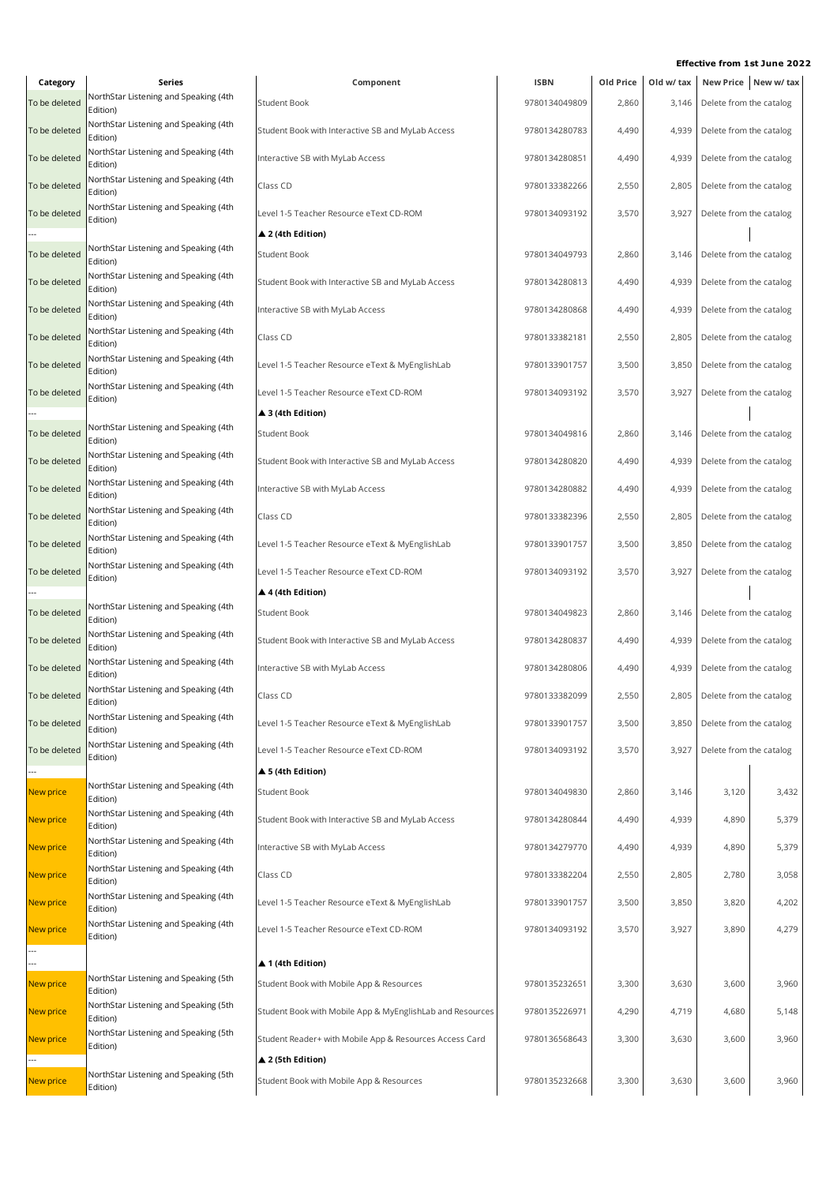| Category         | Series                                            | Component                                                 | <b>ISBN</b>   | Old Price | Old w/ tax |                               | New Price New w/tax |
|------------------|---------------------------------------------------|-----------------------------------------------------------|---------------|-----------|------------|-------------------------------|---------------------|
| To be deleted    | NorthStar Listening and Speaking (4th<br>Edition) | <b>Student Book</b>                                       | 9780134049809 | 2,860     | 3,146      | Delete from the catalog       |                     |
| To be deleted    | NorthStar Listening and Speaking (4th<br>Edition) | Student Book with Interactive SB and MyLab Access         | 9780134280783 | 4,490     | 4,939      | Delete from the catalog       |                     |
| To be deleted    | NorthStar Listening and Speaking (4th<br>Edition) | Interactive SB with MyLab Access                          | 9780134280851 | 4,490     | 4,939      | Delete from the catalog       |                     |
| To be deleted    | NorthStar Listening and Speaking (4th<br>Edition) | Class CD                                                  | 9780133382266 | 2,550     | 2,805      | Delete from the catalog       |                     |
| To be deleted    | NorthStar Listening and Speaking (4th<br>Edition) | Level 1-5 Teacher Resource eText CD-ROM                   | 9780134093192 | 3,570     | 3,927      | Delete from the catalog       |                     |
|                  |                                                   | $\blacktriangle$ 2 (4th Edition)                          |               |           |            |                               |                     |
| To be deleted    | NorthStar Listening and Speaking (4th<br>Edition) | <b>Student Book</b>                                       | 9780134049793 | 2,860     | 3,146      | Delete from the catalog       |                     |
| To be deleted    | NorthStar Listening and Speaking (4th<br>Edition) | Student Book with Interactive SB and MyLab Access         | 9780134280813 | 4,490     | 4,939      | Delete from the catalog       |                     |
| To be deleted    | NorthStar Listening and Speaking (4th<br>Edition) | Interactive SB with MyLab Access                          | 9780134280868 | 4,490     | 4,939      | Delete from the catalog       |                     |
| To be deleted    | NorthStar Listening and Speaking (4th<br>Edition) | Class CD                                                  | 9780133382181 | 2,550     | 2,805      | Delete from the catalog       |                     |
| To be deleted    | NorthStar Listening and Speaking (4th<br>Edition) | Level 1-5 Teacher Resource eText & MyEnglishLab           | 9780133901757 | 3,500     | 3,850      | Delete from the catalog       |                     |
| To be deleted    | NorthStar Listening and Speaking (4th<br>Edition) | Level 1-5 Teacher Resource eText CD-ROM                   | 9780134093192 | 3,570     | 3,927      | Delete from the catalog       |                     |
|                  |                                                   | ▲ 3 (4th Edition)                                         |               |           |            |                               |                     |
| To be deleted    | NorthStar Listening and Speaking (4th<br>Edition) | <b>Student Book</b>                                       | 9780134049816 | 2,860     | 3,146      | Delete from the catalog       |                     |
| To be deleted    | NorthStar Listening and Speaking (4th<br>Edition) | Student Book with Interactive SB and MyLab Access         | 9780134280820 | 4,490     | 4,939      | Delete from the catalog       |                     |
| To be deleted    | NorthStar Listening and Speaking (4th<br>Edition) | Interactive SB with MyLab Access                          | 9780134280882 | 4,490     | 4,939      | Delete from the catalog       |                     |
| To be deleted    | NorthStar Listening and Speaking (4th<br>Edition) | Class CD                                                  | 9780133382396 | 2,550     | 2,805      | Delete from the catalog       |                     |
| To be deleted    | NorthStar Listening and Speaking (4th<br>Edition) | Level 1-5 Teacher Resource eText & MyEnglishLab           | 9780133901757 | 3,500     | 3,850      | Delete from the catalog       |                     |
| To be deleted    | NorthStar Listening and Speaking (4th<br>Edition) | Level 1-5 Teacher Resource eText CD-ROM                   | 9780134093192 | 3,570     | 3,927      | Delete from the catalog       |                     |
|                  |                                                   | $\blacktriangle$ 4 (4th Edition)                          |               |           |            |                               |                     |
| To be deleted    | NorthStar Listening and Speaking (4th<br>Edition) | <b>Student Book</b>                                       | 9780134049823 | 2,860     | 3,146      | Delete from the catalog       |                     |
| To be deleted    | NorthStar Listening and Speaking (4th<br>Edition) | Student Book with Interactive SB and MyLab Access         | 9780134280837 | 4,490     | 4,939      | Delete from the catalog       |                     |
| To be deleted    | NorthStar Listening and Speaking (4th<br>Edition) | Interactive SB with MyLab Access                          | 9780134280806 | 4,490     | 4,939      | Delete from the catalog       |                     |
| To be deleted    | NorthStar Listening and Speaking (4th<br>Edition) | Class CD                                                  | 9780133382099 | 2,550     |            | 2,805 Delete from the catalog |                     |
| To be deleted    | NorthStar Listening and Speaking (4th<br>Edition) | Level 1-5 Teacher Resource eText & MyEnglishLab           | 9780133901757 | 3,500     | 3,850      | Delete from the catalog       |                     |
| To be deleted    | NorthStar Listening and Speaking (4th<br>Edition) | Level 1-5 Teacher Resource eText CD-ROM                   | 9780134093192 | 3,570     | 3,927      | Delete from the catalog       |                     |
|                  |                                                   | $\triangle$ 5 (4th Edition)                               |               |           |            |                               |                     |
| New price        | NorthStar Listening and Speaking (4th<br>Edition) | Student Book                                              | 9780134049830 | 2,860     | 3,146      | 3,120                         | 3,432               |
| <b>New price</b> | NorthStar Listening and Speaking (4th<br>Edition) | Student Book with Interactive SB and MyLab Access         | 9780134280844 | 4,490     | 4,939      | 4,890                         | 5,379               |
| <b>New price</b> | NorthStar Listening and Speaking (4th<br>Edition) | Interactive SB with MyLab Access                          | 9780134279770 | 4,490     | 4,939      | 4,890                         | 5,379               |
| <b>New price</b> | NorthStar Listening and Speaking (4th<br>Edition) | Class CD                                                  | 9780133382204 | 2,550     | 2,805      | 2,780                         | 3,058               |
| <b>New price</b> | NorthStar Listening and Speaking (4th<br>Edition) | Level 1-5 Teacher Resource eText & MyEnglishLab           | 9780133901757 | 3,500     | 3,850      | 3,820                         | 4,202               |
| New price        | NorthStar Listening and Speaking (4th<br>Edition) | Level 1-5 Teacher Resource eText CD-ROM                   | 9780134093192 | 3,570     | 3,927      | 3,890                         | 4,279               |
|                  |                                                   | ▲ 1 (4th Edition)                                         |               |           |            |                               |                     |
| New price        | NorthStar Listening and Speaking (5th<br>Edition) | Student Book with Mobile App & Resources                  | 9780135232651 | 3,300     | 3,630      | 3,600                         | 3,960               |
| New price        | NorthStar Listening and Speaking (5th<br>Edition) | Student Book with Mobile App & MyEnglishLab and Resources | 9780135226971 | 4,290     | 4,719      | 4,680                         | 5,148               |
| New price        | NorthStar Listening and Speaking (5th             | Student Reader+ with Mobile App & Resources Access Card   | 9780136568643 | 3,300     | 3,630      | 3,600                         | 3,960               |
|                  | Edition)                                          | ▲ 2 (5th Edition)                                         |               |           |            |                               |                     |
| New price        | NorthStar Listening and Speaking (5th<br>Edition) | Student Book with Mobile App & Resources                  | 9780135232668 | 3,300     | 3,630      | 3,600                         | 3,960               |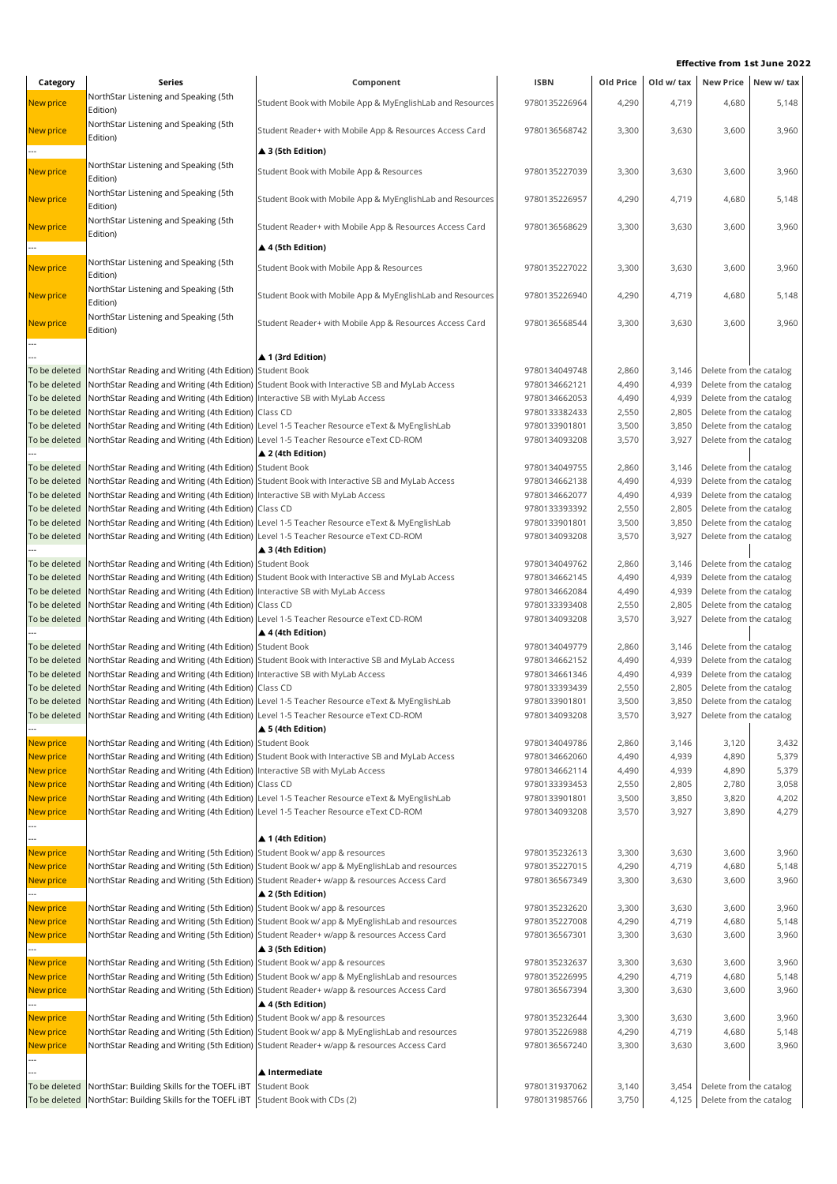| Category         | Series                                                                               | Component                                                                                                 | <b>ISBN</b>   | Old Price | Old w/ tax |                               | New Price New w/ tax |
|------------------|--------------------------------------------------------------------------------------|-----------------------------------------------------------------------------------------------------------|---------------|-----------|------------|-------------------------------|----------------------|
| <b>New price</b> | NorthStar Listening and Speaking (5th                                                | Student Book with Mobile App & MyEnglishLab and Resources                                                 | 9780135226964 | 4,290     | 4,719      | 4,680                         | 5,148                |
|                  | Edition)                                                                             |                                                                                                           |               |           |            |                               |                      |
| New price        | NorthStar Listening and Speaking (5th<br>Edition)                                    | Student Reader+ with Mobile App & Resources Access Card                                                   | 9780136568742 | 3,300     | 3,630      | 3,600                         | 3,960                |
|                  |                                                                                      | ▲ 3 (5th Edition)                                                                                         |               |           |            |                               |                      |
|                  | NorthStar Listening and Speaking (5th                                                |                                                                                                           |               |           |            |                               |                      |
| New price        | Edition)                                                                             | Student Book with Mobile App & Resources                                                                  | 9780135227039 | 3,300     | 3,630      | 3,600                         | 3,960                |
| New price        | NorthStar Listening and Speaking (5th                                                | Student Book with Mobile App & MyEnglishLab and Resources                                                 | 9780135226957 | 4,290     | 4,719      | 4,680                         | 5,148                |
|                  | Edition)                                                                             |                                                                                                           |               |           |            |                               |                      |
| New price        | NorthStar Listening and Speaking (5th                                                | Student Reader+ with Mobile App & Resources Access Card                                                   | 9780136568629 | 3,300     | 3,630      | 3,600                         | 3,960                |
|                  | Edition)                                                                             | ▲ 4 (5th Edition)                                                                                         |               |           |            |                               |                      |
|                  | NorthStar Listening and Speaking (5th                                                |                                                                                                           |               |           |            |                               |                      |
| New price        | Edition)                                                                             | Student Book with Mobile App & Resources                                                                  | 9780135227022 | 3,300     | 3,630      | 3,600                         | 3,960                |
| New price        | NorthStar Listening and Speaking (5th                                                | Student Book with Mobile App & MyEnglishLab and Resources                                                 | 9780135226940 | 4,290     | 4,719      | 4,680                         | 5,148                |
|                  | Edition)                                                                             |                                                                                                           |               |           |            |                               |                      |
| New price        | NorthStar Listening and Speaking (5th                                                | Student Reader+ with Mobile App & Resources Access Card                                                   | 9780136568544 | 3,300     | 3,630      | 3,600                         | 3,960                |
|                  | Edition)                                                                             |                                                                                                           |               |           |            |                               |                      |
|                  |                                                                                      | ▲ 1 (3rd Edition)                                                                                         |               |           |            |                               |                      |
| To be deleted    | NorthStar Reading and Writing (4th Edition) Student Book                             |                                                                                                           | 9780134049748 | 2,860     | 3,146      | Delete from the catalog       |                      |
| To be deleted    |                                                                                      | NorthStar Reading and Writing (4th Edition) Student Book with Interactive SB and MyLab Access             | 9780134662121 | 4,490     | 4,939      | Delete from the catalog       |                      |
| To be deleted    | NorthStar Reading and Writing (4th Edition) Interactive SB with MyLab Access         |                                                                                                           | 9780134662053 | 4,490     | 4,939      | Delete from the catalog       |                      |
| To be deleted    | NorthStar Reading and Writing (4th Edition) Class CD                                 |                                                                                                           | 9780133382433 | 2,550     | 2,805      | Delete from the catalog       |                      |
| To be deleted    |                                                                                      | NorthStar Reading and Writing (4th Edition) Level 1-5 Teacher Resource eText & MyEnglishLab               | 9780133901801 | 3,500     | 3,850      | Delete from the catalog       |                      |
| To be deleted    |                                                                                      | NorthStar Reading and Writing (4th Edition) Level 1-5 Teacher Resource eText CD-ROM                       | 9780134093208 | 3,570     | 3,927      | Delete from the catalog       |                      |
|                  |                                                                                      | ▲ 2 (4th Edition)                                                                                         |               |           |            |                               |                      |
| To be deleted    | NorthStar Reading and Writing (4th Edition) Student Book                             |                                                                                                           | 9780134049755 | 2,860     | 3,146      | Delete from the catalog       |                      |
| To be deleted    | NorthStar Reading and Writing (4th Edition)                                          | Student Book with Interactive SB and MyLab Access                                                         | 9780134662138 | 4,490     | 4,939      | Delete from the catalog       |                      |
| To be deleted    | NorthStar Reading and Writing (4th Edition) Interactive SB with MyLab Access         |                                                                                                           | 9780134662077 | 4,490     | 4,939      | Delete from the catalog       |                      |
| To be deleted    | NorthStar Reading and Writing (4th Edition) Class CD                                 |                                                                                                           | 9780133393392 | 2,550     | 2,805      | Delete from the catalog       |                      |
| To be deleted    |                                                                                      | NorthStar Reading and Writing (4th Edition)  Level 1-5 Teacher Resource eText & MyEnglishLab              | 9780133901801 | 3,500     | 3,850      | Delete from the catalog       |                      |
| To be deleted    |                                                                                      | NorthStar Reading and Writing (4th Edition) Level 1-5 Teacher Resource eText CD-ROM                       | 9780134093208 | 3,570     | 3,927      | Delete from the catalog       |                      |
|                  |                                                                                      | ▲ 3 (4th Edition)                                                                                         |               |           |            |                               |                      |
| To be deleted    | NorthStar Reading and Writing (4th Edition) Student Book                             |                                                                                                           | 9780134049762 | 2,860     | 3,146      | Delete from the catalog       |                      |
| To be deleted    |                                                                                      | NorthStar Reading and Writing (4th Edition) Student Book with Interactive SB and MyLab Access             | 9780134662145 | 4,490     | 4,939      | Delete from the catalog       |                      |
| To be deleted    | NorthStar Reading and Writing (4th Edition) Interactive SB with MyLab Access         |                                                                                                           | 9780134662084 | 4,490     | 4,939      | Delete from the catalog       |                      |
| To be deleted    | NorthStar Reading and Writing (4th Edition) Class CD                                 |                                                                                                           | 9780133393408 | 2,550     | 2,805      | Delete from the catalog       |                      |
| To be deleted    |                                                                                      | NorthStar Reading and Writing (4th Edition) Level 1-5 Teacher Resource eText CD-ROM                       | 9780134093208 | 3,570     | 3,927      | Delete from the catalog       |                      |
|                  |                                                                                      | $\blacktriangle$ 4 (4th Edition)                                                                          |               |           |            |                               |                      |
| To be deleted    | NorthStar Reading and Writing (4th Edition) Student Book                             |                                                                                                           | 9780134049779 | 2,860     | 3,146      | Delete from the catalog       |                      |
| To be deleted    |                                                                                      | NorthStar Reading and Writing (4th Edition) Student Book with Interactive SB and MyLab Access             | 9780134662152 | 4,490     | 4,939      | Delete from the catalog       |                      |
| To be deleted    | NorthStar Reading and Writing (4th Edition) Interactive SB with MyLab Access         |                                                                                                           | 9780134661346 | 4,490     | 4,939      | Delete from the catalog       |                      |
| To be deleted    | NorthStar Reading and Writing (4th Edition) Class CD                                 |                                                                                                           | 9780133393439 | 2,550     |            | 2,805 Delete from the catalog |                      |
|                  |                                                                                      | To be deleted NorthStar Reading and Writing (4th Edition) Level 1-5 Teacher Resource eText & MyEnglishLab | 9780133901801 | 3,500     | 3,850      | Delete from the catalog       |                      |
| To be deleted    | NorthStar Reading and Writing (4th Edition) Level 1-5 Teacher Resource eText CD-ROM  |                                                                                                           | 9780134093208 | 3,570     | 3,927      | Delete from the catalog       |                      |
|                  |                                                                                      | $\blacktriangle$ 5 (4th Edition)                                                                          |               |           |            |                               |                      |
| New price        | NorthStar Reading and Writing (4th Edition) Student Book                             |                                                                                                           | 9780134049786 | 2,860     | 3,146      | 3,120                         | 3,432                |
| New price        |                                                                                      | NorthStar Reading and Writing (4th Edition) Student Book with Interactive SB and MyLab Access             | 9780134662060 | 4,490     | 4,939      | 4,890                         | 5,379                |
| New price        | NorthStar Reading and Writing (4th Edition) Interactive SB with MyLab Access         |                                                                                                           | 9780134662114 | 4,490     | 4,939      | 4,890                         | 5,379                |
| New price        | NorthStar Reading and Writing (4th Edition) Class CD                                 |                                                                                                           | 9780133393453 | 2,550     | 2,805      | 2,780                         | 3,058                |
| New price        |                                                                                      | NorthStar Reading and Writing (4th Edition) Level 1-5 Teacher Resource eText & MyEnglishLab               | 9780133901801 | 3,500     | 3,850      | 3,820                         | 4,202                |
| New price        |                                                                                      | NorthStar Reading and Writing (4th Edition) Level 1-5 Teacher Resource eText CD-ROM                       | 9780134093208 | 3,570     | 3,927      | 3,890                         | 4,279                |
|                  |                                                                                      |                                                                                                           |               |           |            |                               |                      |
|                  |                                                                                      | ▲ 1 (4th Edition)                                                                                         |               |           |            |                               |                      |
| New price        | NorthStar Reading and Writing (5th Edition) Student Book w/ app & resources          |                                                                                                           | 9780135232613 | 3,300     | 3,630      | 3,600                         | 3,960                |
| New price        |                                                                                      | NorthStar Reading and Writing (5th Edition) Student Book w/ app & MyEnglishLab and resources              | 9780135227015 | 4,290     | 4,719      | 4,680                         | 5,148                |
| New price        |                                                                                      | NorthStar Reading and Writing (5th Edition) Student Reader+ w/app & resources Access Card                 | 9780136567349 | 3,300     | 3,630      | 3,600                         | 3,960                |
|                  |                                                                                      | ▲ 2 (5th Edition)                                                                                         |               |           |            |                               |                      |
| New price        | NorthStar Reading and Writing (5th Edition) Student Book w/ app & resources          |                                                                                                           | 9780135232620 | 3,300     | 3,630      | 3,600                         | 3,960                |
| New price        |                                                                                      | NorthStar Reading and Writing (5th Edition) Student Book w/ app & MyEnglishLab and resources              | 9780135227008 | 4,290     | 4,719      | 4,680                         | 5,148                |
| New price        |                                                                                      | NorthStar Reading and Writing (5th Edition) Student Reader+ w/app & resources Access Card                 | 9780136567301 | 3,300     | 3,630      | 3,600                         | 3,960                |
|                  |                                                                                      | ▲ 3 (5th Edition)                                                                                         |               |           |            |                               |                      |
| New price        | NorthStar Reading and Writing (5th Edition) Student Book w/ app & resources          |                                                                                                           | 9780135232637 | 3,300     | 3,630      | 3,600                         | 3,960                |
| New price        |                                                                                      | NorthStar Reading and Writing (5th Edition) Student Book w/ app & MyEnglishLab and resources              | 9780135226995 | 4,290     | 4,719      | 4,680                         | 5,148                |
| New price        |                                                                                      | NorthStar Reading and Writing (5th Edition) Student Reader+ w/app & resources Access Card                 | 9780136567394 | 3,300     | 3,630      | 3,600                         | 3,960                |
|                  |                                                                                      | ▲ 4 (5th Edition)                                                                                         |               |           |            |                               |                      |
| New price        | NorthStar Reading and Writing (5th Edition) Student Book w/ app & resources          |                                                                                                           | 9780135232644 | 3,300     | 3,630      | 3,600                         | 3,960                |
| New price        |                                                                                      | NorthStar Reading and Writing (5th Edition) Student Book w/ app & MyEnglishLab and resources              | 9780135226988 | 4,290     | 4,719      | 4,680                         | 5,148                |
| New price        |                                                                                      | NorthStar Reading and Writing (5th Edition) Student Reader+ w/app & resources Access Card                 | 9780136567240 | 3,300     | 3,630      | 3,600                         | 3,960                |
|                  |                                                                                      |                                                                                                           |               |           |            |                               |                      |
|                  |                                                                                      | $\blacktriangle$ Intermediate                                                                             |               |           |            |                               |                      |
| To be deleted    | NorthStar: Building Skills for the TOEFL iBT                                         | <b>Student Book</b>                                                                                       | 9780131937062 | 3,140     | 3,454      | Delete from the catalog       |                      |
|                  | To be deleted NorthStar: Building Skills for the TOEFL iBT Student Book with CDs (2) |                                                                                                           | 9780131985766 | 3,750     |            | 4,125 Delete from the catalog |                      |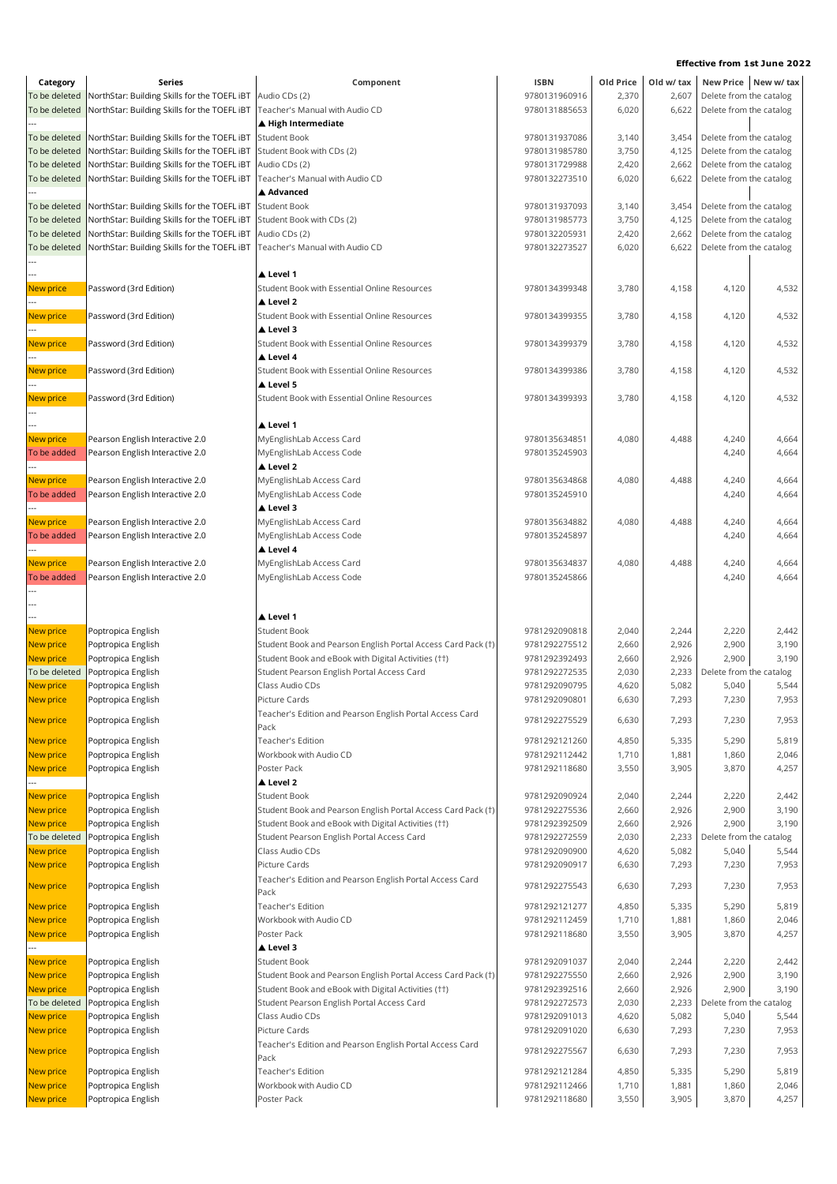| Category                       | Series                                                                                       | Component                                                                           | <b>ISBN</b>                    | Old Price      | Old w/ tax     |                                                    | New Price New w/tax |
|--------------------------------|----------------------------------------------------------------------------------------------|-------------------------------------------------------------------------------------|--------------------------------|----------------|----------------|----------------------------------------------------|---------------------|
| To be deleted                  | NorthStar: Building Skills for the TOEFL iBT                                                 | Audio CDs (2)                                                                       | 9780131960916                  | 2,370          | 2,607          | Delete from the catalog                            |                     |
| To be deleted                  | NorthStar: Building Skills for the TOEFL iBT                                                 | Teacher's Manual with Audio CD                                                      | 9780131885653                  | 6,020          | 6,622          | Delete from the catalog                            |                     |
|                                |                                                                                              | ▲ High Intermediate                                                                 |                                |                |                |                                                    |                     |
| To be deleted                  | NorthStar: Building Skills for the TOEFL iBT                                                 | <b>Student Book</b>                                                                 | 9780131937086                  | 3,140          | 3,454          | Delete from the catalog                            |                     |
| To be deleted                  | NorthStar: Building Skills for the TOEFL iBT                                                 | Student Book with CDs (2)                                                           | 9780131985780                  | 3,750          | 4,125          | Delete from the catalog<br>Delete from the catalog |                     |
| To be deleted<br>To be deleted | NorthStar: Building Skills for the TOEFL iBT<br>NorthStar: Building Skills for the TOEFL iBT | Audio CDs (2)<br>Teacher's Manual with Audio CD                                     | 9780131729988<br>9780132273510 | 2,420<br>6,020 | 2,662<br>6,622 | Delete from the catalog                            |                     |
|                                |                                                                                              | ▲ Advanced                                                                          |                                |                |                |                                                    |                     |
| To be deleted                  | NorthStar: Building Skills for the TOEFL iBT                                                 | <b>Student Book</b>                                                                 | 9780131937093                  | 3,140          | 3,454          | Delete from the catalog                            |                     |
| To be deleted                  | NorthStar: Building Skills for the TOEFL iBT                                                 | Student Book with CDs (2)                                                           | 9780131985773                  | 3,750          | 4,125          | Delete from the catalog                            |                     |
| To be deleted                  | NorthStar: Building Skills for the TOEFL iBT                                                 | Audio CDs (2)                                                                       | 9780132205931                  | 2,420          | 2,662          | Delete from the catalog                            |                     |
| To be deleted                  | NorthStar: Building Skills for the TOEFL iBT                                                 | Teacher's Manual with Audio CD                                                      | 9780132273527                  | 6,020          | 6,622          | Delete from the catalog                            |                     |
|                                |                                                                                              |                                                                                     |                                |                |                |                                                    |                     |
|                                |                                                                                              | ▲ Level 1                                                                           |                                |                |                |                                                    |                     |
| New price                      | Password (3rd Edition)                                                                       | Student Book with Essential Online Resources                                        | 9780134399348                  | 3,780          | 4,158          | 4,120                                              | 4,532               |
|                                |                                                                                              | Level 2                                                                             |                                |                |                |                                                    |                     |
| New price                      | Password (3rd Edition)                                                                       | Student Book with Essential Online Resources<br>▲ Level 3                           | 9780134399355                  | 3,780          | 4,158          | 4,120                                              | 4,532               |
| New price                      | Password (3rd Edition)                                                                       | Student Book with Essential Online Resources                                        | 9780134399379                  | 3,780          | 4,158          | 4,120                                              | 4,532               |
|                                |                                                                                              | ▲ Level 4                                                                           |                                |                |                |                                                    |                     |
| New price                      | Password (3rd Edition)                                                                       | Student Book with Essential Online Resources                                        | 9780134399386                  | 3,780          | 4,158          | 4,120                                              | 4,532               |
|                                |                                                                                              | Level 5                                                                             |                                |                |                |                                                    |                     |
| New price                      | Password (3rd Edition)                                                                       | Student Book with Essential Online Resources                                        | 9780134399393                  | 3,780          | 4,158          | 4,120                                              | 4,532               |
|                                |                                                                                              |                                                                                     |                                |                |                |                                                    |                     |
|                                |                                                                                              | ▲ Level 1                                                                           |                                |                |                |                                                    |                     |
| New price                      | Pearson English Interactive 2.0                                                              | MyEnglishLab Access Card                                                            | 9780135634851                  | 4,080          | 4,488          | 4,240                                              | 4,664               |
| To be added                    | Pearson English Interactive 2.0                                                              | MyEnglishLab Access Code                                                            | 9780135245903                  |                |                | 4,240                                              | 4,664               |
|                                |                                                                                              | ▲ Level 2                                                                           |                                |                |                |                                                    |                     |
| New price                      | Pearson English Interactive 2.0                                                              | MyEnglishLab Access Card                                                            | 9780135634868                  | 4,080          | 4,488          | 4,240                                              | 4,664               |
| To be added                    | Pearson English Interactive 2.0                                                              | MyEnglishLab Access Code<br>Level 3                                                 | 9780135245910                  |                |                | 4,240                                              | 4,664               |
| New price                      | Pearson English Interactive 2.0                                                              | MyEnglishLab Access Card                                                            | 9780135634882                  | 4,080          | 4,488          | 4,240                                              | 4,664               |
| To be added                    | Pearson English Interactive 2.0                                                              | MyEnglishLab Access Code                                                            | 9780135245897                  |                |                | 4,240                                              | 4,664               |
|                                |                                                                                              | ▲ Level 4                                                                           |                                |                |                |                                                    |                     |
| New price                      | Pearson English Interactive 2.0                                                              | MyEnglishLab Access Card                                                            | 9780135634837                  | 4,080          | 4,488          | 4,240                                              | 4,664               |
| To be added                    | Pearson English Interactive 2.0                                                              | MyEnglishLab Access Code                                                            | 9780135245866                  |                |                | 4,240                                              | 4,664               |
|                                |                                                                                              |                                                                                     |                                |                |                |                                                    |                     |
|                                |                                                                                              |                                                                                     |                                |                |                |                                                    |                     |
|                                |                                                                                              | ▲ Level 1                                                                           |                                |                |                |                                                    |                     |
| New price<br>New price         | Poptropica English<br>Poptropica English                                                     | <b>Student Book</b><br>Student Book and Pearson English Portal Access Card Pack (†) | 9781292090818<br>9781292275512 | 2,040<br>2,660 | 2,244<br>2,926 | 2,220<br>2,900                                     | 2,442<br>3,190      |
| New price                      | Poptropica English                                                                           | Student Book and eBook with Digital Activities (††)                                 | 9781292392493                  | 2,660          | 2,926          | 2,900                                              | 3,190               |
| To be deleted                  | Poptropica English                                                                           | Student Pearson English Portal Access Card                                          | 9781292272535                  | 2,030          | 2,233          | Delete from the catalog                            |                     |
| New price                      | Poptropica English                                                                           | Class Audio CDs                                                                     | 9781292090795                  | 4,620          | 5,082          | 5,040                                              | 5,544               |
| New price                      | Poptropica English                                                                           | Picture Cards                                                                       | 9781292090801                  | 6,630          | 7,293          | 7,230                                              | 7,953               |
|                                |                                                                                              | Teacher's Edition and Pearson English Portal Access Card                            |                                |                |                |                                                    |                     |
| New price                      | Poptropica English                                                                           | Pack                                                                                | 9781292275529                  | 6,630          | 7,293          | 7,230                                              | 7,953               |
| New price                      | Poptropica English                                                                           | <b>Teacher's Edition</b>                                                            | 9781292121260                  | 4,850          | 5,335          | 5,290                                              | 5,819               |
| New price                      | Poptropica English                                                                           | Workbook with Audio CD                                                              | 9781292112442                  | 1,710          | 1,881          | 1,860                                              | 2,046               |
| New price                      | Poptropica English                                                                           | Poster Pack                                                                         | 9781292118680                  | 3,550          | 3,905          | 3,870                                              | 4,257               |
|                                |                                                                                              | Level 2                                                                             |                                |                |                |                                                    |                     |
| New price<br>New price         | Poptropica English<br>Poptropica English                                                     | <b>Student Book</b><br>Student Book and Pearson English Portal Access Card Pack (†) | 9781292090924<br>9781292275536 | 2,040<br>2,660 | 2,244<br>2,926 | 2,220<br>2,900                                     | 2,442<br>3,190      |
| New price                      | Poptropica English                                                                           | Student Book and eBook with Digital Activities (††)                                 | 9781292392509                  | 2,660          | 2,926          | 2,900                                              | 3,190               |
| To be deleted                  | Poptropica English                                                                           | Student Pearson English Portal Access Card                                          | 9781292272559                  | 2,030          | 2,233          | Delete from the catalog                            |                     |
| New price                      | Poptropica English                                                                           | Class Audio CDs                                                                     | 9781292090900                  | 4,620          | 5,082          | 5,040                                              | 5,544               |
| New price                      | Poptropica English                                                                           | Picture Cards                                                                       | 9781292090917                  | 6,630          | 7,293          | 7,230                                              | 7,953               |
| <b>New price</b>               | Poptropica English                                                                           | Teacher's Edition and Pearson English Portal Access Card                            | 9781292275543                  | 6,630          | 7,293          | 7,230                                              | 7,953               |
|                                |                                                                                              | Pack                                                                                |                                |                |                |                                                    |                     |
| <b>New price</b>               | Poptropica English                                                                           | Teacher's Edition                                                                   | 9781292121277                  | 4,850          | 5,335          | 5,290                                              | 5,819               |
| New price                      | Poptropica English                                                                           | Workbook with Audio CD                                                              | 9781292112459                  | 1,710          | 1,881          | 1,860                                              | 2,046               |
| <b>New price</b>               | Poptropica English                                                                           | Poster Pack                                                                         | 9781292118680                  | 3,550          | 3,905          | 3,870                                              | 4,257               |
|                                |                                                                                              | ▲ Level 3<br><b>Student Book</b>                                                    |                                |                |                |                                                    |                     |
| New price<br><b>New price</b>  | Poptropica English<br>Poptropica English                                                     | Student Book and Pearson English Portal Access Card Pack (†)                        | 9781292091037<br>9781292275550 | 2,040<br>2,660 | 2,244<br>2,926 | 2,220<br>2,900                                     | 2,442<br>3,190      |
| New price                      | Poptropica English                                                                           | Student Book and eBook with Digital Activities (††)                                 | 9781292392516                  | 2,660          | 2,926          | 2,900                                              | 3,190               |
| To be deleted                  | Poptropica English                                                                           | Student Pearson English Portal Access Card                                          | 9781292272573                  | 2,030          | 2,233          | Delete from the catalog                            |                     |
| <b>New price</b>               | Poptropica English                                                                           | Class Audio CDs                                                                     | 9781292091013                  | 4,620          | 5,082          | 5,040                                              | 5,544               |
| New price                      | Poptropica English                                                                           | Picture Cards                                                                       | 9781292091020                  | 6,630          | 7,293          | 7,230                                              | 7,953               |
| New price                      | Poptropica English                                                                           | Teacher's Edition and Pearson English Portal Access Card                            | 9781292275567                  | 6,630          | 7,293          | 7,230                                              | 7,953               |
|                                |                                                                                              | Pack                                                                                |                                |                |                |                                                    |                     |
| New price                      | Poptropica English                                                                           | Teacher's Edition                                                                   | 9781292121284                  | 4,850          | 5,335          | 5,290                                              | 5,819               |
| New price                      | Poptropica English                                                                           | Workbook with Audio CD                                                              | 9781292112466                  | 1,710          | 1,881          | 1,860                                              | 2,046               |
| New price                      | Poptropica English                                                                           | Poster Pack                                                                         | 9781292118680                  | 3,550          | 3,905          | 3,870                                              | 4,257               |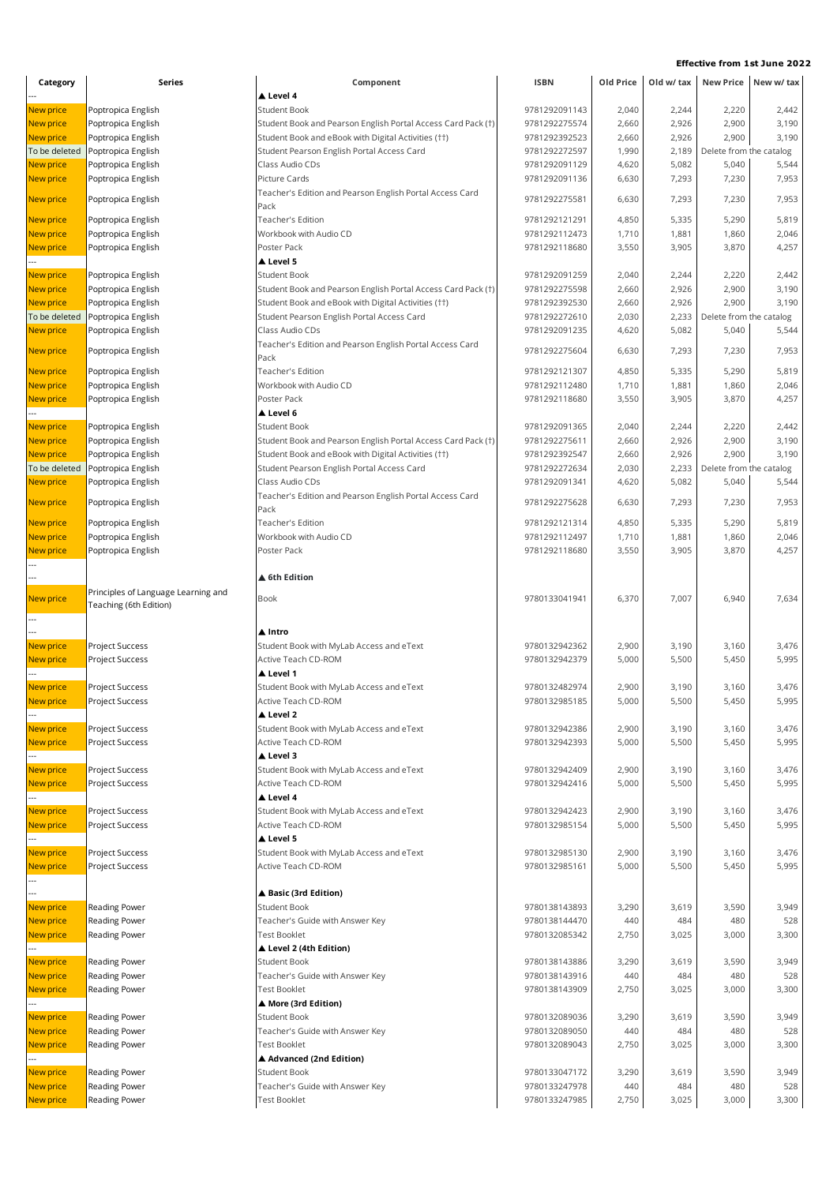| Category                          | Series                                   | Component                                                                                         | <b>ISBN</b>                    | Old Price      | Old w/ tax     |                                  | New Price New w/ tax |
|-----------------------------------|------------------------------------------|---------------------------------------------------------------------------------------------------|--------------------------------|----------------|----------------|----------------------------------|----------------------|
|                                   |                                          | ▲ Level 4                                                                                         |                                |                |                |                                  |                      |
| New price                         | Poptropica English                       | <b>Student Book</b>                                                                               | 9781292091143                  | 2,040          | 2,244          | 2,220                            | 2,442                |
| New price                         | Poptropica English                       | Student Book and Pearson English Portal Access Card Pack (†)                                      | 9781292275574                  | 2,660          | 2,926          | 2,900                            | 3,190                |
| New price                         | Poptropica English                       | Student Book and eBook with Digital Activities (††)                                               | 9781292392523                  | 2,660          | 2,926          | 2,900                            | 3,190                |
| To be deleted                     | Poptropica English                       | Student Pearson English Portal Access Card                                                        | 9781292272597                  | 1,990          | 2,189          | Delete from the catalog          |                      |
| <b>New price</b>                  | Poptropica English                       | Class Audio CDs                                                                                   | 9781292091129                  | 4,620          | 5,082          | 5,040                            | 5,544                |
| New price                         | Poptropica English                       | Picture Cards                                                                                     | 9781292091136                  | 6,630          | 7,293          | 7,230                            | 7,953                |
| <b>New price</b>                  | Poptropica English                       | Teacher's Edition and Pearson English Portal Access Card<br>Pack                                  | 9781292275581                  | 6,630          | 7,293          | 7,230                            | 7,953                |
| New price                         | Poptropica English                       | <b>Teacher's Edition</b>                                                                          | 9781292121291                  | 4,850          | 5,335          | 5,290                            | 5,819                |
| <b>New price</b>                  | Poptropica English                       | Workbook with Audio CD                                                                            | 9781292112473                  | 1,710          | 1,881          | 1,860                            | 2,046                |
| New price                         | Poptropica English                       | Poster Pack                                                                                       | 9781292118680                  | 3,550          | 3,905          | 3,870                            | 4,257                |
|                                   |                                          | Level 5                                                                                           |                                |                |                |                                  |                      |
| New price                         | Poptropica English                       | <b>Student Book</b>                                                                               | 9781292091259                  | 2,040          | 2,244          | 2,220                            | 2,442                |
| New price                         | Poptropica English                       | Student Book and Pearson English Portal Access Card Pack (†)                                      | 9781292275598                  | 2,660          | 2,926          | 2,900                            | 3,190                |
| New price                         | Poptropica English                       | Student Book and eBook with Digital Activities (††)                                               | 9781292392530<br>9781292272610 | 2,660          | 2,926          | 2,900<br>Delete from the catalog | 3,190                |
| To be deleted<br>New price        | Poptropica English                       | Student Pearson English Portal Access Card<br>Class Audio CDs                                     | 9781292091235                  | 2,030<br>4,620 | 2,233<br>5,082 | 5,040                            | 5,544                |
|                                   | Poptropica English                       | Teacher's Edition and Pearson English Portal Access Card                                          |                                |                |                |                                  |                      |
| New price                         | Poptropica English                       | Pack                                                                                              | 9781292275604                  | 6,630          | 7,293          | 7,230                            | 7,953                |
| New price                         | Poptropica English                       | Teacher's Edition                                                                                 | 9781292121307                  | 4,850          | 5,335          | 5,290                            | 5,819                |
| <b>New price</b>                  | Poptropica English                       | Workbook with Audio CD                                                                            | 9781292112480                  | 1,710          | 1,881          | 1,860                            | 2,046                |
| New price                         | Poptropica English                       | Poster Pack                                                                                       | 9781292118680                  | 3,550          | 3,905          | 3,870                            | 4,257                |
|                                   |                                          | ▲ Level 6                                                                                         |                                |                |                |                                  |                      |
| New price                         | Poptropica English                       | <b>Student Book</b>                                                                               | 9781292091365                  | 2,040          | 2,244          | 2,220                            | 2,442                |
| <b>New price</b>                  | Poptropica English                       | Student Book and Pearson English Portal Access Card Pack (†)                                      | 9781292275611                  | 2,660          | 2,926          | 2,900                            | 3,190                |
| <b>New price</b><br>To be deleted | Poptropica English<br>Poptropica English | Student Book and eBook with Digital Activities (††)<br>Student Pearson English Portal Access Card | 9781292392547<br>9781292272634 | 2,660<br>2,030 | 2,926<br>2,233 | 2,900<br>Delete from the catalog | 3,190                |
| <b>New price</b>                  | Poptropica English                       | Class Audio CDs                                                                                   | 9781292091341                  | 4,620          | 5,082          | 5,040                            | 5,544                |
|                                   |                                          | Teacher's Edition and Pearson English Portal Access Card                                          |                                |                |                |                                  |                      |
| <b>New price</b>                  | Poptropica English                       | Pack                                                                                              | 9781292275628                  | 6,630          | 7,293          | 7,230                            | 7,953                |
| <b>New price</b>                  | Poptropica English                       | Teacher's Edition                                                                                 | 9781292121314                  | 4,850          | 5,335          | 5,290                            | 5,819                |
| <b>New price</b>                  | Poptropica English                       | Workbook with Audio CD                                                                            | 9781292112497                  | 1,710          | 1,881          | 1,860                            | 2,046                |
| <b>New price</b>                  | Poptropica English                       | Poster Pack                                                                                       | 9781292118680                  | 3,550          | 3,905          | 3,870                            | 4,257                |
|                                   |                                          | ▲ 6th Edition                                                                                     |                                |                |                |                                  |                      |
|                                   | Principles of Language Learning and      |                                                                                                   |                                |                |                |                                  |                      |
| New price                         | Teaching (6th Edition)                   | Book                                                                                              | 9780133041941                  | 6,370          | 7,007          | 6,940                            | 7,634                |
|                                   |                                          |                                                                                                   |                                |                |                |                                  |                      |
|                                   |                                          | ▲ Intro                                                                                           |                                |                |                |                                  |                      |
| <b>New price</b>                  | Project Success                          | Student Book with MyLab Access and eText                                                          | 9780132942362                  | 2,900          | 3,190          | 3,160                            | 3,476                |
| <b>New price</b>                  | Project Success                          | Active Teach CD-ROM                                                                               | 9780132942379                  | 5,000          | 5,500          | 5,450                            | 5,995                |
|                                   |                                          | ▲ Level 1                                                                                         |                                |                |                |                                  |                      |
| <b>New price</b>                  | Project Success                          | Student Book with MyLab Access and eText                                                          | 9780132482974                  | 2,900          | 3,190          | 3,160                            | 3,476                |
| New price                         | Project Success                          | Active Teach CD-ROM                                                                               | 9780132985185                  | 5,000          | 5,500          | 5,450                            | 5,995                |
|                                   |                                          | ▲ Level 2                                                                                         |                                |                |                |                                  |                      |
| New price                         | Project Success                          | Student Book with MyLab Access and eText<br>Active Teach CD-ROM                                   | 9780132942386                  | 2,900          | 3,190          | 3,160                            | 3,476                |
| <b>New price</b>                  | Project Success                          | ▲ Level 3                                                                                         | 9780132942393                  | 5,000          | 5,500          | 5,450                            | 5,995                |
| <b>New price</b>                  | Project Success                          | Student Book with MyLab Access and eText                                                          | 9780132942409                  | 2,900          | 3,190          | 3,160                            | 3,476                |
| New price                         | Project Success                          | Active Teach CD-ROM                                                                               | 9780132942416                  | 5,000          | 5,500          | 5,450                            | 5,995                |
|                                   |                                          | ▲ Level 4                                                                                         |                                |                |                |                                  |                      |
| <b>New price</b>                  | Project Success                          | Student Book with MyLab Access and eText                                                          | 9780132942423                  | 2,900          | 3,190          | 3,160                            | 3,476                |
| New price                         | Project Success                          | Active Teach CD-ROM                                                                               | 9780132985154                  | 5,000          | 5,500          | 5,450                            | 5,995                |
|                                   |                                          | ▲ Level 5                                                                                         |                                |                |                |                                  |                      |
| New price                         | Project Success                          | Student Book with MyLab Access and eText                                                          | 9780132985130                  | 2,900          | 3,190          | 3,160                            | 3,476                |
| <b>New price</b>                  | Project Success                          | Active Teach CD-ROM                                                                               | 9780132985161                  | 5,000          | 5,500          | 5,450                            | 5,995                |
|                                   |                                          |                                                                                                   |                                |                |                |                                  |                      |
|                                   |                                          | ▲ Basic (3rd Edition)                                                                             |                                |                |                |                                  |                      |
| New price                         | Reading Power                            | <b>Student Book</b>                                                                               | 9780138143893                  | 3,290          | 3,619          | 3,590                            | 3,949                |
| <b>New price</b>                  | Reading Power                            | Teacher's Guide with Answer Key                                                                   | 9780138144470                  | 440            | 484            | 480                              | 528                  |
| New price                         | Reading Power                            | <b>Test Booklet</b><br>▲ Level 2 (4th Edition)                                                    | 9780132085342                  | 2,750          | 3,025          | 3,000                            | 3,300                |
| <b>New price</b>                  | Reading Power                            | <b>Student Book</b>                                                                               | 9780138143886                  | 3,290          | 3,619          | 3,590                            | 3,949                |
| <b>New price</b>                  | Reading Power                            | Teacher's Guide with Answer Key                                                                   | 9780138143916                  | 440            | 484            | 480                              | 528                  |
| <b>New price</b>                  | Reading Power                            | <b>Test Booklet</b>                                                                               | 9780138143909                  | 2,750          | 3,025          | 3,000                            | 3,300                |
|                                   |                                          | ▲ More (3rd Edition)                                                                              |                                |                |                |                                  |                      |
| New price                         | Reading Power                            | <b>Student Book</b>                                                                               | 9780132089036                  | 3,290          | 3,619          | 3,590                            | 3,949                |
| <b>New price</b>                  | Reading Power                            | Teacher's Guide with Answer Key                                                                   | 9780132089050                  | 440            | 484            | 480                              | 528                  |
| New price                         | Reading Power                            | <b>Test Booklet</b>                                                                               | 9780132089043                  | 2,750          | 3,025          | 3,000                            | 3,300                |
|                                   |                                          | ▲ Advanced (2nd Edition)                                                                          |                                |                |                |                                  |                      |
| New price                         | Reading Power                            | <b>Student Book</b>                                                                               | 9780133047172                  | 3,290          | 3,619          | 3,590                            | 3,949                |
| <b>New price</b>                  | Reading Power                            | Teacher's Guide with Answer Key                                                                   | 9780133247978                  | 440            | 484            | 480                              | 528                  |
| New price                         | Reading Power                            | <b>Test Booklet</b>                                                                               | 9780133247985                  | 2,750          | 3,025          | 3,000                            | 3,300                |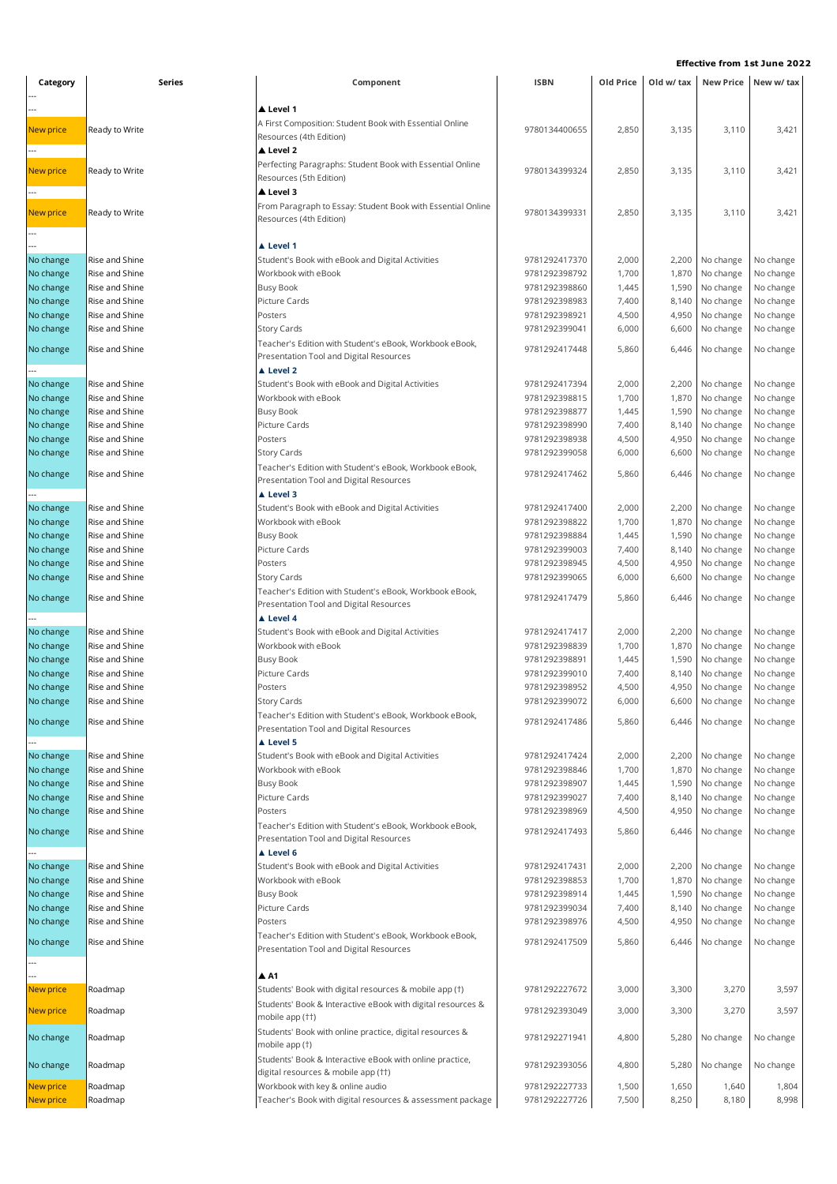| Category               | <b>Series</b>                    | Component                                                                                          | <b>ISBN</b>                    | Old Price      | Old w/ tax     |                        | New Price New w/ tax   |  |
|------------------------|----------------------------------|----------------------------------------------------------------------------------------------------|--------------------------------|----------------|----------------|------------------------|------------------------|--|
|                        |                                  |                                                                                                    |                                |                |                |                        |                        |  |
|                        |                                  | ▲ Level 1                                                                                          |                                |                |                |                        |                        |  |
| <b>New price</b>       | Ready to Write                   | A First Composition: Student Book with Essential Online                                            | 9780134400655                  | 2,850          | 3,135          | 3,110                  | 3,421                  |  |
|                        |                                  | Resources (4th Edition)                                                                            |                                |                |                |                        |                        |  |
|                        |                                  | ▲ Level 2                                                                                          |                                |                |                |                        |                        |  |
| New price              | Ready to Write                   | Perfecting Paragraphs: Student Book with Essential Online                                          | 9780134399324                  | 2,850          | 3,135          | 3,110                  | 3,421                  |  |
|                        |                                  | Resources (5th Edition)                                                                            |                                |                |                |                        |                        |  |
|                        |                                  | Level 3                                                                                            |                                |                |                |                        |                        |  |
| New price              | Ready to Write                   | From Paragraph to Essay: Student Book with Essential Online                                        | 9780134399331                  | 2,850          | 3,135          | 3,110                  | 3,421                  |  |
|                        |                                  | Resources (4th Edition)                                                                            |                                |                |                |                        |                        |  |
|                        |                                  |                                                                                                    |                                |                |                |                        |                        |  |
|                        |                                  | ▲ Level 1                                                                                          |                                |                |                |                        |                        |  |
| No change              | Rise and Shine                   | Student's Book with eBook and Digital Activities                                                   | 9781292417370                  | 2,000          | 2,200          | No change              | No change              |  |
| No change              | Rise and Shine                   | Workbook with eBook                                                                                | 9781292398792                  | 1,700          | 1,870          | No change              | No change              |  |
| No change              | Rise and Shine                   | <b>Busy Book</b>                                                                                   | 9781292398860                  | 1,445          | 1,590          | No change              | No change              |  |
| No change              | Rise and Shine                   | Picture Cards                                                                                      | 9781292398983                  | 7,400          | 8,140          | No change              | No change              |  |
| No change              | Rise and Shine                   | Posters                                                                                            | 9781292398921                  | 4,500          | 4,950          | No change              | No change              |  |
| No change              | Rise and Shine                   | <b>Story Cards</b>                                                                                 | 9781292399041                  | 6,000          | 6,600          | No change              | No change              |  |
| No change              | Rise and Shine                   | Teacher's Edition with Student's eBook, Workbook eBook,<br>Presentation Tool and Digital Resources | 9781292417448                  | 5,860          | 6,446          | No change              | No change              |  |
|                        |                                  | A Level 2                                                                                          |                                |                |                |                        |                        |  |
|                        |                                  |                                                                                                    |                                |                |                |                        |                        |  |
| No change<br>No change | Rise and Shine                   | Student's Book with eBook and Digital Activities<br>Workbook with eBook                            | 9781292417394                  | 2,000<br>1,700 | 2,200          | No change              | No change<br>No change |  |
|                        | Rise and Shine<br>Rise and Shine |                                                                                                    | 9781292398815<br>9781292398877 | 1,445          | 1,870<br>1,590 | No change<br>No change |                        |  |
| No change              | Rise and Shine                   | <b>Busy Book</b><br>Picture Cards                                                                  | 9781292398990                  | 7,400          |                | No change              | No change              |  |
| No change<br>No change | Rise and Shine                   | Posters                                                                                            | 9781292398938                  | 4,500          | 8,140          | No change              | No change<br>No change |  |
| No change              | Rise and Shine                   | <b>Story Cards</b>                                                                                 | 9781292399058                  | 6,000          | 4,950<br>6,600 | No change              | No change              |  |
|                        |                                  | Teacher's Edition with Student's eBook, Workbook eBook,                                            |                                |                |                |                        |                        |  |
| No change              | Rise and Shine                   | Presentation Tool and Digital Resources                                                            | 9781292417462                  | 5,860          | 6,446          | No change              | No change              |  |
|                        |                                  | ▲ Level 3                                                                                          |                                |                |                |                        |                        |  |
| No change              | Rise and Shine                   | Student's Book with eBook and Digital Activities                                                   | 9781292417400                  | 2,000          | 2,200          | No change              | No change              |  |
| No change              | Rise and Shine                   | Workbook with eBook                                                                                | 9781292398822                  | 1,700          | 1,870          | No change              | No change              |  |
| No change              | Rise and Shine                   | <b>Busy Book</b>                                                                                   | 9781292398884                  | 1,445          | 1,590          | No change              | No change              |  |
| No change              | Rise and Shine                   | Picture Cards                                                                                      | 9781292399003                  | 7,400          | 8,140          | No change              | No change              |  |
| No change              | Rise and Shine                   | Posters                                                                                            | 9781292398945                  | 4,500          | 4,950          | No change              | No change              |  |
| No change              | Rise and Shine                   | <b>Story Cards</b>                                                                                 | 9781292399065                  | 6,000          | 6,600          | No change              | No change              |  |
|                        |                                  | Teacher's Edition with Student's eBook, Workbook eBook,                                            |                                |                |                |                        |                        |  |
| No change              | Rise and Shine                   | Presentation Tool and Digital Resources                                                            | 9781292417479                  | 5,860          | 6,446          | No change              | No change              |  |
|                        |                                  | ▲ Level 4                                                                                          |                                |                |                |                        |                        |  |
| No change              | Rise and Shine                   | Student's Book with eBook and Digital Activities                                                   | 9781292417417                  | 2,000          | 2,200          | No change              | No change              |  |
| No change              | Rise and Shine                   | Workbook with eBook                                                                                | 9781292398839                  | 1,700          | 1,870          | No change              | No change              |  |
| No change              | Rise and Shine                   | <b>Busy Book</b>                                                                                   | 9781292398891                  | 1,445          | 1,590          | No change              | No change              |  |
| No change              | Rise and Shine                   | Picture Cards                                                                                      | 9781292399010                  | 7,400          | 8,140          | No change              | No change              |  |
| No change              | Rise and Shine                   | Posters                                                                                            | 9781292398952                  | 4,500          | 4,950          | No change              | No change              |  |
| No change              | Rise and Shine                   | <b>Story Cards</b>                                                                                 | 9781292399072                  | 6,000          | 6,600          | No change              | No change              |  |
| No change              | Rise and Shine                   | Teacher's Edition with Student's eBook, Workbook eBook,                                            | 9781292417486                  | 5,860          | 6,446          | No change              | No change              |  |
|                        |                                  | Presentation Tool and Digital Resources                                                            |                                |                |                |                        |                        |  |
|                        |                                  | ▲ Level 5                                                                                          |                                |                |                |                        |                        |  |
| No change              | Rise and Shine                   | Student's Book with eBook and Digital Activities                                                   | 9781292417424                  | 2,000          | 2,200          | No change              | No change              |  |
| No change              | Rise and Shine                   | Workbook with eBook                                                                                | 9781292398846                  | 1,700          | 1,870          | No change              | No change              |  |
| No change              | Rise and Shine                   | <b>Busy Book</b>                                                                                   | 9781292398907                  | 1,445          | 1,590          | No change              | No change              |  |
| No change              | Rise and Shine                   | Picture Cards                                                                                      | 9781292399027                  | 7,400          | 8,140          | No change              | No change              |  |
| No change              | Rise and Shine                   | Posters                                                                                            | 9781292398969                  | 4,500          | 4,950          | No change              | No change              |  |
| No change              | Rise and Shine                   | Teacher's Edition with Student's eBook, Workbook eBook,                                            | 9781292417493                  | 5,860          | 6,446          | No change              | No change              |  |
|                        |                                  | Presentation Tool and Digital Resources                                                            |                                |                |                |                        |                        |  |
|                        |                                  | ▲ Level 6                                                                                          |                                |                |                |                        |                        |  |
| No change              | Rise and Shine                   | Student's Book with eBook and Digital Activities                                                   | 9781292417431                  | 2,000          | 2,200          | No change              | No change              |  |
| No change              | Rise and Shine                   | Workbook with eBook                                                                                | 9781292398853                  | 1,700          | 1,870          | No change              | No change              |  |
| No change              | Rise and Shine                   | <b>Busy Book</b>                                                                                   | 9781292398914                  | 1,445          | 1,590          | No change              | No change              |  |
| No change              | Rise and Shine                   | Picture Cards                                                                                      | 9781292399034                  | 7,400          | 8,140          | No change              | No change              |  |
| No change              | Rise and Shine                   | Posters                                                                                            | 9781292398976                  | 4,500          | 4,950          | No change              | No change              |  |
| No change              | Rise and Shine                   | Teacher's Edition with Student's eBook, Workbook eBook,                                            | 9781292417509                  | 5,860          | 6,446          | No change              | No change              |  |
|                        |                                  | Presentation Tool and Digital Resources                                                            |                                |                |                |                        |                        |  |
|                        |                                  | $A$ A1                                                                                             |                                |                |                |                        |                        |  |
| New price              | Roadmap                          | Students' Book with digital resources & mobile app (†)                                             | 9781292227672                  | 3,000          | 3,300          | 3,270                  | 3,597                  |  |
|                        |                                  | Students' Book & Interactive eBook with digital resources &                                        |                                |                |                |                        |                        |  |
| New price              | Roadmap                          | mobile app (††)                                                                                    | 9781292393049                  | 3,000          | 3,300          | 3,270                  | 3,597                  |  |
|                        |                                  | Students' Book with online practice, digital resources &                                           |                                |                |                |                        |                        |  |
| No change              | Roadmap                          | mobile app (†)                                                                                     | 9781292271941                  | 4,800          | 5,280          | No change              | No change              |  |
|                        |                                  | Students' Book & Interactive eBook with online practice,                                           |                                |                |                |                        |                        |  |
| No change              | Roadmap                          | digital resources & mobile app (††)                                                                | 9781292393056                  | 4,800          | 5,280          | No change              | No change              |  |
| New price              | Roadmap                          | Workbook with key & online audio                                                                   | 9781292227733                  | 1,500          | 1,650          | 1,640                  | 1,804                  |  |
| New price              | Roadmap                          | Teacher's Book with digital resources & assessment package                                         | 9781292227726                  | 7,500          | 8,250          | 8,180                  | 8,998                  |  |
|                        |                                  |                                                                                                    |                                |                |                |                        |                        |  |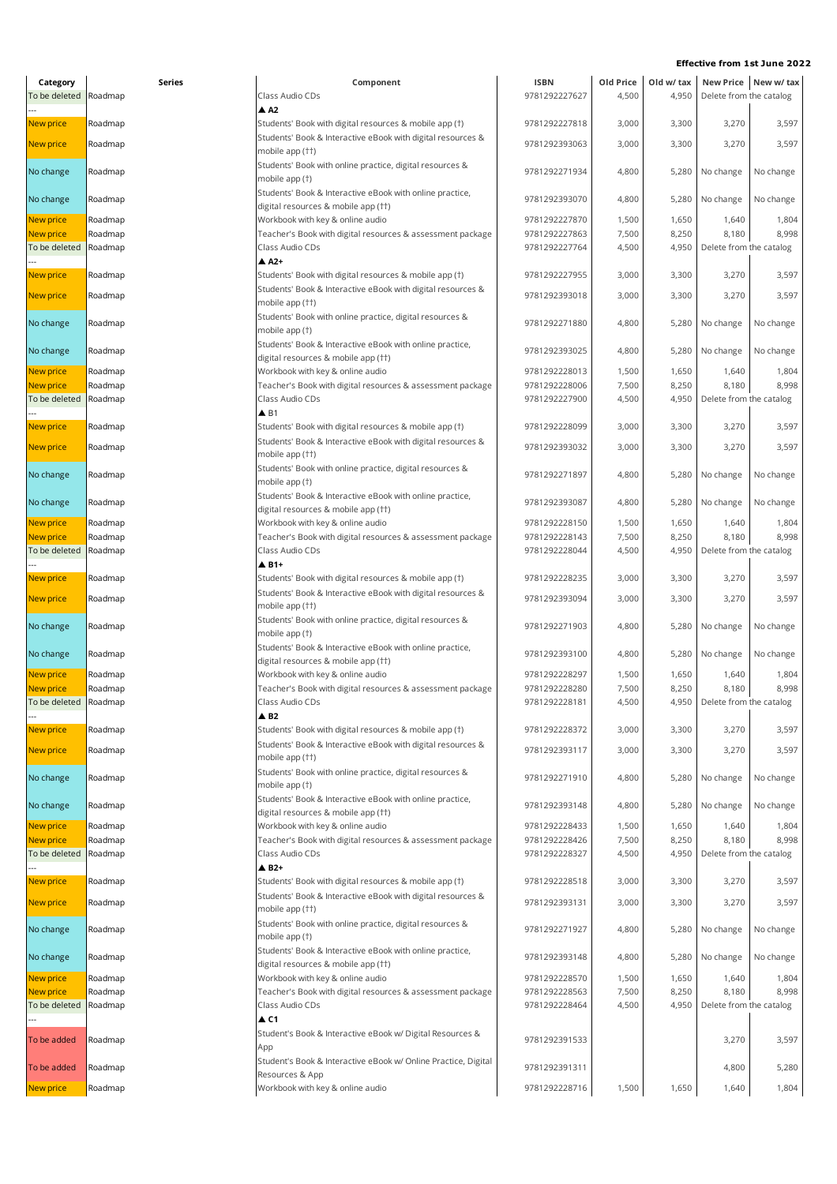| Category               | Series             | Component                                                                                       | <b>ISBN</b>                    | Old Price      | Old w/ tax     |                               | New Price New w/ tax |
|------------------------|--------------------|-------------------------------------------------------------------------------------------------|--------------------------------|----------------|----------------|-------------------------------|----------------------|
| To be deleted          | Roadmap            | Class Audio CDs<br>$\triangle$ A2                                                               | 9781292227627                  | 4,500          | 4,950          | Delete from the catalog       |                      |
| New price              | Roadmap            | Students' Book with digital resources & mobile app (†)                                          | 9781292227818                  | 3,000          | 3,300          | 3,270                         | 3,597                |
| New price              | Roadmap            | Students' Book & Interactive eBook with digital resources &<br>mobile app (††)                  | 9781292393063                  | 3,000          | 3,300          | 3,270                         | 3,597                |
| No change              | Roadmap            | Students' Book with online practice, digital resources &<br>mobile app (†)                      | 9781292271934                  | 4,800          | 5,280          | No change                     | No change            |
| No change              | Roadmap            | Students' Book & Interactive eBook with online practice,<br>digital resources & mobile app (††) | 9781292393070                  | 4,800          | 5,280          | No change                     | No change            |
| <b>New price</b>       | Roadmap            | Workbook with key & online audio                                                                | 9781292227870                  | 1,500          | 1,650          | 1,640                         | 1,804                |
| New price              | Roadmap            | Teacher's Book with digital resources & assessment package                                      | 9781292227863                  | 7,500          | 8,250          | 8,180                         | 8,998                |
| To be deleted          | Roadmap            | Class Audio CDs<br>$A$ A2+                                                                      | 9781292227764                  | 4,500          | 4,950          | Delete from the catalog       |                      |
| <b>New price</b>       | Roadmap            | Students' Book with digital resources & mobile app (†)                                          | 9781292227955                  | 3,000          | 3,300          | 3,270                         | 3,597                |
| <b>New price</b>       | Roadmap            | Students' Book & Interactive eBook with digital resources &<br>mobile app (††)                  | 9781292393018                  | 3,000          | 3,300          | 3,270                         | 3,597                |
| No change              | Roadmap            | Students' Book with online practice, digital resources &<br>mobile app (†)                      | 9781292271880                  | 4,800          | 5,280          | No change                     | No change            |
| No change              | Roadmap            | Students' Book & Interactive eBook with online practice,<br>digital resources & mobile app (††) | 9781292393025                  | 4,800          | 5,280          | No change                     | No change            |
| <b>New price</b>       | Roadmap            | Workbook with key & online audio                                                                | 9781292228013                  | 1,500          | 1,650          | 1,640                         | 1,804                |
| New price              | Roadmap            | Teacher's Book with digital resources & assessment package                                      | 9781292228006                  | 7,500          | 8,250          | 8,180                         | 8,998                |
| To be deleted          | Roadmap            | Class Audio CDs                                                                                 | 9781292227900                  | 4,500          | 4,950          | Delete from the catalog       |                      |
|                        |                    | $\triangle$ B1                                                                                  |                                |                |                |                               |                      |
| New price              | Roadmap            | Students' Book with digital resources & mobile app (†)                                          | 9781292228099                  | 3,000          | 3,300          | 3,270                         | 3,597                |
| <b>New price</b>       | Roadmap            | Students' Book & Interactive eBook with digital resources &<br>mobile app (††)                  | 9781292393032                  | 3,000          | 3,300          | 3,270                         | 3,597                |
| No change              | Roadmap            | Students' Book with online practice, digital resources &<br>mobile app (†)                      | 9781292271897                  | 4,800          | 5,280          | No change                     | No change            |
| No change              | Roadmap            | Students' Book & Interactive eBook with online practice,<br>digital resources & mobile app (††) | 9781292393087                  | 4,800          | 5,280          | No change                     | No change            |
| <b>New price</b>       | Roadmap            | Workbook with key & online audio                                                                | 9781292228150                  | 1,500          | 1,650          | 1,640                         | 1,804                |
| New price              | Roadmap            | Teacher's Book with digital resources & assessment package                                      | 9781292228143                  | 7,500          | 8,250          | 8,180                         | 8,998                |
| To be deleted          | Roadmap            | Class Audio CDs                                                                                 | 9781292228044                  | 4,500          | 4,950          | Delete from the catalog       |                      |
|                        |                    | $\triangle$ B1+                                                                                 |                                |                |                |                               |                      |
| New price              | Roadmap            | Students' Book with digital resources & mobile app (†)                                          | 9781292228235                  | 3,000          | 3,300          | 3,270                         | 3,597                |
| New price              | Roadmap            | Students' Book & Interactive eBook with digital resources &<br>mobile app (††)                  | 9781292393094                  | 3,000          | 3,300          | 3,270                         | 3,597                |
| No change              | Roadmap            | Students' Book with online practice, digital resources &<br>mobile app (†)                      | 9781292271903                  | 4,800          | 5,280          | No change                     | No change            |
| No change              | Roadmap            | Students' Book & Interactive eBook with online practice,<br>digital resources & mobile app (††) | 9781292393100                  | 4,800          |                | 5,280 No change               | No change            |
| New price              | Roadmap            | Workbook with key & online audio                                                                | 9781292228297                  | 1,500          | 1,650          | 1,640                         | 1,804                |
| <b>New price</b>       | Roadmap            | Teacher's Book with digital resources & assessment package                                      | 9781292228280                  | 7,500          | 8,250          | 8,180                         | 8,998                |
| To be deleted          | Roadmap            | Class Audio CDs                                                                                 | 9781292228181                  | 4,500          |                | 4,950 Delete from the catalog |                      |
| New price              | Roadmap            | $\triangle$ B <sub>2</sub><br>Students' Book with digital resources & mobile app (†)            | 9781292228372                  | 3,000          | 3,300          | 3,270                         | 3,597                |
| New price              | Roadmap            | Students' Book & Interactive eBook with digital resources &                                     | 9781292393117                  | 3,000          | 3,300          | 3,270                         | 3,597                |
| No change              | Roadmap            | mobile app (††)<br>Students' Book with online practice, digital resources &<br>mobile app (†)   | 9781292271910                  | 4,800          | 5,280          | No change                     | No change            |
| No change              | Roadmap            | Students' Book & Interactive eBook with online practice,<br>digital resources & mobile app (††) | 9781292393148                  | 4,800          |                | 5,280 No change               | No change            |
| New price              | Roadmap            | Workbook with key & online audio                                                                | 9781292228433                  | 1,500          | 1,650          | 1,640                         | 1,804                |
| New price              | Roadmap            | Teacher's Book with digital resources & assessment package                                      | 9781292228426                  | 7,500          | 8,250          | 8,180                         | 8,998                |
| To be deleted          | Roadmap            | Class Audio CDs                                                                                 | 9781292228327                  | 4,500          | 4,950          | Delete from the catalog       |                      |
|                        |                    | $\triangle$ B <sub>2+</sub><br>Students' Book with digital resources & mobile app (†)           |                                |                |                | 3,270                         | 3,597                |
| New price<br>New price | Roadmap<br>Roadmap | Students' Book & Interactive eBook with digital resources &                                     | 9781292228518<br>9781292393131 | 3,000<br>3,000 | 3,300<br>3,300 | 3,270                         | 3,597                |
|                        |                    | mobile app (††)<br>Students' Book with online practice, digital resources &                     |                                |                |                |                               |                      |
| No change              | Roadmap            | mobile app (†)<br>Students' Book & Interactive eBook with online practice,                      | 9781292271927                  | 4,800          | 5,280          | No change                     | No change            |
| No change              | Roadmap            | digital resources & mobile app (††)                                                             | 9781292393148                  | 4,800          |                | 5,280 No change               | No change            |
| New price              | Roadmap            | Workbook with key & online audio                                                                | 9781292228570                  | 1,500          | 1,650          | 1,640                         | 1,804                |
| <b>New price</b>       | Roadmap            | Teacher's Book with digital resources & assessment package                                      | 9781292228563                  | 7,500          | 8,250          | 8,180                         | 8,998                |
| To be deleted          | Roadmap            | Class Audio CDs<br>$\triangle$ C1                                                               | 9781292228464                  | 4,500          | 4,950          | Delete from the catalog       |                      |
| To be added            | Roadmap            | Student's Book & Interactive eBook w/ Digital Resources &<br>App                                | 9781292391533                  |                |                | 3,270                         | 3,597                |
| To be added            | Roadmap            | Student's Book & Interactive eBook w/ Online Practice, Digital<br>Resources & App               | 9781292391311                  |                |                | 4,800                         | 5,280                |
| New price              | Roadmap            | Workbook with key & online audio                                                                | 9781292228716                  | 1,500          | 1,650          | 1,640                         | 1,804                |
|                        |                    |                                                                                                 |                                |                |                |                               |                      |

| <b>ISBN</b><br>81292227627 | Old Price<br>4,500 | Old w/ tax<br>4,950 | Delete from the catalog          | New Price New w/ tax |  |
|----------------------------|--------------------|---------------------|----------------------------------|----------------------|--|
| 81292227818                | 3,000              | 3,300               | 3,270                            | 3,597                |  |
| 81292393063                | 3,000              | 3,300               | 3,270                            | 3,597                |  |
| 81292271934                | 4,800              | 5,280               | No change                        | No change            |  |
| 81292393070                | 4,800              | 5,280               | No change                        | No change            |  |
| 81292227870                | 1,500              | 1,650               | 1,640                            | 1,804                |  |
| 81292227863                | 7,500              | 8,250               | 8,180                            | 8,998                |  |
| 81292227764                | 4,500              | 4,950               | Delete from the catalog          |                      |  |
| 81292227955                | 3,000              | 3,300               | 3,270                            | 3,597                |  |
| 81292393018                | 3,000              | 3,300               | 3,270                            | 3,597                |  |
| 81292271880                | 4,800              | 5,280               | No change                        | No change            |  |
| 81292393025                | 4,800              | 5,280               | No change                        | No change            |  |
| 81292228013                | 1,500              | 1,650               | 1,640                            | 1,804                |  |
| 81292228006                | 7,500              | 8,250               | 8,180                            | 8,998                |  |
| 81292227900                | 4,500              | 4,950               | Delete from the catalog          |                      |  |
| 81292228099                | 3,000              | 3,300               | 3,270                            | 3,597                |  |
| 81292393032                | 3,000              | 3,300               | 3,270                            | 3,597                |  |
| 81292271897                | 4,800              | 5,280               | No change                        | No change            |  |
| 81292393087                | 4,800              | 5,280               | No change                        | No change            |  |
| 81292228150                | 1,500              | 1,650               | 1,640                            | 1,804                |  |
| 81292228143                | 7,500              | 8,250               | 8,180                            | 8,998                |  |
| 81292228044                | 4,500              | 4,950               | Delete from the catalog          |                      |  |
| 81292228235                | 3,000              | 3,300               | 3,270                            | 3,597                |  |
| 81292393094                | 3,000              | 3,300               | 3,270                            | 3,597                |  |
| 81292271903                | 4,800              | 5,280               | No change                        | No change            |  |
| 81292393100                | 4,800              | 5,280               | No change                        | No change            |  |
| 81292228297                | 1,500              | 1,650               | 1,640                            | 1,804                |  |
| 81292228280                | 7,500              | 8,250               | 8,180                            | 8,998                |  |
| '81292228181               | 4,500              | 4,950               | Delete from the catalog          |                      |  |
| 81292228372                | 3,000              | 3,300               | 3,270                            | 3,597                |  |
| 81292393117                | 3,000              | 3,300               | 3,270                            | 3,597                |  |
| 81292271910                | 4,800              | 5,280               | No change                        | No change            |  |
| 81292393148                | 4,800              | 5,280               | No change                        | No change            |  |
| 81292228433                | 1,500              | 1,650               | 1,640                            | 1,804                |  |
| 81292228426<br>81292228327 | 7,500<br>4,500     | 8,250<br>4,950      | 8,180<br>Delete from the catalog | 8,998                |  |
| 81292228518                | 3,000              | 3,300               | 3,270                            | 3,597                |  |
| 81292393131                | 3,000              | 3,300               | 3,270                            | 3,597                |  |
| 81292271927                | 4,800              | 5,280               | No change                        | No change            |  |
| 81292393148                | 4,800              | 5,280               | No change                        | No change            |  |
| 81292228570                | 1,500              | 1,650               | 1,640                            | 1,804                |  |
| 81292228563                | 7,500              | 8,250               | 8,180                            | 8,998                |  |
| 81292228464                | 4,500              | 4,950               | Delete from the catalog          |                      |  |
| 81292391533                |                    |                     | 3,270                            | 3,597                |  |
| 81292391311                |                    |                     | 4,800                            | 5,280                |  |
| 81292228716                | 1,500              | 1,650               | 1,640                            | 1,804                |  |
|                            |                    |                     |                                  |                      |  |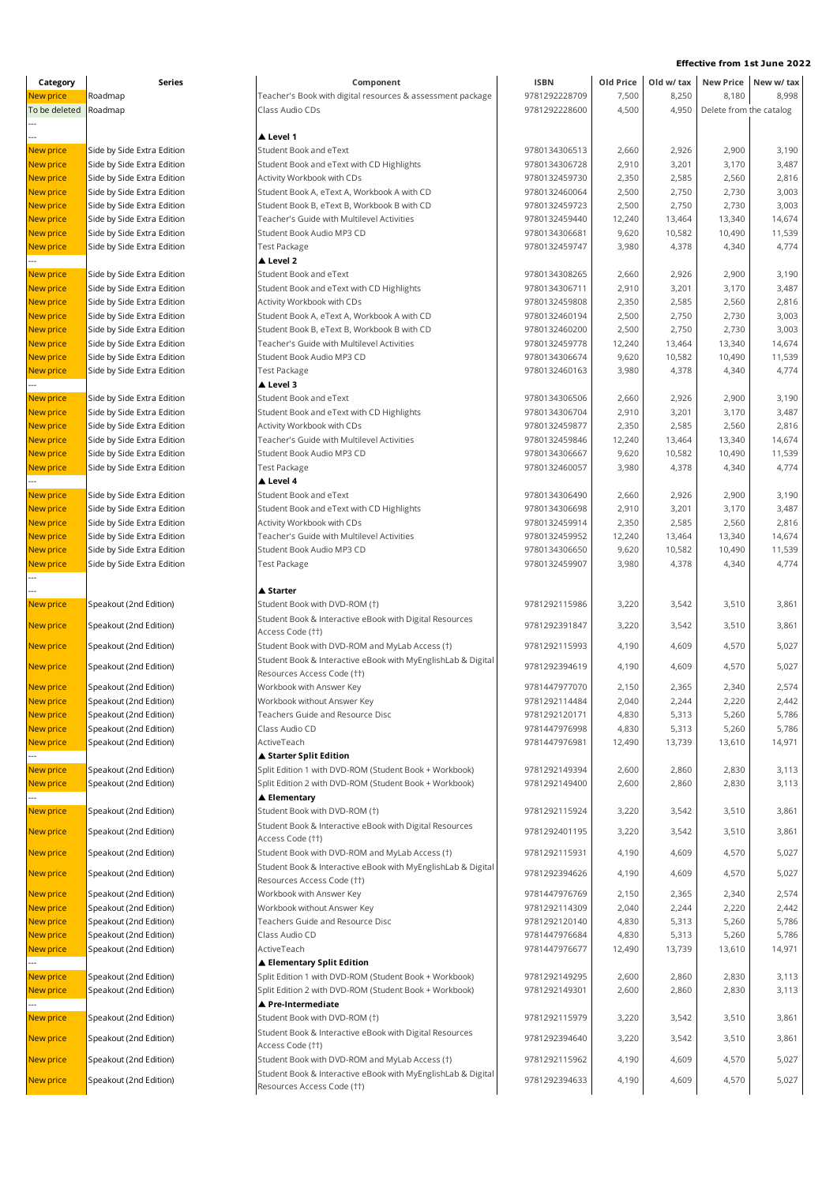| Category               | Series                                                   | Component                                                                                  | <b>ISBN</b>                    | Old Price       | Old w/ tax      |                         | New Price New w/ tax |  |
|------------------------|----------------------------------------------------------|--------------------------------------------------------------------------------------------|--------------------------------|-----------------|-----------------|-------------------------|----------------------|--|
| New price              | Roadmap                                                  | Teacher's Book with digital resources & assessment package                                 | 9781292228709                  | 7,500           | 8,250           | 8,180                   | 8,998                |  |
| To be deleted          | Roadmap                                                  | Class Audio CDs                                                                            | 9781292228600                  | 4,500           | 4,950           | Delete from the catalog |                      |  |
|                        |                                                          |                                                                                            |                                |                 |                 |                         |                      |  |
|                        |                                                          | ▲ Level 1                                                                                  |                                |                 |                 |                         |                      |  |
| New price              | Side by Side Extra Edition                               | <b>Student Book and eText</b>                                                              | 9780134306513                  | 2,660           | 2,926           | 2,900                   | 3,190                |  |
| <b>New price</b>       | Side by Side Extra Edition                               | Student Book and eText with CD Highlights                                                  | 9780134306728                  | 2,910           | 3,201           | 3,170                   | 3,487                |  |
| <b>New price</b>       | Side by Side Extra Edition                               | Activity Workbook with CDs                                                                 | 9780132459730                  | 2,350           | 2,585           | 2,560                   | 2,816                |  |
| New price              | Side by Side Extra Edition                               | Student Book A, eText A, Workbook A with CD<br>Student Book B, eText B, Workbook B with CD | 9780132460064<br>9780132459723 | 2,500<br>2,500  | 2,750<br>2,750  | 2,730<br>2,730          | 3,003<br>3,003       |  |
| New price<br>New price | Side by Side Extra Edition<br>Side by Side Extra Edition | Teacher's Guide with Multilevel Activities                                                 | 9780132459440                  | 12,240          | 13,464          | 13,340                  | 14,674               |  |
| New price              | Side by Side Extra Edition                               | Student Book Audio MP3 CD                                                                  | 9780134306681                  | 9,620           | 10,582          | 10,490                  | 11,539               |  |
| New price              | Side by Side Extra Edition                               | <b>Test Package</b>                                                                        | 9780132459747                  | 3,980           | 4,378           | 4,340                   | 4,774                |  |
|                        |                                                          | ▲ Level 2                                                                                  |                                |                 |                 |                         |                      |  |
| New price              | Side by Side Extra Edition                               | Student Book and eText                                                                     | 9780134308265                  | 2,660           | 2,926           | 2,900                   | 3,190                |  |
| New price              | Side by Side Extra Edition                               | Student Book and eText with CD Highlights                                                  | 9780134306711                  | 2,910           | 3,201           | 3,170                   | 3,487                |  |
| New price              | Side by Side Extra Edition                               | Activity Workbook with CDs                                                                 | 9780132459808                  | 2,350           | 2,585           | 2,560                   | 2,816                |  |
| New price              | Side by Side Extra Edition                               | Student Book A, eText A, Workbook A with CD                                                | 9780132460194                  | 2,500           | 2,750           | 2,730                   | 3,003                |  |
| New price              | Side by Side Extra Edition                               | Student Book B, eText B, Workbook B with CD                                                | 9780132460200                  | 2,500           | 2,750           | 2,730                   | 3,003                |  |
| New price              | Side by Side Extra Edition                               | Teacher's Guide with Multilevel Activities                                                 | 9780132459778                  | 12,240          | 13,464          | 13,340                  | 14,674               |  |
| New price              | Side by Side Extra Edition                               | Student Book Audio MP3 CD                                                                  | 9780134306674                  | 9,620           | 10,582          | 10,490                  | 11,539               |  |
| New price              | Side by Side Extra Edition                               | Test Package                                                                               | 9780132460163                  | 3,980           | 4,378           | 4,340                   | 4,774                |  |
|                        |                                                          | ▲ Level 3<br>Student Book and eText                                                        | 9780134306506                  |                 |                 |                         |                      |  |
| New price<br>New price | Side by Side Extra Edition<br>Side by Side Extra Edition | Student Book and eText with CD Highlights                                                  | 9780134306704                  | 2,660<br>2,910  | 2,926<br>3,201  | 2,900<br>3,170          | 3,190<br>3,487       |  |
| <b>New price</b>       | Side by Side Extra Edition                               | Activity Workbook with CDs                                                                 | 9780132459877                  | 2,350           | 2,585           | 2,560                   | 2,816                |  |
| New price              | Side by Side Extra Edition                               | Teacher's Guide with Multilevel Activities                                                 | 9780132459846                  | 12,240          | 13,464          | 13,340                  | 14,674               |  |
| New price              | Side by Side Extra Edition                               | Student Book Audio MP3 CD                                                                  | 9780134306667                  | 9,620           | 10,582          | 10,490                  | 11,539               |  |
| New price              | Side by Side Extra Edition                               | <b>Test Package</b>                                                                        | 9780132460057                  | 3,980           | 4,378           | 4,340                   | 4,774                |  |
|                        |                                                          | ▲ Level 4                                                                                  |                                |                 |                 |                         |                      |  |
| New price              | Side by Side Extra Edition                               | Student Book and eText                                                                     | 9780134306490                  | 2,660           | 2,926           | 2,900                   | 3,190                |  |
| New price              | Side by Side Extra Edition                               | Student Book and eText with CD Highlights                                                  | 9780134306698                  | 2,910           | 3,201           | 3,170                   | 3,487                |  |
| New price              | Side by Side Extra Edition                               | Activity Workbook with CDs                                                                 | 9780132459914                  | 2,350           | 2,585           | 2,560                   | 2,816                |  |
| New price              | Side by Side Extra Edition                               | Teacher's Guide with Multilevel Activities                                                 | 9780132459952                  | 12,240          | 13,464          | 13,340                  | 14,674               |  |
| New price              | Side by Side Extra Edition                               | Student Book Audio MP3 CD                                                                  | 9780134306650                  | 9,620           | 10,582          | 10,490                  | 11,539               |  |
| New price              | Side by Side Extra Edition                               | Test Package                                                                               | 9780132459907                  | 3,980           | 4,378           | 4,340                   | 4,774                |  |
|                        |                                                          | ▲ Starter                                                                                  |                                |                 |                 |                         |                      |  |
| New price              | Speakout (2nd Edition)                                   | Student Book with DVD-ROM (†)                                                              | 9781292115986                  | 3,220           | 3,542           | 3,510                   | 3,861                |  |
|                        |                                                          | Student Book & Interactive eBook with Digital Resources                                    |                                |                 |                 |                         |                      |  |
| New price              | Speakout (2nd Edition)                                   | Access Code (††)                                                                           | 9781292391847                  | 3,220           | 3,542           | 3,510                   | 3,861                |  |
| <b>New price</b>       | Speakout (2nd Edition)                                   | Student Book with DVD-ROM and MyLab Access (1)                                             | 9781292115993                  | 4,190           | 4,609           | 4,570                   | 5,027                |  |
|                        |                                                          | Student Book & Interactive eBook with MyEnglishLab & Digital                               |                                |                 |                 |                         |                      |  |
| New price              | Speakout (2nd Edition)                                   | Resources Access Code (††)                                                                 | 9781292394619                  | 4,190           | 4,609           | 4,570                   | 5,027                |  |
| New price              | Speakout (2nd Edition)                                   | Workbook with Answer Key                                                                   | 9781447977070                  | 2,150           | 2,365           | 2,340                   | 2,574                |  |
| <b>New price</b>       | Speakout (2nd Edition)                                   | Workbook without Answer Key                                                                | 9781292114484                  | 2,040           | 2,244           | 2,220                   | 2,442                |  |
| New price              | Speakout (2nd Edition)                                   | Teachers Guide and Resource Disc                                                           | 9781292120171                  | 4,830           | 5,313           | 5,260                   | 5,786                |  |
| New price              | Speakout (2nd Edition)                                   | Class Audio CD                                                                             | 9781447976998                  | 4,830           | 5,313           | 5,260                   | 5,786                |  |
| New price              | Speakout (2nd Edition)                                   | ActiveTeach                                                                                | 9781447976981                  | 12,490          | 13,739          | 13,610                  | 14,971               |  |
|                        | Speakout (2nd Edition)                                   | ▲ Starter Split Edition<br>Split Edition 1 with DVD-ROM (Student Book + Workbook)          | 9781292149394                  | 2,600           | 2,860           | 2,830                   | 3,113                |  |
| New price<br>New price | Speakout (2nd Edition)                                   | Split Edition 2 with DVD-ROM (Student Book + Workbook)                                     | 9781292149400                  | 2,600           | 2,860           | 2,830                   | 3,113                |  |
|                        |                                                          | ▲ Elementary                                                                               |                                |                 |                 |                         |                      |  |
| New price              | Speakout (2nd Edition)                                   | Student Book with DVD-ROM (†)                                                              | 9781292115924                  | 3,220           | 3,542           | 3,510                   | 3,861                |  |
|                        |                                                          | Student Book & Interactive eBook with Digital Resources                                    |                                |                 |                 |                         |                      |  |
| New price              | Speakout (2nd Edition)                                   | Access Code (††)                                                                           | 9781292401195                  | 3,220           | 3,542           | 3,510                   | 3,861                |  |
| New price              | Speakout (2nd Edition)                                   | Student Book with DVD-ROM and MyLab Access (1)                                             | 9781292115931                  | 4,190           | 4,609           | 4,570                   | 5,027                |  |
| <b>New price</b>       | Speakout (2nd Edition)                                   | Student Book & Interactive eBook with MyEnglishLab & Digital                               | 9781292394626                  | 4,190           | 4,609           | 4,570                   | 5,027                |  |
|                        |                                                          | Resources Access Code (††)                                                                 |                                |                 |                 |                         |                      |  |
| New price              | Speakout (2nd Edition)                                   | Workbook with Answer Key                                                                   | 9781447976769                  | 2,150           | 2,365           | 2,340                   | 2,574                |  |
| New price              | Speakout (2nd Edition)                                   | Workbook without Answer Key                                                                | 9781292114309                  | 2,040           | 2,244           | 2,220                   | 2,442                |  |
| New price              | Speakout (2nd Edition)                                   | Teachers Guide and Resource Disc                                                           | 9781292120140<br>9781447976684 | 4,830           | 5,313           | 5,260                   | 5,786                |  |
| New price<br>New price | Speakout (2nd Edition)<br>Speakout (2nd Edition)         | Class Audio CD<br>ActiveTeach                                                              | 9781447976677                  | 4,830<br>12,490 | 5,313<br>13,739 | 5,260<br>13,610         | 5,786<br>14,971      |  |
|                        |                                                          | ▲ Elementary Split Edition                                                                 |                                |                 |                 |                         |                      |  |
| New price              | Speakout (2nd Edition)                                   | Split Edition 1 with DVD-ROM (Student Book + Workbook)                                     | 9781292149295                  | 2,600           | 2,860           | 2,830                   | 3,113                |  |
| New price              | Speakout (2nd Edition)                                   | Split Edition 2 with DVD-ROM (Student Book + Workbook)                                     | 9781292149301                  | 2,600           | 2,860           | 2,830                   | 3,113                |  |
|                        |                                                          | ▲ Pre-Intermediate                                                                         |                                |                 |                 |                         |                      |  |
| New price              | Speakout (2nd Edition)                                   | Student Book with DVD-ROM (†)                                                              | 9781292115979                  | 3,220           | 3,542           | 3,510                   | 3,861                |  |
| New price              | Speakout (2nd Edition)                                   | Student Book & Interactive eBook with Digital Resources                                    | 9781292394640                  | 3,220           | 3,542           | 3,510                   | 3,861                |  |
|                        |                                                          | Access Code (††)                                                                           |                                |                 |                 |                         |                      |  |
| New price              | Speakout (2nd Edition)                                   | Student Book with DVD-ROM and MyLab Access (1)                                             | 9781292115962                  | 4,190           | 4,609           | 4,570                   | 5,027                |  |
| New price              | Speakout (2nd Edition)                                   | Student Book & Interactive eBook with MyEnglishLab & Digital                               | 9781292394633                  | 4,190           | 4,609           | 4,570                   | 5,027                |  |
|                        |                                                          | Resources Access Code (††)                                                                 |                                |                 |                 |                         |                      |  |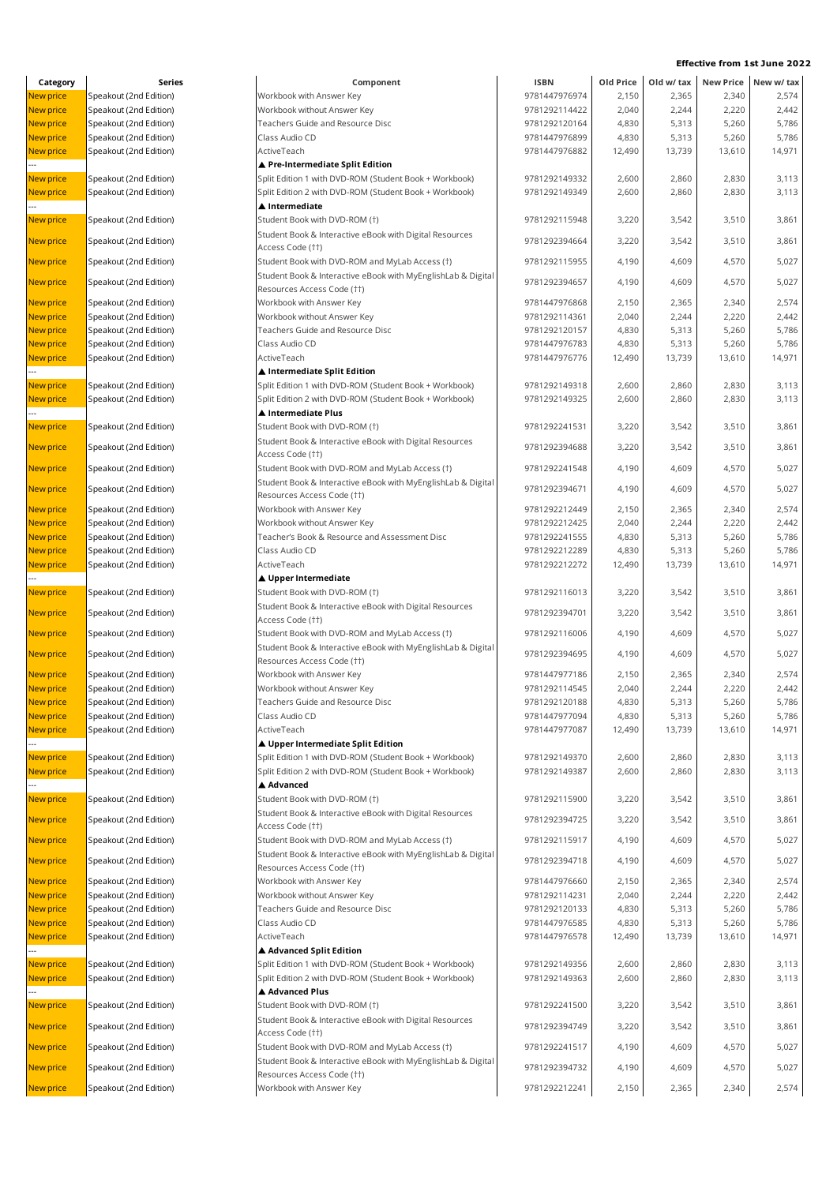| Category         | Series                 | Component                                                                                  | <b>ISBN</b>   | Old Price | Old w/ tax | <b>New Price</b> | New w/ tax |
|------------------|------------------------|--------------------------------------------------------------------------------------------|---------------|-----------|------------|------------------|------------|
| New price        | Speakout (2nd Edition) | Workbook with Answer Key                                                                   | 9781447976974 | 2,150     | 2,365      | 2,340            | 2,574      |
| New price        | Speakout (2nd Edition) | Workbook without Answer Key                                                                | 9781292114422 | 2,040     | 2,244      | 2,220            | 2,442      |
| New price        | Speakout (2nd Edition) | Teachers Guide and Resource Disc                                                           | 9781292120164 | 4,830     | 5,313      | 5,260            | 5,786      |
| New price        | Speakout (2nd Edition) | Class Audio CD                                                                             | 9781447976899 | 4,830     | 5,313      | 5,260            | 5,786      |
| <b>New price</b> | Speakout (2nd Edition) | ActiveTeach                                                                                | 9781447976882 | 12,490    | 13,739     | 13,610           | 14,971     |
|                  |                        | ▲ Pre-Intermediate Split Edition                                                           |               |           |            |                  |            |
| New price        | Speakout (2nd Edition) | Split Edition 1 with DVD-ROM (Student Book + Workbook)                                     | 9781292149332 | 2,600     | 2,860      | 2,830            | 3,113      |
| New price        | Speakout (2nd Edition) | Split Edition 2 with DVD-ROM (Student Book + Workbook)                                     | 9781292149349 | 2,600     | 2,860      | 2,830            | 3,113      |
|                  |                        | ▲ Intermediate                                                                             |               |           |            |                  |            |
| New price        | Speakout (2nd Edition) | Student Book with DVD-ROM (†)                                                              | 9781292115948 | 3,220     | 3,542      | 3,510            | 3,861      |
|                  |                        | Student Book & Interactive eBook with Digital Resources                                    |               |           |            |                  |            |
| New price        | Speakout (2nd Edition) | Access Code (††)                                                                           | 9781292394664 | 3,220     | 3,542      | 3,510            | 3,861      |
| <b>New price</b> | Speakout (2nd Edition) | Student Book with DVD-ROM and MyLab Access (†)                                             | 9781292115955 | 4,190     | 4,609      | 4,570            | 5,027      |
|                  |                        | Student Book & Interactive eBook with MyEnglishLab & Digital                               |               |           |            |                  |            |
| New price        | Speakout (2nd Edition) | Resources Access Code (††)                                                                 | 9781292394657 | 4,190     | 4,609      | 4,570            | 5,027      |
| New price        | Speakout (2nd Edition) | Workbook with Answer Key                                                                   | 9781447976868 | 2,150     | 2,365      | 2,340            | 2,574      |
| New price        | Speakout (2nd Edition) | Workbook without Answer Key                                                                | 9781292114361 | 2,040     | 2,244      | 2,220            | 2,442      |
| <b>New price</b> | Speakout (2nd Edition) | Teachers Guide and Resource Disc                                                           | 9781292120157 | 4,830     | 5,313      | 5,260            | 5,786      |
| New price        | Speakout (2nd Edition) | Class Audio CD                                                                             | 9781447976783 | 4,830     | 5,313      | 5,260            | 5,786      |
| New price        | Speakout (2nd Edition) | ActiveTeach                                                                                | 9781447976776 | 12,490    | 13,739     | 13,610           | 14,971     |
|                  |                        | ▲ Intermediate Split Edition                                                               |               |           |            |                  |            |
| New price        | Speakout (2nd Edition) | Split Edition 1 with DVD-ROM (Student Book + Workbook)                                     | 9781292149318 | 2,600     | 2,860      | 2,830            | 3,113      |
| New price        | Speakout (2nd Edition) | Split Edition 2 with DVD-ROM (Student Book + Workbook)                                     | 9781292149325 | 2,600     | 2,860      | 2,830            | 3,113      |
|                  |                        | ▲ Intermediate Plus                                                                        |               |           |            |                  |            |
| New price        | Speakout (2nd Edition) | Student Book with DVD-ROM (†)                                                              | 9781292241531 | 3,220     | 3,542      | 3,510            | 3,861      |
|                  |                        | Student Book & Interactive eBook with Digital Resources                                    |               |           |            |                  |            |
| New price        | Speakout (2nd Edition) | Access Code (††)                                                                           | 9781292394688 | 3,220     | 3,542      | 3,510            | 3,861      |
| New price        | Speakout (2nd Edition) | Student Book with DVD-ROM and MyLab Access (1)                                             | 9781292241548 | 4,190     | 4,609      | 4,570            | 5,027      |
|                  |                        | Student Book & Interactive eBook with MyEnglishLab & Digital                               |               |           |            |                  |            |
| New price        | Speakout (2nd Edition) | Resources Access Code (††)                                                                 | 9781292394671 | 4,190     | 4,609      | 4,570            | 5,027      |
| New price        | Speakout (2nd Edition) | Workbook with Answer Key                                                                   | 9781292212449 | 2,150     | 2,365      | 2,340            | 2,574      |
| <b>New price</b> | Speakout (2nd Edition) | Workbook without Answer Key                                                                | 9781292212425 | 2,040     | 2,244      | 2,220            | 2,442      |
| New price        | Speakout (2nd Edition) | Teacher's Book & Resource and Assessment Disc                                              | 9781292241555 | 4,830     | 5,313      | 5,260            | 5,786      |
| New price        | Speakout (2nd Edition) | Class Audio CD                                                                             | 9781292212289 | 4,830     | 5,313      | 5,260            | 5,786      |
| New price        | Speakout (2nd Edition) | ActiveTeach                                                                                | 9781292212272 | 12,490    | 13,739     | 13,610           | 14,971     |
|                  |                        | ▲ Upper Intermediate                                                                       |               |           |            |                  |            |
| New price        | Speakout (2nd Edition) | Student Book with DVD-ROM (†)                                                              | 9781292116013 | 3,220     | 3,542      | 3,510            | 3,861      |
|                  |                        | Student Book & Interactive eBook with Digital Resources                                    |               |           |            |                  |            |
| <b>New price</b> | Speakout (2nd Edition) | Access Code (††)                                                                           | 9781292394701 | 3,220     | 3,542      | 3,510            | 3,861      |
| New price        | Speakout (2nd Edition) | Student Book with DVD-ROM and MyLab Access (†)                                             | 9781292116006 | 4,190     | 4,609      | 4,570            | 5,027      |
|                  |                        | Student Book & Interactive eBook with MyEnglishLab & Digital                               |               |           |            |                  |            |
| New price        | Speakout (2nd Edition) | Resources Access Code (††)                                                                 | 9781292394695 | 4,190     | 4,609      | 4,570            | 5,027      |
| <b>New price</b> | Speakout (2nd Edition) | Workbook with Answer Key                                                                   | 9781447977186 | 2,150     | 2,365      | 2,340            | 2,574      |
| <b>New price</b> | Speakout (2nd Edition) | Workbook without Answer Key                                                                | 9781292114545 | 2,040     | 2,244      | 2,220            | 2,442      |
| New price        | Speakout (2nd Edition) | Feachers Guide and Resource Disc                                                           | 9781292120188 | 4,830     | 5,313      | 5,260            | 5,786      |
| <b>New price</b> | Speakout (2nd Edition) | Class Audio CD                                                                             | 9781447977094 | 4,830     | 5,313      | 5,260            | 5,786      |
| New price        | Speakout (2nd Edition) | ActiveTeach                                                                                | 9781447977087 | 12,490    | 13,739     | 13,610           | 14,971     |
|                  |                        | ▲ Upper Intermediate Split Edition                                                         |               |           |            |                  |            |
| New price        | Speakout (2nd Edition) | Split Edition 1 with DVD-ROM (Student Book + Workbook)                                     | 9781292149370 | 2,600     | 2,860      | 2,830            | 3,113      |
| New price        | Speakout (2nd Edition) | Split Edition 2 with DVD-ROM (Student Book + Workbook)                                     | 9781292149387 | 2,600     | 2,860      | 2,830            | 3,113      |
|                  |                        | ▲ Advanced                                                                                 |               |           |            |                  |            |
| New price        | Speakout (2nd Edition) | Student Book with DVD-ROM (†)                                                              | 9781292115900 | 3,220     | 3,542      | 3,510            | 3,861      |
|                  |                        | Student Book & Interactive eBook with Digital Resources                                    |               |           |            |                  |            |
| New price        | Speakout (2nd Edition) | Access Code (††)                                                                           | 9781292394725 | 3,220     | 3,542      | 3,510            | 3,861      |
| New price        | Speakout (2nd Edition) | Student Book with DVD-ROM and MyLab Access (†)                                             | 9781292115917 | 4,190     | 4,609      | 4,570            | 5,027      |
|                  |                        | Student Book & Interactive eBook with MyEnglishLab & Digital                               |               |           |            |                  |            |
| New price        | Speakout (2nd Edition) | Resources Access Code (††)                                                                 | 9781292394718 | 4,190     | 4,609      | 4,570            | 5,027      |
| New price        | Speakout (2nd Edition) | Workbook with Answer Key                                                                   | 9781447976660 | 2,150     | 2,365      | 2,340            | 2,574      |
| New price        | Speakout (2nd Edition) | Workbook without Answer Key                                                                | 9781292114231 | 2,040     | 2,244      | 2,220            | 2,442      |
| New price        | Speakout (2nd Edition) | Teachers Guide and Resource Disc                                                           | 9781292120133 | 4,830     | 5,313      | 5,260            | 5,786      |
| New price        | Speakout (2nd Edition) | Class Audio CD                                                                             | 9781447976585 | 4,830     | 5,313      | 5,260            | 5,786      |
|                  | Speakout (2nd Edition) | ActiveTeach                                                                                | 9781447976578 | 12,490    | 13,739     | 13,610           | 14,971     |
| New price        |                        | ▲ Advanced Split Edition                                                                   |               |           |            |                  |            |
| New price        | Speakout (2nd Edition) | Split Edition 1 with DVD-ROM (Student Book + Workbook)                                     | 9781292149356 | 2,600     | 2,860      | 2,830            | 3,113      |
|                  |                        |                                                                                            | 9781292149363 |           |            |                  | 3,113      |
| New price        | Speakout (2nd Edition) | Split Edition 2 with DVD-ROM (Student Book + Workbook)<br>▲ Advanced Plus                  |               | 2,600     | 2,860      | 2,830            |            |
|                  |                        |                                                                                            | 9781292241500 |           |            |                  |            |
| New price        | Speakout (2nd Edition) | Student Book with DVD-ROM (†)                                                              |               | 3,220     | 3,542      | 3,510            | 3,861      |
| <b>New price</b> | Speakout (2nd Edition) | Student Book & Interactive eBook with Digital Resources<br>Access Code (††)                | 9781292394749 | 3,220     | 3,542      | 3,510            | 3,861      |
|                  | Speakout (2nd Edition) | Student Book with DVD-ROM and MyLab Access (†)                                             | 9781292241517 | 4,190     | 4,609      | 4,570            | 5,027      |
| New price        |                        |                                                                                            |               |           |            |                  |            |
| New price        | Speakout (2nd Edition) | Student Book & Interactive eBook with MyEnglishLab & Digital<br>Resources Access Code (††) | 9781292394732 | 4,190     | 4,609      | 4,570            | 5,027      |
| New price        | Speakout (2nd Edition) | Workbook with Answer Key                                                                   | 9781292212241 | 2,150     | 2,365      | 2,340            | 2,574      |
|                  |                        |                                                                                            |               |           |            |                  |            |

| <b>ISBN</b> | Old Price | Old w/ tax | <b>New Price</b> | New w/ tax |
|-------------|-----------|------------|------------------|------------|
| 81447976974 | 2,150     | 2,365      | 2,340            | 2,574      |
| 81292114422 | 2,040     | 2,244      | 2,220            | 2,442      |
| 81292120164 | 4,830     | 5,313      | 5,260            | 5,786      |
| 81447976899 | 4,830     | 5,313      | 5,260            | 5,786      |
| 81447976882 | 12,490    | 13,739     | 13,610           | 14,971     |
|             |           |            |                  |            |
|             |           |            |                  |            |
| 81292149332 | 2,600     | 2,860      | 2,830            | 3,113      |
| 81292149349 | 2,600     | 2,860      | 2,830            | 3,113      |
|             |           |            |                  |            |
| 81292115948 | 3,220     | 3,542      | 3,510            | 3,861      |
|             |           |            |                  |            |
| 81292394664 | 3,220     | 3,542      | 3,510            | 3,861      |
| 81292115955 | 4,190     | 4,609      | 4,570            | 5,027      |
|             |           |            |                  |            |
| 81292394657 | 4,190     | 4,609      | 4,570            | 5,027      |
| 81447976868 | 2,150     | 2,365      | 2,340            | 2,574      |
|             |           |            |                  |            |
| 81292114361 | 2,040     | 2,244      | 2,220            | 2,442      |
| 81292120157 | 4,830     | 5,313      | 5,260            | 5,786      |
| 81447976783 | 4,830     | 5,313      | 5,260            | 5,786      |
| 81447976776 | 12,490    | 13,739     | 13,610           | 14,971     |
|             |           |            |                  |            |
| 81292149318 | 2,600     | 2,860      | 2,830            | 3,113      |
| 81292149325 | 2,600     | 2,860      | 2,830            | 3,113      |
|             |           |            |                  |            |
| 81292241531 | 3,220     | 3,542      | 3,510            | 3,861      |
|             |           |            |                  |            |
| 81292394688 | 3,220     | 3,542      | 3,510            | 3,861      |
|             |           |            |                  |            |
| 81292241548 | 4,190     | 4,609      | 4,570            | 5,027      |
| 81292394671 | 4,190     | 4,609      | 4,570            | 5,027      |
|             |           |            |                  |            |
| 81292212449 | 2,150     | 2,365      | 2,340            | 2,574      |
| 81292212425 | 2,040     | 2,244      | 2,220            | 2,442      |
| 81292241555 | 4,830     | 5,313      | 5,260            | 5,786      |
| 81292212289 | 4,830     | 5,313      | 5,260            | 5,786      |
| 81292212272 |           |            |                  |            |
|             | 12,490    | 13,739     | 13,610           | 14,971     |
|             |           |            |                  |            |
| 81292116013 | 3,220     | 3,542      | 3,510            | 3,861      |
| 81292394701 | 3,220     | 3,542      | 3,510            | 3,861      |
|             |           |            |                  |            |
| 81292116006 | 4,190     | 4,609      | 4,570            | 5,027      |
|             |           |            |                  |            |
| 81292394695 | 4,190     | 4,609      | 4,570            | 5,027      |
| 81447977186 | 2,150     | 2,365      | 2,340            | 2,574      |
| 81292114545 | 2,040     | 2,244      | 2,220            | 2,442      |
| 81292120188 | 4,830     |            |                  | 5,786      |
|             |           | 5,313      | 5,260            |            |
| 81447977094 | 4,830     | 5,313      | 5,260            | 5,786      |
| 81447977087 | 12,490    | 13,739     | 13,610           | 14,971     |
|             |           |            |                  |            |
| 81292149370 | 2,600     | 2,860      | 2,830            | 3,113      |
| 81292149387 | 2,600     | 2,860      | 2,830            | 3,113      |
|             |           |            |                  |            |
| 81292115900 | 3,220     | 3,542      | 3,510            | 3,861      |
|             |           |            |                  |            |
| 81292394725 | 3,220     | 3,542      | 3,510            | 3,861      |
| 81292115917 | 4,190     |            |                  |            |
|             |           | 4,609      | 4,570            | 5,027      |
| 81292394718 | 4,190     | 4,609      | 4,570            | 5,027      |
|             |           |            |                  |            |
| 81447976660 | 2,150     | 2,365      | 2,340            | 2,574      |
| 81292114231 | 2,040     | 2,244      | 2,220            | 2,442      |
| 81292120133 | 4,830     | 5,313      | 5,260            | 5,786      |
| 81447976585 | 4,830     | 5,313      | 5,260            | 5,786      |
| 81447976578 | 12,490    | 13,739     | 13,610           | 14,971     |
|             |           |            |                  |            |
|             |           |            |                  |            |
| 81292149356 | 2,600     | 2,860      | 2,830            | 3,113      |
| 81292149363 | 2,600     | 2,860      | 2,830            | 3,113      |
|             |           |            |                  |            |
| 81292241500 | 3,220     | 3,542      | 3,510            | 3,861      |
|             |           |            |                  |            |
| 81292394749 | 3,220     | 3,542      | 3,510            | 3,861      |
| 81292241517 | 4,190     | 4,609      | 4,570            | 5,027      |
|             |           |            |                  |            |
| 81292394732 | 4,190     | 4,609      | 4,570            | 5,027      |
| 81292212241 | 2,150     | 2,365      | 2,340            | 2,574      |
|             |           |            |                  |            |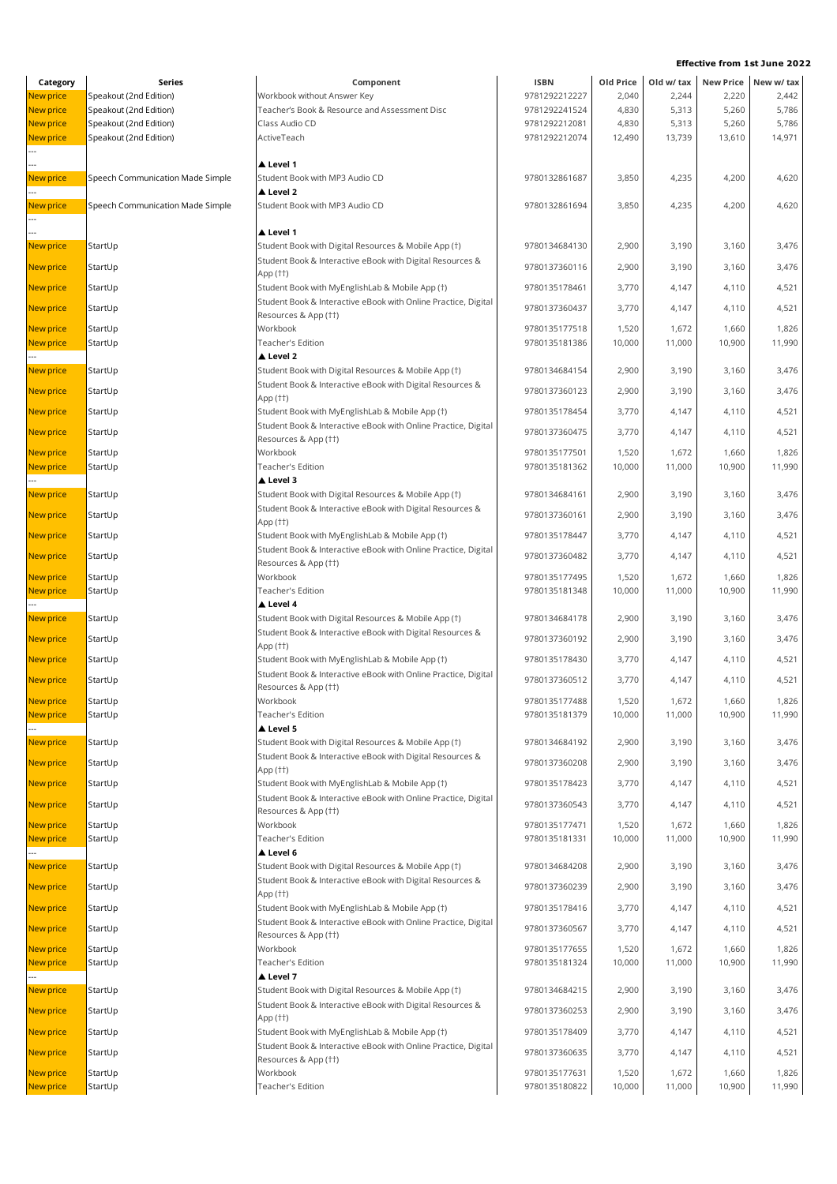|                  |                                  |                                                                |               |           |            | LIICLIVE IIUIII 191 JUINE 20 |                     |
|------------------|----------------------------------|----------------------------------------------------------------|---------------|-----------|------------|------------------------------|---------------------|
| Category         | Series                           | Component                                                      | <b>ISBN</b>   | Old Price | Old w/ tax |                              | New Price New w/tax |
| New price        | Speakout (2nd Edition)           | Workbook without Answer Key                                    | 9781292212227 | 2,040     | 2,244      | 2,220                        | 2,442               |
| New price        | Speakout (2nd Edition)           | Teacher's Book & Resource and Assessment Disc                  | 9781292241524 | 4,830     | 5,313      | 5,260                        | 5,786               |
| New price        | Speakout (2nd Edition)           | Class Audio CD                                                 | 9781292212081 | 4,830     | 5,313      | 5,260                        | 5,786               |
| New price        | Speakout (2nd Edition)           | ActiveTeach                                                    | 9781292212074 | 12,490    | 13,739     | 13,610                       | 14,971              |
|                  |                                  |                                                                |               |           |            |                              |                     |
|                  |                                  |                                                                |               |           |            |                              |                     |
|                  |                                  | ▲ Level 1                                                      |               |           |            |                              |                     |
| New price        | Speech Communication Made Simple | Student Book with MP3 Audio CD                                 | 9780132861687 | 3,850     | 4,235      | 4,200                        | 4,620               |
|                  |                                  | Level 2                                                        |               |           |            |                              |                     |
| New price        | Speech Communication Made Simple | Student Book with MP3 Audio CD                                 | 9780132861694 | 3,850     | 4,235      | 4,200                        | 4,620               |
|                  |                                  |                                                                |               |           |            |                              |                     |
|                  |                                  | ▲ Level 1                                                      |               |           |            |                              |                     |
| New price        | StartUp                          | Student Book with Digital Resources & Mobile App (†)           | 9780134684130 | 2,900     | 3,190      | 3,160                        | 3,476               |
|                  |                                  | Student Book & Interactive eBook with Digital Resources &      |               |           |            |                              |                     |
| New price        | StartUp                          | App (††)                                                       | 9780137360116 | 2,900     | 3,190      | 3,160                        | 3,476               |
|                  |                                  |                                                                |               |           |            |                              |                     |
| New price        | StartUp                          | Student Book with MyEnglishLab & Mobile App (†)                | 9780135178461 | 3,770     | 4,147      | 4,110                        | 4,521               |
| New price        | StartUp                          | Student Book & Interactive eBook with Online Practice, Digital | 9780137360437 | 3,770     | 4,147      | 4,110                        | 4,521               |
|                  |                                  | Resources & App (††)                                           |               |           |            |                              |                     |
| New price        | StartUp                          | Workbook                                                       | 9780135177518 | 1,520     | 1,672      | 1,660                        | 1,826               |
| New price        | StartUp                          | Teacher's Edition                                              | 9780135181386 | 10,000    | 11,000     | 10,900                       | 11,990              |
|                  |                                  | Level 2                                                        |               |           |            |                              |                     |
| New price        | StartUp                          | Student Book with Digital Resources & Mobile App (†)           | 9780134684154 | 2,900     | 3,190      | 3,160                        | 3,476               |
|                  |                                  |                                                                |               |           |            |                              |                     |
| New price        | StartUp                          | Student Book & Interactive eBook with Digital Resources &      | 9780137360123 | 2,900     | 3,190      | 3,160                        | 3,476               |
|                  |                                  | App (††)                                                       |               |           |            |                              |                     |
| New price        | StartUp                          | Student Book with MyEnglishLab & Mobile App (†)                | 9780135178454 | 3,770     | 4,147      | 4,110                        | 4,521               |
| New price        | StartUp                          | Student Book & Interactive eBook with Online Practice, Digital | 9780137360475 | 3,770     | 4,147      | 4,110                        | 4,521               |
|                  |                                  | Resources & App (††)                                           |               |           |            |                              |                     |
| New price        | StartUp                          | Workbook                                                       | 9780135177501 | 1,520     | 1,672      | 1,660                        | 1,826               |
| New price        | StartUp                          | Teacher's Edition                                              | 9780135181362 | 10,000    | 11,000     | 10,900                       | 11,990              |
|                  |                                  | ▲ Level 3                                                      |               |           |            |                              |                     |
|                  |                                  |                                                                |               |           |            |                              |                     |
| New price        | StartUp                          | Student Book with Digital Resources & Mobile App (†)           | 9780134684161 | 2,900     | 3,190      | 3,160                        | 3,476               |
| New price        | StartUp                          | Student Book & Interactive eBook with Digital Resources &      | 9780137360161 | 2,900     | 3,190      | 3,160                        | 3,476               |
|                  |                                  | App (††)                                                       |               |           |            |                              |                     |
| New price        | StartUp                          | Student Book with MyEnglishLab & Mobile App (†)                | 9780135178447 | 3,770     | 4,147      | 4,110                        | 4,521               |
|                  |                                  | Student Book & Interactive eBook with Online Practice, Digital |               |           |            |                              |                     |
| New price        | StartUp                          | Resources & App (††)                                           | 9780137360482 | 3,770     | 4,147      | 4,110                        | 4,521               |
| New price        | StartUp                          | Workbook                                                       | 9780135177495 | 1,520     | 1,672      | 1,660                        | 1,826               |
|                  |                                  | Teacher's Edition                                              |               |           |            |                              | 11,990              |
| New price        | StartUp                          |                                                                | 9780135181348 | 10,000    | 11,000     | 10,900                       |                     |
|                  |                                  | ▲ Level 4                                                      |               |           |            |                              |                     |
| New price        | StartUp                          | Student Book with Digital Resources & Mobile App (†)           | 9780134684178 | 2,900     | 3,190      | 3,160                        | 3,476               |
| New price        | StartUp                          | Student Book & Interactive eBook with Digital Resources &      | 9780137360192 | 2,900     | 3,190      | 3,160                        | 3,476               |
|                  |                                  | App (††)                                                       |               |           |            |                              |                     |
| New price        | StartUp                          | Student Book with MyEnglishLab & Mobile App (†)                | 9780135178430 | 3,770     | 4,147      | 4,110                        | 4,521               |
|                  |                                  | Student Book & Interactive eBook with Online Practice, Digital |               |           |            |                              |                     |
| <b>New price</b> | StartUp                          | Resources & App (††)                                           | 9780137360512 | 3,770     | 4,147      | 4,110                        | 4,521               |
| <b>New price</b> | StartUp                          | Workbook                                                       | 9780135177488 | 1,520     | 1,672      | 1,660                        | 1,826               |
|                  |                                  |                                                                |               |           |            |                              |                     |
| New price        | StartUp                          | Teacher's Edition                                              | 9780135181379 | 10,000    | 11,000     | 10,900                       | 11,990              |
|                  |                                  | Level 5                                                        |               |           |            |                              |                     |
| New price        | StartUp                          | Student Book with Digital Resources & Mobile App (†)           | 9780134684192 | 2,900     | 3,190      | 3,160                        | 3,476               |
|                  |                                  | Student Book & Interactive eBook with Digital Resources &      |               |           |            |                              |                     |
| New price        | StartUp                          | App (††)                                                       | 9780137360208 | 2,900     | 3,190      | 3,160                        | 3,476               |
| New price        | StartUp                          | Student Book with MyEnglishLab & Mobile App (†)                | 9780135178423 | 3,770     | 4,147      | 4,110                        | 4,521               |
|                  |                                  | Student Book & Interactive eBook with Online Practice, Digital |               |           |            |                              |                     |
| New price        | StartUp                          |                                                                | 9780137360543 | 3,770     | 4,147      | 4,110                        | 4,521               |
|                  |                                  | Resources & App (††)                                           |               |           |            |                              |                     |
| New price        | StartUp                          | Workbook                                                       | 9780135177471 | 1,520     | 1,672      | 1,660                        | 1,826               |
| New price        | StartUp                          | Teacher's Edition                                              | 9780135181331 | 10,000    | 11,000     | 10,900                       | 11,990              |
|                  |                                  | ▲ Level 6                                                      |               |           |            |                              |                     |
| New price        | StartUp                          | Student Book with Digital Resources & Mobile App (†)           | 9780134684208 | 2,900     | 3,190      | 3,160                        | 3,476               |
|                  |                                  | Student Book & Interactive eBook with Digital Resources &      |               |           |            |                              |                     |
| New price        | StartUp                          | App (††)                                                       | 9780137360239 | 2,900     | 3,190      | 3,160                        | 3,476               |
| New price        | StartUp                          | Student Book with MyEnglishLab & Mobile App (†)                | 9780135178416 | 3,770     | 4,147      | 4,110                        | 4,521               |
|                  |                                  |                                                                |               |           |            |                              |                     |
| New price        | StartUp                          | Student Book & Interactive eBook with Online Practice, Digital | 9780137360567 | 3,770     | 4,147      | 4,110                        | 4,521               |
|                  |                                  | Resources & App (††)                                           |               |           |            |                              |                     |
| New price        | StartUp                          | Workbook                                                       | 9780135177655 | 1,520     | 1,672      | 1,660                        | 1,826               |
| New price        | StartUp                          | Teacher's Edition                                              | 9780135181324 | 10,000    | 11,000     | 10,900                       | 11,990              |
|                  |                                  | ▲ Level 7                                                      |               |           |            |                              |                     |
| New price        | StartUp                          | Student Book with Digital Resources & Mobile App (†)           | 9780134684215 | 2,900     | 3,190      | 3,160                        | 3,476               |
|                  |                                  | Student Book & Interactive eBook with Digital Resources &      |               |           |            |                              |                     |
| New price        | StartUp                          |                                                                | 9780137360253 | 2,900     | 3,190      | 3,160                        | 3,476               |
|                  |                                  | App (††)                                                       |               |           |            |                              |                     |
| New price        | StartUp                          | Student Book with MyEnglishLab & Mobile App (†)                | 9780135178409 | 3,770     | 4,147      | 4,110                        | 4,521               |
| New price        | StartUp                          | Student Book & Interactive eBook with Online Practice, Digital | 9780137360635 | 3,770     | 4,147      | 4,110                        | 4,521               |
|                  |                                  | Resources & App (††)                                           |               |           |            |                              |                     |
| New price        | StartUp                          | Workbook                                                       | 9780135177631 | 1,520     | 1,672      | 1,660                        | 1,826               |
| New price        | StartUp                          | Teacher's Edition                                              | 9780135180822 | 10,000    | 11,000     | 10,900                       | 11,990              |
|                  |                                  |                                                                |               |           |            |                              |                     |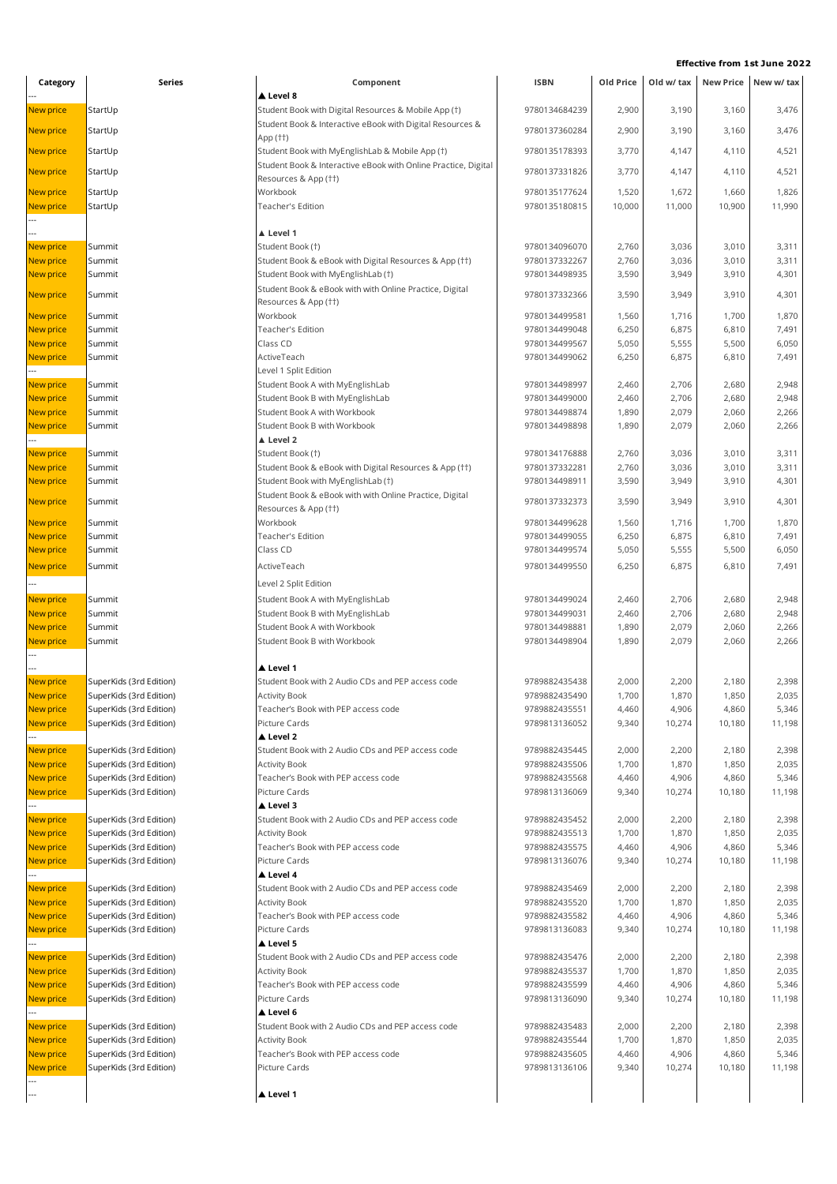| Category               | Series                                             | Component                                                                 | <b>ISBN</b>                    | Old Price      | Old w/ tax     |                | New Price New w/ tax |  |
|------------------------|----------------------------------------------------|---------------------------------------------------------------------------|--------------------------------|----------------|----------------|----------------|----------------------|--|
|                        |                                                    | ▲ Level 8                                                                 |                                |                |                |                |                      |  |
| New price              | StartUp                                            | Student Book with Digital Resources & Mobile App (†)                      | 9780134684239                  | 2,900          | 3,190          | 3,160          | 3,476                |  |
| New price              | StartUp                                            | Student Book & Interactive eBook with Digital Resources &                 | 9780137360284                  | 2,900          | 3,190          | 3,160          | 3,476                |  |
|                        |                                                    | App (††)                                                                  |                                |                |                |                |                      |  |
| New price              | StartUp                                            | Student Book with MyEnglishLab & Mobile App (†)                           | 9780135178393                  | 3,770          | 4,147          | 4,110          | 4,521                |  |
| New price              | StartUp                                            | Student Book & Interactive eBook with Online Practice, Digital            | 9780137331826                  | 3,770          | 4,147          | 4,110          | 4,521                |  |
| New price              | StartUp                                            | Resources & App (††)<br>Workbook                                          | 9780135177624                  | 1,520          | 1,672          | 1,660          | 1,826                |  |
| New price              | StartUp                                            | Teacher's Edition                                                         | 9780135180815                  | 10,000         | 11,000         | 10,900         | 11,990               |  |
|                        |                                                    |                                                                           |                                |                |                |                |                      |  |
|                        |                                                    | ▲ Level 1                                                                 |                                |                |                |                |                      |  |
| New price              | Summit                                             | Student Book (†)                                                          | 9780134096070                  | 2,760          | 3,036          | 3,010          | 3,311                |  |
| New price              | Summit                                             | Student Book & eBook with Digital Resources & App (††)                    | 9780137332267                  | 2,760          | 3,036          | 3,010          | 3,311                |  |
| New price              | Summit                                             | Student Book with MyEnglishLab (†)                                        | 9780134498935                  | 3,590          | 3,949          | 3,910          | 4,301                |  |
| New price              | Summit                                             | Student Book & eBook with with Online Practice, Digital                   | 9780137332366                  | 3,590          | 3,949          | 3,910          | 4,301                |  |
|                        |                                                    | Resources & App (††)                                                      |                                |                |                |                |                      |  |
| New price              | Summit                                             | Workbook                                                                  | 9780134499581                  | 1,560          | 1,716          | 1,700          | 1,870                |  |
| New price              | Summit                                             | Teacher's Edition                                                         | 9780134499048                  | 6,250          | 6,875          | 6,810          | 7,491                |  |
| New price              | Summit                                             | Class CD                                                                  | 9780134499567                  | 5,050          | 5,555          | 5,500          | 6,050                |  |
| New price              | Summit                                             | ActiveTeach<br>Level 1 Split Edition                                      | 9780134499062                  | 6,250          | 6,875          | 6,810          | 7,491                |  |
| New price              | Summit                                             | Student Book A with MyEnglishLab                                          | 9780134498997                  | 2,460          | 2,706          | 2,680          | 2,948                |  |
| New price              | Summit                                             | Student Book B with MyEnglishLab                                          | 9780134499000                  | 2,460          | 2,706          | 2,680          | 2,948                |  |
| New price              | Summit                                             | Student Book A with Workbook                                              | 9780134498874                  | 1,890          | 2,079          | 2,060          | 2,266                |  |
| New price              | Summit                                             | Student Book B with Workbook                                              | 9780134498898                  | 1,890          | 2,079          | 2,060          | 2,266                |  |
|                        |                                                    | A Level 2                                                                 |                                |                |                |                |                      |  |
| New price              | Summit                                             | Student Book (†)                                                          | 9780134176888                  | 2,760          | 3,036          | 3,010          | 3,311                |  |
| New price              | Summit                                             | Student Book & eBook with Digital Resources & App (††)                    | 9780137332281                  | 2,760          | 3,036          | 3,010          | 3,311                |  |
| New price              | Summit                                             | Student Book with MyEnglishLab (†)                                        | 9780134498911                  | 3,590          | 3,949          | 3,910          | 4,301                |  |
| New price              | Summit                                             | Student Book & eBook with with Online Practice, Digital                   | 9780137332373                  | 3,590          | 3,949          | 3,910          | 4,301                |  |
|                        |                                                    | Resources & App (††)                                                      |                                |                |                |                |                      |  |
| New price              | Summit                                             | Workbook                                                                  | 9780134499628                  | 1,560          | 1,716          | 1,700          | 1,870                |  |
| New price              | Summit                                             | Teacher's Edition                                                         | 9780134499055                  | 6,250          | 6,875          | 6,810          | 7,491                |  |
| New price              | Summit                                             | Class CD                                                                  | 9780134499574                  | 5,050          | 5,555          | 5,500          | 6,050                |  |
| New price              | Summit                                             | ActiveTeach                                                               | 9780134499550                  | 6,250          | 6,875          | 6,810          | 7,491                |  |
|                        |                                                    | Level 2 Split Edition                                                     |                                |                |                |                |                      |  |
| New price              | Summit                                             | Student Book A with MyEnglishLab                                          | 9780134499024                  | 2,460          | 2,706          | 2,680          | 2,948                |  |
| New price              | Summit                                             | Student Book B with MyEnglishLab                                          | 9780134499031                  | 2,460          | 2,706          | 2,680          | 2,948                |  |
| New price              | Summit                                             | Student Book A with Workbook                                              | 9780134498881                  | 1,890          | 2,079          | 2,060          | 2,266                |  |
| New price              | Summit                                             | Student Book B with Workbook                                              | 9780134498904                  | 1,890          | 2,079          | 2,060          | 2,266                |  |
|                        |                                                    |                                                                           |                                |                |                |                |                      |  |
|                        |                                                    | Level 1                                                                   |                                |                |                |                |                      |  |
| New price<br>New price | SuperKids (3rd Edition)<br>SuperKids (3rd Edition) | Student Book with 2 Audio CDs and PEP access code<br><b>Activity Book</b> | 9789882435438<br>9789882435490 | 2,000<br>1,700 | 2,200<br>1,870 | 2,180<br>1,850 | 2,398<br>2,035       |  |
| New price              | SuperKids (3rd Edition)                            | Teacher's Book with PEP access code                                       | 9789882435551                  | 4,460          | 4,906          | 4,860          | 5,346                |  |
| New price              | SuperKids (3rd Edition)                            | Picture Cards                                                             | 9789813136052                  | 9,340          | 10,274         | 10,180         | 11,198               |  |
|                        |                                                    | ▲ Level 2                                                                 |                                |                |                |                |                      |  |
| New price              | SuperKids (3rd Edition)                            | Student Book with 2 Audio CDs and PEP access code                         | 9789882435445                  | 2,000          | 2,200          | 2,180          | 2,398                |  |
| New price              | SuperKids (3rd Edition)                            | <b>Activity Book</b>                                                      | 9789882435506                  | 1,700          | 1,870          | 1,850          | 2,035                |  |
| New price              | SuperKids (3rd Edition)                            | Teacher's Book with PEP access code                                       | 9789882435568                  | 4,460          | 4,906          | 4,860          | 5,346                |  |
| New price              | SuperKids (3rd Edition)                            | Picture Cards                                                             | 9789813136069                  | 9,340          | 10,274         | 10,180         | 11,198               |  |
|                        |                                                    | ▲ Level 3                                                                 |                                |                |                |                |                      |  |
| New price              | SuperKids (3rd Edition)                            | Student Book with 2 Audio CDs and PEP access code                         | 9789882435452                  | 2,000          | 2,200          | 2,180          | 2,398                |  |
| New price              | SuperKids (3rd Edition)                            | <b>Activity Book</b>                                                      | 9789882435513                  | 1,700          | 1,870          | 1,850          | 2,035                |  |
| New price              | SuperKids (3rd Edition)                            | Teacher's Book with PEP access code                                       | 9789882435575                  | 4,460          | 4,906          | 4,860          | 5,346                |  |
| New price              | SuperKids (3rd Edition)                            | Picture Cards                                                             | 9789813136076                  | 9,340          | 10,274         | 10,180         | 11,198               |  |
| New price              | SuperKids (3rd Edition)                            | ▲ Level 4<br>Student Book with 2 Audio CDs and PEP access code            | 9789882435469                  | 2,000          | 2,200          | 2,180          | 2,398                |  |
| New price              | SuperKids (3rd Edition)                            | <b>Activity Book</b>                                                      | 9789882435520                  | 1,700          | 1,870          | 1,850          | 2,035                |  |
| New price              | SuperKids (3rd Edition)                            | Teacher's Book with PEP access code                                       | 9789882435582                  | 4,460          | 4,906          | 4,860          | 5,346                |  |
| New price              | SuperKids (3rd Edition)                            | Picture Cards                                                             | 9789813136083                  | 9,340          | 10,274         | 10,180         | 11,198               |  |
|                        |                                                    | ▲ Level 5                                                                 |                                |                |                |                |                      |  |
| New price              | SuperKids (3rd Edition)                            | Student Book with 2 Audio CDs and PEP access code                         | 9789882435476                  | 2,000          | 2,200          | 2,180          | 2,398                |  |
| New price              | SuperKids (3rd Edition)                            | <b>Activity Book</b>                                                      | 9789882435537                  | 1,700          | 1,870          | 1,850          | 2,035                |  |
| New price              | SuperKids (3rd Edition)                            | Teacher's Book with PEP access code                                       | 9789882435599                  | 4,460          | 4,906          | 4,860          | 5,346                |  |
| New price              | SuperKids (3rd Edition)                            | Picture Cards                                                             | 9789813136090                  | 9,340          | 10,274         | 10,180         | 11,198               |  |
|                        |                                                    | Level 6                                                                   |                                |                |                |                |                      |  |
| New price              | SuperKids (3rd Edition)                            | Student Book with 2 Audio CDs and PEP access code                         | 9789882435483                  | 2,000          | 2,200          | 2,180          | 2,398                |  |
| New price              | SuperKids (3rd Edition)                            | <b>Activity Book</b>                                                      | 9789882435544                  | 1,700          | 1,870          | 1,850          | 2,035                |  |
| New price              | SuperKids (3rd Edition)                            | Teacher's Book with PEP access code                                       | 9789882435605                  | 4,460          | 4,906          | 4,860          | 5,346                |  |
| New price              | SuperKids (3rd Edition)                            | Picture Cards                                                             | 9789813136106                  | 9,340          | 10,274         | 10,180         | 11,198               |  |
| ---                    |                                                    | ▲ Level 1                                                                 |                                |                |                |                |                      |  |
|                        |                                                    |                                                                           |                                |                |                |                |                      |  |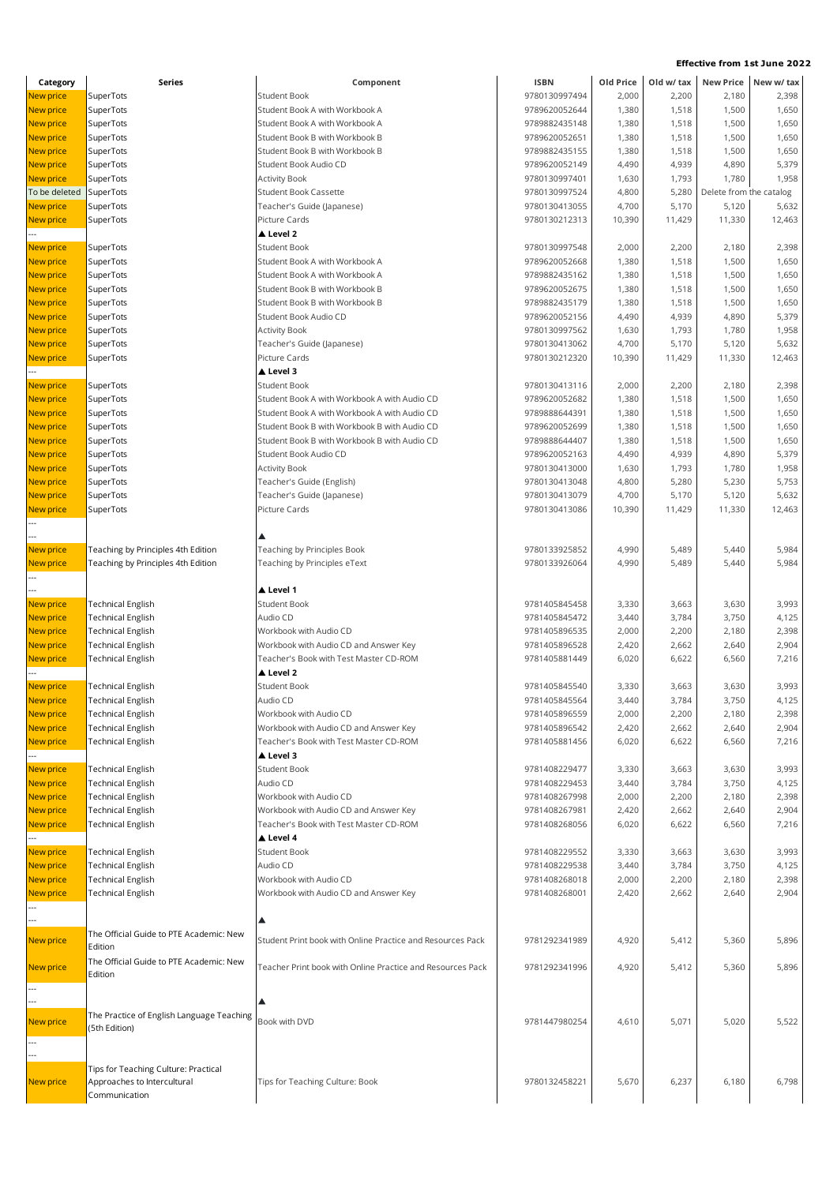| <b>Effective from 1st June 2022</b> |                                    |                                              |               |           |            |                         |            |
|-------------------------------------|------------------------------------|----------------------------------------------|---------------|-----------|------------|-------------------------|------------|
| Category                            | <b>Series</b>                      | Component                                    | <b>ISBN</b>   | Old Price | Old w/ tax | <b>New Price</b>        | New w/ tax |
| <b>New price</b>                    | SuperTots                          | <b>Student Book</b>                          | 9780130997494 | 2,000     | 2,200      | 2,180                   | 2,398      |
| <b>New price</b>                    | SuperTots                          | Student Book A with Workbook A               | 9789620052644 | 1,380     | 1,518      | 1,500                   | 1,650      |
| <b>New price</b>                    | SuperTots                          | Student Book A with Workbook A               | 9789882435148 | 1,380     | 1,518      | 1,500                   | 1,650      |
| <b>New price</b>                    | SuperTots                          | Student Book B with Workbook B               | 9789620052651 | 1,380     | 1,518      | 1,500                   | 1,650      |
| <b>New price</b>                    | SuperTots                          | Student Book B with Workbook B               | 9789882435155 | 1,380     | 1,518      | 1,500                   | 1,650      |
| <b>New price</b>                    | SuperTots                          | Student Book Audio CD                        | 9789620052149 | 4,490     | 4,939      | 4,890                   | 5,379      |
| <b>New price</b>                    | SuperTots                          | <b>Activity Book</b>                         | 9780130997401 | 1,630     | 1,793      | 1,780                   | 1,958      |
| To be deleted                       | SuperTots                          | <b>Student Book Cassette</b>                 | 9780130997524 | 4,800     | 5,280      | Delete from the catalog |            |
| New price                           | SuperTots                          | Teacher's Guide (Japanese)                   | 9780130413055 | 4,700     | 5,170      | 5,120                   | 5,632      |
| New price                           | SuperTots                          | Picture Cards                                | 9780130212313 | 10,390    | 11,429     | 11,330                  | 12,463     |
|                                     |                                    | A Level 2                                    |               |           |            |                         |            |
| <b>New price</b>                    | SuperTots                          | <b>Student Book</b>                          | 9780130997548 | 2,000     | 2,200      | 2,180                   | 2,398      |
| <b>New price</b>                    | SuperTots                          | Student Book A with Workbook A               | 9789620052668 | 1,380     | 1,518      | 1,500                   | 1,650      |
| <b>New price</b>                    | SuperTots                          | Student Book A with Workbook A               | 9789882435162 | 1,380     | 1,518      | 1,500                   | 1,650      |
| <b>New price</b>                    | SuperTots                          | Student Book B with Workbook B               | 9789620052675 | 1,380     | 1,518      | 1,500                   | 1,650      |
| <b>New price</b>                    | SuperTots                          | Student Book B with Workbook B               | 9789882435179 | 1,380     | 1,518      | 1,500                   | 1,650      |
| New price                           | SuperTots                          | Student Book Audio CD                        | 9789620052156 | 4,490     | 4,939      | 4,890                   | 5,379      |
| New price                           | SuperTots                          | <b>Activity Book</b>                         | 9780130997562 | 1,630     | 1,793      | 1,780                   | 1,958      |
| New price                           | SuperTots                          | Teacher's Guide (Japanese)                   | 9780130413062 | 4,700     | 5,170      | 5,120                   | 5,632      |
| <b>New price</b>                    | SuperTots                          | Picture Cards                                | 9780130212320 | 10,390    | 11,429     | 11,330                  | 12,463     |
|                                     |                                    | ▲ Level 3                                    |               |           |            |                         |            |
| <b>New price</b>                    | SuperTots                          | <b>Student Book</b>                          | 9780130413116 | 2,000     | 2,200      | 2,180                   | 2.398      |
| <b>New price</b>                    | SuperTots                          | Student Book A with Workbook A with Audio CD | 9789620052682 | 1,380     | 1,518      | 1,500                   | 1,650      |
| <b>New price</b>                    | SuperTots                          | Student Book A with Workbook A with Audio CD | 9789888644391 | 1,380     | 1,518      | 1,500                   | 1,650      |
| <b>New price</b>                    | SuperTots                          | Student Book B with Workbook B with Audio CD | 9789620052699 | 1,380     | 1,518      | 1,500                   | 1,650      |
| <b>New price</b>                    | SuperTots                          | Student Book B with Workbook B with Audio CD | 9789888644407 | 1,380     | 1,518      | 1,500                   | 1,650      |
| New price                           | SuperTots                          | Student Book Audio CD                        | 9789620052163 | 4,490     | 4,939      | 4,890                   | 5,379      |
| New price                           | SuperTots                          | <b>Activity Book</b>                         | 9780130413000 | 1,630     | 1,793      | 1,780                   | 1,958      |
| <b>New price</b>                    | SuperTots                          | Teacher's Guide (English)                    | 9780130413048 | 4,800     | 5,280      | 5,230                   | 5,753      |
| <b>New price</b>                    | SuperTots                          | Teacher's Guide (Japanese)                   | 9780130413079 | 4,700     | 5,170      | 5,120                   | 5,632      |
| New price                           | SuperTots                          | Picture Cards                                | 9780130413086 | 10,390    | 11,429     | 11,330                  | 12,463     |
|                                     |                                    |                                              |               |           |            |                         |            |
|                                     |                                    |                                              |               |           |            |                         |            |
| New price                           | Teaching by Principles 4th Edition | <b>Teaching by Principles Book</b>           | 9780133925852 | 4,990     | 5.489      | 5.440                   | 5,984      |
| New price                           | Teaching by Principles 4th Edition | Teaching by Principles eText                 | 9780133926064 | 4,990     | 5,489      | 5,440                   | 5,984      |
|                                     |                                    | ▲ Level 1                                    |               |           |            |                         |            |
|                                     |                                    |                                              |               |           |            |                         |            |

| <b>New price</b> | Teaching by Principles 4th Edition                         | Teaching by Principles eText                                                    | 9780133926064                  | 4,990          | 5,489          | 5,440          | 5,984 |
|------------------|------------------------------------------------------------|---------------------------------------------------------------------------------|--------------------------------|----------------|----------------|----------------|-------|
|                  |                                                            | Level 1                                                                         |                                |                |                |                |       |
| New price        | <b>Technical English</b>                                   | <b>Student Book</b>                                                             |                                |                |                |                | 3,993 |
| New price        | <b>Technical English</b>                                   | Audio CD                                                                        | 9781405845458<br>9781405845472 | 3,330<br>3,440 | 3,663<br>3,784 | 3,630<br>3,750 | 4,125 |
| New price        | <b>Technical English</b>                                   | Workbook with Audio CD                                                          | 9781405896535                  | 2,000          | 2,200          | 2,180          | 2,398 |
|                  |                                                            |                                                                                 | 9781405896528                  |                |                |                |       |
| <b>New price</b> | Technical English                                          | Workbook with Audio CD and Answer Key<br>Teacher's Book with Test Master CD-ROM |                                | 2,420          | 2,662          | 2,640          | 2,904 |
| New price        | <b>Technical English</b>                                   | Level 2                                                                         | 9781405881449                  | 6,020          | 6,622          | 6,560          | 7,216 |
| <b>New price</b> | <b>Technical English</b>                                   | <b>Student Book</b>                                                             | 9781405845540                  | 3,330          | 3,663          | 3,630          | 3,993 |
|                  |                                                            |                                                                                 |                                |                |                |                |       |
| <b>New price</b> | <b>Technical English</b>                                   | Audio CD                                                                        | 9781405845564                  | 3,440          | 3,784          | 3,750          | 4,125 |
| New price        | <b>Technical English</b>                                   | Workbook with Audio CD                                                          | 9781405896559                  | 2,000          | 2,200          | 2,180          | 2,398 |
| New price        | <b>Technical English</b>                                   | Workbook with Audio CD and Answer Key                                           | 9781405896542                  | 2,420          | 2,662          | 2,640          | 2,904 |
| New price        | <b>Technical English</b>                                   | Teacher's Book with Test Master CD-ROM                                          | 9781405881456                  | 6,020          | 6,622          | 6,560          | 7,216 |
|                  |                                                            | Level 3                                                                         |                                |                |                |                |       |
| <b>New price</b> | <b>Technical English</b>                                   | <b>Student Book</b>                                                             | 9781408229477                  | 3,330          | 3,663          | 3,630          | 3,993 |
| New price        | <b>Technical English</b>                                   | Audio CD                                                                        | 9781408229453                  | 3,440          | 3,784          | 3,750          | 4,125 |
| New price        | <b>Technical English</b>                                   | Workbook with Audio CD                                                          | 9781408267998                  | 2,000          | 2,200          | 2,180          | 2,398 |
| New price        | <b>Technical English</b>                                   | Workbook with Audio CD and Answer Key                                           | 9781408267981                  | 2,420          | 2,662          | 2,640          | 2,904 |
| <b>New price</b> | <b>Technical English</b>                                   | Teacher's Book with Test Master CD-ROM                                          | 9781408268056                  | 6,020          | 6,622          | 6,560          | 7,216 |
|                  |                                                            | ▲ Level 4                                                                       |                                |                |                |                |       |
| New price        | <b>Technical English</b>                                   | <b>Student Book</b>                                                             | 9781408229552                  | 3,330          | 3,663          | 3,630          | 3,993 |
| New price        | <b>Technical English</b>                                   | Audio CD                                                                        | 9781408229538                  | 3,440          | 3,784          | 3,750          | 4,125 |
| New price        | <b>Technical English</b>                                   | Workbook with Audio CD                                                          | 9781408268018                  | 2,000          | 2,200          | 2,180          | 2,398 |
| New price        | Technical English                                          | Workbook with Audio CD and Answer Key                                           | 9781408268001                  | 2,420          | 2,662          | 2,640          | 2,904 |
|                  |                                                            |                                                                                 |                                |                |                |                |       |
|                  |                                                            |                                                                                 |                                |                |                |                |       |
| <b>New price</b> | The Official Guide to PTE Academic: New<br>Edition         | Student Print book with Online Practice and Resources Pack                      | 9781292341989                  | 4,920          | 5,412          | 5,360          | 5,896 |
| New price        | The Official Guide to PTE Academic: New<br>Edition         | Teacher Print book with Online Practice and Resources Pack                      | 9781292341996                  | 4,920          | 5,412          | 5,360          | 5,896 |
|                  |                                                            |                                                                                 |                                |                |                |                |       |
|                  |                                                            |                                                                                 |                                |                |                |                |       |
| New price        | The Practice of English Language Teaching<br>(5th Edition) | Book with DVD                                                                   | 9781447980254                  | 4,610          | 5,071          | 5,020          | 5,522 |
|                  |                                                            |                                                                                 |                                |                |                |                |       |
|                  |                                                            |                                                                                 |                                |                |                |                |       |
|                  | Tips for Teaching Culture: Practical                       |                                                                                 |                                |                |                |                |       |
| New price        | Approaches to Intercultural<br>Communication               | Tips for Teaching Culture: Book                                                 | 9780132458221                  | 5,670          | 6,237          | 6,180          | 6,798 |
|                  |                                                            |                                                                                 |                                |                |                |                |       |
|                  |                                                            |                                                                                 |                                |                |                |                |       |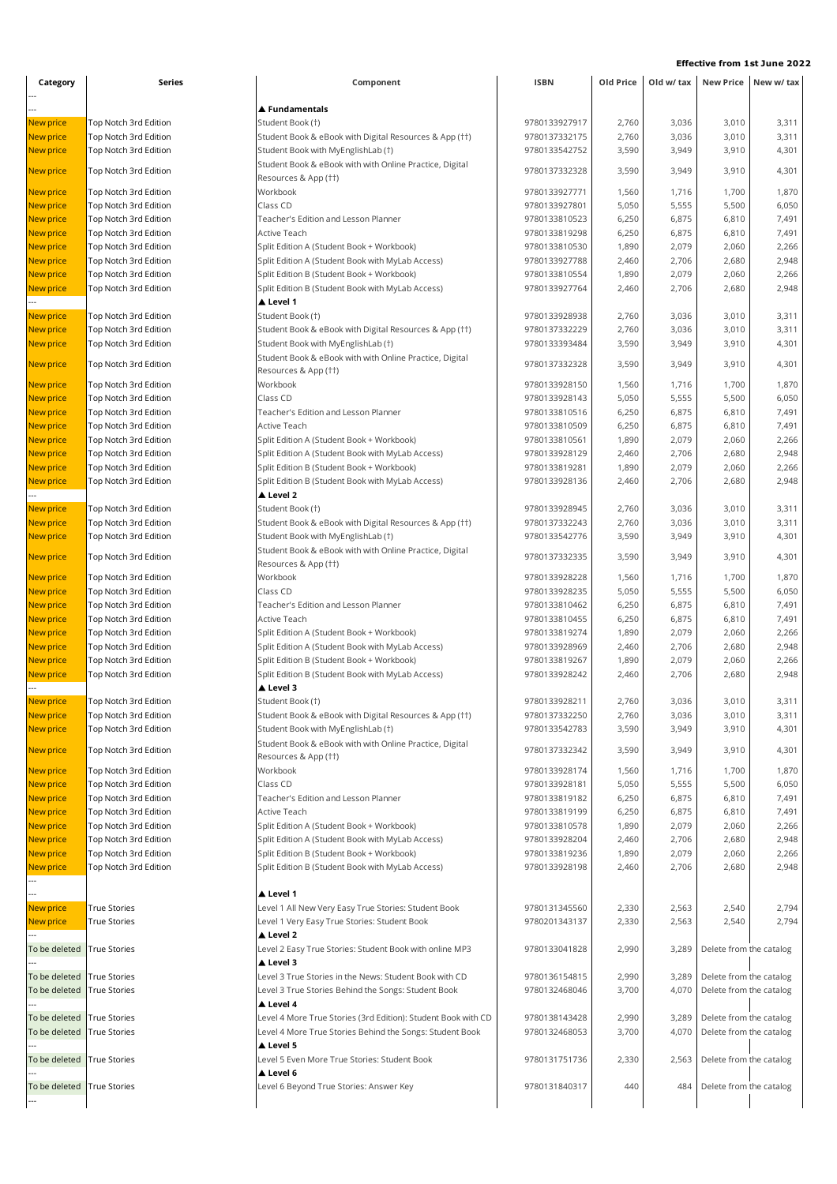| Category                   | Series                                         | Component                                                                                            | <b>ISBN</b>                    | Old Price      | Old w/ tax     |                         | New Price New w/ tax |
|----------------------------|------------------------------------------------|------------------------------------------------------------------------------------------------------|--------------------------------|----------------|----------------|-------------------------|----------------------|
|                            |                                                |                                                                                                      |                                |                |                |                         |                      |
|                            |                                                | $\blacktriangle$ Fundamentals                                                                        |                                |                |                |                         |                      |
| New price                  | Top Notch 3rd Edition                          | Student Book (†)                                                                                     | 9780133927917                  | 2,760          | 3,036          | 3,010                   | 3,311                |
| New price                  | Top Notch 3rd Edition                          | Student Book & eBook with Digital Resources & App (††)                                               | 9780137332175                  | 2,760          | 3,036          | 3,010                   | 3,311                |
| New price                  | Top Notch 3rd Edition                          | Student Book with MyEnglishLab (†)                                                                   | 9780133542752                  | 3,590          | 3,949          | 3,910                   | 4,301                |
| New price                  | Top Notch 3rd Edition                          | Student Book & eBook with with Online Practice, Digital                                              | 9780137332328                  | 3,590          | 3,949          | 3,910                   | 4,301                |
| New price                  | Top Notch 3rd Edition                          | Resources & App (††)<br>Workbook                                                                     | 9780133927771                  | 1,560          | 1,716          | 1,700                   | 1,870                |
| New price                  | Top Notch 3rd Edition                          | Class CD                                                                                             | 9780133927801                  | 5,050          | 5,555          | 5,500                   | 6,050                |
| New price                  | Top Notch 3rd Edition                          | Teacher's Edition and Lesson Planner                                                                 | 9780133810523                  | 6,250          | 6,875          | 6,810                   | 7,491                |
| New price                  | Top Notch 3rd Edition                          | Active Teach                                                                                         | 9780133819298                  | 6,250          | 6,875          | 6,810                   | 7,491                |
| <b>New price</b>           | Top Notch 3rd Edition                          | Split Edition A (Student Book + Workbook)                                                            | 9780133810530                  | 1,890          | 2,079          | 2,060                   | 2,266                |
| New price                  | Top Notch 3rd Edition                          | Split Edition A (Student Book with MyLab Access)                                                     | 9780133927788                  | 2,460          | 2,706          | 2,680                   | 2,948                |
| New price                  | Top Notch 3rd Edition                          | Split Edition B (Student Book + Workbook)                                                            | 9780133810554                  | 1,890          | 2,079          | 2,060                   | 2,266                |
| New price                  | Top Notch 3rd Edition                          | Split Edition B (Student Book with MyLab Access)                                                     | 9780133927764                  | 2,460          | 2,706          | 2,680                   | 2,948                |
|                            |                                                | ▲ Level 1                                                                                            |                                |                |                |                         |                      |
| New price                  | Top Notch 3rd Edition                          | Student Book (†)                                                                                     | 9780133928938                  | 2,760          | 3,036          | 3,010                   | 3,311                |
| New price                  | Top Notch 3rd Edition                          | Student Book & eBook with Digital Resources & App (††)                                               | 9780137332229                  | 2,760          | 3,036          | 3,010                   | 3,311                |
| New price                  | Top Notch 3rd Edition                          | Student Book with MyEnglishLab (†)                                                                   | 9780133393484                  | 3,590          | 3,949          | 3,910                   | 4,301                |
| New price                  | Top Notch 3rd Edition                          | Student Book & eBook with with Online Practice, Digital                                              | 9780137332328                  | 3,590          | 3,949          | 3,910                   | 4,301                |
|                            |                                                | Resources & App (††)                                                                                 |                                |                |                |                         |                      |
| New price                  | Top Notch 3rd Edition                          | Workbook                                                                                             | 9780133928150                  | 1,560          | 1,716          | 1,700                   | 1,870                |
| New price                  | Top Notch 3rd Edition                          | Class CD                                                                                             | 9780133928143                  | 5,050          | 5,555          | 5,500                   | 6,050                |
| New price                  | Top Notch 3rd Edition                          | Teacher's Edition and Lesson Planner                                                                 | 9780133810516                  | 6,250          | 6,875          | 6,810                   | 7,491                |
| New price                  | Top Notch 3rd Edition                          | Active Teach                                                                                         | 9780133810509<br>9780133810561 | 6,250<br>1,890 | 6,875<br>2,079 | 6,810<br>2,060          | 7,491<br>2,266       |
| New price<br>New price     | Top Notch 3rd Edition<br>Top Notch 3rd Edition | Split Edition A (Student Book + Workbook)<br>Split Edition A (Student Book with MyLab Access)        | 9780133928129                  | 2,460          | 2,706          | 2,680                   | 2,948                |
| <b>New price</b>           | Top Notch 3rd Edition                          | Split Edition B (Student Book + Workbook)                                                            | 9780133819281                  | 1,890          | 2,079          | 2,060                   | 2,266                |
| New price                  | Top Notch 3rd Edition                          | Split Edition B (Student Book with MyLab Access)                                                     | 9780133928136                  | 2,460          | 2,706          | 2,680                   | 2,948                |
|                            |                                                | Level 2                                                                                              |                                |                |                |                         |                      |
| New price                  | Top Notch 3rd Edition                          | Student Book (†)                                                                                     | 9780133928945                  | 2,760          | 3,036          | 3,010                   | 3,311                |
| New price                  | Top Notch 3rd Edition                          | Student Book & eBook with Digital Resources & App (††)                                               | 9780137332243                  | 2,760          | 3,036          | 3,010                   | 3,311                |
| New price                  | Top Notch 3rd Edition                          | Student Book with MyEnglishLab (†)                                                                   | 9780133542776                  | 3,590          | 3,949          | 3,910                   | 4,301                |
| New price                  | Top Notch 3rd Edition                          | Student Book & eBook with with Online Practice, Digital<br>Resources & App (††)                      | 9780137332335                  | 3,590          | 3,949          | 3,910                   | 4,301                |
| New price                  | Top Notch 3rd Edition                          | Workbook                                                                                             | 9780133928228                  | 1,560          | 1,716          | 1,700                   | 1,870                |
| New price                  | Top Notch 3rd Edition                          | Class CD                                                                                             | 9780133928235                  | 5,050          | 5,555          | 5,500                   | 6,050                |
| New price                  | Top Notch 3rd Edition                          | Teacher's Edition and Lesson Planner                                                                 | 9780133810462                  | 6,250          | 6,875          | 6,810                   | 7,491                |
| New price                  | Top Notch 3rd Edition                          | Active Teach                                                                                         | 9780133810455                  | 6,250          | 6,875          | 6,810                   | 7,491                |
| New price                  | Top Notch 3rd Edition                          | Split Edition A (Student Book + Workbook)                                                            | 9780133819274                  | 1,890          | 2,079          | 2,060                   | 2,266                |
| New price                  | Top Notch 3rd Edition                          | Split Edition A (Student Book with MyLab Access)                                                     | 9780133928969                  | 2,460          | 2,706          | 2,680                   | 2,948                |
| New price                  | Top Notch 3rd Edition                          | Split Edition B (Student Book + Workbook)                                                            | 9780133819267                  | 1,890          | 2,079          | 2,060                   | 2,266                |
| New price                  | Top Notch 3rd Edition                          | Split Edition B (Student Book with MyLab Access)                                                     | 9780133928242                  | 2,460          | 2,706          | 2,680                   | 2,948                |
|                            |                                                | Level 3                                                                                              |                                |                |                |                         |                      |
| <b>New price</b>           | Top Notch 3rd Edition                          | Student Book (†)                                                                                     | 9780133928211                  | 2,760          | 3,036          | 3,010                   | 3,311                |
| New price                  | Top Notch 3rd Edition                          | Student Book & eBook with Digital Resources & App (††)                                               | 9780137332250                  | 2,760          | 3,036          | 3,010                   | 3,311                |
| New price                  | Top Notch 3rd Edition                          | Student Book with MyEnglishLab (†)<br>Student Book & eBook with with Online Practice, Digital        | 9780133542783<br>9780137332342 | 3,590          | 3,949          | 3,910                   | 4,301<br>4,301       |
| New price                  | Top Notch 3rd Edition                          | Resources & App (††)                                                                                 |                                | 3,590          | 3,949          | 3,910                   |                      |
| New price                  | Top Notch 3rd Edition                          | Workbook                                                                                             | 9780133928174                  | 1,560          | 1,716          | 1,700                   | 1,870                |
| New price                  | Top Notch 3rd Edition                          | Class CD                                                                                             | 9780133928181                  | 5,050          | 5,555          | 5,500                   | 6,050                |
| New price                  | Top Notch 3rd Edition                          | Teacher's Edition and Lesson Planner                                                                 | 9780133819182                  | 6,250          | 6,875          | 6,810                   | 7,491                |
| New price                  | Top Notch 3rd Edition                          | Active Teach                                                                                         | 9780133819199                  | 6,250          | 6,875          | 6,810                   | 7,491                |
| New price                  | Top Notch 3rd Edition                          | Split Edition A (Student Book + Workbook)                                                            | 9780133810578                  | 1,890          | 2,079          | 2,060                   | 2,266                |
| New price                  | Top Notch 3rd Edition                          | Split Edition A (Student Book with MyLab Access)                                                     | 9780133928204                  | 2,460          | 2,706          | 2,680                   | 2,948                |
| New price<br>New price     | Top Notch 3rd Edition<br>Top Notch 3rd Edition | Split Edition B (Student Book + Workbook)<br>Split Edition B (Student Book with MyLab Access)        | 9780133819236<br>9780133928198 | 1,890<br>2,460 | 2,079<br>2,706 | 2,060<br>2,680          | 2,266<br>2,948       |
|                            |                                                |                                                                                                      |                                |                |                |                         |                      |
|                            |                                                | ▲ Level 1                                                                                            |                                |                |                |                         |                      |
| New price                  | <b>True Stories</b><br><b>True Stories</b>     | Level 1 All New Very Easy True Stories: Student Book<br>Level 1 Very Easy True Stories: Student Book | 9780131345560<br>9780201343137 | 2,330<br>2,330 | 2,563<br>2,563 | 2,540<br>2,540          | 2,794<br>2,794       |
| New price                  |                                                | ▲ Level 2                                                                                            |                                |                |                |                         |                      |
| To be deleted              | <b>True Stories</b>                            | Level 2 Easy True Stories: Student Book with online MP3<br>▲ Level 3                                 | 9780133041828                  | 2,990          | 3,289          | Delete from the catalog |                      |
| To be deleted              | True Stories                                   | Level 3 True Stories in the News: Student Book with CD                                               | 9780136154815                  | 2,990          | 3,289          | Delete from the catalog |                      |
| To be deleted              | <b>True Stories</b>                            | Level 3 True Stories Behind the Songs: Student Book<br>▲ Level 4                                     | 9780132468046                  | 3,700          | 4,070          | Delete from the catalog |                      |
| To be deleted              | <b>True Stories</b>                            | Level 4 More True Stories (3rd Edition): Student Book with CD                                        | 9780138143428                  | 2,990          | 3,289          | Delete from the catalog |                      |
| To be deleted              | True Stories                                   | Level 4 More True Stories Behind the Songs: Student Book                                             | 9780132468053                  | 3,700          | 4,070          | Delete from the catalog |                      |
|                            |                                                | ▲ Level 5                                                                                            |                                |                |                |                         |                      |
| To be deleted              | True Stories                                   | Level 5 Even More True Stories: Student Book                                                         | 9780131751736                  | 2,330          | 2,563          | Delete from the catalog |                      |
| To be deleted True Stories |                                                | ▲ Level 6<br>Level 6 Beyond True Stories: Answer Key                                                 | 9780131840317                  | 440            | 484            | Delete from the catalog |                      |
|                            |                                                |                                                                                                      |                                |                |                |                         |                      |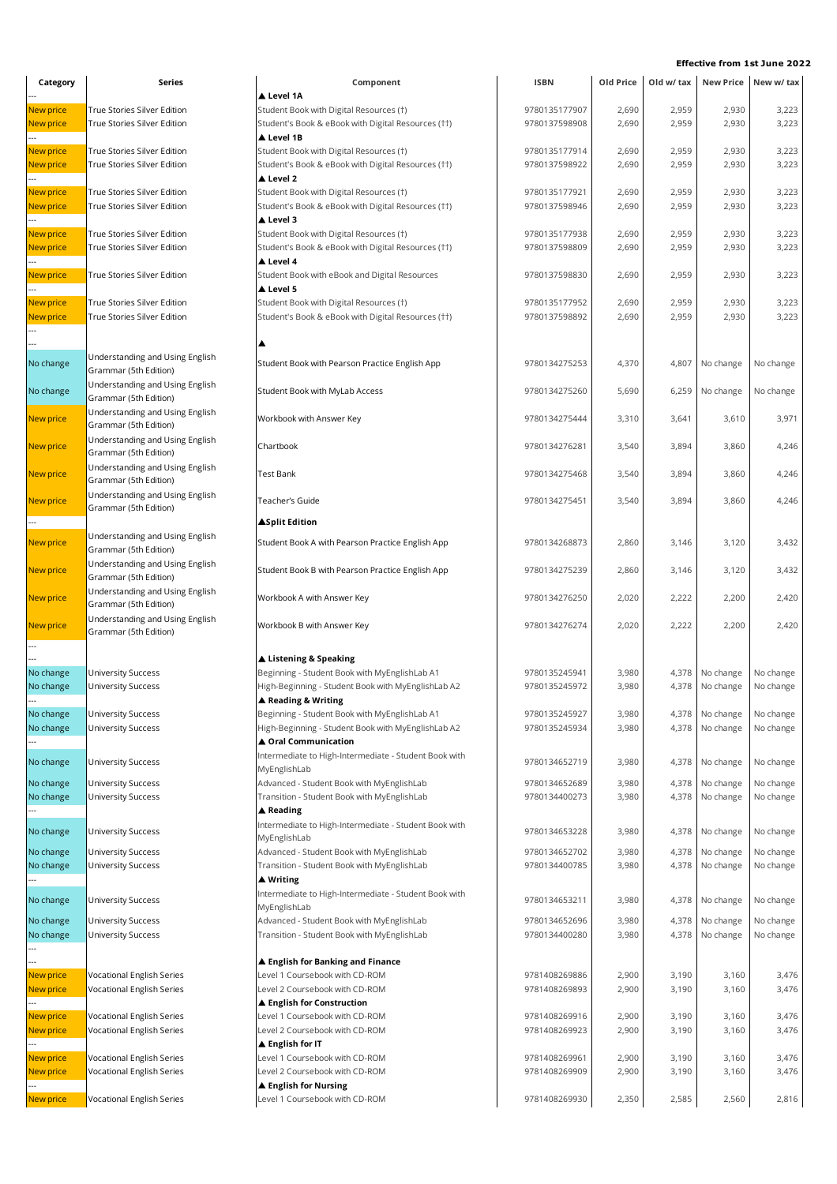| Category               | Series                                                     | Component                                                                                           | <b>ISBN</b>                    | Old Price      | Old w/ tax     |                        | New Price New w/ tax   |
|------------------------|------------------------------------------------------------|-----------------------------------------------------------------------------------------------------|--------------------------------|----------------|----------------|------------------------|------------------------|
|                        |                                                            | ▲ Level 1A                                                                                          |                                |                |                |                        |                        |
| New price              | True Stories Silver Edition                                | Student Book with Digital Resources (†)                                                             | 9780135177907                  | 2,690          | 2,959          | 2,930                  | 3,223                  |
| New price              | True Stories Silver Edition                                | Student's Book & eBook with Digital Resources (††)                                                  | 9780137598908                  | 2,690          | 2,959          | 2,930                  | 3,223                  |
|                        |                                                            | Level 1B                                                                                            |                                |                | 2,959          | 2,930                  |                        |
| New price<br>New price | True Stories Silver Edition<br>True Stories Silver Edition | Student Book with Digital Resources (†)<br>Student's Book & eBook with Digital Resources (††)       | 9780135177914<br>9780137598922 | 2,690<br>2,690 | 2,959          | 2,930                  | 3,223<br>3,223         |
|                        |                                                            | ▲ Level 2                                                                                           |                                |                |                |                        |                        |
| New price              | True Stories Silver Edition                                | Student Book with Digital Resources (†)                                                             | 9780135177921                  | 2,690          | 2,959          | 2,930                  | 3,223                  |
| New price              | True Stories Silver Edition                                | Student's Book & eBook with Digital Resources (††)                                                  | 9780137598946                  | 2,690          | 2,959          | 2,930                  | 3,223                  |
|                        |                                                            | ▲ Level 3                                                                                           |                                |                |                |                        |                        |
| New price              | True Stories Silver Edition                                | Student Book with Digital Resources (†)                                                             | 9780135177938                  | 2,690          | 2,959          | 2,930                  | 3,223                  |
| <b>New price</b>       | True Stories Silver Edition                                | Student's Book & eBook with Digital Resources (††)                                                  | 9780137598809                  | 2,690          | 2,959          | 2,930                  | 3,223                  |
|                        |                                                            | ▲ Level 4                                                                                           |                                |                |                |                        |                        |
| New price              | True Stories Silver Edition                                | Student Book with eBook and Digital Resources                                                       | 9780137598830                  | 2,690          | 2,959          | 2,930                  | 3,223                  |
|                        |                                                            | ▲ Level 5                                                                                           |                                |                |                |                        |                        |
| New price              | True Stories Silver Edition<br>True Stories Silver Edition | Student Book with Digital Resources (†)<br>Student's Book & eBook with Digital Resources (††)       | 9780135177952<br>9780137598892 | 2,690<br>2,690 | 2,959<br>2,959 | 2,930                  | 3,223<br>3,223         |
| New price              |                                                            |                                                                                                     |                                |                |                | 2,930                  |                        |
|                        |                                                            |                                                                                                     |                                |                |                |                        |                        |
|                        | Understanding and Using English                            |                                                                                                     |                                |                |                |                        |                        |
| No change              | Grammar (5th Edition)                                      | Student Book with Pearson Practice English App                                                      | 9780134275253                  | 4,370          | 4,807          | No change              | No change              |
| No change              | Understanding and Using English                            | Student Book with MyLab Access                                                                      | 9780134275260                  | 5,690          | 6,259          | No change              | No change              |
|                        | Grammar (5th Edition)                                      |                                                                                                     |                                |                |                |                        |                        |
| <b>New price</b>       | Understanding and Using English                            | Workbook with Answer Key                                                                            | 9780134275444                  | 3,310          | 3,641          | 3,610                  | 3,971                  |
|                        | Grammar (5th Edition)                                      |                                                                                                     |                                |                |                |                        |                        |
| <b>New price</b>       | Understanding and Using English                            | Chartbook                                                                                           | 9780134276281                  | 3,540          | 3,894          | 3,860                  | 4,246                  |
|                        | Grammar (5th Edition)                                      |                                                                                                     |                                |                |                |                        |                        |
| <b>New price</b>       | Understanding and Using English<br>Grammar (5th Edition)   | <b>Test Bank</b>                                                                                    | 9780134275468                  | 3,540          | 3,894          | 3,860                  | 4,246                  |
|                        | Understanding and Using English                            |                                                                                                     |                                |                |                |                        |                        |
| New price              | Grammar (5th Edition)                                      | Teacher's Guide                                                                                     | 9780134275451                  | 3,540          | 3,894          | 3,860                  | 4,246                  |
|                        |                                                            | <b>ASplit Edition</b>                                                                               |                                |                |                |                        |                        |
| <b>New price</b>       | Understanding and Using English                            | Student Book A with Pearson Practice English App                                                    | 9780134268873                  | 2,860          | 3,146          | 3,120                  | 3,432                  |
|                        | Grammar (5th Edition)                                      |                                                                                                     |                                |                |                |                        |                        |
| <b>New price</b>       | Understanding and Using English                            | Student Book B with Pearson Practice English App                                                    | 9780134275239                  | 2,860          | 3,146          | 3,120                  | 3,432                  |
|                        | Grammar (5th Edition)<br>Understanding and Using English   |                                                                                                     |                                |                |                |                        |                        |
| <b>New price</b>       | Grammar (5th Edition)                                      | Workbook A with Answer Key                                                                          | 9780134276250                  | 2,020          | 2,222          | 2,200                  | 2,420                  |
|                        | Understanding and Using English                            |                                                                                                     |                                |                |                |                        |                        |
| <b>New price</b>       | Grammar (5th Edition)                                      | Workbook B with Answer Key                                                                          | 9780134276274                  | 2,020          | 2,222          | 2,200                  | 2,420                  |
| ---                    |                                                            |                                                                                                     |                                |                |                |                        |                        |
|                        |                                                            | ▲ Listening & Speaking                                                                              |                                |                |                |                        |                        |
| No change<br>No change | <b>University Success</b><br><b>University Success</b>     | Beginning - Student Book with MyEnglishLab A1<br>High-Beginning - Student Book with MyEnglishLab A2 | 9780135245941<br>9780135245972 | 3,980<br>3,980 | 4,378<br>4,378 | No change<br>No change | No change<br>No change |
|                        |                                                            | ▲ Reading & Writing                                                                                 |                                |                |                |                        |                        |
| No change              | <b>University Success</b>                                  | Beginning - Student Book with MyEnglishLab A1                                                       | 9780135245927                  | 3,980          | 4,378          | No change              | No change              |
| No change              | <b>University Success</b>                                  | High-Beginning - Student Book with MyEnglishLab A2                                                  | 9780135245934                  | 3,980          | 4,378          | No change              | No change              |
|                        |                                                            | ▲ Oral Communication                                                                                |                                |                |                |                        |                        |
| No change              | <b>University Success</b>                                  | Intermediate to High-Intermediate - Student Book with                                               | 9780134652719                  | 3,980          | 4,378          | No change              | No change              |
|                        |                                                            | MyEnglishLab                                                                                        |                                |                |                |                        |                        |
| No change              | <b>University Success</b>                                  | Advanced - Student Book with MyEnglishLab                                                           | 9780134652689                  | 3,980          | 4,378          | No change              | No change              |
| No change              | <b>University Success</b>                                  | Transition - Student Book with MyEnglishLab                                                         | 9780134400273                  | 3,980          | 4,378          | No change              | No change              |
|                        |                                                            | ▲ Reading                                                                                           |                                |                |                |                        |                        |
| No change              | <b>University Success</b>                                  | Intermediate to High-Intermediate - Student Book with<br>MyEnglishLab                               | 9780134653228                  | 3,980          | 4,378          | No change              | No change              |
| No change              | <b>University Success</b>                                  | Advanced - Student Book with MyEnglishLab                                                           | 9780134652702                  | 3,980          | 4,378          | No change              | No change              |
| No change              | <b>University Success</b>                                  | Transition - Student Book with MyEnglishLab                                                         | 9780134400785                  | 3,980          | 4,378          | No change              | No change              |
|                        |                                                            | ▲ Writing                                                                                           |                                |                |                |                        |                        |
| No change              | <b>University Success</b>                                  | Intermediate to High-Intermediate - Student Book with                                               | 9780134653211                  | 3,980          |                | No change              | No change              |
|                        |                                                            | MyEnglishLab                                                                                        |                                |                | 4,378          |                        |                        |
| No change              | <b>University Success</b>                                  | Advanced - Student Book with MyEnglishLab                                                           | 9780134652696                  | 3,980          | 4,378          | No change              | No change              |
| No change              | <b>University Success</b>                                  | Transition - Student Book with MyEnglishLab                                                         | 9780134400280                  | 3,980          | 4,378          | No change              | No change              |
|                        |                                                            | ▲ English for Banking and Finance                                                                   |                                |                |                |                        |                        |
| New price              | Vocational English Series                                  | Level 1 Coursebook with CD-ROM                                                                      | 9781408269886                  | 2,900          | 3,190          | 3,160                  | 3,476                  |
| New price              | Vocational English Series                                  | Level 2 Coursebook with CD-ROM                                                                      | 9781408269893                  | 2,900          | 3,190          | 3,160                  | 3,476                  |
|                        |                                                            | ▲ English for Construction                                                                          |                                |                |                |                        |                        |
| New price              | Vocational English Series                                  | Level 1 Coursebook with CD-ROM                                                                      | 9781408269916                  | 2,900          | 3,190          | 3,160                  | 3,476                  |
| New price              | Vocational English Series                                  | Level 2 Coursebook with CD-ROM                                                                      | 9781408269923                  | 2,900          | 3,190          | 3,160                  | 3,476                  |
|                        |                                                            | $\blacktriangle$ English for IT                                                                     |                                |                |                |                        |                        |
| New price              | Vocational English Series                                  | Level 1 Coursebook with CD-ROM                                                                      | 9781408269961                  | 2,900          | 3,190          | 3,160                  | 3,476                  |
| New price              | Vocational English Series                                  | Level 2 Coursebook with CD-ROM                                                                      | 9781408269909                  | 2,900          | 3,190          | 3,160                  | 3,476                  |
|                        | Vocational English Series                                  | ▲ English for Nursing<br>Level 1 Coursebook with CD-ROM                                             | 9781408269930                  |                | 2,585          | 2,560                  | 2,816                  |
| New price              |                                                            |                                                                                                     |                                | 2,350          |                |                        |                        |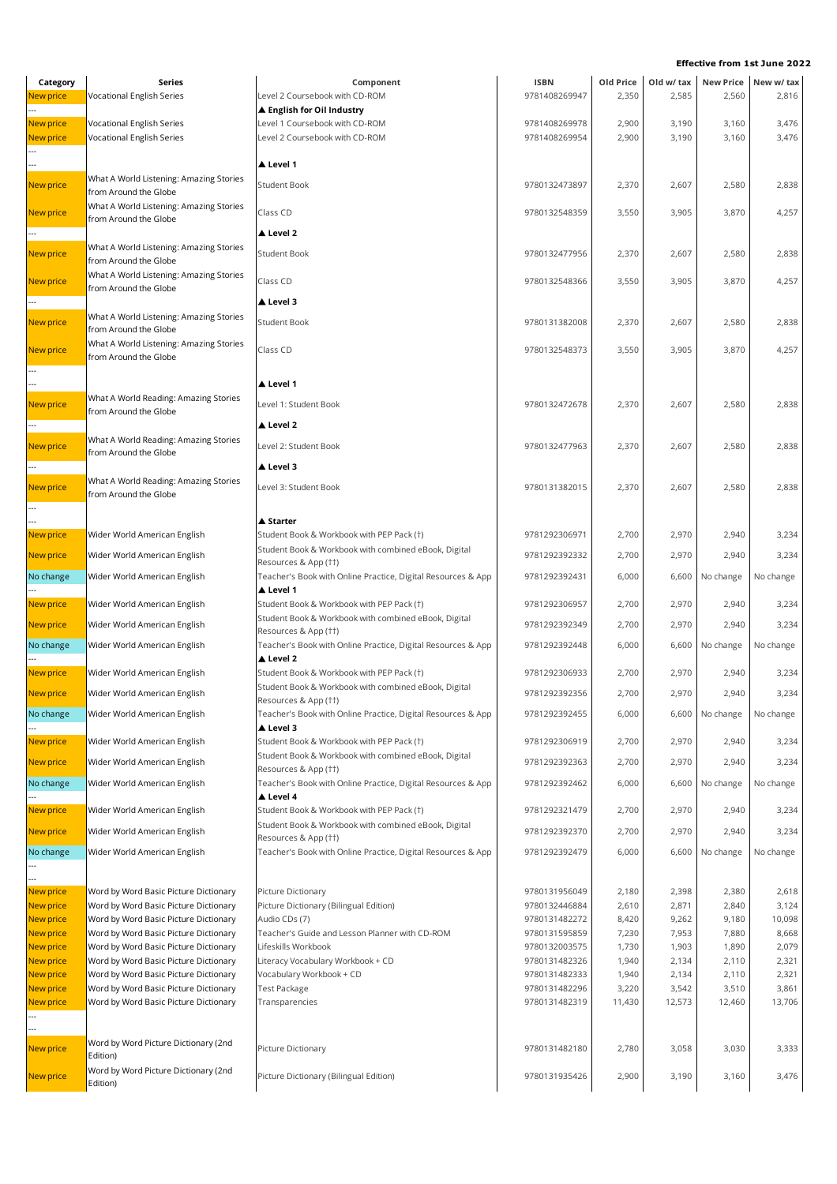| Category               | Series                                                                         | Component                                                                                         | ISBN                           | Old Price      | Old w/ tax     |                | New Price New w/ tax |
|------------------------|--------------------------------------------------------------------------------|---------------------------------------------------------------------------------------------------|--------------------------------|----------------|----------------|----------------|----------------------|
| <b>New price</b>       | Vocational English Series                                                      | Level 2 Coursebook with CD-ROM<br>▲ English for Oil Industry                                      | 9781408269947                  | 2,350          | 2,585          | 2,560          | 2,816                |
| New price              | Vocational English Series                                                      | Level 1 Coursebook with CD-ROM                                                                    | 9781408269978                  | 2,900          | 3,190          | 3,160          | 3,476                |
| New price              | Vocational English Series                                                      | Level 2 Coursebook with CD-ROM                                                                    | 9781408269954                  | 2,900          | 3,190          | 3,160          | 3,476                |
|                        |                                                                                | ▲ Level 1                                                                                         |                                |                |                |                |                      |
| New price              | What A World Listening: Amazing Stories<br>from Around the Globe               | <b>Student Book</b>                                                                               | 9780132473897                  | 2,370          | 2,607          | 2,580          | 2,838                |
| New price              | What A World Listening: Amazing Stories                                        | Class CD                                                                                          | 9780132548359                  | 3,550          | 3,905          | 3,870          | 4,257                |
|                        | from Around the Globe                                                          | ▲ Level 2                                                                                         |                                |                |                |                |                      |
| New price              | What A World Listening: Amazing Stories<br>from Around the Globe               | <b>Student Book</b>                                                                               | 9780132477956                  | 2,370          | 2,607          | 2,580          | 2,838                |
| New price              | What A World Listening: Amazing Stories<br>from Around the Globe               | Class CD                                                                                          | 9780132548366                  | 3,550          | 3,905          | 3,870          | 4,257                |
|                        |                                                                                | ▲ Level 3                                                                                         |                                |                |                |                |                      |
| New price              | What A World Listening: Amazing Stories<br>from Around the Globe               | <b>Student Book</b>                                                                               | 9780131382008                  | 2,370          | 2,607          | 2,580          | 2,838                |
| New price              | What A World Listening: Amazing Stories<br>from Around the Globe               | Class CD                                                                                          | 9780132548373                  | 3,550          | 3,905          | 3,870          | 4,257                |
|                        |                                                                                | ▲ Level 1                                                                                         |                                |                |                |                |                      |
| New price              | What A World Reading: Amazing Stories<br>from Around the Globe                 | Level 1: Student Book                                                                             | 9780132472678                  | 2,370          | 2,607          | 2,580          | 2,838                |
|                        |                                                                                | ▲ Level 2                                                                                         |                                |                |                |                |                      |
| New price              | What A World Reading: Amazing Stories<br>from Around the Globe                 | Level 2: Student Book                                                                             | 9780132477963                  | 2,370          | 2,607          | 2,580          | 2,838                |
|                        | What A World Reading: Amazing Stories                                          | ▲ Level 3                                                                                         |                                |                |                |                |                      |
| New price              | from Around the Globe                                                          | Level 3: Student Book                                                                             | 9780131382015                  | 2,370          | 2,607          | 2,580          | 2,838                |
|                        |                                                                                | ▲ Starter                                                                                         |                                |                |                |                |                      |
| New price              | Wider World American English                                                   | Student Book & Workbook with PEP Pack (†)<br>Student Book & Workbook with combined eBook, Digital | 9781292306971                  | 2,700          | 2,970          | 2,940          | 3,234                |
| New price              | Wider World American English                                                   | Resources & App (††)                                                                              | 9781292392332                  | 2,700          | 2,970          | 2,940          | 3,234                |
| No change              | Wider World American English                                                   | Teacher's Book with Online Practice, Digital Resources & App<br>▲ Level 1                         | 9781292392431                  | 6,000          | 6,600          | No change      | No change            |
| New price              | Wider World American English                                                   | Student Book & Workbook with PEP Pack (†)                                                         | 9781292306957                  | 2,700          | 2,970          | 2,940          | 3,234                |
| New price              | Wider World American English                                                   | Student Book & Workbook with combined eBook, Digital                                              | 9781292392349                  | 2,700          | 2,970          | 2,940          | 3,234                |
| No change              | Wider World American English                                                   | Resources & App (††)<br>Teacher's Book with Online Practice, Digital Resources & App              | 9781292392448                  | 6,000          | 6,600          | No change      | No change            |
| New price              | Wider World American English                                                   | ▲ Level 2<br>Student Book & Workbook with PEP Pack (†)                                            | 9781292306933                  | 2,700          | 2,970          | 2,940          | 3,234                |
| <b>New price</b>       | Wider World American English                                                   | Student Book & Workbook with combined eBook, Digital                                              | 9781292392356                  | 2,700          | 2,970          | 2,940          | 3,234                |
| No change              | Wider World American English                                                   | Resources & App (††)<br>Teacher's Book with Online Practice, Digital Resources & App              | 9781292392455                  | 6,000          | 6,600          | No change      | No change            |
| New price              | Wider World American English                                                   | ▲ Level 3<br>Student Book & Workbook with PEP Pack (†)                                            | 9781292306919                  | 2,700          | 2,970          | 2,940          | 3,234                |
| New price              | Wider World American English                                                   | Student Book & Workbook with combined eBook, Digital                                              | 9781292392363                  | 2,700          | 2,970          | 2,940          | 3,234                |
| No change              | Wider World American English                                                   | Resources & App (††)<br>Teacher's Book with Online Practice, Digital Resources & App              | 9781292392462                  | 6,000          | 6,600          | No change      | No change            |
|                        |                                                                                | ▲ Level 4                                                                                         |                                |                |                |                |                      |
| New price              | Wider World American English                                                   | Student Book & Workbook with PEP Pack (†)<br>Student Book & Workbook with combined eBook, Digital | 9781292321479                  | 2,700          | 2,970          | 2,940          | 3,234                |
| New price              | Wider World American English                                                   | Resources & App (††)                                                                              | 9781292392370                  | 2,700          | 2,970          | 2,940          | 3,234                |
| No change              | Wider World American English                                                   | Teacher's Book with Online Practice, Digital Resources & App                                      | 9781292392479                  | 6,000          | 6,600          | No change      | No change            |
| New price              | Word by Word Basic Picture Dictionary                                          | Picture Dictionary                                                                                | 9780131956049                  | 2,180          | 2,398          | 2,380          | 2,618                |
| New price              | Word by Word Basic Picture Dictionary                                          | Picture Dictionary (Bilingual Edition)                                                            | 9780132446884                  | 2,610          | 2,871          | 2,840          | 3,124                |
| New price<br>New price | Word by Word Basic Picture Dictionary<br>Word by Word Basic Picture Dictionary | Audio CDs (7)<br>Teacher's Guide and Lesson Planner with CD-ROM                                   | 9780131482272<br>9780131595859 | 8,420<br>7,230 | 9,262<br>7,953 | 9,180<br>7,880 | 10,098<br>8,668      |
| New price              | Word by Word Basic Picture Dictionary                                          | Lifeskills Workbook                                                                               | 9780132003575                  | 1,730          | 1,903          | 1,890          | 2,079                |
| New price              | Word by Word Basic Picture Dictionary                                          | Literacy Vocabulary Workbook + CD                                                                 | 9780131482326                  | 1,940          | 2,134          | 2,110          | 2,321                |
| New price              | Word by Word Basic Picture Dictionary                                          | Vocabulary Workbook + CD                                                                          | 9780131482333                  | 1,940          | 2,134          | 2,110          | 2,321                |
| New price              | Word by Word Basic Picture Dictionary                                          | <b>Test Package</b>                                                                               | 9780131482296                  | 3,220          | 3,542          | 3,510          | 3,861                |
| New price              | Word by Word Basic Picture Dictionary                                          | Transparencies                                                                                    | 9780131482319                  | 11,430         | 12,573         | 12,460         | 13,706               |
|                        |                                                                                |                                                                                                   |                                |                |                |                |                      |
| New price              | Word by Word Picture Dictionary (2nd<br>Edition)                               | Picture Dictionary                                                                                | 9780131482180                  | 2,780          | 3,058          | 3,030          | 3,333                |
| New price              | Word by Word Picture Dictionary (2nd<br>Edition)                               | Picture Dictionary (Bilingual Edition)                                                            | 9780131935426                  | 2,900          | 3,190          | 3,160          | 3,476                |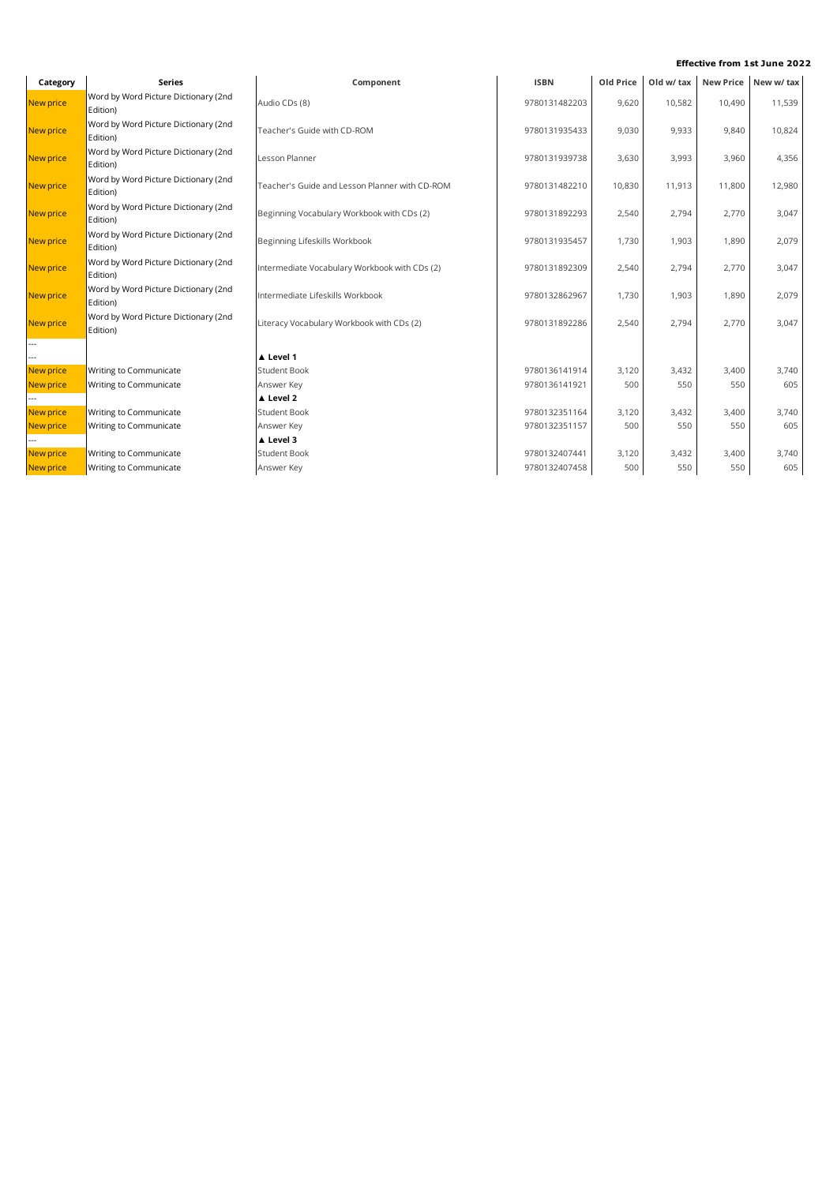| Category         | <b>Series</b>                                    | Component                                             | <b>ISBN</b>   | Old Price | Old w/ tax |        | New Price New w/ tax |
|------------------|--------------------------------------------------|-------------------------------------------------------|---------------|-----------|------------|--------|----------------------|
| <b>New price</b> | Word by Word Picture Dictionary (2nd<br>Edition) | Audio CDs (8)                                         | 9780131482203 | 9,620     | 10,582     | 10,490 | 11,539               |
| <b>New price</b> | Word by Word Picture Dictionary (2nd<br>Edition) | Teacher's Guide with CD-ROM<br>9780131935433<br>9,030 |               |           | 9,933      | 9,840  | 10,824               |
| <b>New price</b> | Word by Word Picture Dictionary (2nd<br>Edition) | Lesson Planner                                        | 9780131939738 | 3,630     | 3,993      | 3,960  | 4,356                |
| <b>New price</b> | Word by Word Picture Dictionary (2nd<br>Edition) | Teacher's Guide and Lesson Planner with CD-ROM        | 9780131482210 | 10,830    | 11,913     | 11,800 | 12,980               |
| New price        | Word by Word Picture Dictionary (2nd<br>Edition) | Beginning Vocabulary Workbook with CDs (2)            | 9780131892293 | 2,540     | 2,794      | 2,770  | 3,047                |
| <b>New price</b> | Word by Word Picture Dictionary (2nd<br>Edition) | Beginning Lifeskills Workbook                         | 9780131935457 | 1,730     | 1,903      | 1,890  | 2,079                |
| <b>New price</b> | Word by Word Picture Dictionary (2nd<br>Edition) | Intermediate Vocabulary Workbook with CDs (2)         | 9780131892309 | 2,540     | 2,794      | 2,770  | 3,047                |
| <b>New price</b> | Word by Word Picture Dictionary (2nd<br>Edition) | Intermediate Lifeskills Workbook                      | 9780132862967 | 1,730     | 1,903      | 1,890  | 2,079                |
| <b>New price</b> | Word by Word Picture Dictionary (2nd<br>Edition) | Literacy Vocabulary Workbook with CDs (2)             | 9780131892286 | 2,540     | 2,794      | 2,770  | 3,047                |
| ---              |                                                  |                                                       |               |           |            |        |                      |
|                  |                                                  | ▲ Level 1                                             |               |           |            |        |                      |
| New price        | Writing to Communicate                           | <b>Student Book</b>                                   | 9780136141914 | 3,120     | 3,432      | 3,400  | 3,740                |
| <b>New price</b> | Writing to Communicate                           | Answer Key                                            | 9780136141921 | 500       | 550        | 550    | 605                  |
|                  |                                                  | ▲ Level 2                                             |               |           |            |        |                      |
| <b>New price</b> | Writing to Communicate                           | <b>Student Book</b>                                   | 9780132351164 | 3,120     | 3,432      | 3,400  | 3,740                |
| <b>New price</b> | Writing to Communicate                           | Answer Key                                            | 9780132351157 | 500       | 550        | 550    | 605                  |
|                  |                                                  | A Level 3                                             |               |           |            |        |                      |
| <b>New price</b> | Writing to Communicate                           | <b>Student Book</b>                                   | 9780132407441 | 3,120     | 3,432      | 3,400  | 3,740                |
| <b>New price</b> | Writing to Communicate                           | Answer Key                                            | 9780132407458 | 500       | 550        | 550    | 605                  |